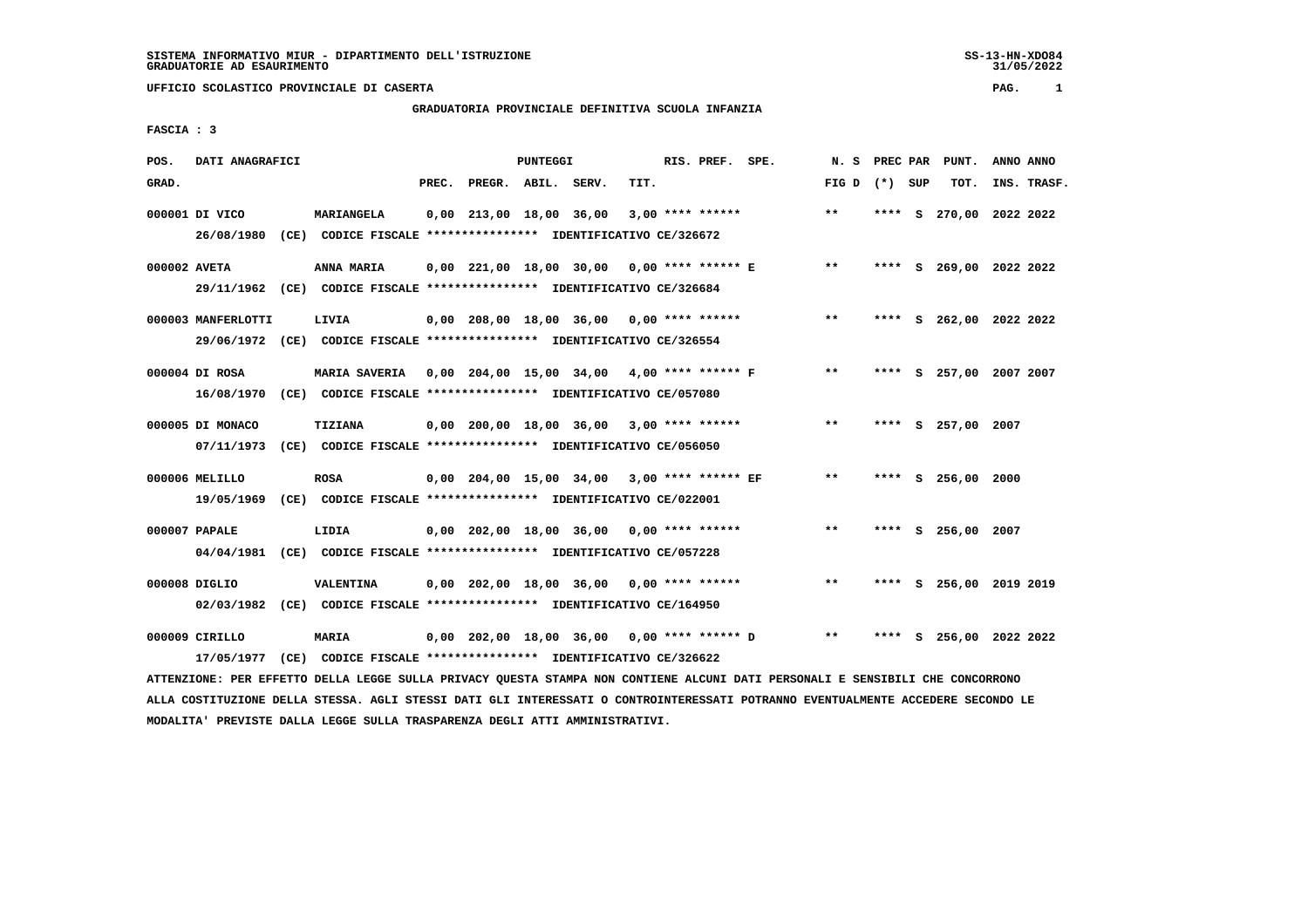# **GRADUATORIA PROVINCIALE DEFINITIVA SCUOLA INFANZIA**

 **FASCIA : 3**

| POS.         | DATI ANAGRAFICI    |                                                                                                                               |                          | PUNTEGGI |                                             |      | RIS. PREF. SPE. |                                                 |                 |  | N. S PREC PAR PUNT.     | ANNO ANNO |             |
|--------------|--------------------|-------------------------------------------------------------------------------------------------------------------------------|--------------------------|----------|---------------------------------------------|------|-----------------|-------------------------------------------------|-----------------|--|-------------------------|-----------|-------------|
| GRAD.        |                    |                                                                                                                               | PREC. PREGR. ABIL. SERV. |          |                                             | TIT. |                 |                                                 | FIG D $(*)$ SUP |  | тот.                    |           | INS. TRASF. |
|              | 000001 DI VICO     | MARIANGELA                                                                                                                    |                          |          | $0,00$ 213,00 18,00 36,00 3,00 **** ******  |      |                 |                                                 | $***$           |  | **** S 270,00 2022 2022 |           |             |
|              |                    | 26/08/1980 (CE) CODICE FISCALE *************** IDENTIFICATIVO CE/326672                                                       |                          |          |                                             |      |                 |                                                 |                 |  |                         |           |             |
| 000002 AVETA |                    | ANNA MARIA                                                                                                                    |                          |          |                                             |      |                 | 0,00 221,00 18,00 30,00 0,00 **** ****** E      | $***$           |  | **** S 269,00 2022 2022 |           |             |
|              |                    | 29/11/1962 (CE) CODICE FISCALE *************** IDENTIFICATIVO CE/326684                                                       |                          |          |                                             |      |                 |                                                 |                 |  |                         |           |             |
|              | 000003 MANFERLOTTI | LIVIA                                                                                                                         |                          |          | 0,00 208,00 18,00 36,00 0,00 **** ******    |      |                 |                                                 | $***$           |  | **** S 262,00 2022 2022 |           |             |
|              |                    | 29/06/1972 (CE) CODICE FISCALE *************** IDENTIFICATIVO CE/326554                                                       |                          |          |                                             |      |                 |                                                 |                 |  |                         |           |             |
|              | 000004 DI ROSA     | MARIA SAVERIA 0,00 204,00 15,00 34,00 4,00 **** ****** F                                                                      |                          |          |                                             |      |                 |                                                 | $***$           |  | **** S 257,00 2007 2007 |           |             |
|              |                    | 16/08/1970 (CE) CODICE FISCALE *************** IDENTIFICATIVO CE/057080                                                       |                          |          |                                             |      |                 |                                                 |                 |  |                         |           |             |
|              | 000005 DI MONACO   | TIZIANA                                                                                                                       |                          |          | 0,00 200,00 18,00 36,00 3,00 **** ******    |      |                 |                                                 | $***$           |  | **** S 257,00 2007      |           |             |
|              |                    | 07/11/1973 (CE) CODICE FISCALE *************** IDENTIFICATIVO CE/056050                                                       |                          |          |                                             |      |                 |                                                 |                 |  |                         |           |             |
|              | 000006 MELILLO     | <b>ROSA</b>                                                                                                                   |                          |          | 0,00 204,00 15,00 34,00 3,00 **** ****** EF |      |                 |                                                 | $***$           |  | **** S 256,00           | 2000      |             |
|              |                    | 19/05/1969 (CE) CODICE FISCALE *************** IDENTIFICATIVO CE/022001                                                       |                          |          |                                             |      |                 |                                                 |                 |  |                         |           |             |
|              | 000007 PAPALE      | LIDIA                                                                                                                         |                          |          | $0,00$ 202,00 18,00 36,00 0,00 **** ******  |      |                 |                                                 | $***$           |  | **** S 256,00 2007      |           |             |
|              |                    | 04/04/1981 (CE) CODICE FISCALE *************** IDENTIFICATIVO CE/057228                                                       |                          |          |                                             |      |                 |                                                 |                 |  |                         |           |             |
|              | 000008 DIGLIO      | <b>VALENTINA</b>                                                                                                              |                          |          | 0,00 202,00 18,00 36,00 0,00 **** ******    |      |                 |                                                 | $***$           |  | **** S 256,00 2019 2019 |           |             |
|              |                    | 02/03/1982 (CE) CODICE FISCALE *************** IDENTIFICATIVO CE/164950                                                       |                          |          |                                             |      |                 |                                                 |                 |  |                         |           |             |
|              | 000009 CIRILLO     | MARIA                                                                                                                         |                          |          |                                             |      |                 | $0,00$ 202,00 18,00 36,00 0,00 **** ****** D ** |                 |  | **** S 256,00 2022 2022 |           |             |
|              |                    | 17/05/1977 (CE) CODICE FISCALE *************** IDENTIFICATIVO CE/326622                                                       |                          |          |                                             |      |                 |                                                 |                 |  |                         |           |             |
|              |                    | ATTENZIONE: PER EFFETTO DELLA LEGGE SULLA PRIVACY QUESTA STAMPA NON CONTIENE ALCUNI DATI PERSONALI E SENSIBILI CHE CONCORRONO |                          |          |                                             |      |                 |                                                 |                 |  |                         |           |             |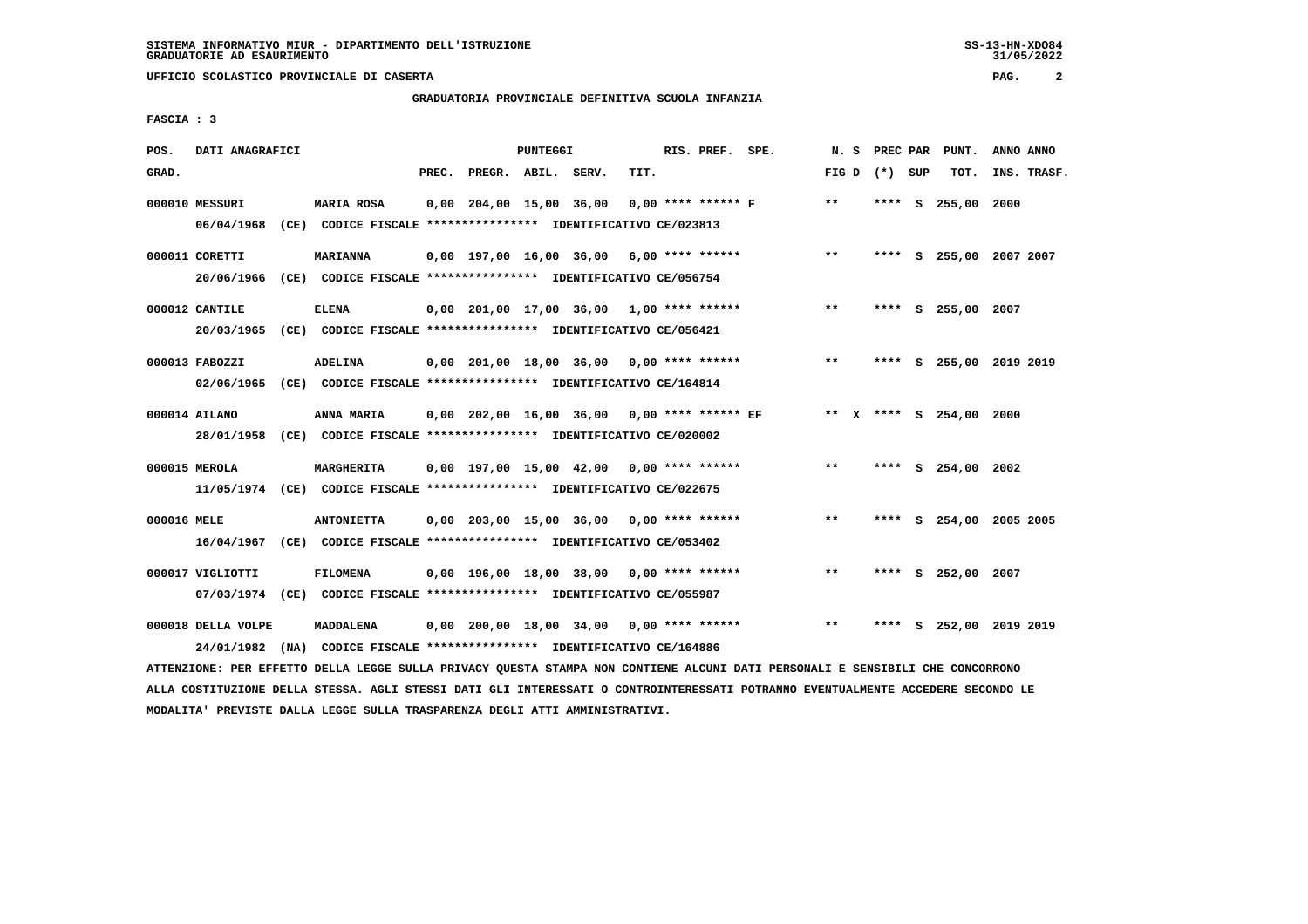# **GRADUATORIA PROVINCIALE DEFINITIVA SCUOLA INFANZIA**

 **FASCIA : 3**

| POS.        | DATI ANAGRAFICI    |                                                                                               |       |                    | <b>PUNTEGGI</b> |                                            |      | RIS. PREF. SPE.      |                 |      | N. S PREC PAR PUNT.     | ANNO ANNO |             |
|-------------|--------------------|-----------------------------------------------------------------------------------------------|-------|--------------------|-----------------|--------------------------------------------|------|----------------------|-----------------|------|-------------------------|-----------|-------------|
| GRAD.       |                    |                                                                                               | PREC. | PREGR. ABIL. SERV. |                 |                                            | TIT. |                      | FIG D $(*)$ SUP |      | тот.                    |           | INS. TRASF. |
|             | 000010 MESSURI     | <b>MARIA ROSA</b><br>06/04/1968 (CE) CODICE FISCALE *************** IDENTIFICATIVO CE/023813  |       |                    |                 | 0,00 204,00 15,00 36,00                    |      | $0.00$ **** ****** F | $* *$           |      | **** S 255,00 2000      |           |             |
|             | 000011 CORETTI     | <b>MARIANNA</b><br>20/06/1966 (CE) CODICE FISCALE *************** IDENTIFICATIVO CE/056754    |       |                    |                 | $0,00$ 197,00 16,00 36,00 6,00 **** ****** |      |                      | $***$           |      | **** S 255,00 2007 2007 |           |             |
|             | 000012 CANTILE     | <b>ELENA</b><br>20/03/1965 (CE) CODICE FISCALE *************** IDENTIFICATIVO CE/056421       |       |                    |                 | $0.00$ 201.00 17.00 36.00 1.00 **** ****** |      |                      | $***$           |      | **** S 255,00 2007      |           |             |
|             | 000013 FABOZZI     | <b>ADELINA</b><br>02/06/1965 (CE) CODICE FISCALE *************** IDENTIFICATIVO CE/164814     |       |                    |                 | $0,00$ 201,00 18,00 36,00 0,00 **** ****** |      |                      | $**$            |      | **** S 255,00 2019 2019 |           |             |
|             | 000014 AILANO      | 28/01/1958 (CE) CODICE FISCALE *************** IDENTIFICATIVO CE/020002                       |       |                    |                 |                                            |      |                      |                 |      | ** X **** S 254,00 2000 |           |             |
|             | 000015 MEROLA      | <b>MARGHERITA</b><br>11/05/1974 (CE) CODICE FISCALE *************** IDENTIFICATIVO CE/022675  |       |                    |                 | $0,00$ 197,00 15,00 42,00 0,00 **** ****** |      |                      | $***$           |      | **** S 254,00 2002      |           |             |
| 000016 MELE |                    | <b>ANTONIETTA</b><br>16/04/1967 (CE) CODICE FISCALE **************** IDENTIFICATIVO CE/053402 |       |                    |                 | $0.00$ 203.00 15.00 36.00 0.00 **** ****** |      |                      | **              |      | **** S 254,00 2005 2005 |           |             |
|             | 000017 VIGLIOTTI   | <b>FILOMENA</b><br>07/03/1974 (CE) CODICE FISCALE *************** IDENTIFICATIVO CE/055987    |       |                    |                 | $0,00$ 196,00 18,00 38,00 0,00 **** ****** |      |                      | $\star\star$    |      | **** S 252,00 2007      |           |             |
|             | 000018 DELLA VOLPE | MADDALENA<br>24/01/1982 (NA) CODICE FISCALE *************** IDENTIFICATIVO CE/164886          |       |                    |                 | $0,00$ 200,00 18,00 34,00 0,00 **** ****** |      |                      | **              | **** | S 252,00 2019 2019      |           |             |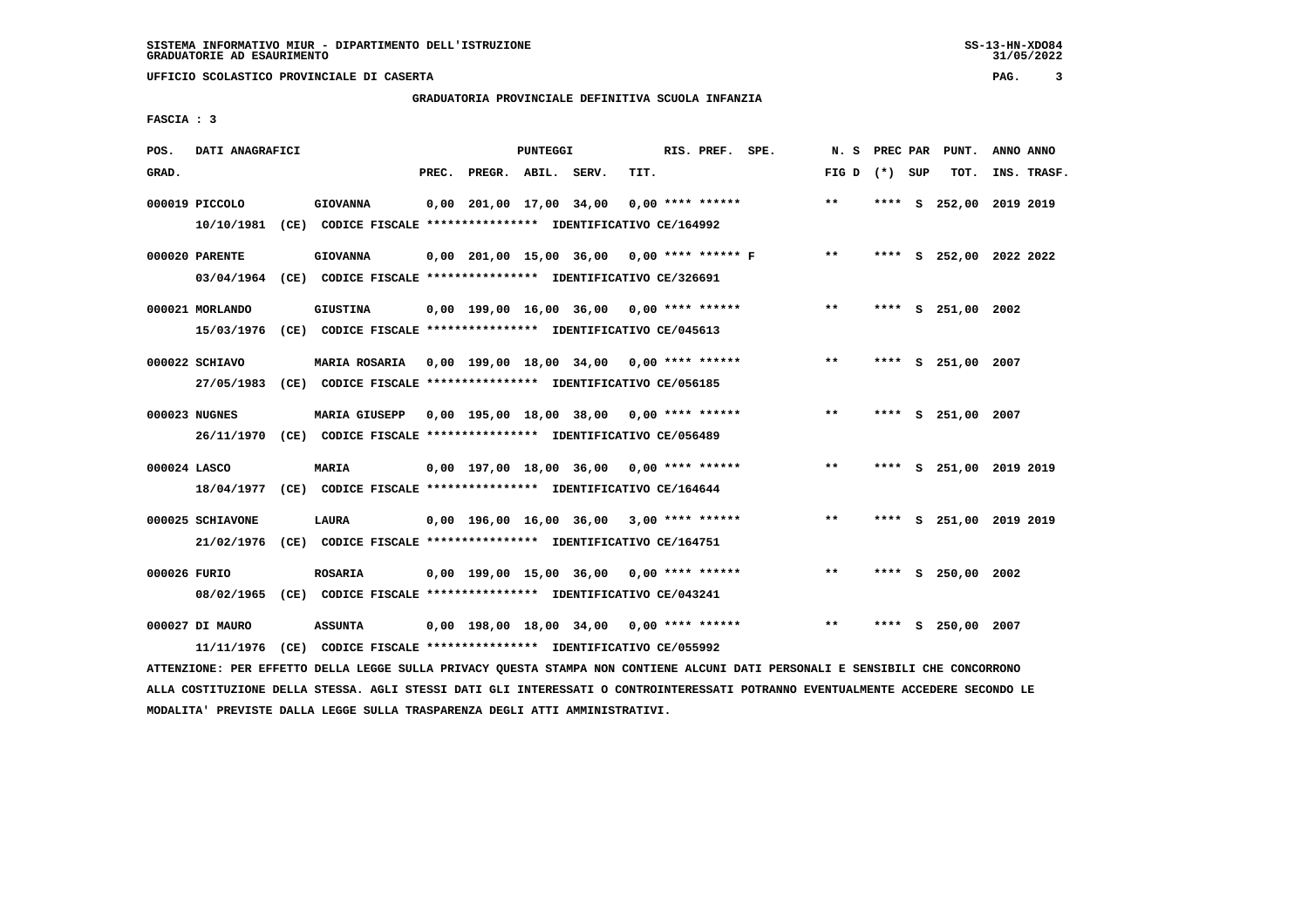# **GRADUATORIA PROVINCIALE DEFINITIVA SCUOLA INFANZIA**

 **FASCIA : 3**

| POS.         | DATI ANAGRAFICI                |                                                                                                                                   |       |                    | PUNTEGGI |                                            |      | RIS. PREF. SPE.    |                                                 | N.S             |      | PREC PAR PUNT.          | ANNO ANNO |             |
|--------------|--------------------------------|-----------------------------------------------------------------------------------------------------------------------------------|-------|--------------------|----------|--------------------------------------------|------|--------------------|-------------------------------------------------|-----------------|------|-------------------------|-----------|-------------|
| GRAD.        |                                |                                                                                                                                   | PREC. | PREGR. ABIL. SERV. |          |                                            | TIT. |                    |                                                 | FIG D $(*)$ SUP |      | TOT.                    |           | INS. TRASF. |
|              | 000019 PICCOLO<br>10/10/1981   | <b>GIOVANNA</b><br>(CE) CODICE FISCALE **************** IDENTIFICATIVO CE/164992                                                  |       |                    |          | 0,00 201,00 17,00 34,00                    |      | $0.00$ **** ****** |                                                 | $**$            |      | **** S 252,00 2019 2019 |           |             |
|              | 000020 PARENTE                 | <b>GIOVANNA</b><br>03/04/1964 (CE) CODICE FISCALE *************** IDENTIFICATIVO CE/326691                                        |       |                    |          |                                            |      |                    | $0,00$ 201,00 15,00 36,00 0,00 **** ****** F ** |                 |      | **** S 252,00 2022 2022 |           |             |
|              | 000021 MORLANDO                | <b>GIUSTINA</b><br>15/03/1976 (CE) CODICE FISCALE *************** IDENTIFICATIVO CE/045613                                        |       |                    |          | 0,00 199,00 16,00 36,00 0,00 **** ******   |      |                    |                                                 | $* *$           |      | **** S 251,00 2002      |           |             |
|              | 000022 SCHIAVO<br>27/05/1983   | MARIA ROSARIA 0.00 199.00 18.00 34.00 0.00 **** ******                                                                            |       |                    |          |                                            |      |                    |                                                 | $* *$           |      | **** S 251,00 2007      |           |             |
|              | 000023 NUGNES                  | MARIA GIUSEPP 0,00 195,00 18,00 38,00 0,00 **** ******<br>26/11/1970 (CE) CODICE FISCALE *************** IDENTIFICATIVO CE/056489 |       |                    |          |                                            |      |                    |                                                 | $\star\star$    |      | **** S 251,00 2007      |           |             |
| 000024 LASCO |                                | <b>MARIA</b><br>18/04/1977 (CE) CODICE FISCALE *************** IDENTIFICATIVO CE/164644                                           |       |                    |          | 0,00 197,00 18,00 36,00 0,00 **** ******   |      |                    |                                                 | $\star\star$    |      | **** S 251,00 2019 2019 |           |             |
|              | 000025 SCHIAVONE<br>21/02/1976 | LAURA<br>(CE) CODICE FISCALE **************** IDENTIFICATIVO CE/164751                                                            |       |                    |          | $0.00$ 196.00 16.00 36.00 3.00 **** ****** |      |                    |                                                 | $***$           |      | **** S 251,00 2019 2019 |           |             |
| 000026 FURIO | 08/02/1965                     | <b>ROSARIA</b><br>(CE) CODICE FISCALE *************** IDENTIFICATIVO CE/043241                                                    |       |                    |          | $0,00$ 199,00 15,00 36,00 0,00 **** ****** |      |                    |                                                 | $* *$           |      | **** S 250,00 2002      |           |             |
|              | 000027 DI MAURO<br>11/11/1976  | <b>ASSUNTA</b>                                                                                                                    |       |                    |          | 0,00 198,00 18,00 34,00 0,00 **** ******   |      |                    |                                                 | $* *$           | **** | S 250,00 2007           |           |             |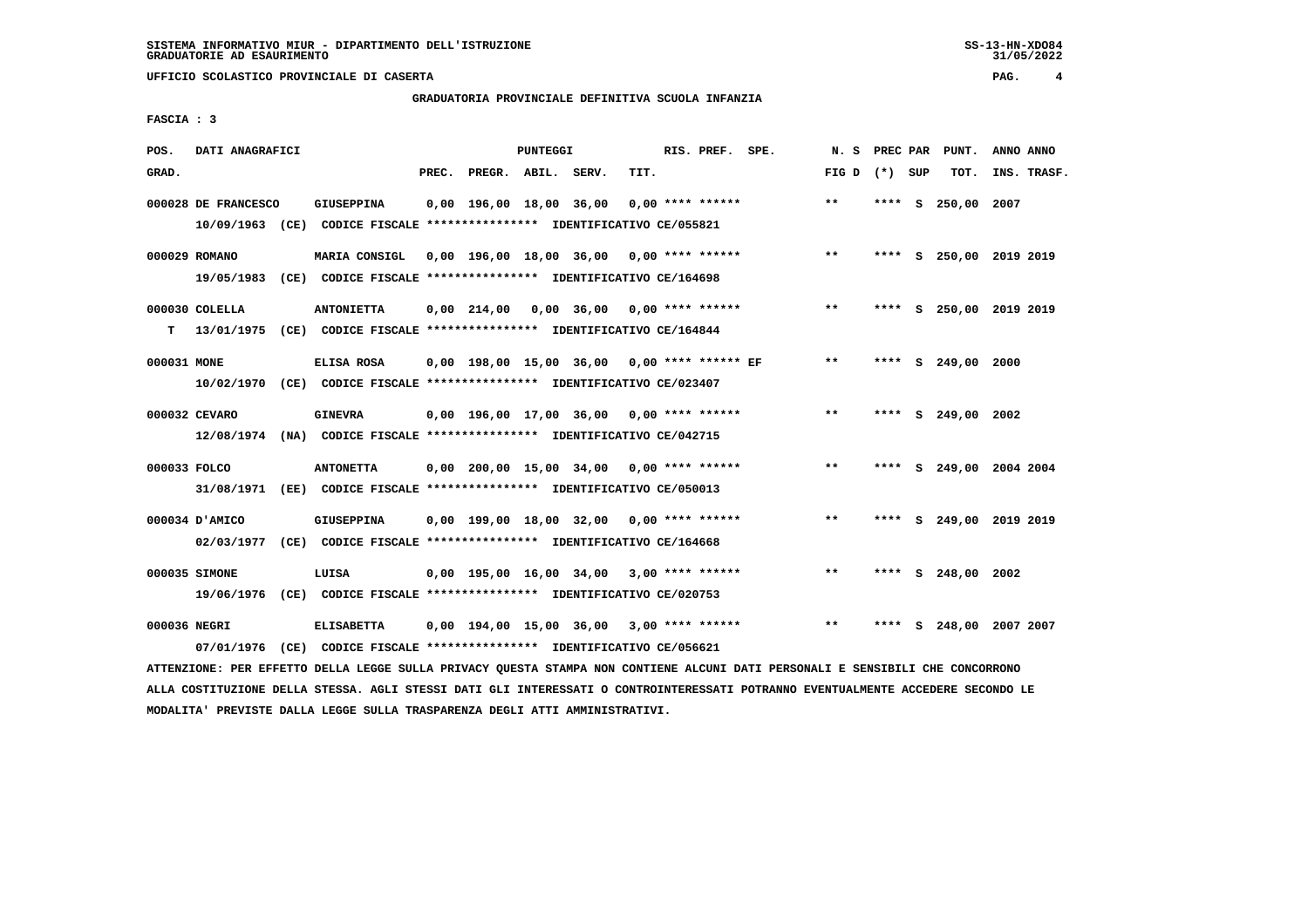# **GRADUATORIA PROVINCIALE DEFINITIVA SCUOLA INFANZIA**

 **FASCIA : 3**

| POS.         | DATI ANAGRAFICI     |                                                                                                                               |       |                         | PUNTEGGI |                                            |      | RIS. PREF. SPE.    |                                                 | N. S            |  | PREC PAR PUNT.          | ANNO ANNO |             |
|--------------|---------------------|-------------------------------------------------------------------------------------------------------------------------------|-------|-------------------------|----------|--------------------------------------------|------|--------------------|-------------------------------------------------|-----------------|--|-------------------------|-----------|-------------|
| GRAD.        |                     |                                                                                                                               | PREC. | PREGR. ABIL. SERV.      |          |                                            | TIT. |                    |                                                 | FIG D $(*)$ SUP |  | TOT.                    |           | INS. TRASF. |
|              | 000028 DE FRANCESCO | <b>GIUSEPPINA</b>                                                                                                             |       | 0,00 196,00 18,00 36,00 |          |                                            |      | $0,00$ **** ****** |                                                 | $* *$           |  | **** S 250,00 2007      |           |             |
|              |                     | 10/09/1963 (CE) CODICE FISCALE *************** IDENTIFICATIVO CE/055821                                                       |       |                         |          |                                            |      |                    |                                                 |                 |  |                         |           |             |
|              | 000029 ROMANO       | MARIA CONSIGL                                                                                                                 |       |                         |          | 0,00 196,00 18,00 36,00 0,00 **** ******   |      |                    |                                                 | $***$           |  | **** S 250,00 2019 2019 |           |             |
|              |                     | 19/05/1983 (CE) CODICE FISCALE *************** IDENTIFICATIVO CE/164698                                                       |       |                         |          |                                            |      |                    |                                                 |                 |  |                         |           |             |
|              | $000030$ COLELLA    | <b>ANTONIETTA</b>                                                                                                             |       |                         |          | $0,00$ 214,00 0,00 36,00 0,00 **** ******  |      |                    |                                                 | $***$           |  | **** S 250,00 2019 2019 |           |             |
|              |                     | T 13/01/1975 (CE) CODICE FISCALE *************** IDENTIFICATIVO CE/164844                                                     |       |                         |          |                                            |      |                    |                                                 |                 |  |                         |           |             |
| 000031 MONE  |                     | ELISA ROSA                                                                                                                    |       |                         |          |                                            |      |                    | 0,00 198,00 15,00 36,00 0,00 **** ****** EF     | $* *$           |  | **** S 249,00 2000      |           |             |
|              |                     | 10/02/1970 (CE) CODICE FISCALE *************** IDENTIFICATIVO CE/023407                                                       |       |                         |          |                                            |      |                    |                                                 |                 |  |                         |           |             |
|              | 000032 CEVARO       | <b>GINEVRA</b>                                                                                                                |       |                         |          | $0,00$ 196,00 17,00 36,00 0,00 **** ****** |      |                    |                                                 | $***$           |  | **** S 249,00 2002      |           |             |
|              |                     | 12/08/1974 (NA) CODICE FISCALE *************** IDENTIFICATIVO CE/042715                                                       |       |                         |          |                                            |      |                    |                                                 |                 |  |                         |           |             |
| 000033 FOLCO |                     | <b>ANTONETTA</b>                                                                                                              |       |                         |          | $0.00$ 200.00 15.00 34.00 0.00 **** ****** |      |                    |                                                 | $***$           |  | **** S 249,00 2004 2004 |           |             |
|              |                     | 31/08/1971 (EE) CODICE FISCALE *************** IDENTIFICATIVO CE/050013                                                       |       |                         |          |                                            |      |                    |                                                 |                 |  |                         |           |             |
|              | 000034 D'AMICO      | GIUSEPPINA                                                                                                                    |       |                         |          | $0,00$ 199,00 18,00 32,00 0,00 **** ****** |      |                    |                                                 | $***$           |  | **** S 249,00 2019 2019 |           |             |
|              |                     | 02/03/1977 (CE) CODICE FISCALE *************** IDENTIFICATIVO CE/164668                                                       |       |                         |          |                                            |      |                    |                                                 |                 |  |                         |           |             |
|              | 000035 SIMONE       | LUISA                                                                                                                         |       |                         |          | $0,00$ 195,00 16,00 34,00 3,00 **** ****** |      |                    |                                                 | $***$           |  | **** S 248,00 2002      |           |             |
|              |                     | 19/06/1976 (CE) CODICE FISCALE *************** IDENTIFICATIVO CE/020753                                                       |       |                         |          |                                            |      |                    |                                                 |                 |  |                         |           |             |
| 000036 NEGRI |                     | <b>ELISABETTA</b>                                                                                                             |       |                         |          |                                            |      |                    | 0,00 194,00 15,00 36,00 3,00 **** ****** *** ** |                 |  | **** S 248,00 2007 2007 |           |             |
|              | 07/01/1976          | (CE) CODICE FISCALE **************** IDENTIFICATIVO CE/056621                                                                 |       |                         |          |                                            |      |                    |                                                 |                 |  |                         |           |             |
|              |                     | ATTENZIONE: PER EFFETTO DELLA LEGGE SULLA PRIVACY QUESTA STAMPA NON CONTIENE ALCUNI DATI PERSONALI E SENSIBILI CHE CONCORRONO |       |                         |          |                                            |      |                    |                                                 |                 |  |                         |           |             |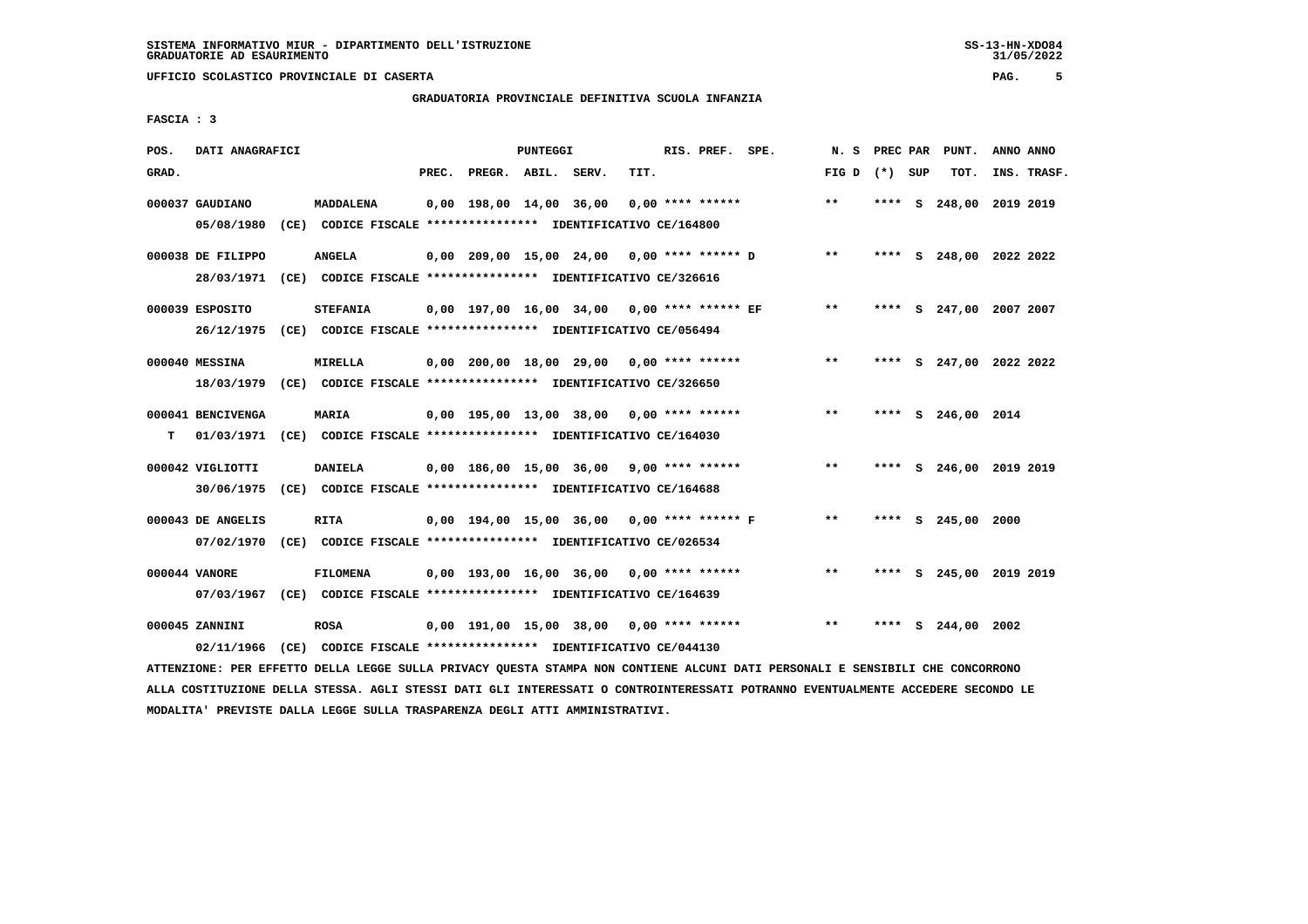# **GRADUATORIA PROVINCIALE DEFINITIVA SCUOLA INFANZIA**

 **FASCIA : 3**

| POS.  | DATI ANAGRAFICI               |                                                                                            |       |                           | PUNTEGGI |                                               |      | RIS. PREF. SPE.    |                                                 | N.S             | <b>PREC PAR</b> | PUNT.                   | ANNO ANNO |             |
|-------|-------------------------------|--------------------------------------------------------------------------------------------|-------|---------------------------|----------|-----------------------------------------------|------|--------------------|-------------------------------------------------|-----------------|-----------------|-------------------------|-----------|-------------|
| GRAD. |                               |                                                                                            | PREC. | PREGR. ABIL. SERV.        |          |                                               | TIT. |                    |                                                 | FIG D $(*)$ SUP |                 | TOT.                    |           | INS. TRASF. |
|       | 000037 GAUDIANO<br>05/08/1980 | MADDALENA<br>(CE) CODICE FISCALE **************** IDENTIFICATIVO CE/164800                 |       | $0.00$ 198.00 14.00 36.00 |          |                                               |      | $0.00$ **** ****** |                                                 | $***$           |                 | **** S 248,00 2019 2019 |           |             |
|       | 000038 DE FILIPPO             | <b>ANGELA</b><br>28/03/1971 (CE) CODICE FISCALE *************** IDENTIFICATIVO CE/326616   |       |                           |          |                                               |      |                    | $0,00$ 209,00 15,00 24,00 0,00 **** ****** D ** |                 |                 | **** S 248,00 2022 2022 |           |             |
|       | 000039 ESPOSITO               | <b>STEFANIA</b><br>26/12/1975 (CE) CODICE FISCALE *************** IDENTIFICATIVO CE/056494 |       |                           |          | $0,00$ 197,00 16,00 34,00 0,00 **** ****** EF |      |                    |                                                 | $***$           |                 | **** S 247,00 2007 2007 |           |             |
|       | 000040 MESSINA                | <b>MIRELLA</b><br>18/03/1979 (CE) CODICE FISCALE *************** IDENTIFICATIVO CE/326650  |       |                           |          | 0,00 200,00 18,00 29,00 0,00 **** ******      |      |                    |                                                 | $**$            |                 | **** S 247,00 2022 2022 |           |             |
| т     | 000041 BENCIVENGA             | <b>MARIA</b><br>01/03/1971 (CE) CODICE FISCALE **************** IDENTIFICATIVO CE/164030   |       |                           |          | 0,00 195,00 13,00 38,00 0,00 **** ******      |      |                    |                                                 | $***$           |                 | **** S 246,00 2014      |           |             |
|       | 000042 VIGLIOTTI              | <b>DANIELA</b><br>30/06/1975 (CE) CODICE FISCALE *************** IDENTIFICATIVO CE/164688  |       |                           |          | $0,00$ 186,00 15,00 36,00 9,00 **** ******    |      |                    |                                                 | $**$            |                 | **** S 246,00 2019 2019 |           |             |
|       | 000043 DE ANGELIS             | <b>RITA</b><br>07/02/1970 (CE) CODICE FISCALE *************** IDENTIFICATIVO CE/026534     |       |                           |          | 0,00 194,00 15,00 36,00 0,00 **** ****** F    |      |                    |                                                 | $\star \star$   |                 | **** S 245,00 2000      |           |             |
|       | 000044 VANORE                 | <b>FILOMENA</b><br>07/03/1967 (CE) CODICE FISCALE *************** IDENTIFICATIVO CE/164639 |       |                           |          | $0,00$ 193,00 16,00 36,00 0,00 **** ******    |      |                    |                                                 | $**$            |                 | **** S 245,00 2019 2019 |           |             |
|       | 000045 ZANNINI<br>02/11/1966  | <b>ROSA</b><br>(CE) CODICE FISCALE **************** IDENTIFICATIVO CE/044130               |       |                           |          | 0,00 191,00 15,00 38,00 0,00 **** ******      |      |                    |                                                 | $* *$           |                 | **** S 244,00 2002      |           |             |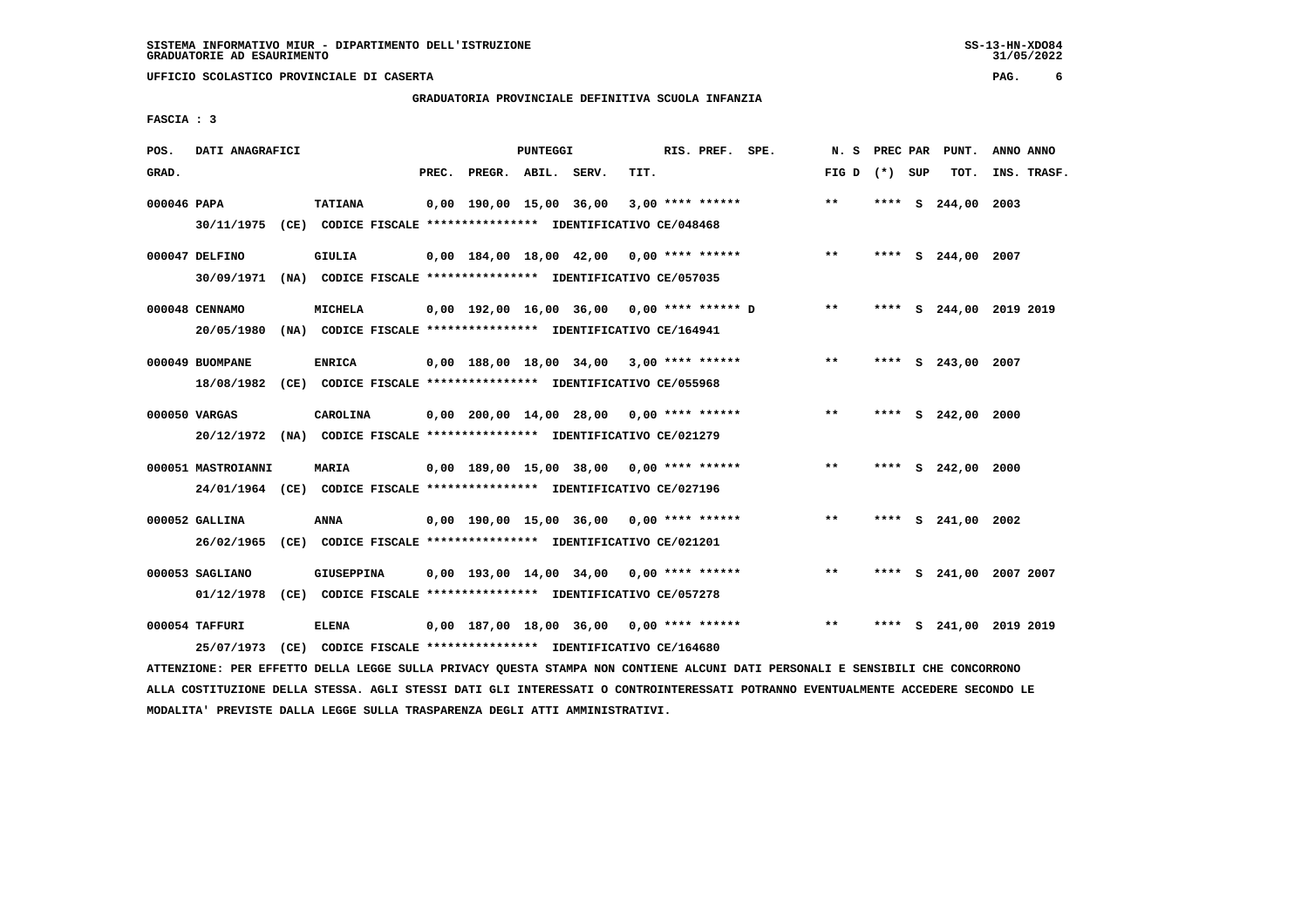# **GRADUATORIA PROVINCIALE DEFINITIVA SCUOLA INFANZIA**

 **FASCIA : 3**

| POS.        | DATI ANAGRAFICI                                                                               |                   |       |                    | PUNTEGGI |                                            |      | RIS. PREF. SPE.    | N.S             | PREC PAR |    | PUNT.                   | ANNO ANNO   |  |
|-------------|-----------------------------------------------------------------------------------------------|-------------------|-------|--------------------|----------|--------------------------------------------|------|--------------------|-----------------|----------|----|-------------------------|-------------|--|
| GRAD.       |                                                                                               |                   | PREC. | PREGR. ABIL. SERV. |          |                                            | TIT. |                    | FIG D $(*)$ SUP |          |    | TOT.                    | INS. TRASF. |  |
| 000046 PAPA | 30/11/1975 (CE) CODICE FISCALE *************** IDENTIFICATIVO CE/048468                       | <b>TATIANA</b>    |       |                    |          | 0,00 190,00 15,00 36,00                    |      | $3,00$ **** ****** | $* *$           |          |    | **** S 244,00 2003      |             |  |
|             | 000047 DELFINO<br>30/09/1971 (NA) CODICE FISCALE *************** IDENTIFICATIVO CE/057035     | GIULIA            |       |                    |          | $0,00$ 184,00 18,00 42,00 0,00 **** ****** |      |                    | $**$            |          |    | **** S 244,00 2007      |             |  |
|             | 000048 CENNAMO<br>20/05/1980 (NA) CODICE FISCALE *************** IDENTIFICATIVO CE/164941     | MICHELA           |       |                    |          | 0,00 192,00 16,00 36,00 0,00 **** ****** D |      |                    | $***$           |          |    | **** S 244,00 2019 2019 |             |  |
|             | 000049 BUOMPANE<br>18/08/1982 (CE) CODICE FISCALE *************** IDENTIFICATIVO CE/055968    | <b>ENRICA</b>     |       |                    |          | $0,00$ 188,00 18,00 34,00 3,00 **** ****** |      |                    | $* *$           |          |    | **** S 243,00 2007      |             |  |
|             | 000050 VARGAS<br>20/12/1972 (NA) CODICE FISCALE *************** IDENTIFICATIVO CE/021279      | CAROLINA          |       |                    |          | $0,00$ 200,00 14,00 28,00 0,00 **** ****** |      |                    | $**$            |          |    | **** S 242,00 2000      |             |  |
|             | 000051 MASTROIANNI<br>24/01/1964 (CE) CODICE FISCALE *************** IDENTIFICATIVO CE/027196 | <b>MARIA</b>      |       |                    |          | $0,00$ 189,00 15,00 38,00 0,00 **** ****** |      |                    | $* *$           |          |    | **** S 242,00 2000      |             |  |
|             | 000052 GALLINA<br>26/02/1965 (CE) CODICE FISCALE *************** IDENTIFICATIVO CE/021201     | <b>ANNA</b>       |       |                    |          | $0.00$ 190.00 15.00 36.00 0.00 **** ****** |      |                    | $* *$           |          |    | **** S 241,00 2002      |             |  |
|             | 000053 SAGLIANO<br>01/12/1978 (CE) CODICE FISCALE *************** IDENTIFICATIVO CE/057278    | <b>GIUSEPPINA</b> |       |                    |          | $0.00$ 193.00 14.00 34.00 0.00 **** ****** |      |                    | $***$           |          |    | **** S 241,00 2007 2007 |             |  |
|             | 000054 TAFFURI<br>25/07/1973 (CE) CODICE FISCALE *************** IDENTIFICATIVO CE/164680     | <b>ELENA</b>      |       |                    |          | $0,00$ 187,00 18,00 36,00 0,00 **** ****** |      |                    | $***$           | ****     | S. | 241,00 2019 2019        |             |  |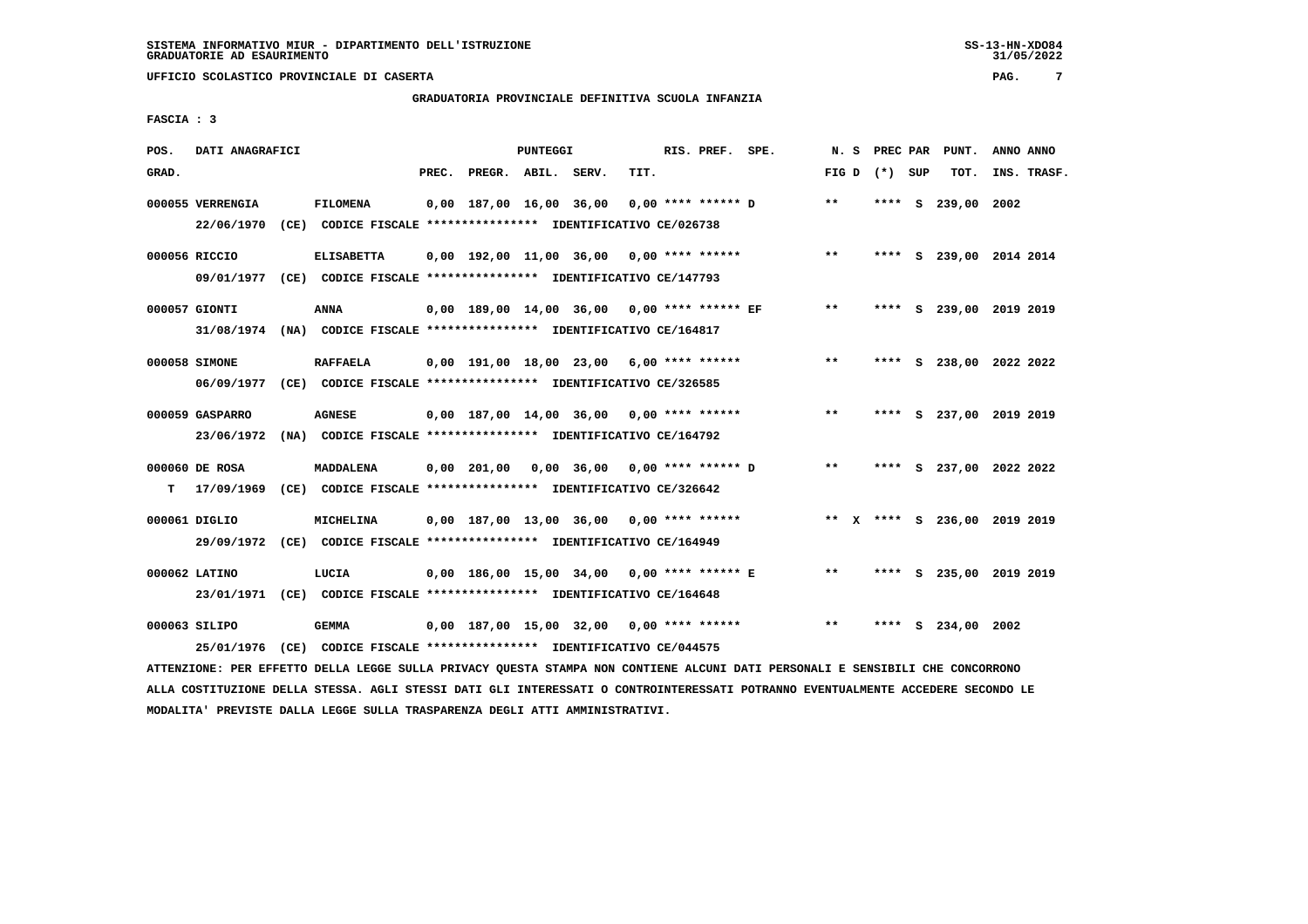# **GRADUATORIA PROVINCIALE DEFINITIVA SCUOLA INFANZIA**

 **FASCIA : 3**

| POS.  | DATI ANAGRAFICI  |                                                                                                                               |       |                                              | PUNTEGGI |      | RIS. PREF. SPE.      |       | N. S PREC PAR   | PUNT.                        | ANNO ANNO |             |
|-------|------------------|-------------------------------------------------------------------------------------------------------------------------------|-------|----------------------------------------------|----------|------|----------------------|-------|-----------------|------------------------------|-----------|-------------|
| GRAD. |                  |                                                                                                                               | PREC. | PREGR. ABIL. SERV.                           |          | TIT. |                      |       | FIG D $(*)$ SUP | тот.                         |           | INS. TRASF. |
|       | 000055 VERRENGIA | <b>FILOMENA</b>                                                                                                               |       | 0,00 187,00 16,00 36,00                      |          |      | $0.00$ **** ****** D | **    |                 | **** S 239,00 2002           |           |             |
|       |                  | 22/06/1970 (CE) CODICE FISCALE *************** IDENTIFICATIVO CE/026738                                                       |       |                                              |          |      |                      |       |                 |                              |           |             |
|       | 000056 RICCIO    | <b>ELISABETTA</b>                                                                                                             |       | $0,00$ 192,00 11,00 36,00 0,00 **** ******   |          |      |                      | $* *$ |                 | **** S 239,00 2014 2014      |           |             |
|       |                  | 09/01/1977 (CE) CODICE FISCALE *************** IDENTIFICATIVO CE/147793                                                       |       |                                              |          |      |                      |       |                 |                              |           |             |
|       | 000057 GIONTI    | ANNA                                                                                                                          |       | 0,00 189,00 14,00 36,00 0,00 **** ****** EF  |          |      |                      | $***$ |                 | **** S 239,00 2019 2019      |           |             |
|       |                  | 31/08/1974 (NA) CODICE FISCALE *************** IDENTIFICATIVO CE/164817                                                       |       |                                              |          |      |                      |       |                 |                              |           |             |
|       | 000058 SIMONE    | <b>RAFFAELA</b>                                                                                                               |       | $0.00$ 191.00 18.00 23.00 6.00 **** ******   |          |      |                      | $***$ |                 | **** S 238,00 2022 2022      |           |             |
|       |                  | 06/09/1977 (CE) CODICE FISCALE *************** IDENTIFICATIVO CE/326585                                                       |       |                                              |          |      |                      |       |                 |                              |           |             |
|       | 000059 GASPARRO  | <b>AGNESE</b>                                                                                                                 |       | $0.00$ 187.00 14.00 36.00 0.00 **** ******   |          |      |                      | $***$ |                 | **** S 237,00 2019 2019      |           |             |
|       |                  | 23/06/1972 (NA) CODICE FISCALE *************** IDENTIFICATIVO CE/164792                                                       |       |                                              |          |      |                      |       |                 |                              |           |             |
|       |                  |                                                                                                                               |       |                                              |          |      |                      |       |                 |                              |           |             |
|       | 000060 DE ROSA   | MADDALENA<br>T 17/09/1969 (CE) CODICE FISCALE *************** IDENTIFICATIVO CE/326642                                        |       |                                              |          |      |                      | $***$ |                 | **** S 237,00 2022 2022      |           |             |
|       |                  |                                                                                                                               |       |                                              |          |      |                      |       |                 |                              |           |             |
|       | 000061 DIGLIO    | MICHELINA                                                                                                                     |       | $0.00$ 187,00 13,00 36,00 0,00 **** ******   |          |      |                      |       |                 | ** X **** S 236,00 2019 2019 |           |             |
|       |                  | 29/09/1972 (CE) CODICE FISCALE *************** IDENTIFICATIVO CE/164949                                                       |       |                                              |          |      |                      |       |                 |                              |           |             |
|       | 000062 LATINO    | LUCIA                                                                                                                         |       | $0,00$ 186,00 15,00 34,00 0,00 **** ****** E |          |      |                      | $* *$ |                 | **** S 235,00 2019 2019      |           |             |
|       |                  | 23/01/1971 (CE) CODICE FISCALE *************** IDENTIFICATIVO CE/164648                                                       |       |                                              |          |      |                      |       |                 |                              |           |             |
|       | 000063 SILIPO    | <b>GEMMA</b>                                                                                                                  |       | 0,00 187,00 15,00 32,00 0,00 **** ******     |          |      |                      | $* *$ |                 | **** S 234,00 2002           |           |             |
|       | 25/01/1976       | (CE) CODICE FISCALE **************** IDENTIFICATIVO CE/044575                                                                 |       |                                              |          |      |                      |       |                 |                              |           |             |
|       |                  | ATTENZIONE: PER EFFETTO DELLA LEGGE SULLA PRIVACY QUESTA STAMPA NON CONTIENE ALCUNI DATI PERSONALI E SENSIBILI CHE CONCORRONO |       |                                              |          |      |                      |       |                 |                              |           |             |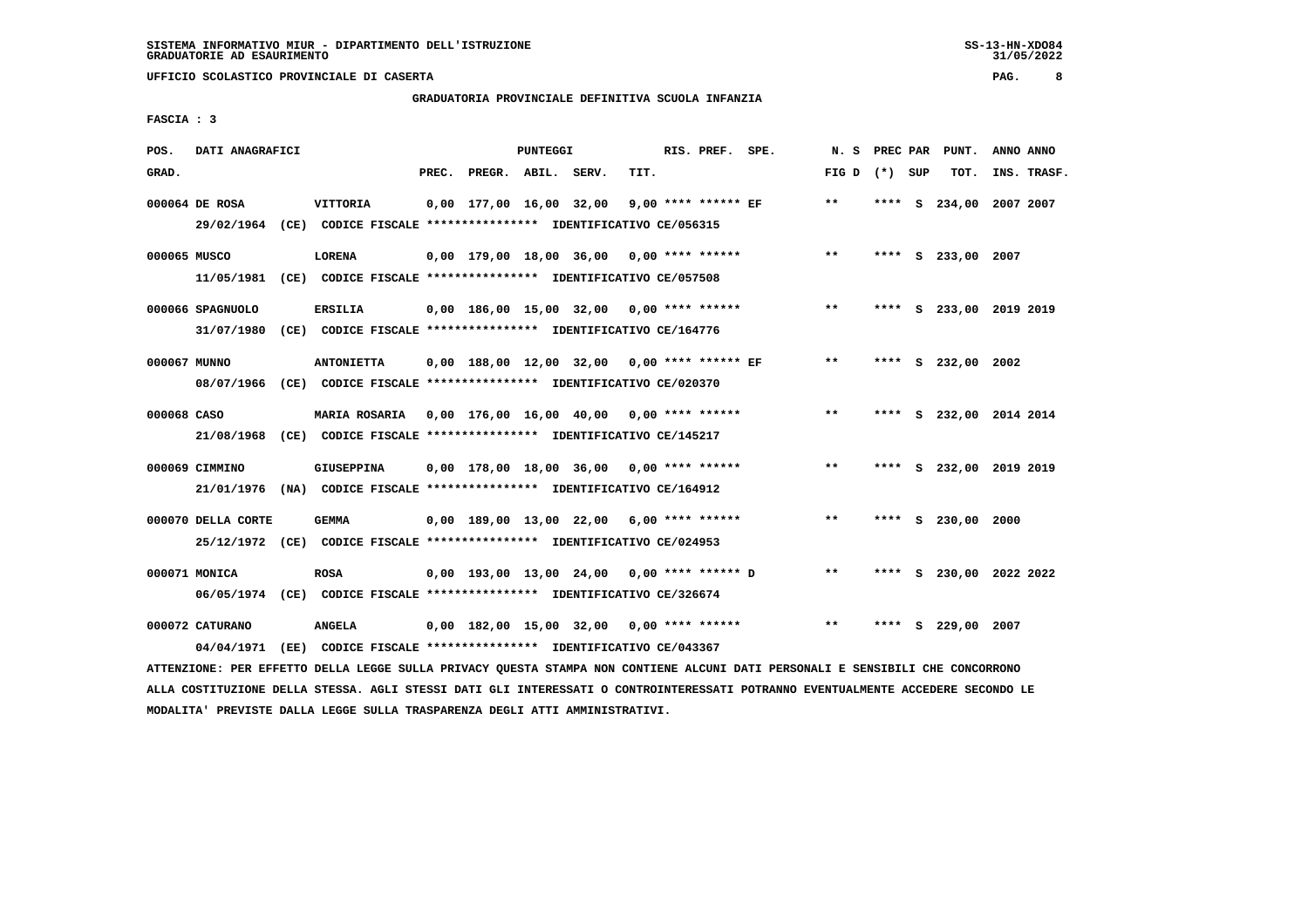# **GRADUATORIA PROVINCIALE DEFINITIVA SCUOLA INFANZIA**

 **FASCIA : 3**

| POS.         | DATI ANAGRAFICI                |                                                                                                                                   |       |                    | PUNTEGGI |                                             |      | RIS. PREF. SPE.     |                                            | N.S             |      |          | PREC PAR PUNT.          | ANNO ANNO |             |
|--------------|--------------------------------|-----------------------------------------------------------------------------------------------------------------------------------|-------|--------------------|----------|---------------------------------------------|------|---------------------|--------------------------------------------|-----------------|------|----------|-------------------------|-----------|-------------|
| GRAD.        |                                |                                                                                                                                   | PREC. | PREGR. ABIL. SERV. |          |                                             | TIT. |                     |                                            | FIG D $(*)$ SUP |      |          | TOT.                    |           | INS. TRASF. |
|              | 000064 DE ROSA                 | <b>VITTORIA</b><br>29/02/1964 (CE) CODICE FISCALE *************** IDENTIFICATIVO CE/056315                                        |       |                    |          | 0,00 177,00 16,00 32,00                     |      | 9,00 **** ****** EF |                                            | $***$           | **** | <b>S</b> | 234,00                  | 2007 2007 |             |
| 000065 MUSCO | 11/05/1981                     | <b>LORENA</b><br>(CE) CODICE FISCALE **************** IDENTIFICATIVO CE/057508                                                    |       |                    |          | 0,00 179,00 18,00 36,00 0,00 **** ******    |      |                     |                                            | $***$           |      |          | **** S 233,00 2007      |           |             |
|              | 000066 SPAGNUOLO<br>31/07/1980 | <b>ERSILIA</b><br>(CE) CODICE FISCALE **************** IDENTIFICATIVO CE/164776                                                   |       |                    |          | 0,00 186,00 15,00 32,00 0,00 **** ******    |      |                     |                                            | $***$           |      |          | **** S 233,00 2019 2019 |           |             |
| 000067 MUNNO |                                | <b>ANTONIETTA</b><br>08/07/1966 (CE) CODICE FISCALE *************** IDENTIFICATIVO CE/020370                                      |       |                    |          | 0,00 188,00 12,00 32,00 0,00 **** ****** EF |      |                     |                                            | $* *$           |      |          | **** S 232,00 2002      |           |             |
| 000068 CASO  |                                | MARIA ROSARIA 0,00 176,00 16,00 40,00 0,00 **** ******<br>21/08/1968 (CE) CODICE FISCALE *************** IDENTIFICATIVO CE/145217 |       |                    |          |                                             |      |                     |                                            | $***$           |      |          | **** S 232,00 2014 2014 |           |             |
|              | 000069 CIMMINO                 | GIUSEPPINA<br>21/01/1976 (NA) CODICE FISCALE *************** IDENTIFICATIVO CE/164912                                             |       |                    |          | 0,00 178,00 18,00 36,00 0,00 **** ******    |      |                     |                                            | $***$           |      |          | **** S 232,00 2019 2019 |           |             |
|              | 000070 DELLA CORTE             | <b>GEMMA</b><br>25/12/1972 (CE) CODICE FISCALE *************** IDENTIFICATIVO CE/024953                                           |       |                    |          | $0,00$ 189,00 13,00 22,00 6,00 **** ******  |      |                     |                                            | $***$           |      |          | **** S 230,00 2000      |           |             |
|              | 000071 MONICA                  | <b>ROSA</b><br>06/05/1974 (CE) CODICE FISCALE *************** IDENTIFICATIVO CE/326674                                            |       |                    |          |                                             |      |                     | 0,00 193,00 13,00 24,00 0,00 **** ****** D | $***$           |      |          | **** S 230,00 2022 2022 |           |             |
|              | 000072 CATURANO                | <b>ANGELA</b><br>04/04/1971 (EE) CODICE FISCALE *************** IDENTIFICATIVO CE/043367                                          |       |                    |          | 0,00 182,00 15,00 32,00 0,00 **** ******    |      |                     |                                            | $***$           | **** |          | S 229,00 2007           |           |             |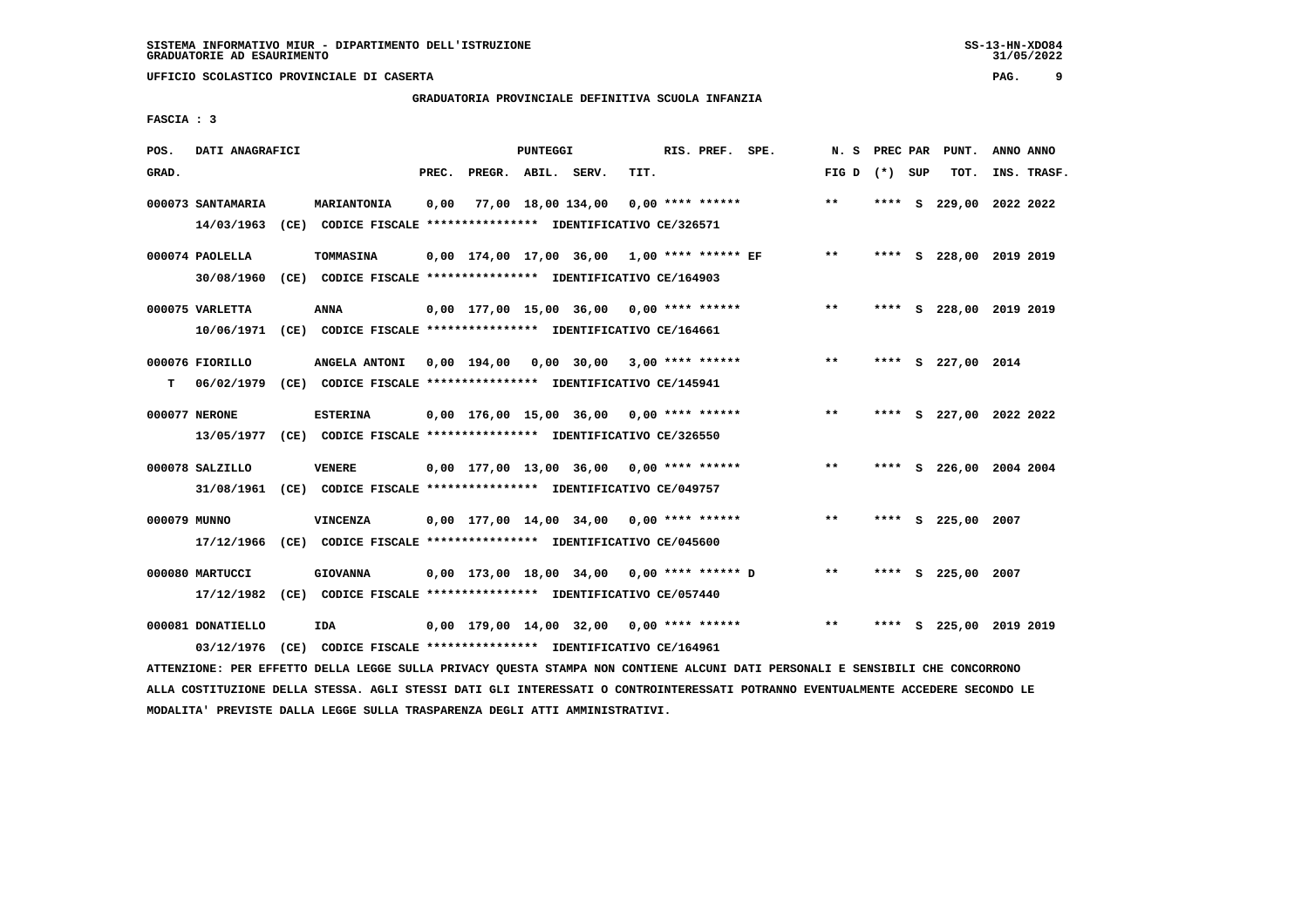# **GRADUATORIA PROVINCIALE DEFINITIVA SCUOLA INFANZIA**

 **FASCIA : 3**

| POS.         | DATI ANAGRAFICI   |                                                                                                                               |       |                    | PUNTEGGI |                                               |      | RIS. PREF. SPE.    | N.S             |  | PREC PAR PUNT.          | ANNO ANNO |             |
|--------------|-------------------|-------------------------------------------------------------------------------------------------------------------------------|-------|--------------------|----------|-----------------------------------------------|------|--------------------|-----------------|--|-------------------------|-----------|-------------|
| GRAD.        |                   |                                                                                                                               | PREC. | PREGR. ABIL. SERV. |          |                                               | TIT. |                    | FIG D $(*)$ SUP |  | TOT.                    |           | INS. TRASF. |
|              | 000073 SANTAMARIA | MARIANTONIA                                                                                                                   | 0,00  |                    |          | 77,00 18,00 134,00                            |      | $0.00$ **** ****** | **              |  | **** S 229,00 2022 2022 |           |             |
|              | 14/03/1963        | (CE) CODICE FISCALE **************** IDENTIFICATIVO CE/326571                                                                 |       |                    |          |                                               |      |                    |                 |  |                         |           |             |
|              | 000074 PAOLELLA   | TOMMASINA                                                                                                                     |       |                    |          | $0,00$ 174,00 17,00 36,00 1,00 **** ****** EF |      |                    | $***$           |  | **** S 228,00 2019 2019 |           |             |
|              | 30/08/1960        | (CE) CODICE FISCALE **************** IDENTIFICATIVO CE/164903                                                                 |       |                    |          |                                               |      |                    |                 |  |                         |           |             |
|              | 000075 VARLETTA   | <b>ANNA</b>                                                                                                                   |       |                    |          | 0,00 177,00 15,00 36,00 0,00 **** ******      |      |                    | $***$           |  | **** S 228,00 2019 2019 |           |             |
|              |                   | 10/06/1971 (CE) CODICE FISCALE *************** IDENTIFICATIVO CE/164661                                                       |       |                    |          |                                               |      |                    |                 |  |                         |           |             |
|              | 000076 FIORILLO   | ANGELA ANTONI                                                                                                                 |       |                    |          | $0.00$ 194.00 0.00 30.00 3.00 **** ******     |      |                    | $***$           |  | **** S 227,00 2014      |           |             |
| т            | 06/02/1979        | (CE) CODICE FISCALE **************** IDENTIFICATIVO CE/145941                                                                 |       |                    |          |                                               |      |                    |                 |  |                         |           |             |
|              | 000077 NERONE     | <b>ESTERINA</b>                                                                                                               |       |                    |          | $0.00$ 176.00 15.00 36.00 0.00 **** ******    |      |                    | $***$           |  | **** S 227,00 2022 2022 |           |             |
|              |                   | 13/05/1977 (CE) CODICE FISCALE *************** IDENTIFICATIVO CE/326550                                                       |       |                    |          |                                               |      |                    |                 |  |                         |           |             |
|              | 000078 SALZILLO   | <b>VENERE</b>                                                                                                                 |       |                    |          | 0,00 177,00 13,00 36,00 0,00 **** ******      |      |                    | $***$           |  | **** S 226,00 2004 2004 |           |             |
|              |                   | 31/08/1961 (CE) CODICE FISCALE *************** IDENTIFICATIVO CE/049757                                                       |       |                    |          |                                               |      |                    |                 |  |                         |           |             |
| 000079 MUNNO |                   | <b>VINCENZA</b>                                                                                                               |       |                    |          | 0,00 177,00 14,00 34,00                       |      | $0.00$ **** ****** | $* *$           |  | **** S 225,00           | 2007      |             |
|              | 17/12/1966        | (CE) CODICE FISCALE **************** IDENTIFICATIVO CE/045600                                                                 |       |                    |          |                                               |      |                    |                 |  |                         |           |             |
|              | 000080 MARTUCCI   | <b>GIOVANNA</b>                                                                                                               |       |                    |          | 0,00 173,00 18,00 34,00 0,00 **** ****** D    |      |                    | $* *$           |  | **** S 225,00 2007      |           |             |
|              |                   | 17/12/1982 (CE) CODICE FISCALE *************** IDENTIFICATIVO CE/057440                                                       |       |                    |          |                                               |      |                    |                 |  |                         |           |             |
|              | 000081 DONATIELLO | IDA                                                                                                                           |       |                    |          | 0,00 179,00 14,00 32,00 0,00 **** ******      |      |                    | $***$           |  | **** S 225,00 2019 2019 |           |             |
|              | 03/12/1976        | (CE) CODICE FISCALE **************** IDENTIFICATIVO CE/164961                                                                 |       |                    |          |                                               |      |                    |                 |  |                         |           |             |
|              |                   | ATTENZIONE: PER EFFETTO DELLA LEGGE SULLA PRIVACY QUESTA STAMPA NON CONTIENE ALCUNI DATI PERSONALI E SENSIBILI CHE CONCORRONO |       |                    |          |                                               |      |                    |                 |  |                         |           |             |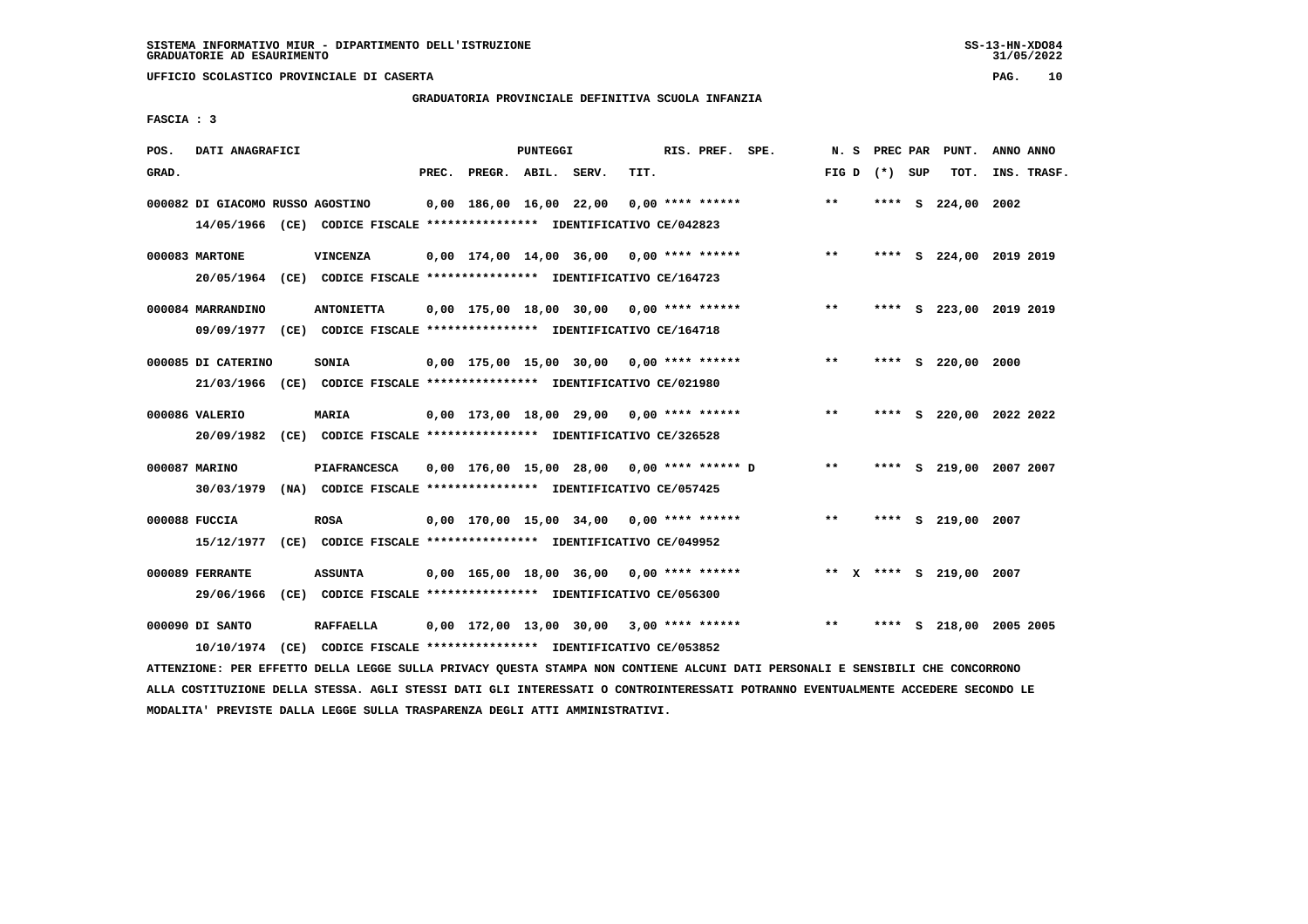# **GRADUATORIA PROVINCIALE DEFINITIVA SCUOLA INFANZIA**

 **FASCIA : 3**

| POS.  | DATI ANAGRAFICI                  |                                                                                                                               |       |                    | PUNTEGGI |                                            |      | RIS. PREF. SPE. |                                                 | N. S  |                 | PREC PAR PUNT.          | ANNO ANNO |             |
|-------|----------------------------------|-------------------------------------------------------------------------------------------------------------------------------|-------|--------------------|----------|--------------------------------------------|------|-----------------|-------------------------------------------------|-------|-----------------|-------------------------|-----------|-------------|
| GRAD. |                                  |                                                                                                                               | PREC. | PREGR. ABIL. SERV. |          |                                            | TIT. |                 |                                                 |       | FIG D $(*)$ SUP | TOT.                    |           | INS. TRASF. |
|       | 000082 DI GIACOMO RUSSO AGOSTINO |                                                                                                                               |       |                    |          | $0,00$ 186,00 16,00 22,00 0,00 **** ****** |      |                 |                                                 | $**$  |                 | **** $S$ 224,00 2002    |           |             |
|       |                                  | 14/05/1966 (CE) CODICE FISCALE *************** IDENTIFICATIVO CE/042823                                                       |       |                    |          |                                            |      |                 |                                                 |       |                 |                         |           |             |
|       | 000083 MARTONE                   | <b>VINCENZA</b>                                                                                                               |       |                    |          | $0,00$ 174,00 14,00 36,00 0,00 **** ****** |      |                 |                                                 | $***$ |                 | **** S 224,00 2019 2019 |           |             |
|       |                                  | 20/05/1964 (CE) CODICE FISCALE *************** IDENTIFICATIVO CE/164723                                                       |       |                    |          |                                            |      |                 |                                                 |       |                 |                         |           |             |
|       | 000084 MARRANDINO                | <b>ANTONIETTA</b>                                                                                                             |       |                    |          | 0,00 175,00 18,00 30,00 0,00 **** ******   |      |                 |                                                 | $***$ |                 | **** S 223,00 2019 2019 |           |             |
|       |                                  | 09/09/1977 (CE) CODICE FISCALE *************** IDENTIFICATIVO CE/164718                                                       |       |                    |          |                                            |      |                 |                                                 |       |                 |                         |           |             |
|       | 000085 DI CATERINO               | SONIA                                                                                                                         |       |                    |          | $0,00$ 175,00 15,00 30,00 0,00 **** ****** |      |                 |                                                 | $***$ |                 | **** S 220,00 2000      |           |             |
|       |                                  | 21/03/1966 (CE) CODICE FISCALE *************** IDENTIFICATIVO CE/021980                                                       |       |                    |          |                                            |      |                 |                                                 |       |                 |                         |           |             |
|       | 000086 VALERIO                   | <b>MARIA</b>                                                                                                                  |       |                    |          | $0.00$ 173.00 18.00 29.00 0.00 **** ****** |      |                 |                                                 | $***$ |                 | **** S 220,00 2022 2022 |           |             |
|       |                                  | 20/09/1982 (CE) CODICE FISCALE *************** IDENTIFICATIVO CE/326528                                                       |       |                    |          |                                            |      |                 |                                                 |       |                 |                         |           |             |
|       | 000087 MARINO                    | <b>PIAFRANCESCA</b>                                                                                                           |       |                    |          |                                            |      |                 | 0,00 176,00 15,00 28,00 0,00 **** ****** D      | $***$ |                 | **** S 219,00 2007 2007 |           |             |
|       |                                  | 30/03/1979 (NA) CODICE FISCALE *************** IDENTIFICATIVO CE/057425                                                       |       |                    |          |                                            |      |                 |                                                 |       |                 |                         |           |             |
|       | 000088 FUCCIA                    | <b>ROSA</b>                                                                                                                   |       |                    |          | $0,00$ 170,00 15,00 34,00 0,00 **** ****** |      |                 |                                                 | $***$ |                 | **** S 219,00 2007      |           |             |
|       | 15/12/1977                       | (CE) CODICE FISCALE **************** IDENTIFICATIVO CE/049952                                                                 |       |                    |          |                                            |      |                 |                                                 |       |                 |                         |           |             |
|       | 000089 FERRANTE                  | <b>ASSUNTA</b>                                                                                                                |       |                    |          | $0.00$ 165.00 18.00 36.00 0.00 **** ****** |      |                 |                                                 |       |                 | ** X **** S 219,00 2007 |           |             |
|       | 29/06/1966                       | (CE) CODICE FISCALE **************** IDENTIFICATIVO CE/056300                                                                 |       |                    |          |                                            |      |                 |                                                 |       |                 |                         |           |             |
|       | 000090 DI SANTO                  | <b>RAFFAELLA</b>                                                                                                              |       |                    |          |                                            |      |                 | 0,00 172,00 13,00 30,00 3,00 **** ****** *** ** |       |                 | **** S 218,00 2005 2005 |           |             |
|       | 10/10/1974                       | (CE) CODICE FISCALE **************** IDENTIFICATIVO CE/053852                                                                 |       |                    |          |                                            |      |                 |                                                 |       |                 |                         |           |             |
|       |                                  | ATTENZIONE: PER EFFETTO DELLA LEGGE SULLA PRIVACY QUESTA STAMPA NON CONTIENE ALCUNI DATI PERSONALI E SENSIBILI CHE CONCORRONO |       |                    |          |                                            |      |                 |                                                 |       |                 |                         |           |             |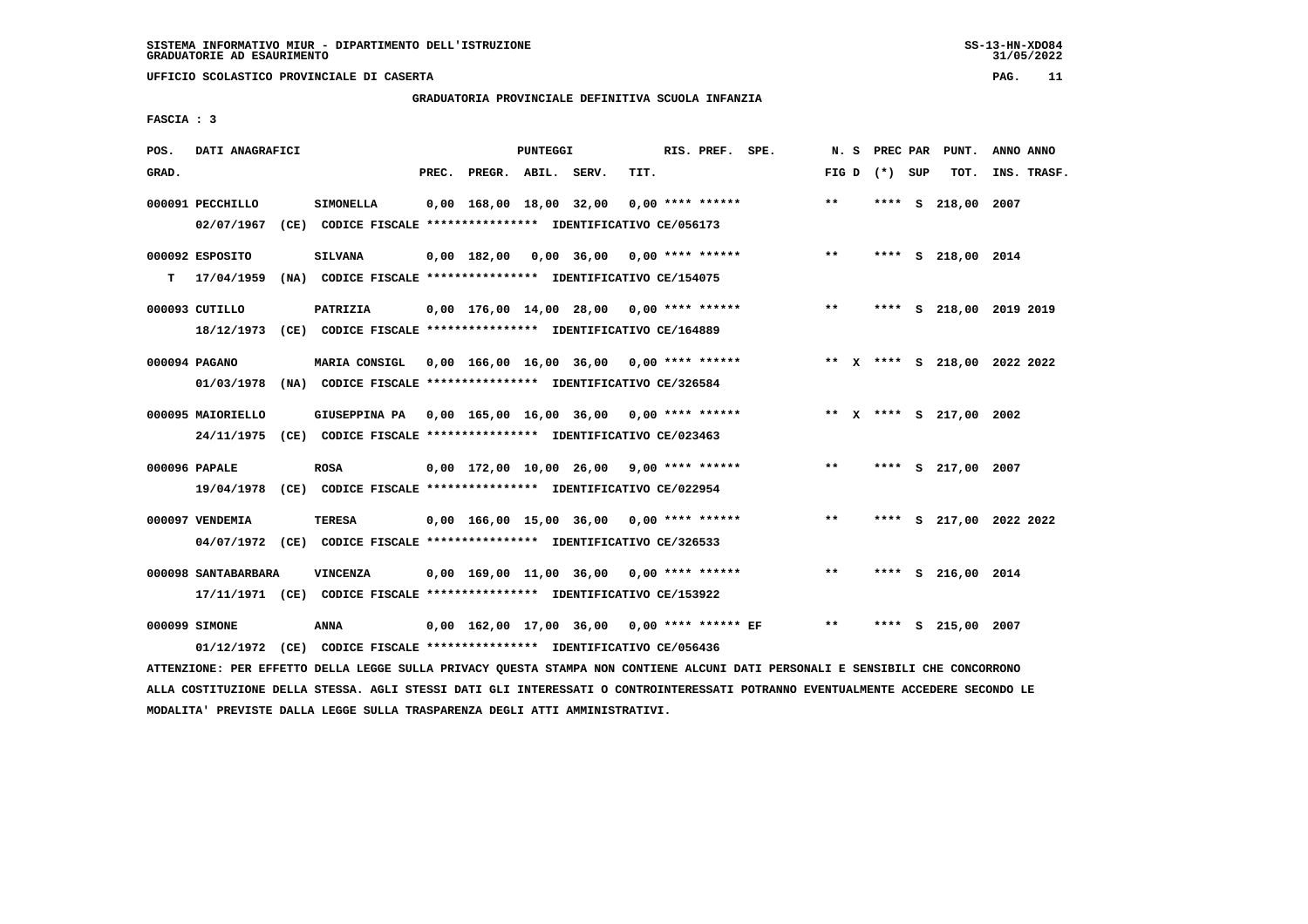**UFFICIO SCOLASTICO PROVINCIALE DI CASERTA PAG. 11**

# **GRADUATORIA PROVINCIALE DEFINITIVA SCUOLA INFANZIA**

 **FASCIA : 3**

| POS.  | DATI ANAGRAFICI                |                                                                                                                                   |       |                         | PUNTEGGI |                                               |      | RIS. PREF. SPE.    | N.S             | PREC PAR |   | PUNT.                        | ANNO ANNO |             |
|-------|--------------------------------|-----------------------------------------------------------------------------------------------------------------------------------|-------|-------------------------|----------|-----------------------------------------------|------|--------------------|-----------------|----------|---|------------------------------|-----------|-------------|
| GRAD. |                                |                                                                                                                                   | PREC. | PREGR. ABIL. SERV.      |          |                                               | TIT. |                    | FIG D $(*)$ SUP |          |   | TOT.                         |           | INS. TRASF. |
|       | 000091 PECCHILLO<br>02/07/1967 | <b>SIMONELLA</b><br>(CE) CODICE FISCALE **************** IDENTIFICATIVO CE/056173                                                 |       | 0,00 168,00 18,00 32,00 |          |                                               |      | $0.00$ **** ****** | $* *$           |          |   | **** S 218,00 2007           |           |             |
| т     | 000092 ESPOSITO<br>17/04/1959  | <b>SILVANA</b><br>(NA) CODICE FISCALE **************** IDENTIFICATIVO CE/154075                                                   |       |                         |          | $0,00$ 182,00 0,00 36,00 0,00 **** ******     |      |                    | $* *$           |          |   | **** S 218,00 2014           |           |             |
|       | 000093 CUTILLO<br>18/12/1973   | PATRIZIA<br>(CE) CODICE FISCALE **************** IDENTIFICATIVO CE/164889                                                         |       |                         |          | $0,00$ 176,00 14,00 28,00 0,00 **** ******    |      |                    | $***$           |          |   | **** S 218,00 2019 2019      |           |             |
|       | 000094 PAGANO<br>01/03/1978    | MARIA CONSIGL 0,00 166,00 16,00 36,00 0,00 **** ******<br>(NA) CODICE FISCALE **************** IDENTIFICATIVO CE/326584           |       |                         |          |                                               |      |                    |                 |          |   | ** X **** S 218,00 2022 2022 |           |             |
|       | 000095 MAIORIELLO              | GIUSEPPINA PA 0,00 165,00 16,00 36,00 0,00 **** ******<br>24/11/1975 (CE) CODICE FISCALE *************** IDENTIFICATIVO CE/023463 |       |                         |          |                                               |      |                    |                 |          |   | ** X **** S 217,00 2002      |           |             |
|       | 000096 PAPALE                  | <b>ROSA</b><br>19/04/1978 (CE) CODICE FISCALE *************** IDENTIFICATIVO CE/022954                                            |       |                         |          | 0,00 172,00 10,00 26,00 9,00 **** ******      |      |                    | $***$           |          |   | **** S 217,00 2007           |           |             |
|       | 000097 VENDEMIA                | TERESA<br>04/07/1972 (CE) CODICE FISCALE *************** IDENTIFICATIVO CE/326533                                                 |       |                         |          | $0.00$ 166.00 15.00 36.00 0.00 **** ******    |      |                    | $***$           | ****     |   | S 217,00 2022 2022           |           |             |
|       | 000098 SANTABARBARA            | VINCENZA<br>17/11/1971 (CE) CODICE FISCALE *************** IDENTIFICATIVO CE/153922                                               |       |                         |          | $0.00$ 169.00 11.00 36.00 0.00 **** ******    |      |                    | **              | ****     |   | S 216,00 2014                |           |             |
|       | 000099 SIMONE<br>01/12/1972    | ANNA<br>(CE) CODICE FISCALE **************** IDENTIFICATIVO CE/056436                                                             |       |                         |          | $0,00$ 162,00 17,00 36,00 0,00 **** ****** EF |      |                    | $* *$           | ****     | s | 215,00 2007                  |           |             |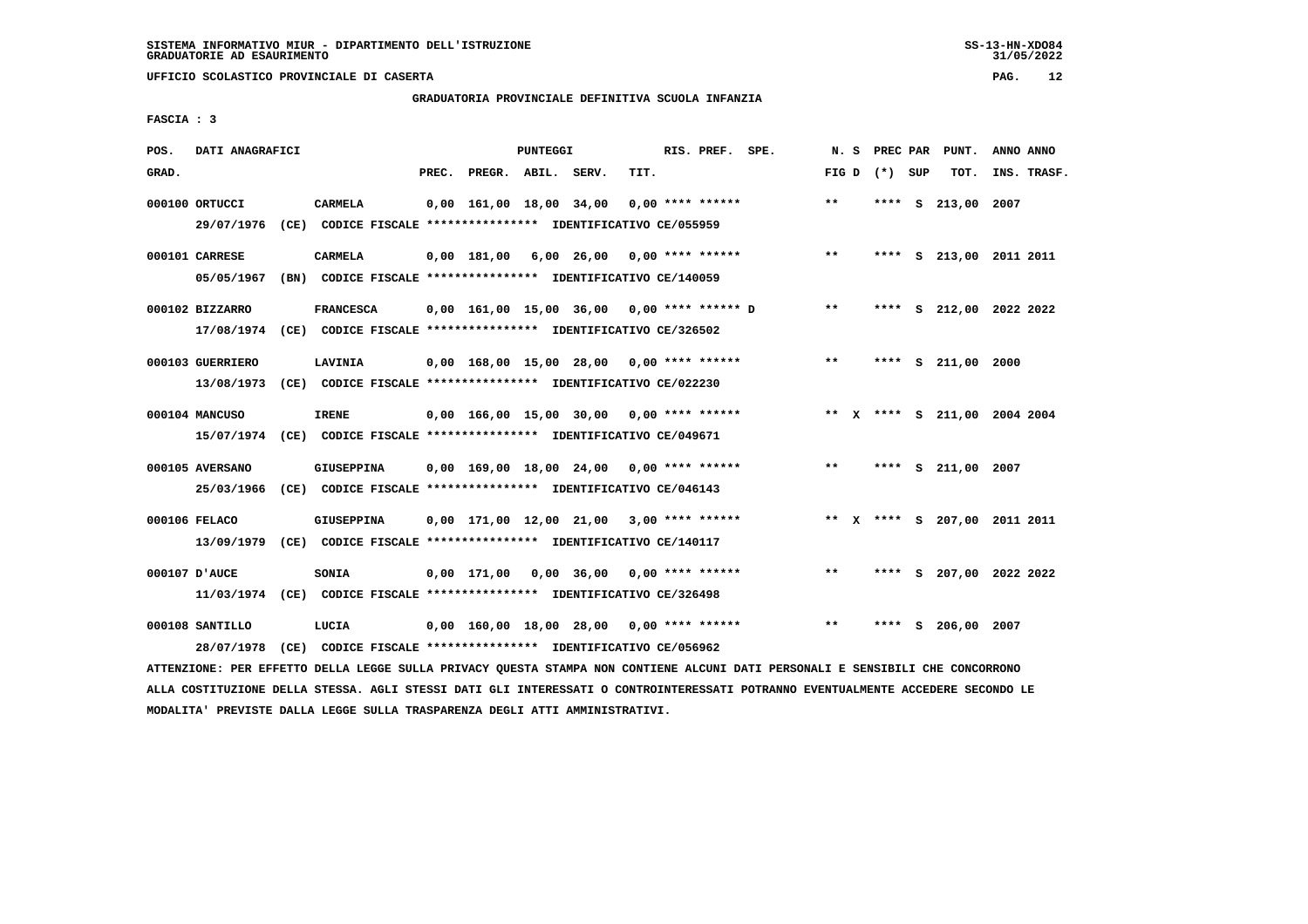# **GRADUATORIA PROVINCIALE DEFINITIVA SCUOLA INFANZIA**

 **FASCIA : 3**

| POS.  | DATI ANAGRAFICI                |                                                                                              |       |                                               | PUNTEGGI |      | RIS. PREF. SPE.    |                                           | N. S  |                 | PREC PAR PUNT.     | ANNO ANNO                    |
|-------|--------------------------------|----------------------------------------------------------------------------------------------|-------|-----------------------------------------------|----------|------|--------------------|-------------------------------------------|-------|-----------------|--------------------|------------------------------|
| GRAD. |                                |                                                                                              | PREC. | PREGR. ABIL. SERV.                            |          | TIT. |                    |                                           |       | FIG D $(*)$ SUP | TOT.               | INS. TRASF.                  |
|       | 000100 ORTUCCI                 | CARMELA<br>29/07/1976 (CE) CODICE FISCALE *************** IDENTIFICATIVO CE/055959           |       | 0,00 161,00 18,00 34,00                       |          |      | $0.00$ **** ****** |                                           | $* *$ |                 | **** S 213,00 2007 |                              |
|       | 000101 CARRESE<br>05/05/1967   | <b>CARMELA</b><br>(BN) CODICE FISCALE **************** IDENTIFICATIVO CE/140059              |       |                                               |          |      |                    | $0,00$ 181,00 6,00 26,00 0,00 **** ****** | $* *$ |                 |                    | **** S 213,00 2011 2011      |
|       | 000102 BIZZARRO                | <b>FRANCESCA</b><br>17/08/1974 (CE) CODICE FISCALE *************** IDENTIFICATIVO CE/326502  |       | 0,00 161,00 15,00 36,00 0,00 **** ****** D    |          |      |                    |                                           | **    |                 |                    | **** S 212,00 2022 2022      |
|       | 000103 GUERRIERO<br>13/08/1973 | LAVINIA<br>(CE) CODICE FISCALE **************** IDENTIFICATIVO CE/022230                     |       | 0,00 168,00 15,00 28,00 0,00 **** ******      |          |      |                    |                                           | $***$ |                 | **** S 211,00 2000 |                              |
|       | 000104 MANCUSO                 | <b>IRENE</b><br>15/07/1974 (CE) CODICE FISCALE *************** IDENTIFICATIVO CE/049671      |       |                                               |          |      |                    | 0,00 166,00 15,00 30,00 0,00 **** ******  |       |                 |                    | ** X **** S 211,00 2004 2004 |
|       | 000105 AVERSANO                | <b>GIUSEPPINA</b><br>25/03/1966 (CE) CODICE FISCALE *************** IDENTIFICATIVO CE/046143 |       | $0,00$ 169,00 18,00 24,00 0,00 **** ******    |          |      |                    |                                           | $***$ |                 | **** S 211,00 2007 |                              |
|       | 000106 FELACO                  | <b>GIUSEPPINA</b><br>13/09/1979 (CE) CODICE FISCALE *************** IDENTIFICATIVO CE/140117 |       | $0,00$ 171,00 12,00 21,00 3,00 **** ******    |          |      |                    |                                           |       |                 |                    | ** X **** S 207,00 2011 2011 |
|       | 000107 D'AUCE                  | <b>SONIA</b><br>11/03/1974 (CE) CODICE FISCALE *************** IDENTIFICATIVO CE/326498      |       | $0.00$ 171.00 $0.00$ 36.00 $0.00$ **** ****** |          |      |                    |                                           | $***$ |                 |                    | **** S 207,00 2022 2022      |
|       | 000108 SANTILLO<br>28/07/1978  | LUCIA<br>(CE) CODICE FISCALE **************** IDENTIFICATIVO CE/056962                       |       | $0,00$ 160,00 18,00 28,00 0,00 **** ******    |          |      |                    |                                           | $***$ | ****            | S 206,00 2007      |                              |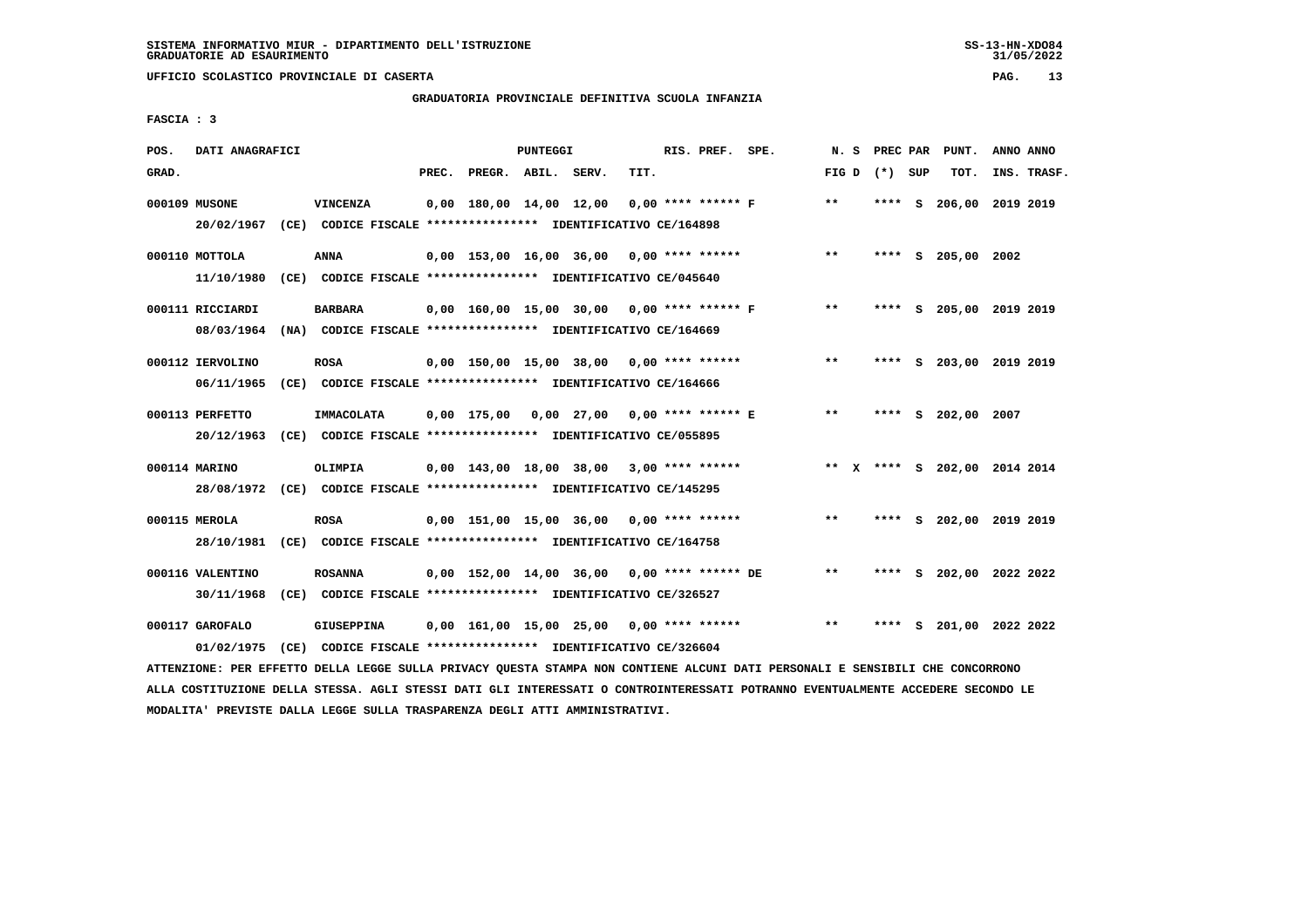# **GRADUATORIA PROVINCIALE DEFINITIVA SCUOLA INFANZIA**

 **FASCIA : 3**

| POS.  | DATI ANAGRAFICI  |                                                                                                                                 |       |                         | PUNTEGGI |                                               |      | RIS. PREF. SPE.      | N.S   | PREC PAR        |      | PUNT.                        | ANNO ANNO |             |
|-------|------------------|---------------------------------------------------------------------------------------------------------------------------------|-------|-------------------------|----------|-----------------------------------------------|------|----------------------|-------|-----------------|------|------------------------------|-----------|-------------|
| GRAD. |                  |                                                                                                                                 | PREC. | PREGR. ABIL. SERV.      |          |                                               | TIT. |                      |       | FIG D $(*)$ SUP |      | TOT.                         |           | INS. TRASF. |
|       | 000109 MUSONE    | <b>VINCENZA</b>                                                                                                                 |       | 0,00 180,00 14,00 12,00 |          |                                               |      | $0.00$ **** ****** F | $***$ | ****            | - S  | 206,00 2019 2019             |           |             |
|       | 20/02/1967       | (CE) CODICE FISCALE *************** IDENTIFICATIVO CE/164898                                                                    |       |                         |          |                                               |      |                      |       |                 |      |                              |           |             |
|       | 000110 MOTTOLA   | ANNA                                                                                                                            |       |                         |          | $0,00$ 153,00 16,00 36,00 0,00 **** ******    |      |                      | $* *$ |                 |      | **** S 205,00 2002           |           |             |
|       | 11/10/1980       | (CE) CODICE FISCALE **************** IDENTIFICATIVO CE/045640                                                                   |       |                         |          |                                               |      |                      |       |                 |      |                              |           |             |
|       | 000111 RICCIARDI | <b>BARBARA</b>                                                                                                                  |       |                         |          | 0,00 160,00 15,00 30,00 0,00 **** ****** F    |      |                      | $***$ |                 |      | **** S 205,00 2019 2019      |           |             |
|       | 08/03/1964       | (NA) CODICE FISCALE **************** IDENTIFICATIVO CE/164669                                                                   |       |                         |          |                                               |      |                      |       |                 |      |                              |           |             |
|       | 000112 IERVOLINO |                                                                                                                                 |       |                         |          | $0,00$ 150,00 15,00 38,00 0,00 **** ******    |      |                      | $* *$ |                 |      | **** S 203,00 2019 2019      |           |             |
|       | 06/11/1965       | <b>ROSA</b><br>(CE) CODICE FISCALE **************** IDENTIFICATIVO CE/164666                                                    |       |                         |          |                                               |      |                      |       |                 |      |                              |           |             |
|       |                  |                                                                                                                                 |       |                         |          |                                               |      |                      |       |                 |      |                              |           |             |
|       | 000113 PERFETTO  | IMMACOLATA                                                                                                                      |       |                         |          | 0,00 175,00 0,00 27,00 0,00 **** ****** E     |      |                      | $***$ |                 |      | **** S 202,00 2007           |           |             |
|       | 20/12/1963       | (CE) CODICE FISCALE **************** IDENTIFICATIVO CE/055895                                                                   |       |                         |          |                                               |      |                      |       |                 |      |                              |           |             |
|       | 000114 MARINO    | <b>OLIMPIA</b>                                                                                                                  |       |                         |          | $0,00$ 143,00 18,00 38,00 3,00 **** ******    |      |                      |       |                 |      | ** X **** S 202,00 2014 2014 |           |             |
|       |                  | 28/08/1972 (CE) CODICE FISCALE *************** IDENTIFICATIVO CE/145295                                                         |       |                         |          |                                               |      |                      |       |                 |      |                              |           |             |
|       |                  |                                                                                                                                 |       |                         |          |                                               |      |                      |       |                 |      |                              |           |             |
|       | 000115 MEROLA    | <b>ROSA</b>                                                                                                                     |       |                         |          | 0,00 151,00 15,00 36,00                       |      | $0.00$ **** ******   | $***$ |                 |      | **** S 202,00 2019 2019      |           |             |
|       |                  | 28/10/1981 (CE) CODICE FISCALE *************** IDENTIFICATIVO CE/164758                                                         |       |                         |          |                                               |      |                      |       |                 |      |                              |           |             |
|       | 000116 VALENTINO | <b>ROSANNA</b>                                                                                                                  |       |                         |          | $0,00$ 152,00 14,00 36,00 0,00 **** ****** DE |      |                      | $* *$ |                 |      | **** S 202,00 2022 2022      |           |             |
|       | 30/11/1968       | (CE) CODICE FISCALE **************** IDENTIFICATIVO CE/326527                                                                   |       |                         |          |                                               |      |                      |       |                 |      |                              |           |             |
|       | 000117 GAROFALO  | GIUSEPPINA                                                                                                                      |       |                         |          | $0,00$ 161,00 15,00 25,00 0,00 **** ******    |      |                      | $**$  | ****            | - SI | 201,00 2022 2022             |           |             |
|       | 01/02/1975       | (CE) CODICE FISCALE **************** IDENTIFICATIVO CE/326604                                                                   |       |                         |          |                                               |      |                      |       |                 |      |                              |           |             |
|       |                  | ATTENZIONE: PER EFFETTO DELLA LEGGE SULLA PRIVACY QUESTA STAMPA NON CONTIENE ALCUNI DATI PERSONALI E SENSIBILI CHE CONCORRONO   |       |                         |          |                                               |      |                      |       |                 |      |                              |           |             |
|       |                  | ALLA COSTITUZIONE DELLA STESSA. AGLI STESSI DATI GLI INTERESSATI O CONTROINTERESSATI POTRANNO EVENTUALMENTE ACCEDERE SECONDO LE |       |                         |          |                                               |      |                      |       |                 |      |                              |           |             |

 **MODALITA' PREVISTE DALLA LEGGE SULLA TRASPARENZA DEGLI ATTI AMMINISTRATIVI.**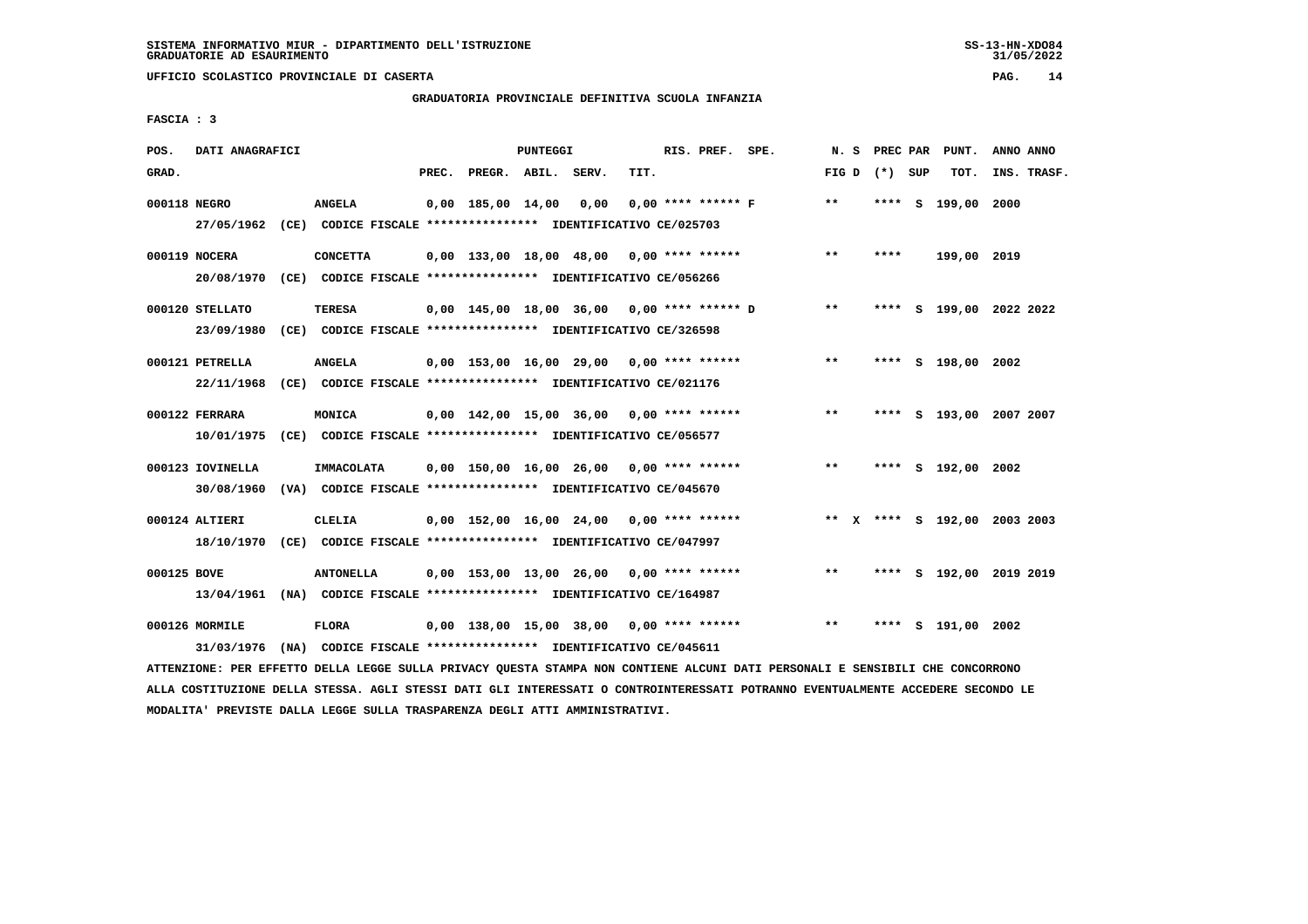# **GRADUATORIA PROVINCIALE DEFINITIVA SCUOLA INFANZIA**

 **FASCIA : 3**

| POS.         | DATI ANAGRAFICI                                                                                          |                                                                                |       |                    | <b>PUNTEGGI</b> |                                              |      | RIS. PREF. SPE.      | N. S  | PREC PAR        | PUNT.              | ANNO ANNO                    |
|--------------|----------------------------------------------------------------------------------------------------------|--------------------------------------------------------------------------------|-------|--------------------|-----------------|----------------------------------------------|------|----------------------|-------|-----------------|--------------------|------------------------------|
| GRAD.        |                                                                                                          |                                                                                | PREC. | PREGR. ABIL. SERV. |                 |                                              | TIT. |                      |       | FIG D $(*)$ SUP | TOT.               | INS. TRASF.                  |
| 000118 NEGRO | 27/05/1962 (CE) CODICE FISCALE *************** IDENTIFICATIVO CE/025703                                  | <b>ANGELA</b>                                                                  |       | 0,00 185,00 14,00  |                 | 0,00                                         |      | $0.00$ **** ****** F | $* *$ |                 | **** S 199,00 2000 |                              |
|              | 000119 NOCERA<br>20/08/1970 (CE) CODICE FISCALE *************** IDENTIFICATIVO CE/056266                 | <b>CONCETTA</b>                                                                |       |                    |                 | $0,00$ 133,00 18,00 48,00 0,00 **** ******   |      |                      | $***$ | ****            | 199,00 2019        |                              |
|              | 000120 STELLATO                                                                                          | TERESA                                                                         |       |                    |                 | $0,00$ 145,00 18,00 36,00 0,00 **** ****** D |      |                      | $***$ |                 |                    | **** S 199,00 2022 2022      |
|              | 23/09/1980<br>000121 PETRELLA<br>22/11/1968 (CE) CODICE FISCALE *************** IDENTIFICATIVO CE/021176 | (CE) CODICE FISCALE **************** IDENTIFICATIVO CE/326598<br><b>ANGELA</b> |       |                    |                 | $0.00$ 153.00 16.00 29.00 0.00 **** ******   |      |                      | $***$ |                 | **** S 198,00 2002 |                              |
|              | 000122 FERRARA<br>10/01/1975 (CE) CODICE FISCALE *************** IDENTIFICATIVO CE/056577                | MONICA                                                                         |       |                    |                 | $0.00$ 142.00 15.00 36.00 0.00 **** ******   |      |                      | **    |                 |                    | **** S 193,00 2007 2007      |
|              | 000123 IOVINELLA<br>30/08/1960 (VA) CODICE FISCALE *************** IDENTIFICATIVO CE/045670              | IMMACOLATA                                                                     |       |                    |                 | 0,00 150,00 16,00 26,00 0,00 **** ******     |      |                      | $***$ |                 | **** S 192,00 2002 |                              |
|              | 000124 ALTIERI<br>18/10/1970 (CE) CODICE FISCALE *************** IDENTIFICATIVO CE/047997                | <b>CLELIA</b>                                                                  |       |                    |                 | $0,00$ 152,00 16,00 24,00 0,00 **** ******   |      |                      |       |                 |                    | ** X **** S 192,00 2003 2003 |
| 000125 BOVE  | 13/04/1961 (NA) CODICE FISCALE *************** IDENTIFICATIVO CE/164987                                  | <b>ANTONELLA</b>                                                               |       |                    |                 | $0,00$ 153,00 13,00 26,00 0,00 **** ******   |      |                      | $***$ | ****            |                    | S 192,00 2019 2019           |
|              | 000126 MORMILE<br>31/03/1976                                                                             | <b>FLORA</b><br>(NA) CODICE FISCALE **************** IDENTIFICATIVO CE/045611  |       |                    |                 | $0.00$ 138.00 15.00 38.00 0.00 **** ******   |      |                      | $* *$ | ****            | S 191,00 2002      |                              |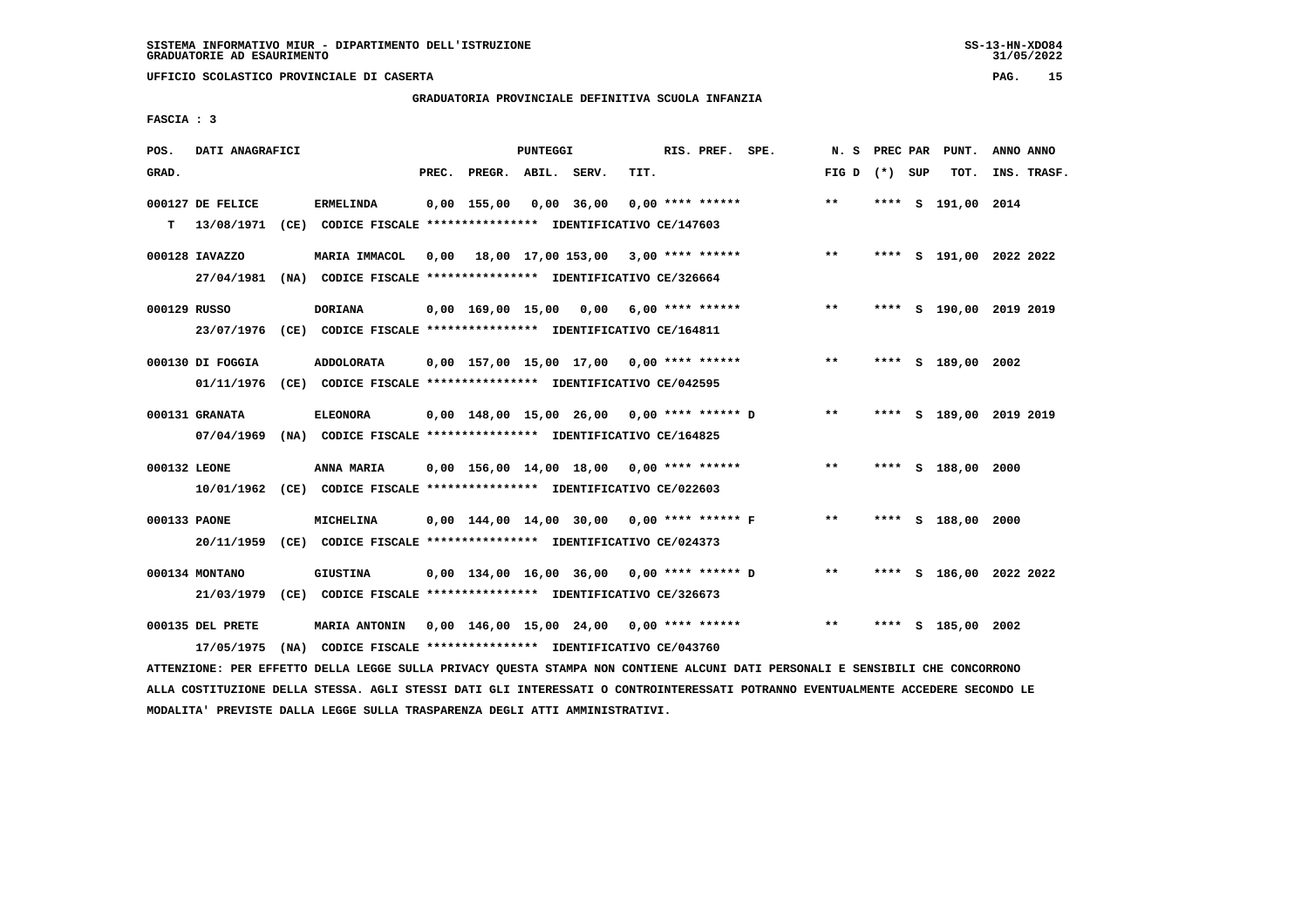# **GRADUATORIA PROVINCIALE DEFINITIVA SCUOLA INFANZIA**

 **FASCIA : 3**

| POS.         | DATI ANAGRAFICI                |                                                                                           |       |                    | PUNTEGGI |                                              |      | RIS. PREF. SPE.    | N.S   | PREC PAR | PUNT.                   | ANNO ANNO   |  |
|--------------|--------------------------------|-------------------------------------------------------------------------------------------|-------|--------------------|----------|----------------------------------------------|------|--------------------|-------|----------|-------------------------|-------------|--|
| GRAD.        |                                |                                                                                           | PREC. | PREGR. ABIL. SERV. |          |                                              | TIT. |                    | FIG D | (*) SUP  | TOT.                    | INS. TRASF. |  |
| T.           | 000127 DE FELICE<br>13/08/1971 | <b>ERMELINDA</b><br>(CE) CODICE FISCALE **************** IDENTIFICATIVO CE/147603         |       | $0,00$ 155,00      |          | $0,00$ 36,00                                 |      | $0.00$ **** ****** | $* *$ |          | **** S 191,00 2014      |             |  |
|              | 000128 IAVAZZO<br>27/04/1981   | MARIA IMMACOL<br>(NA) CODICE FISCALE **************** IDENTIFICATIVO CE/326664            | 0.00  |                    |          | 18,00 17,00 153,00 3,00 **** ******          |      |                    | $***$ |          | **** S 191,00 2022 2022 |             |  |
| 000129 RUSSO |                                | <b>DORIANA</b><br>23/07/1976 (CE) CODICE FISCALE *************** IDENTIFICATIVO CE/164811 |       |                    |          | $0,00$ 169,00 15,00 0,00 6,00 **** ******    |      |                    | $* *$ |          | **** S 190,00 2019 2019 |             |  |
|              | 000130 DI FOGGIA<br>01/11/1976 | ADDOLORATA<br>(CE) CODICE FISCALE *************** IDENTIFICATIVO CE/042595                |       |                    |          | $0,00$ 157,00 15,00 17,00 0,00 **** ******   |      |                    | $***$ |          | **** S 189,00 2002      |             |  |
|              | 000131 GRANATA<br>07/04/1969   | <b>ELEONORA</b><br>(NA) CODICE FISCALE **************** IDENTIFICATIVO CE/164825          |       |                    |          | 0,00 148,00 15,00 26,00 0,00 **** ****** D   |      |                    | $***$ | ****     | S 189,00 2019 2019      |             |  |
| 000132 LEONE | 10/01/1962                     | ANNA MARIA<br>(CE) CODICE FISCALE **************** IDENTIFICATIVO CE/022603               |       |                    |          | $0,00$ 156,00 14,00 18,00 0,00 **** ******   |      |                    | $***$ |          | **** S 188,00 2000      |             |  |
| 000133 PAONE |                                | MICHELINA<br>20/11/1959 (CE) CODICE FISCALE *************** IDENTIFICATIVO CE/024373      |       |                    |          | $0.00$ 144.00 14.00 30.00 0.00 **** ****** F |      |                    | $***$ |          | **** S 188,00 2000      |             |  |
|              | 000134 MONTANO<br>21/03/1979   | <b>GIUSTINA</b><br>(CE) CODICE FISCALE **************** IDENTIFICATIVO CE/326673          |       |                    |          | $0,00$ 134,00 16,00 36,00 0,00 **** ****** D |      |                    | $* *$ |          | **** S 186,00 2022 2022 |             |  |
|              | 000135 DEL PRETE<br>17/05/1975 | <b>MARIA ANTONIN</b><br>(NA) CODICE FISCALE **************** IDENTIFICATIVO CE/043760     |       |                    |          | 0,00 146,00 15,00 24,00 0,00 **** ******     |      |                    | $* *$ | ****     | S 185,00 2002           |             |  |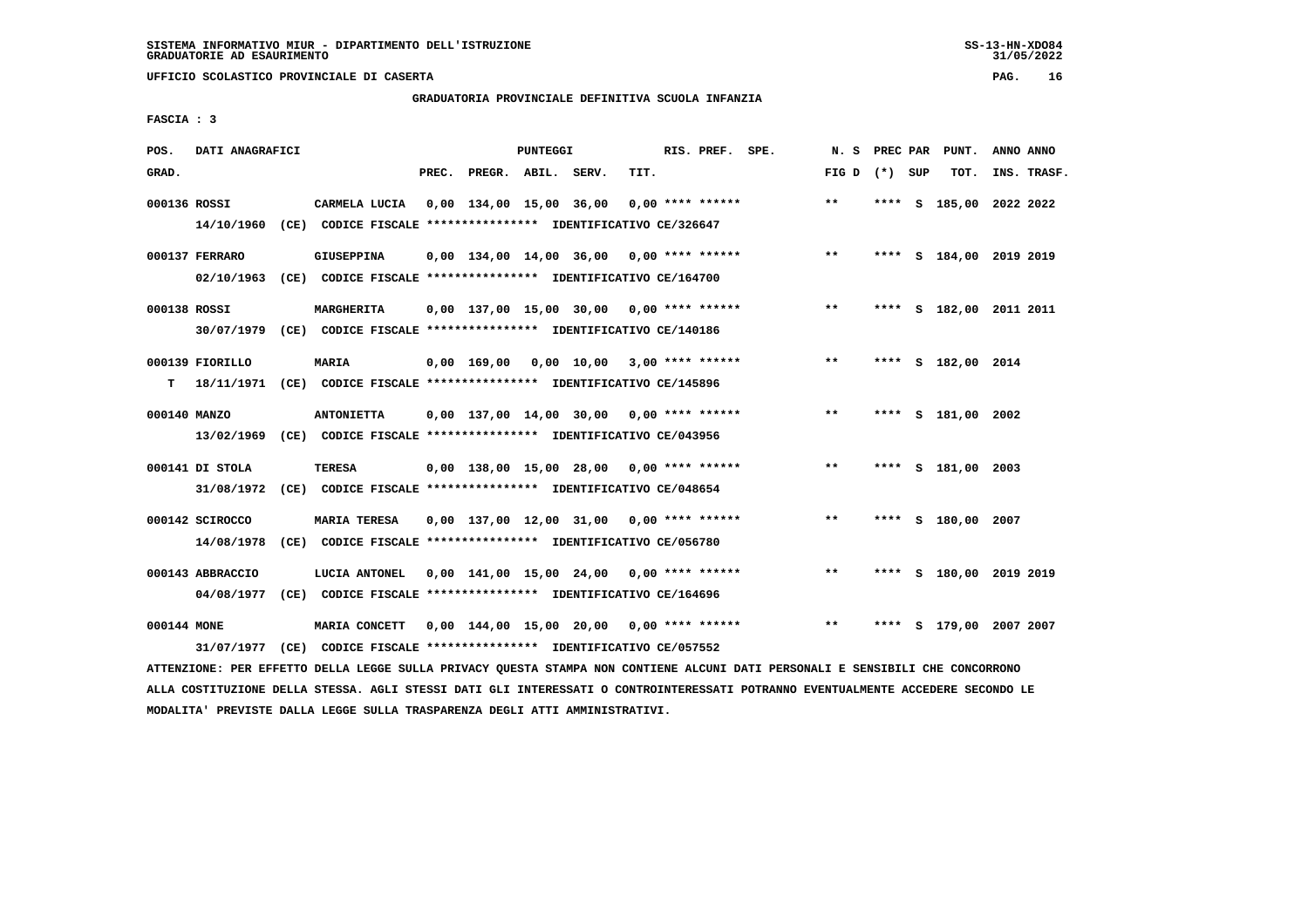# **GRADUATORIA PROVINCIALE DEFINITIVA SCUOLA INFANZIA**

 **FASCIA : 3**

| POS.         | DATI ANAGRAFICI  |                                                                          | <b>PUNTEGGI</b> |                                            |  |      | RIS. PREF. SPE.    | N.S               |      | PREC PAR PUNT.          | ANNO ANNO |             |
|--------------|------------------|--------------------------------------------------------------------------|-----------------|--------------------------------------------|--|------|--------------------|-------------------|------|-------------------------|-----------|-------------|
| GRAD.        |                  |                                                                          |                 | PREC. PREGR. ABIL. SERV.                   |  | TIT. |                    | FIG $D$ $(*)$ SUP |      | TOT.                    |           | INS. TRASF. |
| 000136 ROSSI |                  | CARMELA LUCIA                                                            |                 | 0,00 134,00 15,00 36,00                    |  |      | $0.00$ **** ****** | $***$             | **** | S 185,00 2022 2022      |           |             |
|              | 14/10/1960       | (CE) CODICE FISCALE **************** IDENTIFICATIVO CE/326647            |                 |                                            |  |      |                    |                   |      |                         |           |             |
|              | 000137 FERRARO   | <b>GIUSEPPINA</b>                                                        |                 | $0.00$ 134.00 14.00 36.00 0.00 **** ****** |  |      |                    | $***$             |      | **** S 184,00 2019 2019 |           |             |
|              | 02/10/1963       | (CE) CODICE FISCALE *************** IDENTIFICATIVO CE/164700             |                 |                                            |  |      |                    |                   |      |                         |           |             |
| 000138 ROSSI |                  | <b>MARGHERITA</b>                                                        |                 | $0,00$ 137,00 15,00 30,00 0,00 **** ****** |  |      |                    | **                |      | **** S 182,00 2011 2011 |           |             |
|              |                  | 30/07/1979 (CE) CODICE FISCALE *************** IDENTIFICATIVO CE/140186  |                 |                                            |  |      |                    |                   |      |                         |           |             |
|              | 000139 FIORILLO  | <b>MARIA</b>                                                             |                 | $0.00$ 169.00 0.00 10.00 3.00 **** ******  |  |      |                    | $***$             |      | **** S 182,00 2014      |           |             |
| T.           |                  | 18/11/1971 (CE) CODICE FISCALE **************** IDENTIFICATIVO CE/145896 |                 |                                            |  |      |                    |                   |      |                         |           |             |
| 000140 MANZO |                  | <b>ANTONIETTA</b>                                                        |                 | $0.00$ 137.00 14.00 30.00 0.00 **** ****** |  |      |                    | $***$             |      | **** S 181,00 2002      |           |             |
|              | 13/02/1969       | (CE) CODICE FISCALE **************** IDENTIFICATIVO CE/043956            |                 |                                            |  |      |                    |                   |      |                         |           |             |
|              | 000141 DI STOLA  | <b>TERESA</b>                                                            |                 | $0.00$ 138.00 15.00 28.00 0.00 **** ****** |  |      |                    | $***$             |      | **** S 181,00 2003      |           |             |
|              |                  | 31/08/1972 (CE) CODICE FISCALE *************** IDENTIFICATIVO CE/048654  |                 |                                            |  |      |                    |                   |      |                         |           |             |
|              | 000142 SCIROCCO  | <b>MARIA TERESA</b>                                                      |                 | $0.00$ 137.00 12.00 31.00 0.00 **** ****** |  |      |                    | $* *$             | **** | S 180,00 2007           |           |             |
|              | 14/08/1978       | (CE) CODICE FISCALE **************** IDENTIFICATIVO CE/056780            |                 |                                            |  |      |                    |                   |      |                         |           |             |
|              | 000143 ABBRACCIO | LUCIA ANTONEL                                                            |                 | $0,00$ 141,00 15,00 24,00 0,00 **** ****** |  |      |                    | $* *$             | **** | S 180,00 2019 2019      |           |             |
|              | 04/08/1977       | (CE) CODICE FISCALE **************** IDENTIFICATIVO CE/164696            |                 |                                            |  |      |                    |                   |      |                         |           |             |
| 000144 MONE  |                  | MARIA CONCETT                                                            |                 | $0,00$ 144,00 15,00 20,00 0,00 **** ****** |  |      |                    | $***$             | **** | S 179,00 2007 2007      |           |             |
|              | 31/07/1977       | (CE) CODICE FISCALE **************** IDENTIFICATIVO CE/057552            |                 |                                            |  |      |                    |                   |      |                         |           |             |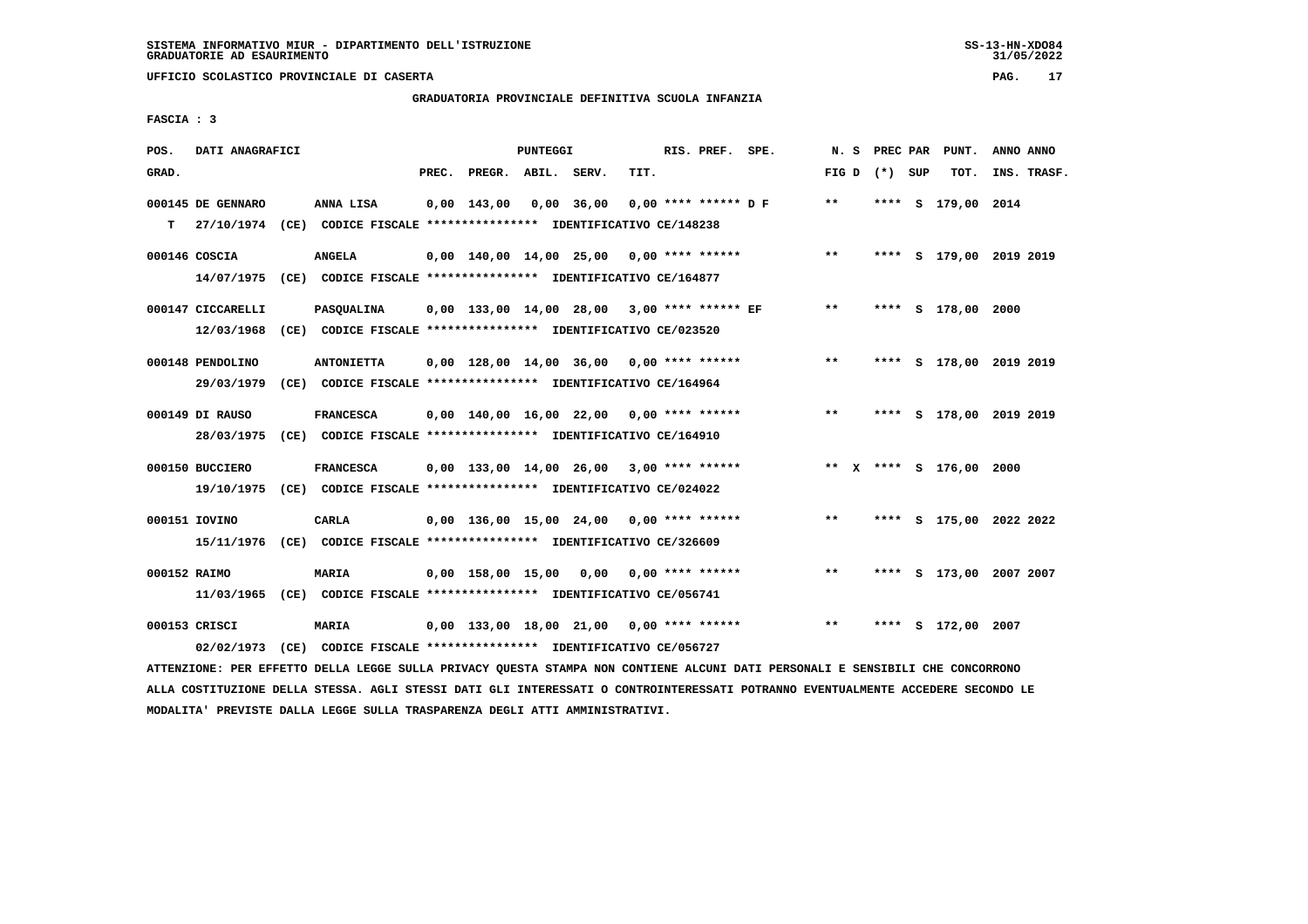# **GRADUATORIA PROVINCIALE DEFINITIVA SCUOLA INFANZIA**

 **FASCIA : 3**

| POS.         | DATI ANAGRAFICI   |                                                                         | <b>PUNTEGGI</b> |                    |            |                                               |      | RIS. PREF. SPE.        | N.S          |                   | PREC PAR PUNT.          | ANNO ANNO |             |
|--------------|-------------------|-------------------------------------------------------------------------|-----------------|--------------------|------------|-----------------------------------------------|------|------------------------|--------------|-------------------|-------------------------|-----------|-------------|
| GRAD.        |                   |                                                                         | PREC.           | PREGR. ABIL. SERV. |            |                                               | TIT. |                        |              | FIG $D$ $(*)$ SUP | TOT.                    |           | INS. TRASF. |
|              | 000145 DE GENNARO | ANNA LISA                                                               |                 | $0,00$ 143,00      | 0,00 36,00 |                                               |      | $0.00$ **** ****** D F | $***$        |                   | **** S 179,00 2014      |           |             |
| т            |                   | 27/10/1974 (CE) CODICE FISCALE *************** IDENTIFICATIVO CE/148238 |                 |                    |            |                                               |      |                        |              |                   |                         |           |             |
|              | 000146 COSCIA     | <b>ANGELA</b>                                                           |                 |                    |            | $0.00$ 140.00 14.00 25.00 0.00 **** ******    |      |                        | $***$        |                   | **** S 179,00 2019 2019 |           |             |
|              | 14/07/1975        | (CE) CODICE FISCALE **************** IDENTIFICATIVO CE/164877           |                 |                    |            |                                               |      |                        |              |                   |                         |           |             |
|              | 000147 CICCARELLI | PASQUALINA                                                              |                 |                    |            | $0,00$ 133,00 14,00 28,00 3,00 **** ****** EF |      |                        | $* *$        |                   | **** S 178,00 2000      |           |             |
|              | 12/03/1968        | (CE) CODICE FISCALE **************** IDENTIFICATIVO CE/023520           |                 |                    |            |                                               |      |                        |              |                   |                         |           |             |
|              | 000148 PENDOLINO  | <b>ANTONIETTA</b>                                                       |                 |                    |            | $0,00$ 128,00 14,00 36,00 0,00 **** ******    |      |                        | $**$         |                   | **** S 178,00 2019 2019 |           |             |
|              | 29/03/1979        | (CE) CODICE FISCALE **************** IDENTIFICATIVO CE/164964           |                 |                    |            |                                               |      |                        |              |                   |                         |           |             |
|              | 000149 DI RAUSO   | <b>FRANCESCA</b>                                                        |                 |                    |            | 0,00 140,00 16,00 22,00 0,00 **** ******      |      |                        | $**$         |                   | **** S 178,00 2019 2019 |           |             |
|              | 28/03/1975        | (CE) CODICE FISCALE **************** IDENTIFICATIVO CE/164910           |                 |                    |            |                                               |      |                        |              |                   |                         |           |             |
|              | 000150 BUCCIERO   | <b>FRANCESCA</b>                                                        |                 |                    |            | $0,00$ 133,00 14,00 26,00 3,00 **** ******    |      |                        |              |                   | ** x **** s 176,00      | 2000      |             |
|              | 19/10/1975        | (CE) CODICE FISCALE **************** IDENTIFICATIVO CE/024022           |                 |                    |            |                                               |      |                        |              |                   |                         |           |             |
|              | 000151 IOVINO     | CARLA                                                                   |                 |                    |            | $0,00$ 136,00 15,00 24,00 0,00 **** ******    |      |                        | $\star\star$ | ****              | S 175,00 2022 2022      |           |             |
|              | 15/11/1976        | (CE) CODICE FISCALE **************** IDENTIFICATIVO CE/326609           |                 |                    |            |                                               |      |                        |              |                   |                         |           |             |
| 000152 RAIMO |                   | <b>MARIA</b>                                                            |                 |                    |            | $0.00$ 158.00 15.00 0.00 0.00 **** ******     |      |                        | $***$        |                   | **** S 173,00 2007 2007 |           |             |
|              | 11/03/1965        | (CE) CODICE FISCALE **************** IDENTIFICATIVO CE/056741           |                 |                    |            |                                               |      |                        |              |                   |                         |           |             |
|              | 000153 CRISCI     | MARIA                                                                   |                 |                    |            | $0.00$ 133.00 18.00 21.00 0.00 **** ******    |      |                        | $***$        | ****              | S 172,00 2007           |           |             |
|              | 02/02/1973        | (CE) CODICE FISCALE **************** IDENTIFICATIVO CE/056727           |                 |                    |            |                                               |      |                        |              |                   |                         |           |             |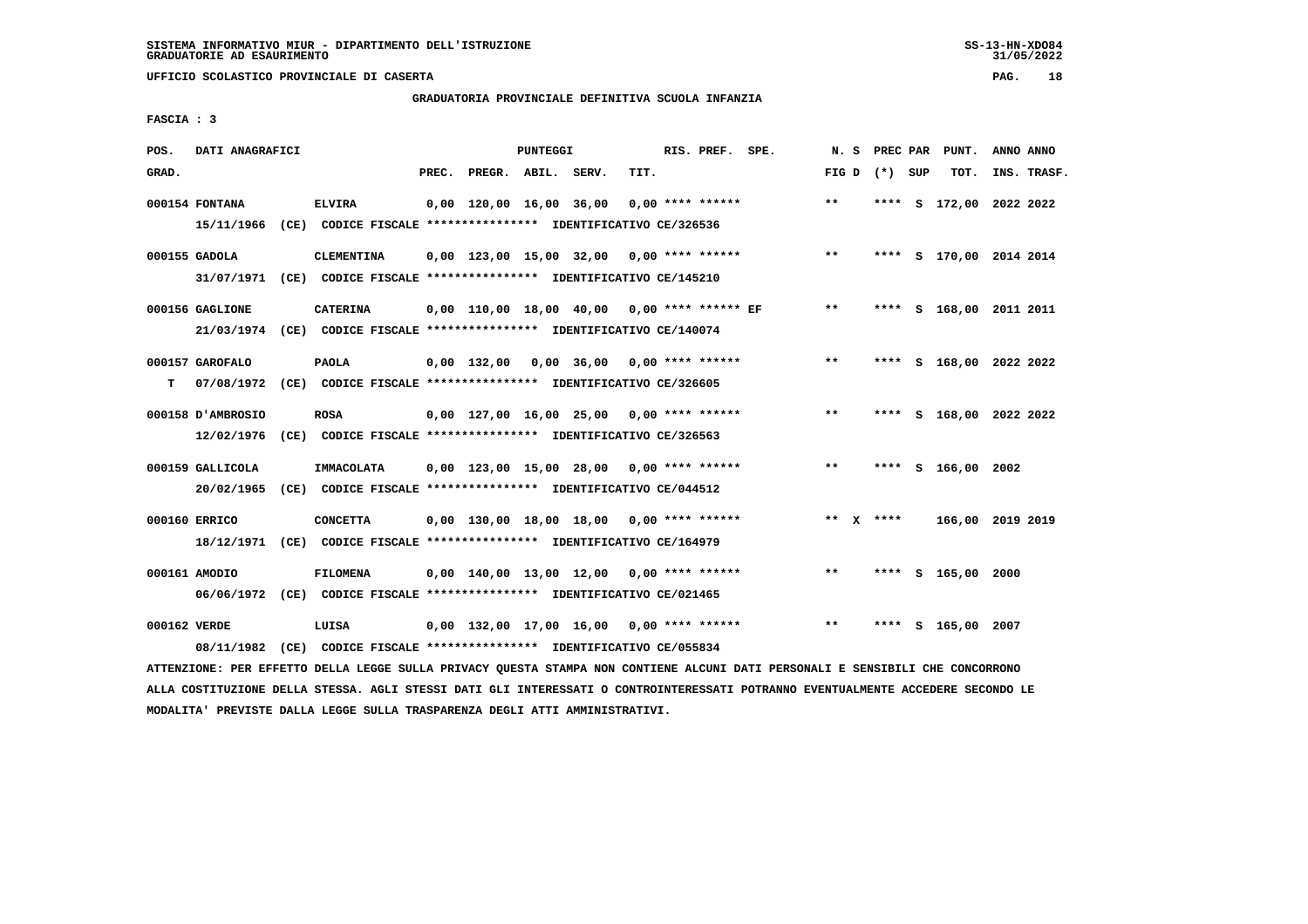# **GRADUATORIA PROVINCIALE DEFINITIVA SCUOLA INFANZIA**

 **FASCIA : 3**

| POS.         | DATI ANAGRAFICI                 |                                                                                            | <b>PUNTEGGI</b> |                         |  |                                               |      | RIS. PREF. SPE.    | N.S   | PREC PAR        | PUNT.                   | ANNO ANNO |             |
|--------------|---------------------------------|--------------------------------------------------------------------------------------------|-----------------|-------------------------|--|-----------------------------------------------|------|--------------------|-------|-----------------|-------------------------|-----------|-------------|
| GRAD.        |                                 |                                                                                            | PREC.           | PREGR. ABIL. SERV.      |  |                                               | TIT. |                    |       | FIG D $(*)$ SUP | TOT.                    |           | INS. TRASF. |
|              | 000154 FONTANA<br>15/11/1966    | <b>ELVIRA</b><br>(CE) CODICE FISCALE **************** IDENTIFICATIVO CE/326536             |                 | 0,00 120,00 16,00 36,00 |  |                                               |      | $0.00$ **** ****** | $***$ |                 | **** S 172,00 2022 2022 |           |             |
|              | 000155 GADOLA<br>31/07/1971     | <b>CLEMENTINA</b><br>(CE) CODICE FISCALE **************** IDENTIFICATIVO CE/145210         |                 |                         |  | $0,00$ 123,00 15,00 32,00 0,00 **** ******    |      |                    | $***$ | ****            | S 170,00 2014 2014      |           |             |
|              | 000156 GAGLIONE                 | <b>CATERINA</b><br>21/03/1974 (CE) CODICE FISCALE *************** IDENTIFICATIVO CE/140074 |                 |                         |  | $0.00$ 110.00 18.00 40.00 0.00 **** ****** EF |      |                    | $***$ |                 | **** S 168,00 2011 2011 |           |             |
| т            | 000157 GAROFALO                 | <b>PAOLA</b><br>07/08/1972 (CE) CODICE FISCALE *************** IDENTIFICATIVO CE/326605    |                 | $0,00$ 132,00           |  | $0,00$ 36,00 0,00 **** ******                 |      |                    | $***$ |                 | **** S 168,00 2022 2022 |           |             |
|              | 000158 D'AMBROSIO<br>12/02/1976 | ROSA<br>(CE) CODICE FISCALE *************** IDENTIFICATIVO CE/326563                       |                 |                         |  | $0,00$ 127,00 16,00 25,00 0,00 **** ******    |      |                    | $**$  | ****            | S 168,00 2022 2022      |           |             |
|              | 000159 GALLICOLA<br>20/02/1965  | IMMACOLATA<br>(CE) CODICE FISCALE **************** IDENTIFICATIVO CE/044512                |                 |                         |  | 0,00 123,00 15,00 28,00 0,00 **** ******      |      |                    | $***$ | ****            | S 166,00 2002           |           |             |
|              | 000160 ERRICO<br>18/12/1971     | <b>CONCETTA</b><br>(CE) CODICE FISCALE **************** IDENTIFICATIVO CE/164979           |                 |                         |  | $0.00$ 130.00 18.00 18.00 0.00 **** ******    |      |                    |       | ** $X$ ****     | 166,00 2019 2019        |           |             |
|              | 000161 AMODIO                   | <b>FILOMENA</b><br>06/06/1972 (CE) CODICE FISCALE *************** IDENTIFICATIVO CE/021465 |                 |                         |  | $0,00$ 140,00 13,00 12,00 0,00 **** ******    |      |                    | **    | ****            | S 165,00 2000           |           |             |
| 000162 VERDE | 08/11/1982                      | LUISA<br>(CE) CODICE FISCALE **************** IDENTIFICATIVO CE/055834                     |                 |                         |  | $0.00$ 132.00 17.00 16.00 0.00 **** ******    |      |                    | $***$ | ****            | S 165,00 2007           |           |             |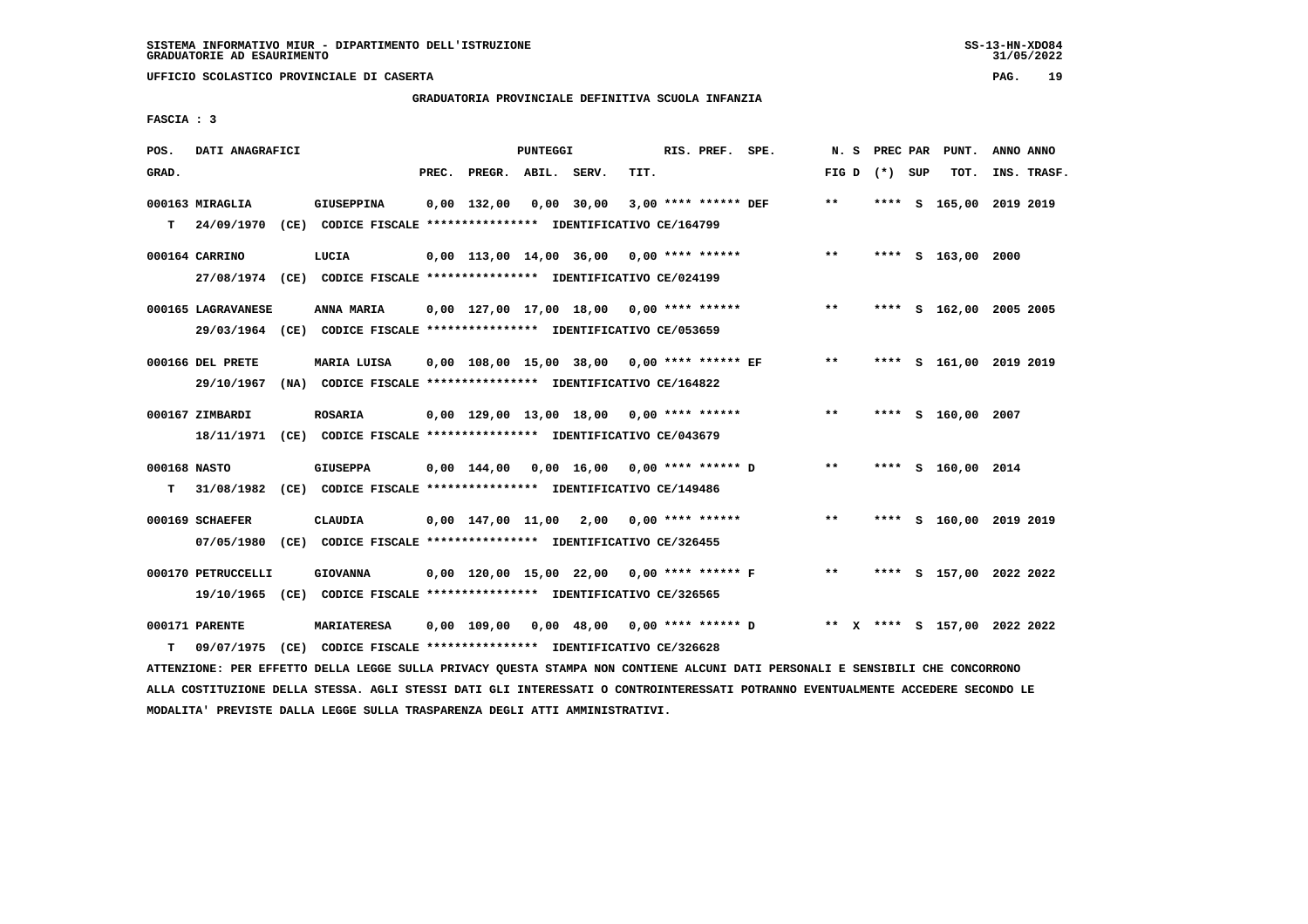# **GRADUATORIA PROVINCIALE DEFINITIVA SCUOLA INFANZIA**

 **FASCIA : 3**

| POS.         | DATI ANAGRAFICI    |                                                                                                                               |       |                          | PUNTEGGI |                                            |      | RIS. PREF. SPE.      |                                                                          |                 |  | N. S PREC PAR PUNT.     | ANNO ANNO |             |
|--------------|--------------------|-------------------------------------------------------------------------------------------------------------------------------|-------|--------------------------|----------|--------------------------------------------|------|----------------------|--------------------------------------------------------------------------|-----------------|--|-------------------------|-----------|-------------|
| GRAD.        |                    |                                                                                                                               | PREC. | PREGR. ABIL. SERV.       |          |                                            | TIT. |                      |                                                                          | FIG D $(*)$ SUP |  | TOT.                    |           | INS. TRASF. |
|              | 000163 MIRAGLIA    | <b>GIUSEPPINA</b>                                                                                                             |       | $0,00$ 132,00 0,00 30,00 |          |                                            |      | 3,00 **** ****** DEF |                                                                          | $* *$           |  | **** S 165,00 2019 2019 |           |             |
| т            |                    | 24/09/1970 (CE) CODICE FISCALE **************** IDENTIFICATIVO CE/164799                                                      |       |                          |          |                                            |      |                      |                                                                          |                 |  |                         |           |             |
|              | 000164 CARRINO     | LUCIA                                                                                                                         |       |                          |          | $0,00$ 113,00 14,00 36,00 0,00 **** ****** |      |                      |                                                                          | $***$           |  | **** S 163,00 2000      |           |             |
|              |                    | 27/08/1974 (CE) CODICE FISCALE *************** IDENTIFICATIVO CE/024199                                                       |       |                          |          |                                            |      |                      |                                                                          |                 |  |                         |           |             |
|              | 000165 LAGRAVANESE | <b>ANNA MARIA</b>                                                                                                             |       |                          |          | 0,00 127,00 17,00 18,00 0,00 **** ******   |      |                      |                                                                          | $***$           |  | **** S 162,00 2005 2005 |           |             |
|              |                    | 29/03/1964 (CE) CODICE FISCALE *************** IDENTIFICATIVO CE/053659                                                       |       |                          |          |                                            |      |                      |                                                                          |                 |  |                         |           |             |
|              | 000166 DEL PRETE   | MARIA LUISA                                                                                                                   |       |                          |          |                                            |      |                      | 0,00 108,00 15,00 38,00 0,00 **** ****** EF                              | $***$           |  | **** S 161,00 2019 2019 |           |             |
|              | 29/10/1967         | (NA) CODICE FISCALE **************** IDENTIFICATIVO CE/164822                                                                 |       |                          |          |                                            |      |                      |                                                                          |                 |  |                         |           |             |
|              | 000167 ZIMBARDI    | <b>ROSARIA</b>                                                                                                                |       |                          |          | $0,00$ 129,00 13,00 18,00 0,00 **** ****** |      |                      |                                                                          | $* *$           |  | **** S 160,00 2007      |           |             |
|              |                    | 18/11/1971 (CE) CODICE FISCALE *************** IDENTIFICATIVO CE/043679                                                       |       |                          |          |                                            |      |                      |                                                                          |                 |  |                         |           |             |
| 000168 NASTO |                    | <b>GIUSEPPA</b>                                                                                                               |       |                          |          | 0,00 144,00 0,00 16,00 0,00 **** ****** D  |      |                      |                                                                          | $***$           |  | **** S 160,00 2014      |           |             |
|              |                    | T 31/08/1982 (CE) CODICE FISCALE *************** IDENTIFICATIVO CE/149486                                                     |       |                          |          |                                            |      |                      |                                                                          |                 |  |                         |           |             |
|              | 000169 SCHAEFER    | CLAUDIA                                                                                                                       |       |                          |          | $0,00$ 147,00 11,00 2,00 0,00 **** ******  |      |                      |                                                                          | $* *$           |  | **** S 160,00 2019 2019 |           |             |
|              |                    | 07/05/1980 (CE) CODICE FISCALE *************** IDENTIFICATIVO CE/326455                                                       |       |                          |          |                                            |      |                      |                                                                          |                 |  |                         |           |             |
|              | 000170 PETRUCCELLI | <b>GIOVANNA</b>                                                                                                               |       |                          |          | 0,00 120,00 15,00 22,00 0,00 **** ****** F |      |                      |                                                                          | $***$           |  | **** S 157,00 2022 2022 |           |             |
|              |                    | 19/10/1965 (CE) CODICE FISCALE *************** IDENTIFICATIVO CE/326565                                                       |       |                          |          |                                            |      |                      |                                                                          |                 |  |                         |           |             |
|              | 000171 PARENTE     | <b>MARIATERESA</b>                                                                                                            |       |                          |          |                                            |      |                      | $0,00$ 109,00 0,00 48,00 0,00 **** ****** D ** X **** S 157,00 2022 2022 |                 |  |                         |           |             |
| т            | 09/07/1975         | (CE) CODICE FISCALE **************** IDENTIFICATIVO CE/326628                                                                 |       |                          |          |                                            |      |                      |                                                                          |                 |  |                         |           |             |
|              |                    | ATTENZIONE: PER EFFETTO DELLA LEGGE SULLA PRIVACY QUESTA STAMPA NON CONTIENE ALCUNI DATI PERSONALI E SENSIBILI CHE CONCORRONO |       |                          |          |                                            |      |                      |                                                                          |                 |  |                         |           |             |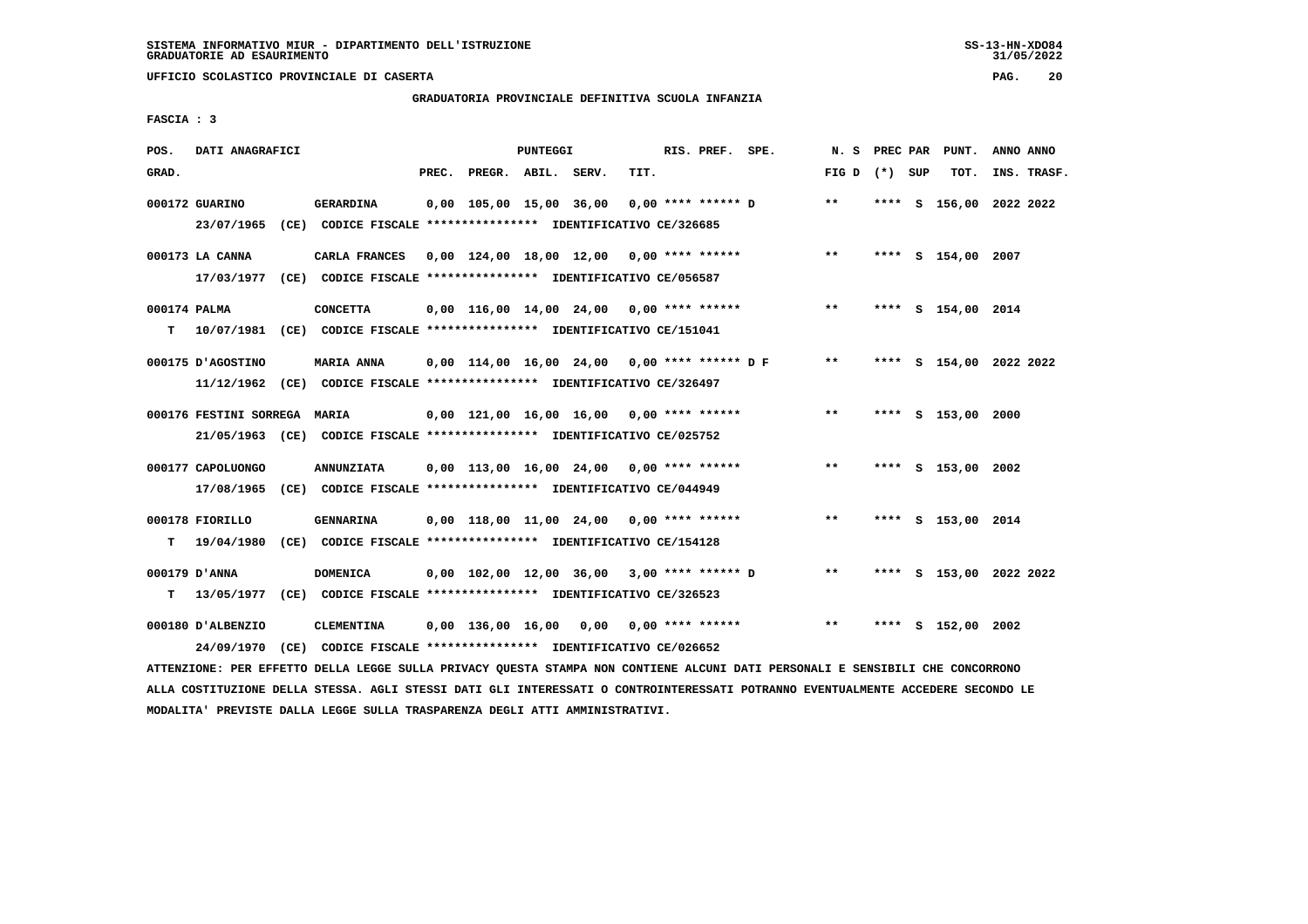# **GRADUATORIA PROVINCIALE DEFINITIVA SCUOLA INFANZIA**

 **FASCIA : 3**

| POS.               | DATI ANAGRAFICI              |                                                                                              |       |                                            | PUNTEGGI |      |      | RIS. PREF. SPE.      |                                              |                 |  | N. S PREC PAR PUNT. | ANNO ANNO               |  |
|--------------------|------------------------------|----------------------------------------------------------------------------------------------|-------|--------------------------------------------|----------|------|------|----------------------|----------------------------------------------|-----------------|--|---------------------|-------------------------|--|
| GRAD.              |                              |                                                                                              | PREC. | PREGR. ABIL. SERV.                         |          |      | TIT. |                      |                                              | FIG D $(*)$ SUP |  | TOT.                | INS. TRASF.             |  |
|                    | 000172 GUARINO               | <b>GERARDINA</b><br>23/07/1965 (CE) CODICE FISCALE *************** IDENTIFICATIVO CE/326685  |       | 0,00 105,00 15,00 36,00                    |          |      |      | $0.00$ **** ****** D |                                              | $* *$           |  |                     | **** S 156,00 2022 2022 |  |
|                    | 000173 LA CANNA              | CARLA FRANCES<br>17/03/1977 (CE) CODICE FISCALE **************** IDENTIFICATIVO CE/056587    |       | 0,00 124,00 18,00 12,00 0,00 **** ******   |          |      |      |                      |                                              | $***$           |  | **** S 154,00 2007  |                         |  |
| 000174 PALMA<br>T. |                              | <b>CONCETTA</b><br>10/07/1981 (CE) CODICE FISCALE **************** IDENTIFICATIVO CE/151041  |       | $0,00$ 116,00 14,00 24,00 0,00 **** ****** |          |      |      |                      |                                              | $***$           |  | **** S 154,00 2014  |                         |  |
|                    | 000175 D'AGOSTINO            | <b>MARIA ANNA</b><br>11/12/1962 (CE) CODICE FISCALE *************** IDENTIFICATIVO CE/326497 |       |                                            |          |      |      |                      | 0,00 114,00 16,00 24,00 0,00 **** ****** D F | $***$           |  |                     | **** S 154,00 2022 2022 |  |
|                    | 000176 FESTINI SORREGA MARIA | 21/05/1963 (CE) CODICE FISCALE *************** IDENTIFICATIVO CE/025752                      |       | 0,00 121,00 16,00 16,00 0,00 **** ******   |          |      |      |                      |                                              | $***$           |  | **** S 153,00 2000  |                         |  |
|                    | 000177 CAPOLUONGO            | <b>ANNUNZIATA</b><br>17/08/1965 (CE) CODICE FISCALE *************** IDENTIFICATIVO CE/044949 |       | $0,00$ 113,00 16,00 24,00 0,00 **** ****** |          |      |      |                      |                                              | $***$           |  | **** S 153,00 2002  |                         |  |
| т                  | 000178 FIORILLO              | <b>GENNARINA</b><br>19/04/1980 (CE) CODICE FISCALE *************** IDENTIFICATIVO CE/154128  |       | $0,00$ 118,00 11,00 24,00 0,00 **** ****** |          |      |      |                      |                                              | $***$           |  | **** S 153,00 2014  |                         |  |
| T.                 | 000179 D'ANNA                | <b>DOMENICA</b><br>13/05/1977 (CE) CODICE FISCALE **************** IDENTIFICATIVO CE/326523  |       |                                            |          |      |      |                      | 0,00 102,00 12,00 36,00 3,00 **** ****** D   | $* *$           |  |                     | **** S 153,00 2022 2022 |  |
|                    | 000180 D'ALBENZIO            | <b>CLEMENTINA</b><br>24/09/1970 (CE) CODICE FISCALE *************** IDENTIFICATIVO CE/026652 |       | 0,00 136,00 16,00                          |          | 0,00 |      | $0.00$ **** ******   |                                              | $***$           |  | **** S 152,00 2002  |                         |  |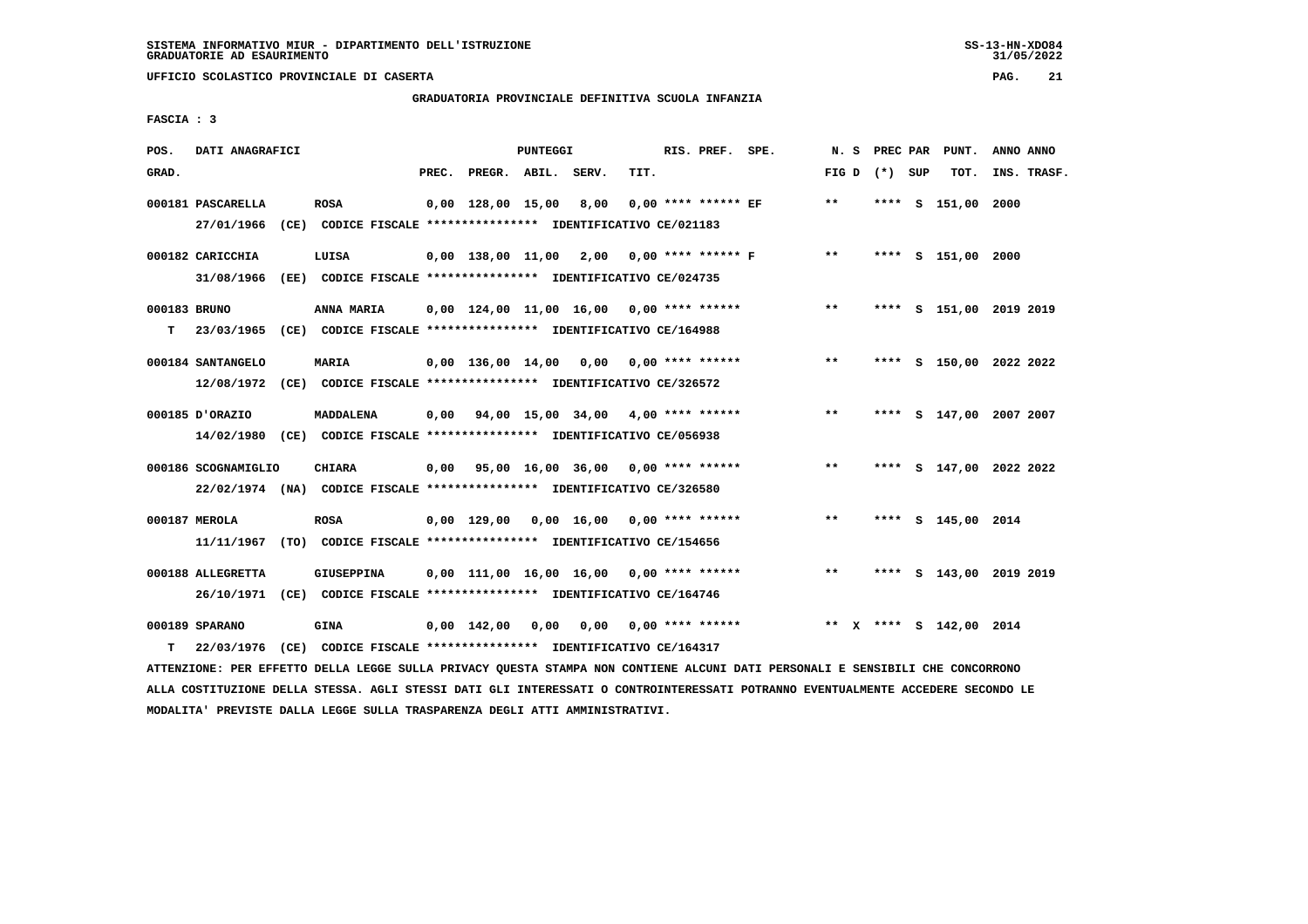**UFFICIO SCOLASTICO PROVINCIALE DI CASERTA PAG. 21**

# **GRADUATORIA PROVINCIALE DEFINITIVA SCUOLA INFANZIA**

 **FASCIA : 3**

| POS.         | DATI ANAGRAFICI                                                         |                   |       |                          | PUNTEGGI |                                                               |      | RIS. PREF. SPE.       |                      |       | N. S PREC PAR   | PUNT.                   | ANNO ANNO   |  |
|--------------|-------------------------------------------------------------------------|-------------------|-------|--------------------------|----------|---------------------------------------------------------------|------|-----------------------|----------------------|-------|-----------------|-------------------------|-------------|--|
|              |                                                                         |                   |       |                          |          |                                                               |      |                       |                      |       |                 |                         |             |  |
| GRAD.        |                                                                         |                   | PREC. | PREGR. ABIL. SERV.       |          |                                                               | TIT. |                       |                      |       | FIG D $(*)$ SUP | тот.                    | INS. TRASF. |  |
|              | 000181 PASCARELLA                                                       | <b>ROSA</b>       |       | $0,00$ 128,00 15,00 8,00 |          |                                                               |      | $0.00$ **** ****** EF |                      | $***$ |                 | **** S 151,00 2000      |             |  |
|              | 27/01/1966 (CE) CODICE FISCALE *************** IDENTIFICATIVO CE/021183 |                   |       |                          |          |                                                               |      |                       |                      |       |                 |                         |             |  |
|              |                                                                         |                   |       |                          |          |                                                               |      |                       |                      |       |                 |                         |             |  |
|              | 000182 CARICCHIA                                                        | LUISA             |       |                          |          | 0,00 138,00 11,00 2,00                                        |      |                       | $0.00$ **** ****** F | $***$ |                 | **** S 151,00 2000      |             |  |
|              | 31/08/1966                                                              |                   |       |                          |          | (EE) CODICE FISCALE **************** IDENTIFICATIVO CE/024735 |      |                       |                      |       |                 |                         |             |  |
|              |                                                                         |                   |       |                          |          |                                                               |      |                       |                      |       |                 |                         |             |  |
| 000183 BRUNO |                                                                         | ANNA MARIA        |       |                          |          | $0,00$ 124,00 11,00 16,00 0,00 **** ******                    |      |                       |                      | $***$ |                 | **** S 151,00 2019 2019 |             |  |
| т            | 23/03/1965 (CE) CODICE FISCALE *************** IDENTIFICATIVO CE/164988 |                   |       |                          |          |                                                               |      |                       |                      |       |                 |                         |             |  |
|              |                                                                         |                   |       |                          |          |                                                               |      |                       |                      |       |                 |                         |             |  |
|              | 000184 SANTANGELO                                                       | <b>MARIA</b>      |       |                          |          | $0.00$ 136.00 14.00 0.00 0.00 **** ******                     |      |                       |                      | $***$ |                 | **** S 150,00 2022 2022 |             |  |
|              | 12/08/1972 (CE) CODICE FISCALE *************** IDENTIFICATIVO CE/326572 |                   |       |                          |          |                                                               |      |                       |                      |       |                 |                         |             |  |
|              |                                                                         |                   |       |                          |          |                                                               |      |                       |                      |       |                 |                         |             |  |
|              | 000185 D'ORAZIO                                                         | <b>MADDALENA</b>  |       |                          |          | $0,00$ $94,00$ $15,00$ $34,00$ $4,00$ $***$ **** ******       |      |                       |                      | **    |                 | **** S 147,00 2007 2007 |             |  |
|              | 14/02/1980 (CE) CODICE FISCALE *************** IDENTIFICATIVO CE/056938 |                   |       |                          |          |                                                               |      |                       |                      |       |                 |                         |             |  |
|              |                                                                         |                   |       |                          |          |                                                               |      |                       |                      |       |                 |                         |             |  |
|              | 000186 SCOGNAMIGLIO                                                     | <b>CHIARA</b>     |       |                          |          | 0,00 95,00 16,00 36,00 0,00 **** ******                       |      |                       |                      | $***$ |                 | **** S 147,00 2022 2022 |             |  |
|              | 22/02/1974 (NA) CODICE FISCALE *************** IDENTIFICATIVO CE/326580 |                   |       |                          |          |                                                               |      |                       |                      |       |                 |                         |             |  |
|              |                                                                         |                   |       |                          |          |                                                               |      |                       |                      |       |                 |                         |             |  |
|              | 000187 MEROLA                                                           | <b>ROSA</b>       |       |                          |          | 0,00 129,00 0,00 16,00                                        |      | $0.00$ **** ******    |                      | $***$ |                 | **** S 145,00 2014      |             |  |
|              | 11/11/1967 (TO) CODICE FISCALE *************** IDENTIFICATIVO CE/154656 |                   |       |                          |          |                                                               |      |                       |                      |       |                 |                         |             |  |
|              |                                                                         |                   |       |                          |          |                                                               |      |                       |                      |       |                 |                         |             |  |
|              | 000188 ALLEGRETTA                                                       | <b>GIUSEPPINA</b> |       |                          |          | $0,00$ 111,00 16,00 16,00 0,00 **** ******                    |      |                       |                      | $***$ |                 | **** S 143,00 2019 2019 |             |  |
|              | 26/10/1971 (CE) CODICE FISCALE *************** IDENTIFICATIVO CE/164746 |                   |       |                          |          |                                                               |      |                       |                      |       |                 |                         |             |  |
|              |                                                                         |                   |       |                          |          |                                                               |      |                       |                      |       |                 |                         |             |  |
|              | 000189 SPARANO                                                          | <b>GINA</b>       |       | $0.00$ 142.00            | 0,00     | 0,00                                                          |      | $0.00$ **** ******    |                      |       |                 | ** X **** S 142,00 2014 |             |  |
|              |                                                                         |                   |       |                          |          |                                                               |      |                       |                      |       |                 |                         |             |  |
| т            | 22/03/1976                                                              |                   |       |                          |          | (CE) CODICE FISCALE **************** IDENTIFICATIVO CE/164317 |      |                       |                      |       |                 |                         |             |  |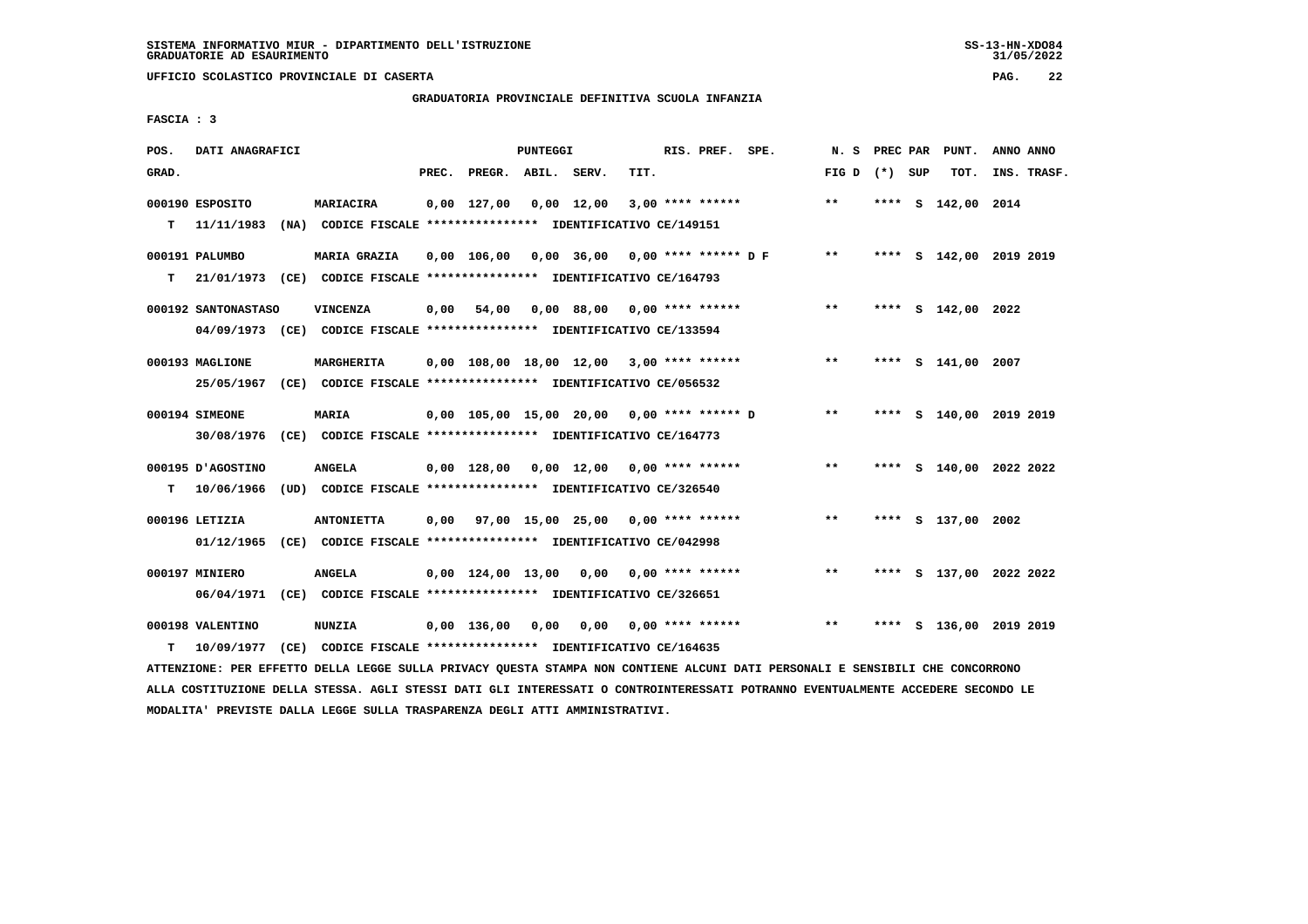# **GRADUATORIA PROVINCIALE DEFINITIVA SCUOLA INFANZIA**

 **FASCIA : 3**

| POS.  | DATI ANAGRAFICI                 |                                                                                              |       |                          | <b>PUNTEGGI</b> |                                                         |      | RIS. PREF. SPE.    | N. S            | PREC PAR | PUNT.                   | ANNO ANNO |             |
|-------|---------------------------------|----------------------------------------------------------------------------------------------|-------|--------------------------|-----------------|---------------------------------------------------------|------|--------------------|-----------------|----------|-------------------------|-----------|-------------|
| GRAD. |                                 |                                                                                              | PREC. | PREGR. ABIL. SERV.       |                 |                                                         | TIT. |                    | FIG D $(*)$ SUP |          | TOT.                    |           | INS. TRASF. |
| т     | 000190 ESPOSITO<br>11/11/1983   | <b>MARIACIRA</b><br>(NA) CODICE FISCALE **************** IDENTIFICATIVO CE/149151            |       | $0,00$ 127,00 0,00 12,00 |                 |                                                         |      | $3,00$ **** ****** | $***$           |          | **** S 142,00 2014      |           |             |
| т     | 000191 PALUMBO                  | MARIA GRAZIA<br>21/01/1973 (CE) CODICE FISCALE *************** IDENTIFICATIVO CE/164793      |       |                          |                 | $0,00$ 106,00 0,00 36,00 0,00 **** ****** D F           |      |                    | $* *$           |          | **** S 142,00 2019 2019 |           |             |
|       | 000192 SANTONASTASO             | <b>VINCENZA</b><br>04/09/1973 (CE) CODICE FISCALE *************** IDENTIFICATIVO CE/133594   | 0,00  | 54,00                    |                 | $0,00$ 88,00 0,00 **** ******                           |      |                    | $***$           |          | **** S 142,00 2022      |           |             |
|       | 000193 MAGLIONE                 | <b>MARGHERITA</b><br>25/05/1967 (CE) CODICE FISCALE *************** IDENTIFICATIVO CE/056532 |       |                          |                 | $0,00$ 108,00 18,00 12,00 3,00 **** ******              |      |                    | $* *$           |          | **** S 141,00 2007      |           |             |
|       | 000194 SIMEONE                  | <b>MARIA</b><br>30/08/1976 (CE) CODICE FISCALE *************** IDENTIFICATIVO CE/164773      |       |                          |                 | $0,00$ 105,00 15,00 20,00 0,00 **** ****** D            |      |                    | $* *$           |          | **** S 140,00 2019 2019 |           |             |
| т     | 000195 U AGOSTINO<br>10/06/1966 | <b>ANGELA</b><br>(UD) CODICE FISCALE *************** IDENTIFICATIVO CE/326540                |       |                          |                 | 0,00 128,00 0,00 12,00                                  |      | $0.00$ **** ****** | $**$            |          | **** S 140,00 2022 2022 |           |             |
|       | 000196 LETIZIA                  | <b>ANTONIETTA</b><br>01/12/1965 (CE) CODICE FISCALE *************** IDENTIFICATIVO CE/042998 |       |                          |                 | $0.00$ $97.00$ $15.00$ $25.00$ $0.00$ $***$ **** ****** |      |                    | $***$           |          | **** S 137,00 2002      |           |             |
|       | 000197 MINIERO<br>06/04/1971    | <b>ANGELA</b><br>(CE) CODICE FISCALE **************** IDENTIFICATIVO CE/326651               |       | $0.00$ $124.00$ $13.00$  |                 | 0,00                                                    |      | $0.00$ **** ****** | $**$            |          | **** S 137,00 2022 2022 |           |             |
| т     | 000198 VALENTINO<br>10/09/1977  | <b>NUNZIA</b><br>(CE) CODICE FISCALE **************** IDENTIFICATIVO CE/164635               |       | $0,00$ 136,00            | 0,00            | 0,00                                                    |      | $0.00$ **** ****** | $***$           | ****     | S 136,00 2019 2019      |           |             |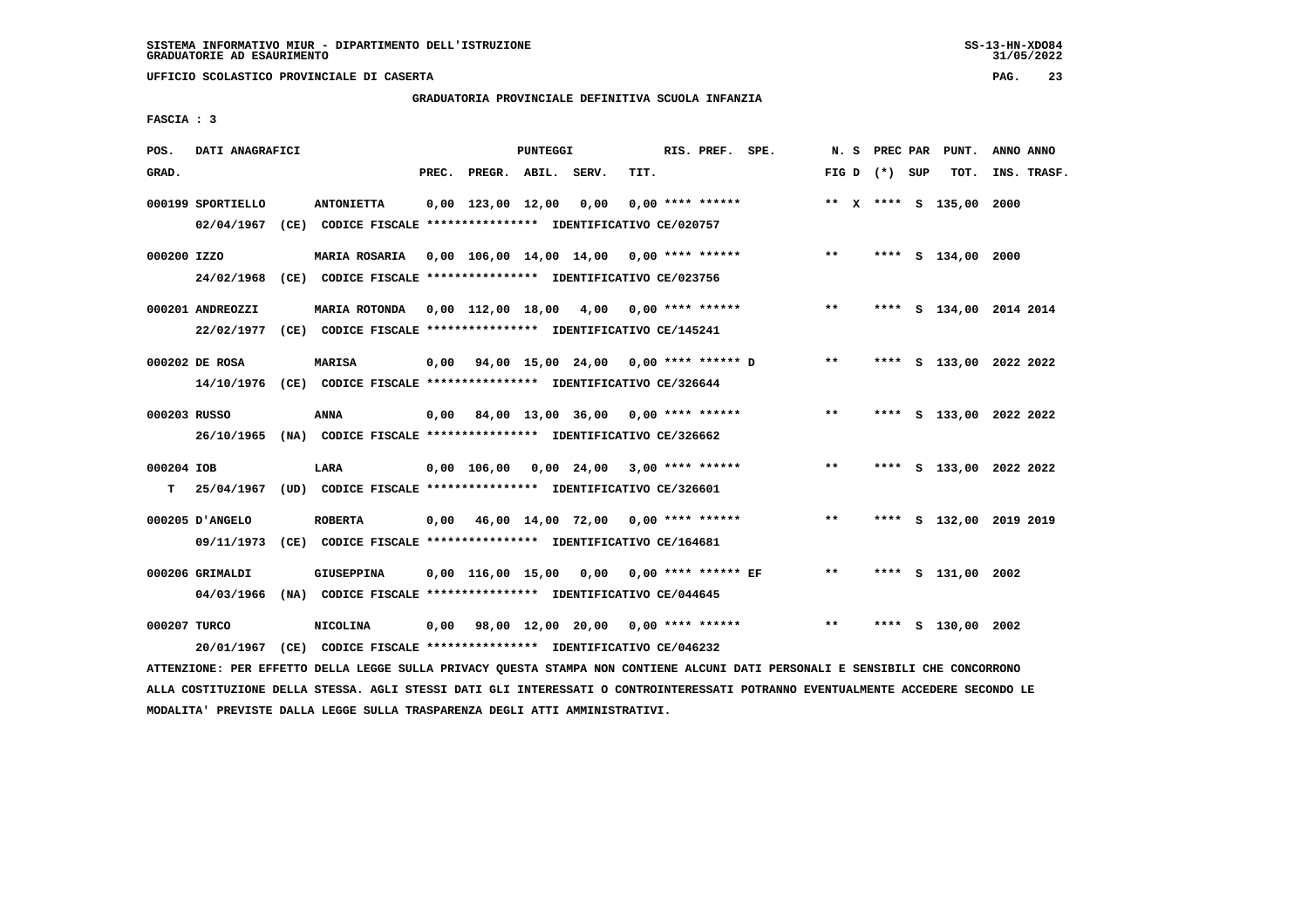# **GRADUATORIA PROVINCIALE DEFINITIVA SCUOLA INFANZIA**

 **FASCIA : 3**

| POS.         | DATI ANAGRAFICI   |                                                                                                                               |       |                          | PUNTEGGI |                                         |      | RIS. PREF. SPE.    |                                                               |       |                 | N. S PREC PAR PUNT.     | ANNO ANNO |             |
|--------------|-------------------|-------------------------------------------------------------------------------------------------------------------------------|-------|--------------------------|----------|-----------------------------------------|------|--------------------|---------------------------------------------------------------|-------|-----------------|-------------------------|-----------|-------------|
| GRAD.        |                   |                                                                                                                               | PREC. | PREGR. ABIL. SERV.       |          |                                         | TIT. |                    |                                                               |       | FIG D $(*)$ SUP | тот.                    |           | INS. TRASF. |
|              | 000199 SPORTIELLO | <b>ANTONIETTA</b>                                                                                                             |       | $0,00$ 123,00 12,00 0,00 |          |                                         |      | $0.00$ **** ****** |                                                               |       |                 | ** X **** S 135,00 2000 |           |             |
|              |                   | 02/04/1967 (CE) CODICE FISCALE *************** IDENTIFICATIVO CE/020757                                                       |       |                          |          |                                         |      |                    |                                                               |       |                 |                         |           |             |
| 000200 IZZO  |                   | MARIA ROSARIA 0,00 106,00 14,00 14,00 0,00 **** ******                                                                        |       |                          |          |                                         |      |                    |                                                               | $***$ |                 | **** S 134,00 2000      |           |             |
|              |                   | 24/02/1968 (CE) CODICE FISCALE *************** IDENTIFICATIVO CE/023756                                                       |       |                          |          |                                         |      |                    |                                                               |       |                 |                         |           |             |
|              | 000201 ANDREOZZI  | MARIA ROTONDA 0,00 112,00 18,00 4,00 0,00 **** ******                                                                         |       |                          |          |                                         |      |                    |                                                               | $**$  |                 | **** S 134,00 2014 2014 |           |             |
|              |                   | 22/02/1977 (CE) CODICE FISCALE *************** IDENTIFICATIVO CE/145241                                                       |       |                          |          |                                         |      |                    |                                                               |       |                 |                         |           |             |
|              | 000202 DE ROSA    | <b>MARISA</b>                                                                                                                 |       |                          |          |                                         |      |                    | $0,00$ $94,00$ $15,00$ $24,00$ $0,00$ $***$ $***$ $*$ $D$ $*$ |       |                 | **** S 133,00 2022 2022 |           |             |
|              |                   | 14/10/1976 (CE) CODICE FISCALE *************** IDENTIFICATIVO CE/326644                                                       |       |                          |          |                                         |      |                    |                                                               |       |                 |                         |           |             |
| 000203 RUSSO |                   | ANNA                                                                                                                          |       |                          |          | 0,00 84,00 13,00 36,00 0,00 **** ****** |      |                    |                                                               | $***$ |                 | **** S 133,00 2022 2022 |           |             |
|              |                   | 26/10/1965 (NA) CODICE FISCALE *************** IDENTIFICATIVO CE/326662                                                       |       |                          |          |                                         |      |                    |                                                               |       |                 |                         |           |             |
| 000204 IOB   |                   | LARA                                                                                                                          |       |                          |          | 0,00 106,00 0,00 24,00 3,00 **** ****** |      |                    |                                                               | $***$ |                 | **** S 133,00 2022 2022 |           |             |
|              |                   | T 25/04/1967 (UD) CODICE FISCALE **************** IDENTIFICATIVO CE/326601                                                    |       |                          |          |                                         |      |                    |                                                               |       |                 |                         |           |             |
|              | 000205 D'ANGELO   | <b>ROBERTA</b>                                                                                                                |       |                          |          |                                         |      |                    | $0,00$ 46,00 14,00 72,00 0,00 **** ******                     | $***$ |                 | **** S 132,00 2019 2019 |           |             |
|              | 09/11/1973        | (CE) CODICE FISCALE **************** IDENTIFICATIVO CE/164681                                                                 |       |                          |          |                                         |      |                    |                                                               |       |                 |                         |           |             |
|              | 000206 GRIMALDI   | GIUSEPPINA                                                                                                                    |       |                          |          |                                         |      |                    | 0,00 116,00 15,00 0,00 0,00 **** ****** EF                    | $***$ |                 | **** S 131,00 2002      |           |             |
|              |                   | 04/03/1966 (NA) CODICE FISCALE **************** IDENTIFICATIVO CE/044645                                                      |       |                          |          |                                         |      |                    |                                                               |       |                 |                         |           |             |
| 000207 TURCO |                   | <b>NICOLINA</b>                                                                                                               |       |                          |          |                                         |      |                    | $0,00$ 98,00 12,00 20,00 0,00 **** ****** *** **              |       |                 | **** S 130,00 2002      |           |             |
|              | 20/01/1967        | (CE) CODICE FISCALE **************** IDENTIFICATIVO CE/046232                                                                 |       |                          |          |                                         |      |                    |                                                               |       |                 |                         |           |             |
|              |                   | ATTENZIONE: PER EFFETTO DELLA LEGGE SULLA PRIVACY QUESTA STAMPA NON CONTIENE ALCUNI DATI PERSONALI E SENSIBILI CHE CONCORRONO |       |                          |          |                                         |      |                    |                                                               |       |                 |                         |           |             |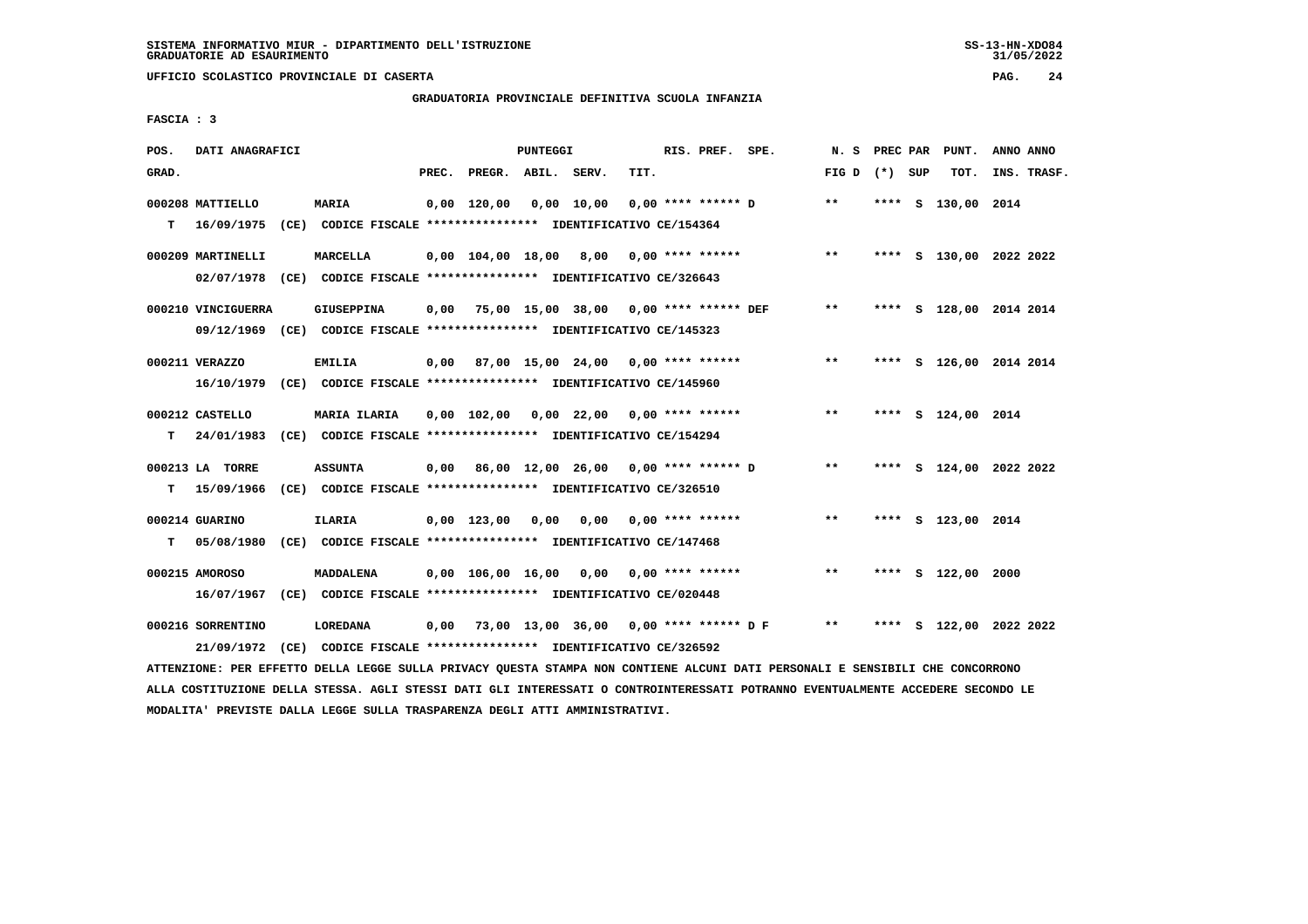# **GRADUATORIA PROVINCIALE DEFINITIVA SCUOLA INFANZIA**

 **FASCIA : 3**

| POS.  | DATI ANAGRAFICI                                                                               |                                                                                      |       |                    | PUNTEGGI |                                                        |      | RIS. PREF. SPE.           |                                                   |                 |  | N. S PREC PAR PUNT.     | ANNO ANNO   |  |
|-------|-----------------------------------------------------------------------------------------------|--------------------------------------------------------------------------------------|-------|--------------------|----------|--------------------------------------------------------|------|---------------------------|---------------------------------------------------|-----------------|--|-------------------------|-------------|--|
| GRAD. |                                                                                               |                                                                                      | PREC. | PREGR. ABIL. SERV. |          |                                                        | TIT. |                           |                                                   | FIG D $(*)$ SUP |  | TOT.                    | INS. TRASF. |  |
| т     | 000208 MATTIELLO<br>16/09/1975 (CE) CODICE FISCALE *************** IDENTIFICATIVO CE/154364   | <b>MARIA</b>                                                                         |       | 0,00 120,00        |          | 0,00 10,00                                             |      |                           | $0.00$ **** ****** D                              | $* *$           |  | **** S 130,00 2014      |             |  |
|       | 000209 MARTINELLI<br>02/07/1978 (CE) CODICE FISCALE *************** IDENTIFICATIVO CE/326643  | MARCELLA                                                                             |       |                    |          |                                                        |      |                           | $0,00$ $104,00$ $18,00$ $8,00$ $0,00$ **** ****** | $* *$           |  | **** S 130,00 2022 2022 |             |  |
|       | 000210 VINCIGUERRA<br>09/12/1969 (CE) CODICE FISCALE *************** IDENTIFICATIVO CE/145323 | <b>GIUSEPPINA</b>                                                                    |       |                    |          | $0,00$ 75,00 15,00 38,00 0,00 **** ****** DEF          |      |                           |                                                   | $***$           |  | **** S 128,00 2014 2014 |             |  |
|       | 000211 VERAZZO<br>16/10/1979 (CE) CODICE FISCALE *************** IDENTIFICATIVO CE/145960     | EMILIA                                                                               |       |                    |          | $0,00$ 87,00 15,00 24,00 0,00 **** ******              |      |                           |                                                   | $***$           |  | **** S 126,00 2014 2014 |             |  |
| T.    | 000212 CASTELLO<br>24/01/1983                                                                 | <b>MARIA ILARIA</b><br>(CE) CODICE FISCALE **************** IDENTIFICATIVO CE/154294 |       |                    |          | $0,00$ $102,00$ $0,00$ $22,00$ $0,00$ $***$ **** ***** |      |                           |                                                   | $***$           |  | **** S 124,00 2014      |             |  |
| T.    | 000213 LA TORRE<br>15/09/1966                                                                 | <b>ASSUNTA</b><br>(CE) CODICE FISCALE **************** IDENTIFICATIVO CE/326510      |       |                    |          |                                                        |      |                           | 0,00 86,00 12,00 26,00 0,00 **** ****** D         | $* *$           |  | **** S 124,00 2022 2022 |             |  |
| т     | 000214 GUARINO<br>05/08/1980 (CE) CODICE FISCALE *************** IDENTIFICATIVO CE/147468     | <b>ILARIA</b>                                                                        |       | $0,00$ 123,00 0,00 |          |                                                        |      | $0.00$ $0.00$ **** ****** |                                                   | $***$           |  | **** S 123,00 2014      |             |  |
|       | 000215 AMOROSO<br>16/07/1967 (CE) CODICE FISCALE **************** IDENTIFICATIVO CE/020448    | <b>MADDALENA</b>                                                                     |       |                    |          | $0,00$ 106,00 16,00 0,00 0,00 **** ******              |      |                           |                                                   | $***$           |  | **** S 122,00 2000      |             |  |
|       | 000216 SORRENTINO<br>21/09/1972 (CE) CODICE FISCALE *************** IDENTIFICATIVO CE/326592  | LOREDANA                                                                             |       |                    |          |                                                        |      |                           | 0,00 73,00 13,00 36,00 0,00 **** ****** D F       | $***$           |  | **** S 122,00 2022 2022 |             |  |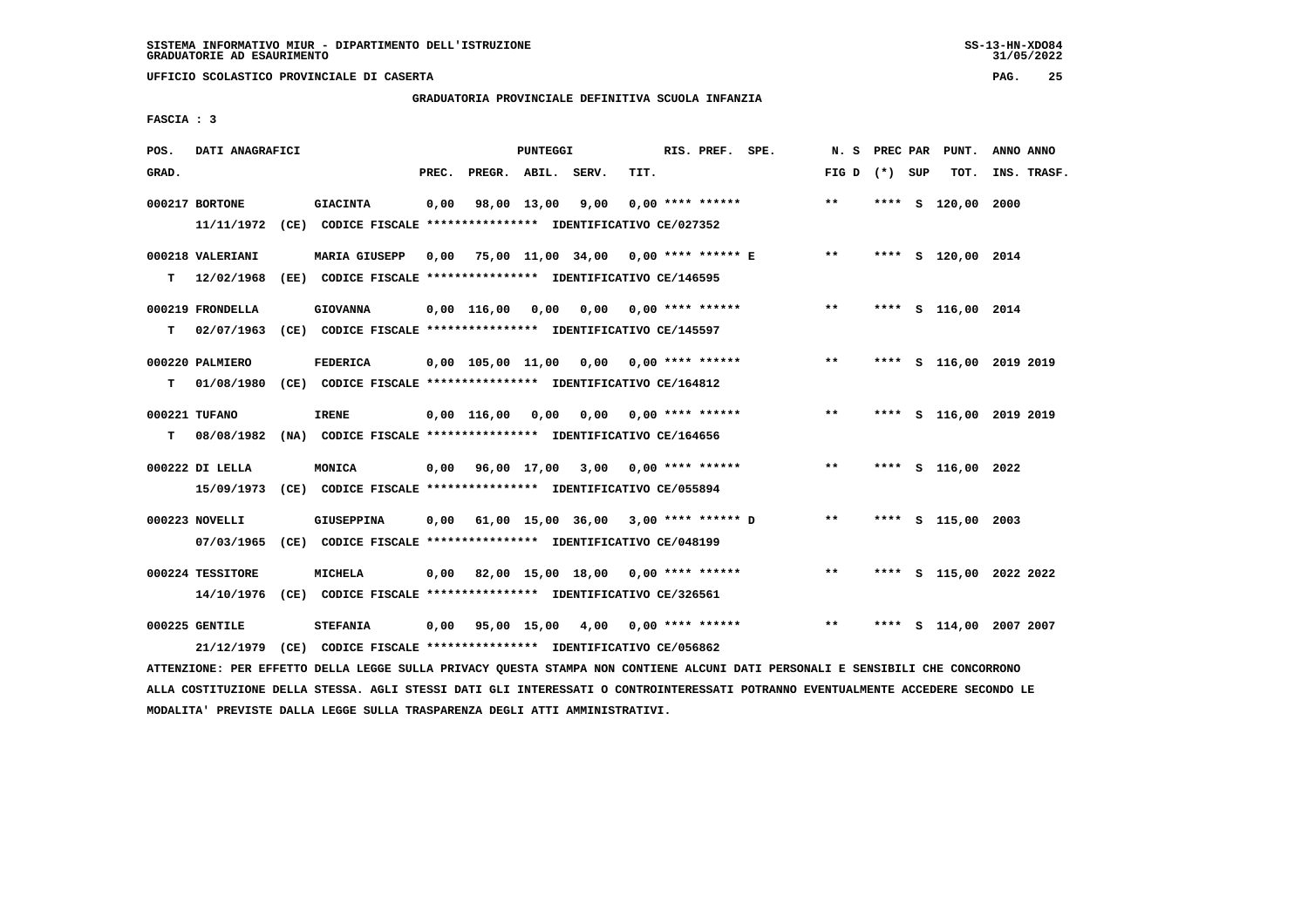# **GRADUATORIA PROVINCIALE DEFINITIVA SCUOLA INFANZIA**

 **FASCIA : 3**

| POS.  | DATI ANAGRAFICI  |                                                                                                                               |       |                                           | PUNTEGGI |                  |      | RIS. PREF. SPE.           |                                                       |                 |  | N. S PREC PAR PUNT.     | ANNO ANNO |             |
|-------|------------------|-------------------------------------------------------------------------------------------------------------------------------|-------|-------------------------------------------|----------|------------------|------|---------------------------|-------------------------------------------------------|-----------------|--|-------------------------|-----------|-------------|
| GRAD. |                  |                                                                                                                               | PREC. | PREGR. ABIL. SERV.                        |          |                  | TIT. |                           |                                                       | FIG D $(*)$ SUP |  | тот.                    |           | INS. TRASF. |
|       | 000217 BORTONE   | <b>GIACINTA</b>                                                                                                               | 0,00  |                                           |          | 98,00 13,00 9,00 |      | $0.00$ **** ******        |                                                       | $* *$           |  | **** S 120,00 2000      |           |             |
|       |                  | 11/11/1972 (CE) CODICE FISCALE **************** IDENTIFICATIVO CE/027352                                                      |       |                                           |          |                  |      |                           |                                                       |                 |  |                         |           |             |
|       | 000218 VALERIANI | <b>MARIA GIUSEPP</b>                                                                                                          |       | 0,00 75,00 11,00 34,00 0,00 **** ****** E |          |                  |      |                           |                                                       | **              |  | **** S 120,00 2014      |           |             |
|       |                  | T 12/02/1968 (EE) CODICE FISCALE *************** IDENTIFICATIVO CE/146595                                                     |       |                                           |          |                  |      |                           |                                                       |                 |  |                         |           |             |
|       | 000219 FRONDELLA | <b>GIOVANNA</b>                                                                                                               |       | $0,00$ $116,00$ $0,00$                    |          |                  |      | $0,00$ 0,00 **** ******   |                                                       | $***$           |  | **** S 116,00 2014      |           |             |
| т     |                  | 02/07/1963 (CE) CODICE FISCALE *************** IDENTIFICATIVO CE/145597                                                       |       |                                           |          |                  |      |                           |                                                       |                 |  |                         |           |             |
|       | 000220 PALMIERO  | <b>FEDERICA</b>                                                                                                               |       | 0,00 105,00 11,00 0,00 0,00 **** ******   |          |                  |      |                           |                                                       | $* *$           |  | **** S 116,00 2019 2019 |           |             |
| т     |                  | 01/08/1980 (CE) CODICE FISCALE *************** IDENTIFICATIVO CE/164812                                                       |       |                                           |          |                  |      |                           |                                                       |                 |  |                         |           |             |
|       | 000221 TUFANO    | IRENE                                                                                                                         |       | $0,00$ $116,00$ $0,00$                    |          |                  |      | $0,00$ $0,00$ **** ****** |                                                       | $* *$           |  | **** S 116,00 2019 2019 |           |             |
| т     |                  | 08/08/1982 (NA) CODICE FISCALE **************** IDENTIFICATIVO CE/164656                                                      |       |                                           |          |                  |      |                           |                                                       |                 |  |                         |           |             |
|       | 000222 DI LELLA  | MONICA                                                                                                                        |       | 0,00 96,00 17,00 3,00 0,00 **** ******    |          |                  |      |                           |                                                       | $***$           |  | **** S 116,00 2022      |           |             |
|       |                  | 15/09/1973 (CE) CODICE FISCALE *************** IDENTIFICATIVO CE/055894                                                       |       |                                           |          |                  |      |                           |                                                       |                 |  |                         |           |             |
|       | 000223 NOVELLI   | <b>GIUSEPPINA</b>                                                                                                             |       |                                           |          |                  |      |                           | $0,00$ 61,00 15,00 36,00 3,00 **** ****** D           | $***$           |  | **** S 115,00 2003      |           |             |
|       |                  | 07/03/1965 (CE) CODICE FISCALE *************** IDENTIFICATIVO CE/048199                                                       |       |                                           |          |                  |      |                           |                                                       |                 |  |                         |           |             |
|       | 000224 TESSITORE | MICHELA                                                                                                                       |       | $0,00$ 82,00 15,00 18,00 0,00 **** ****** |          |                  |      |                           |                                                       | $\star\star$    |  | **** S 115,00 2022 2022 |           |             |
|       |                  | 14/10/1976 (CE) CODICE FISCALE *************** IDENTIFICATIVO CE/326561                                                       |       |                                           |          |                  |      |                           |                                                       |                 |  |                         |           |             |
|       | 000225 GENTILE   | <b>STEFANIA</b>                                                                                                               |       |                                           |          |                  |      |                           | $0,00$ $95,00$ $15,00$ $4,00$ $0,00$ $***$ **** ***** | $***$           |  | **** S 114,00 2007 2007 |           |             |
|       | 21/12/1979       | (CE) CODICE FISCALE *************** IDENTIFICATIVO CE/056862                                                                  |       |                                           |          |                  |      |                           |                                                       |                 |  |                         |           |             |
|       |                  | ATTENZIONE: PER EFFETTO DELLA LEGGE SULLA PRIVACY QUESTA STAMPA NON CONTIENE ALCUNI DATI PERSONALI E SENSIBILI CHE CONCORRONO |       |                                           |          |                  |      |                           |                                                       |                 |  |                         |           |             |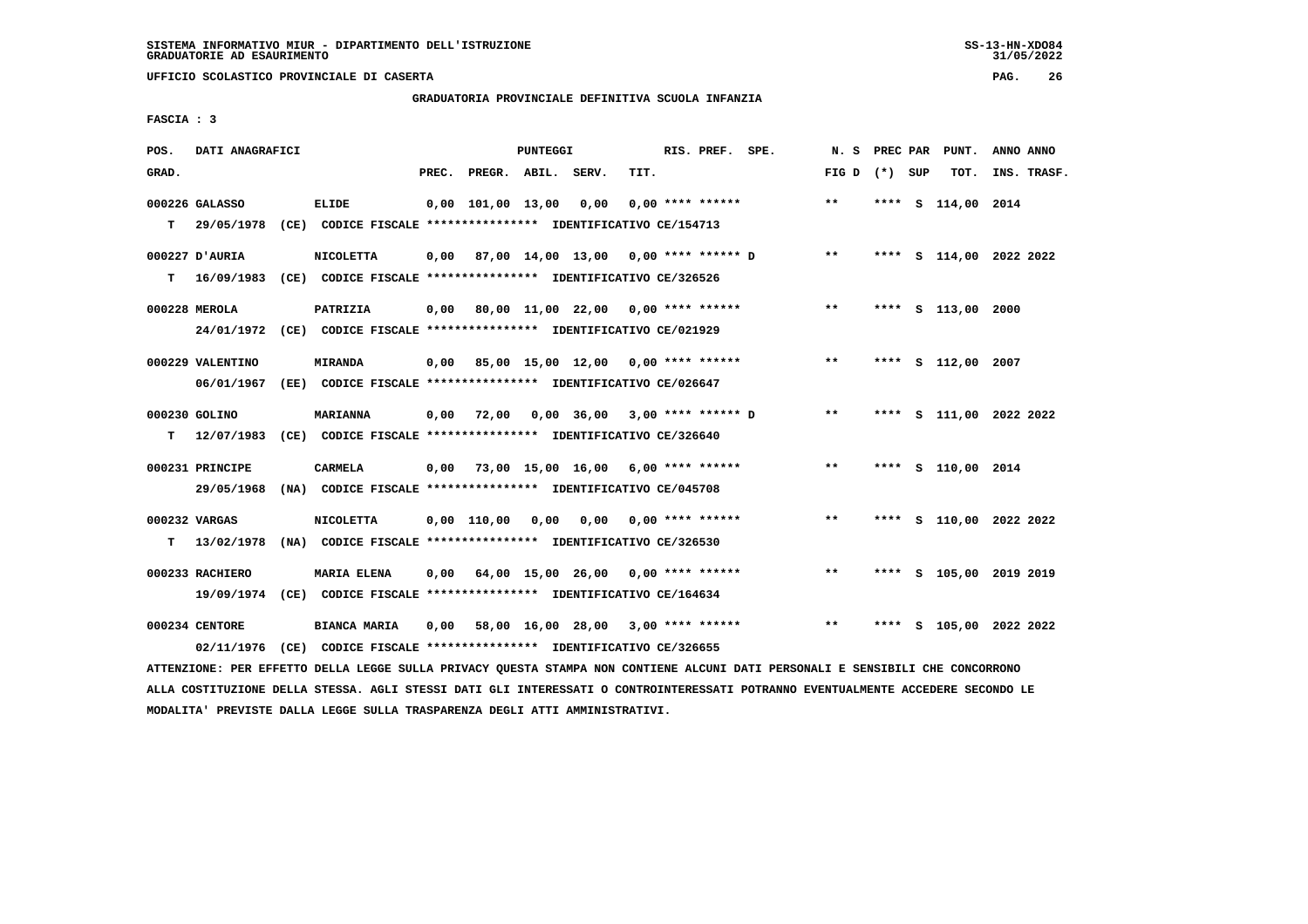# **GRADUATORIA PROVINCIALE DEFINITIVA SCUOLA INFANZIA**

 **FASCIA : 3**

| POS.  | DATI ANAGRAFICI  |                                                                           |       |                    | PUNTEGGI |                                           |      | RIS. PREF. SPE.           |                                           |                 |      | N. S PREC PAR PUNT.     | ANNO ANNO |             |
|-------|------------------|---------------------------------------------------------------------------|-------|--------------------|----------|-------------------------------------------|------|---------------------------|-------------------------------------------|-----------------|------|-------------------------|-----------|-------------|
| GRAD. |                  |                                                                           | PREC. | PREGR. ABIL. SERV. |          |                                           | TIT. |                           |                                           | FIG D $(*)$ SUP |      | TOT.                    |           | INS. TRASF. |
|       | 000226 GALASSO   | <b>ELIDE</b>                                                              |       | 0,00 101,00 13,00  |          | 0,00                                      |      | $0.00$ **** ******        |                                           | $***$           |      | **** S 114,00 2014      |           |             |
|       |                  | T 29/05/1978 (CE) CODICE FISCALE *************** IDENTIFICATIVO CE/154713 |       |                    |          |                                           |      |                           |                                           |                 |      |                         |           |             |
|       | 000227 D'AURIA   | <b>NICOLETTA</b>                                                          | 0,00  |                    |          |                                           |      |                           | 87,00 14,00 13,00 0,00 **** ****** D **   |                 |      | **** S 114,00 2022 2022 |           |             |
| T.    |                  | 16/09/1983 (CE) CODICE FISCALE *************** IDENTIFICATIVO CE/326526   |       |                    |          |                                           |      |                           |                                           |                 |      |                         |           |             |
|       | 000228 MEROLA    | PATRIZIA                                                                  | 0,00  |                    |          |                                           |      |                           | 80,00 11,00 22,00 0,00 **** ******        | $***$           |      | **** S 113,00 2000      |           |             |
|       |                  | 24/01/1972 (CE) CODICE FISCALE *************** IDENTIFICATIVO CE/021929   |       |                    |          |                                           |      |                           |                                           |                 |      |                         |           |             |
|       | 000229 VALENTINO | <b>MIRANDA</b>                                                            |       |                    |          |                                           |      |                           | 0,00 85,00 15,00 12,00 0,00 **** ******   | $* *$           |      | **** S 112,00 2007      |           |             |
|       |                  | 06/01/1967 (EE) CODICE FISCALE *************** IDENTIFICATIVO CE/026647   |       |                    |          |                                           |      |                           |                                           |                 |      |                         |           |             |
|       | 000230 GOLINO    | <b>MARIANNA</b>                                                           | 0,00  |                    |          |                                           |      |                           | 72,00  0,00  36,00  3,00  ****  ******  D | $* *$           |      | **** S 111,00 2022 2022 |           |             |
| т     |                  | 12/07/1983 (CE) CODICE FISCALE *************** IDENTIFICATIVO CE/326640   |       |                    |          |                                           |      |                           |                                           |                 |      |                         |           |             |
|       | 000231 PRINCIPE  | CARMELA                                                                   | 0,00  |                    |          |                                           |      |                           | 73,00 15,00 16,00 6,00 **** ******        | $* *$           |      | **** S 110,00 2014      |           |             |
|       | 29/05/1968       | (NA) CODICE FISCALE **************** IDENTIFICATIVO CE/045708             |       |                    |          |                                           |      |                           |                                           |                 |      |                         |           |             |
|       | 000232 VARGAS    | <b>NICOLETTA</b>                                                          |       | $0.00$ 110.00      | 0,00     |                                           |      | $0,00$ $0,00$ **** ****** |                                           | $***$           |      | **** S 110,00 2022 2022 |           |             |
| т     | 13/02/1978       | (NA) CODICE FISCALE *************** IDENTIFICATIVO CE/326530              |       |                    |          |                                           |      |                           |                                           |                 |      |                         |           |             |
|       | 000233 RACHIERO  | <b>MARIA ELENA</b>                                                        | 0.00  |                    |          | 64,00 15,00 26,00 0,00 **** ******        |      |                           |                                           | $***$           |      | **** S 105,00 2019 2019 |           |             |
|       |                  | 19/09/1974 (CE) CODICE FISCALE *************** IDENTIFICATIVO CE/164634   |       |                    |          |                                           |      |                           |                                           |                 |      |                         |           |             |
|       | 000234 CENTORE   | <b>BIANCA MARIA</b>                                                       |       |                    |          | $0,00$ 58,00 16,00 28,00 3,00 **** ****** |      |                           |                                           | $***$           | **** | S 105,00 2022 2022      |           |             |
|       |                  | 02/11/1976 (CE) CODICE FISCALE *************** IDENTIFICATIVO CE/326655   |       |                    |          |                                           |      |                           |                                           |                 |      |                         |           |             |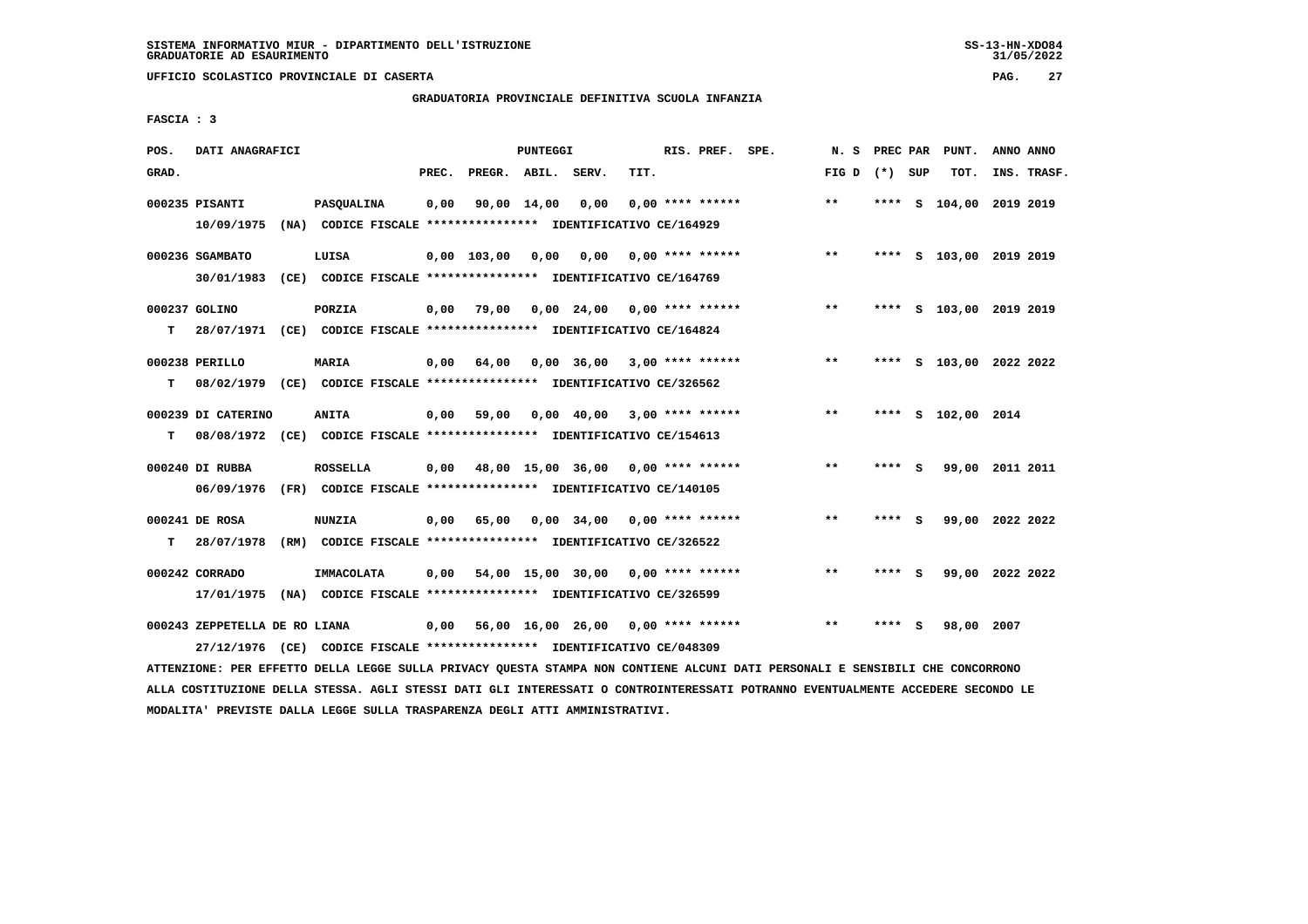# **GRADUATORIA PROVINCIALE DEFINITIVA SCUOLA INFANZIA**

 **FASCIA : 3**

| POS.  | DATI ANAGRAFICI                             |                                                                                         |       |                    | PUNTEGGI |                                           |      | RIS. PREF. SPE.    | N. S  | PREC PAR |          | PUNT.                   | ANNO ANNO |             |
|-------|---------------------------------------------|-----------------------------------------------------------------------------------------|-------|--------------------|----------|-------------------------------------------|------|--------------------|-------|----------|----------|-------------------------|-----------|-------------|
| GRAD. |                                             |                                                                                         | PREC. | PREGR. ABIL. SERV. |          |                                           | TIT. |                    | FIG D | (*) SUP  |          | TOT.                    |           | INS. TRASF. |
|       | 000235 PISANTI<br>10/09/1975                | PASQUALINA<br>(NA) CODICE FISCALE **************** IDENTIFICATIVO CE/164929             | 0,00  | 90,00 14,00        |          | 0,00                                      |      | $0.00$ **** ****** | $* *$ |          |          | **** S 104,00 2019 2019 |           |             |
|       | 000236 SGAMBATO<br>30/01/1983               | LUISA<br>(CE) CODICE FISCALE **************** IDENTIFICATIVO CE/164769                  |       | $0,00$ 103,00      | 0,00     | 0,00                                      |      | $0.00$ **** ****** | $***$ | ****     |          | S 103,00 2019 2019      |           |             |
| т     | 000237 GOLINO                               | PORZIA<br>28/07/1971 (CE) CODICE FISCALE *************** IDENTIFICATIVO CE/164824       | 0,00  | 79,00              |          | $0,00$ 24,00 0,00 **** ******             |      |                    | $***$ | ****     |          | S 103,00 2019 2019      |           |             |
| т     | 000238 PERILLO                              | <b>MARIA</b><br>08/02/1979 (CE) CODICE FISCALE *************** IDENTIFICATIVO CE/326562 | 0,00  | 64,00              |          | $0,00$ 36,00                              |      | $3,00$ **** ****** | $***$ |          |          | **** S 103,00 2022 2022 |           |             |
| т     | 000239 DI CATERINO                          | <b>ANITA</b><br>08/08/1972 (CE) CODICE FISCALE *************** IDENTIFICATIVO CE/154613 | 0,00  | 59,00              |          | 0,00 40,00                                |      | $3,00$ **** ****** | $**$  | ****     |          | S 102,00 2014           |           |             |
|       | 000240 DI RUBBA<br>06/09/1976               | <b>ROSSELLA</b><br>(FR) CODICE FISCALE **************** IDENTIFICATIVO CE/140105        |       |                    |          | $0,00$ 48,00 15,00 36,00 0,00 **** ****** |      |                    | $**$  | **** S   |          | 99,00 2011 2011         |           |             |
| т     | 000241 DE ROSA<br>28/07/1978                | <b>NUNZIA</b><br>(RM) CODICE FISCALE **************** IDENTIFICATIVO CE/326522          | 0,00  | 65,00              |          | 0,00 34,00                                |      | $0.00$ **** ****** | $* *$ | ****     | <b>S</b> | 99,00 2022 2022         |           |             |
|       | 000242 CORRADO<br>17/01/1975                | <b>IMMACOLATA</b><br>(NA) CODICE FISCALE **************** IDENTIFICATIVO CE/326599      | 0,00  |                    |          | 54,00 15,00 30,00                         |      | $0.00$ **** ****** | $**$  | ****     | - 5      | 99,00 2022 2022         |           |             |
|       | 000243 ZEPPETELLA DE RO LIANA<br>27/12/1976 | (CE) CODICE FISCALE **************** IDENTIFICATIVO CE/048309                           | 0,00  |                    |          | 56,00 16,00 26,00 0,00 **** ******        |      |                    | $* *$ | ****     | s        | 98,00                   | 2007      |             |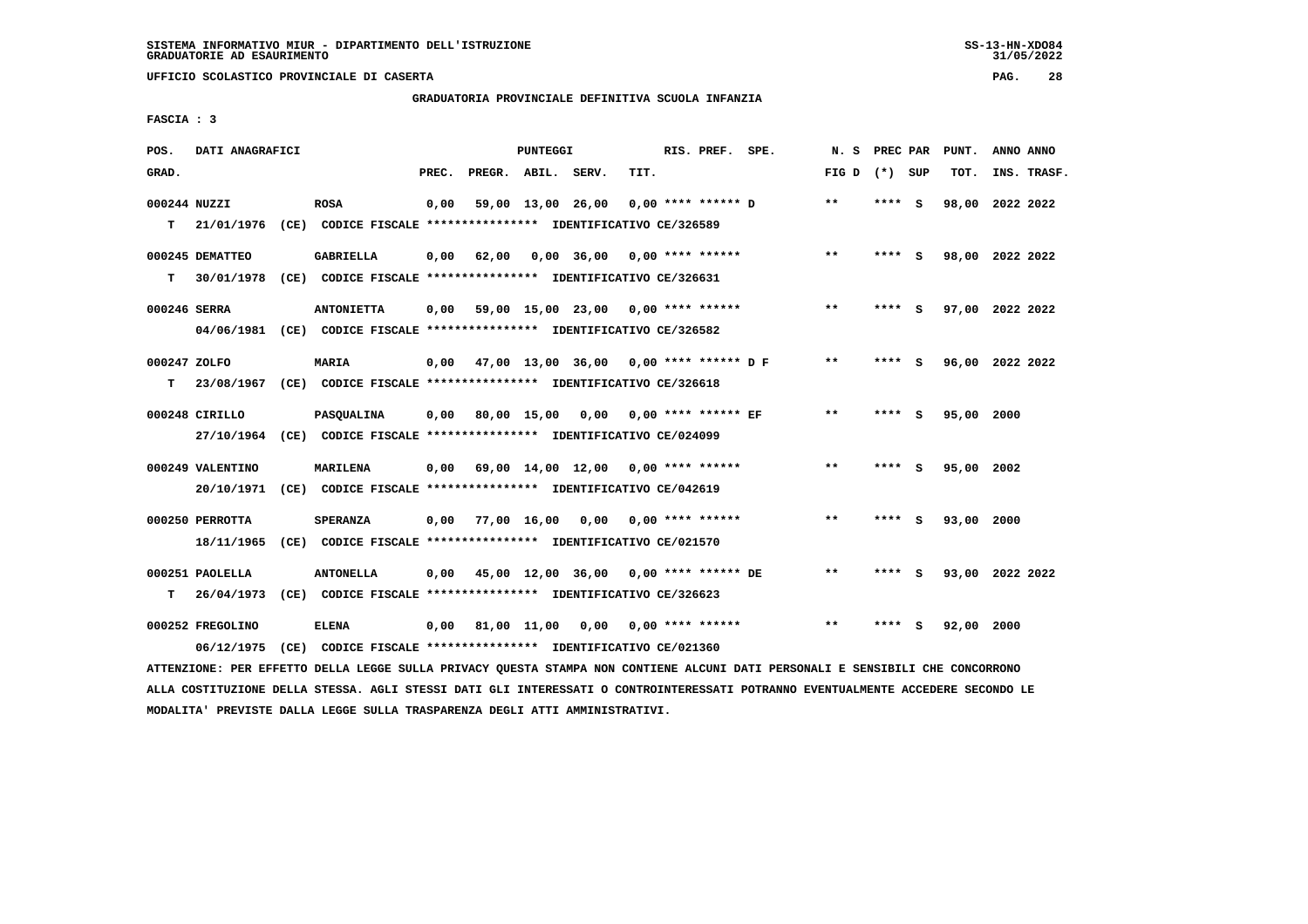# **GRADUATORIA PROVINCIALE DEFINITIVA SCUOLA INFANZIA**

 **FASCIA : 3**

| POS.         | DATI ANAGRAFICI  |                                                               |       |                    | PUNTEGGI          |                                       |      | RIS. PREF. SPE.           | N.S             | PREC PAR |          | PUNT.      | ANNO ANNO       |
|--------------|------------------|---------------------------------------------------------------|-------|--------------------|-------------------|---------------------------------------|------|---------------------------|-----------------|----------|----------|------------|-----------------|
| GRAD.        |                  |                                                               | PREC. | PREGR. ABIL. SERV. |                   |                                       | TIT. |                           | FIG D $(*)$ SUP |          |          | TOT.       | INS. TRASF.     |
|              | 000244 NUZZI     | <b>ROSA</b>                                                   | 0,00  |                    | 59,00 13,00 26,00 |                                       |      | $0.00$ **** ****** D      | $**$            | **** S   |          | 98,00      | 2022 2022       |
| т            | 21/01/1976       | (CE) CODICE FISCALE **************** IDENTIFICATIVO CE/326589 |       |                    |                   |                                       |      |                           |                 |          |          |            |                 |
|              | 000245 DEMATTEO  | <b>GABRIELLA</b>                                              | 0,00  | 62,00              |                   | $0.00$ 36,00 0.00 **** ******         |      |                           | $***$           | **** S   |          |            | 98,00 2022 2022 |
| т            | 30/01/1978       | (CE) CODICE FISCALE **************** IDENTIFICATIVO CE/326631 |       |                    |                   |                                       |      |                           |                 |          |          |            |                 |
|              | 000246 SERRA     | <b>ANTONIETTA</b>                                             | 0.00  |                    |                   | 59,00 15,00 23,00 0,00 **** ******    |      |                           | $* *$           | ****     | - S      |            | 97,00 2022 2022 |
|              | 04/06/1981       | (CE) CODICE FISCALE **************** IDENTIFICATIVO CE/326582 |       |                    |                   |                                       |      |                           |                 |          |          |            |                 |
| 000247 ZOLFO |                  | <b>MARIA</b>                                                  | 0.00  |                    |                   | 47,00 13,00 36,00 0,00 **** ****** DF |      |                           | $* *$           | **** S   |          |            | 96,00 2022 2022 |
| т            | 23/08/1967       | (CE) CODICE FISCALE *************** IDENTIFICATIVO CE/326618  |       |                    |                   |                                       |      |                           |                 |          |          |            |                 |
|              | 000248 CIRILLO   | <b>PASOUALINA</b>                                             | 0.00  |                    |                   | 80,00 15,00 0,00 0,00 **** ****** EF  |      |                           | $* *$           | ****     | <b>S</b> | 95,00 2000 |                 |
|              | 27/10/1964       | (CE) CODICE FISCALE **************** IDENTIFICATIVO CE/024099 |       |                    |                   |                                       |      |                           |                 |          |          |            |                 |
|              | 000249 VALENTINO | <b>MARILENA</b>                                               | 0,00  |                    |                   | 69,00 14,00 12,00 0,00 **** ******    |      |                           | $***$           | ****     | - S      | 95,00 2002 |                 |
|              | 20/10/1971       | (CE) CODICE FISCALE **************** IDENTIFICATIVO CE/042619 |       |                    |                   |                                       |      |                           |                 |          |          |            |                 |
|              | 000250 PERROTTA  | <b>SPERANZA</b>                                               | 0,00  | 77,00 16,00        |                   |                                       |      | $0,00$ $0,00$ **** ****** | **              | ****     | - S      | 93,00 2000 |                 |
|              | 18/11/1965       | (CE) CODICE FISCALE **************** IDENTIFICATIVO CE/021570 |       |                    |                   |                                       |      |                           |                 |          |          |            |                 |
|              | 000251 PAOLELLA  | <b>ANTONELLA</b>                                              | 0,00  |                    |                   | 45,00 12,00 36,00 0,00 **** ****** DE |      |                           | **              | ****     | - 5      |            | 93,00 2022 2022 |
| T.           | 26/04/1973       | (CE) CODICE FISCALE **************** IDENTIFICATIVO CE/326623 |       |                    |                   |                                       |      |                           |                 |          |          |            |                 |
|              | 000252 FREGOLINO | ELENA                                                         | 0,00  |                    | 81,00 11,00       | 0,00                                  |      | $0.00$ **** ******        | $* *$           | ****     | s        | 92,00 2000 |                 |
|              | 06/12/1975       | (CE) CODICE FISCALE **************** IDENTIFICATIVO CE/021360 |       |                    |                   |                                       |      |                           |                 |          |          |            |                 |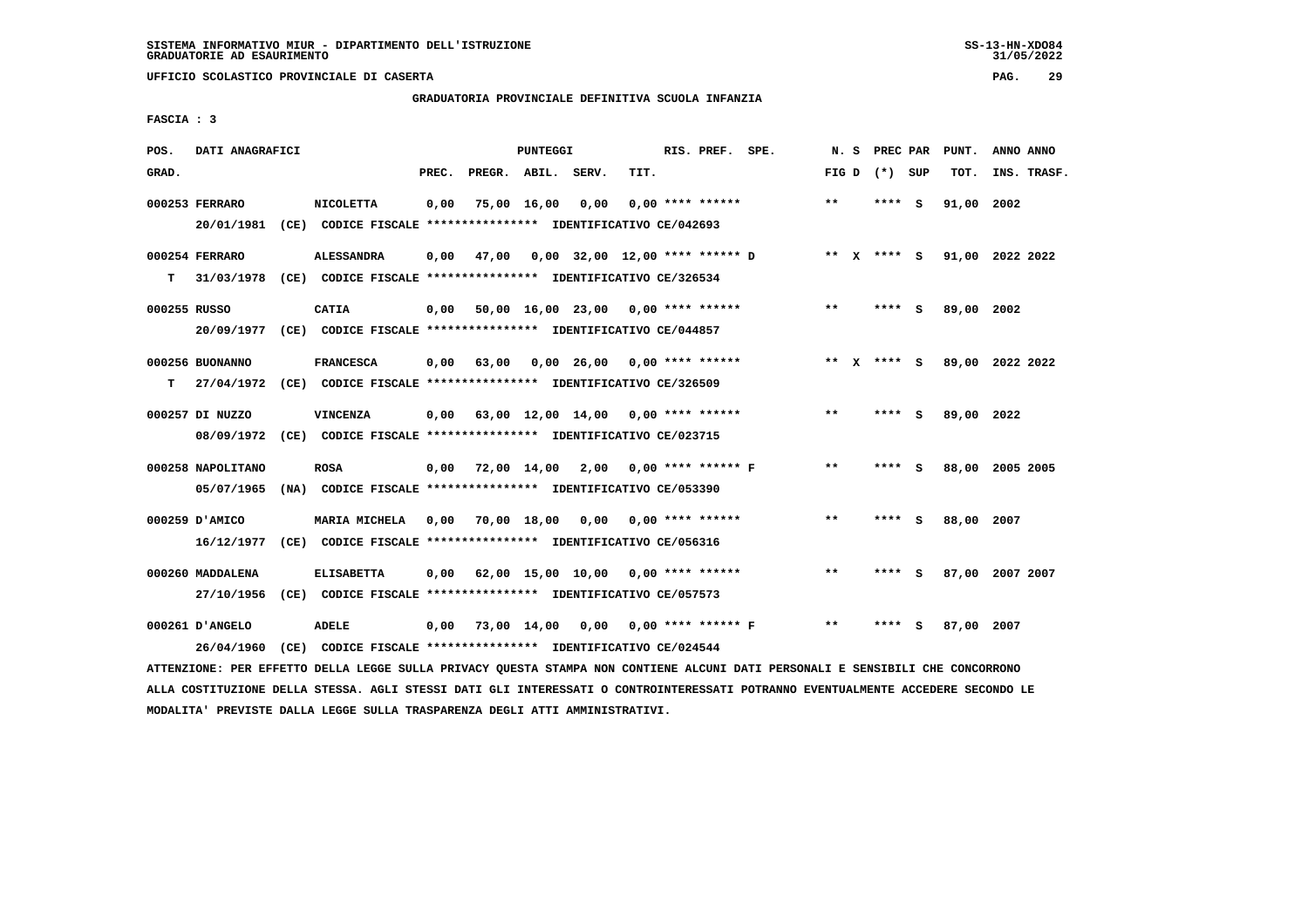**UFFICIO SCOLASTICO PROVINCIALE DI CASERTA PAG. 29**

# **GRADUATORIA PROVINCIALE DEFINITIVA SCUOLA INFANZIA**

 **FASCIA : 3**

| POS.         | DATI ANAGRAFICI   |                                                                         |       |                                     | <b>PUNTEGGI</b> |                                      |      | RIS. PREF. SPE.           |                                | N.S   | PREC PAR    |     | PUNT.           | ANNO ANNO |             |
|--------------|-------------------|-------------------------------------------------------------------------|-------|-------------------------------------|-----------------|--------------------------------------|------|---------------------------|--------------------------------|-------|-------------|-----|-----------------|-----------|-------------|
| GRAD.        |                   |                                                                         | PREC. | PREGR. ABIL. SERV.                  |                 |                                      | TIT. |                           |                                | FIG D | (*) SUP     |     | TOT.            |           | INS. TRASF. |
|              | 000253 FERRARO    | <b>NICOLETTA</b>                                                        | 0,00  |                                     | 75,00 16,00     | 0,00                                 |      | $0.00$ **** ******        |                                | **    | **** S      |     | 91,00           | 2002      |             |
|              |                   | 20/01/1981 (CE) CODICE FISCALE *************** IDENTIFICATIVO CE/042693 |       |                                     |                 |                                      |      |                           |                                |       |             |     |                 |           |             |
|              | 000254 FERRARO    | <b>ALESSANDRA</b>                                                       | 0,00  | 47,00                               |                 |                                      |      |                           | 0,00 32,00 12,00 **** ****** D |       | ** x **** S |     | 91,00 2022 2022 |           |             |
| T.           | 31/03/1978        | (CE) CODICE FISCALE *************** IDENTIFICATIVO CE/326534            |       |                                     |                 |                                      |      |                           |                                |       |             |     |                 |           |             |
| 000255 RUSSO |                   | <b>CATIA</b>                                                            | 0,00  |                                     |                 | $50,00$ 16,00 23,00 0,00 **** ****** |      |                           |                                | $* *$ | **** S      |     | 89,00 2002      |           |             |
|              |                   | 20/09/1977 (CE) CODICE FISCALE *************** IDENTIFICATIVO CE/044857 |       |                                     |                 |                                      |      |                           |                                |       |             |     |                 |           |             |
|              | 000256 BUONANNO   | <b>FRANCESCA</b>                                                        | 0,00  | 63,00                               |                 | $0.00 \t26.00 \t0.00$ **** ******    |      |                           |                                |       | ** x **** s |     | 89,00 2022 2022 |           |             |
| т            |                   | 27/04/1972 (CE) CODICE FISCALE *************** IDENTIFICATIVO CE/326509 |       |                                     |                 |                                      |      |                           |                                |       |             |     |                 |           |             |
|              | 000257 DI NUZZO   | <b>VINCENZA</b>                                                         | 0,00  | 63,00 12,00 14,00 0,00 **** ******  |                 |                                      |      |                           |                                | **    | **** S      |     | 89,00 2022      |           |             |
|              |                   | 08/09/1972 (CE) CODICE FISCALE *************** IDENTIFICATIVO CE/023715 |       |                                     |                 |                                      |      |                           |                                |       |             |     |                 |           |             |
|              | 000258 NAPOLITANO | <b>ROSA</b>                                                             | 0.00  | 72,00 14,00 2,00 0,00 **** ****** F |                 |                                      |      |                           |                                | $**$  | **** S      |     | 88,00 2005 2005 |           |             |
|              | 05/07/1965        | (NA) CODICE FISCALE **************** IDENTIFICATIVO CE/053390           |       |                                     |                 |                                      |      |                           |                                |       |             |     |                 |           |             |
|              | 000259 D'AMICO    | MARIA MICHELA                                                           | 0,00  | 70,00 18,00                         |                 |                                      |      | $0.00$ $0.00$ **** ****** |                                | $* *$ | **** S      |     | 88,00 2007      |           |             |
|              | 16/12/1977        | (CE) CODICE FISCALE **************** IDENTIFICATIVO CE/056316           |       |                                     |                 |                                      |      |                           |                                |       |             |     |                 |           |             |
|              | 000260 MADDALENA  | <b>ELISABETTA</b>                                                       | 0,00  | 62,00 15,00 10,00 0,00 **** ******  |                 |                                      |      |                           |                                | $**$  | **** S      |     | 87,00 2007 2007 |           |             |
|              | 27/10/1956        | (CE) CODICE FISCALE **************** IDENTIFICATIVO CE/057573           |       |                                     |                 |                                      |      |                           |                                |       |             |     |                 |           |             |
|              | 000261 D'ANGELO   | ADELE                                                                   | 0,00  | 73,00 14,00                         |                 | 0,00                                 |      |                           | $0,00$ **** ****** F           | $* *$ | ****        | - S | 87,00 2007      |           |             |
|              | 26/04/1960        | (CE) CODICE FISCALE **************** IDENTIFICATIVO CE/024544           |       |                                     |                 |                                      |      |                           |                                |       |             |     |                 |           |             |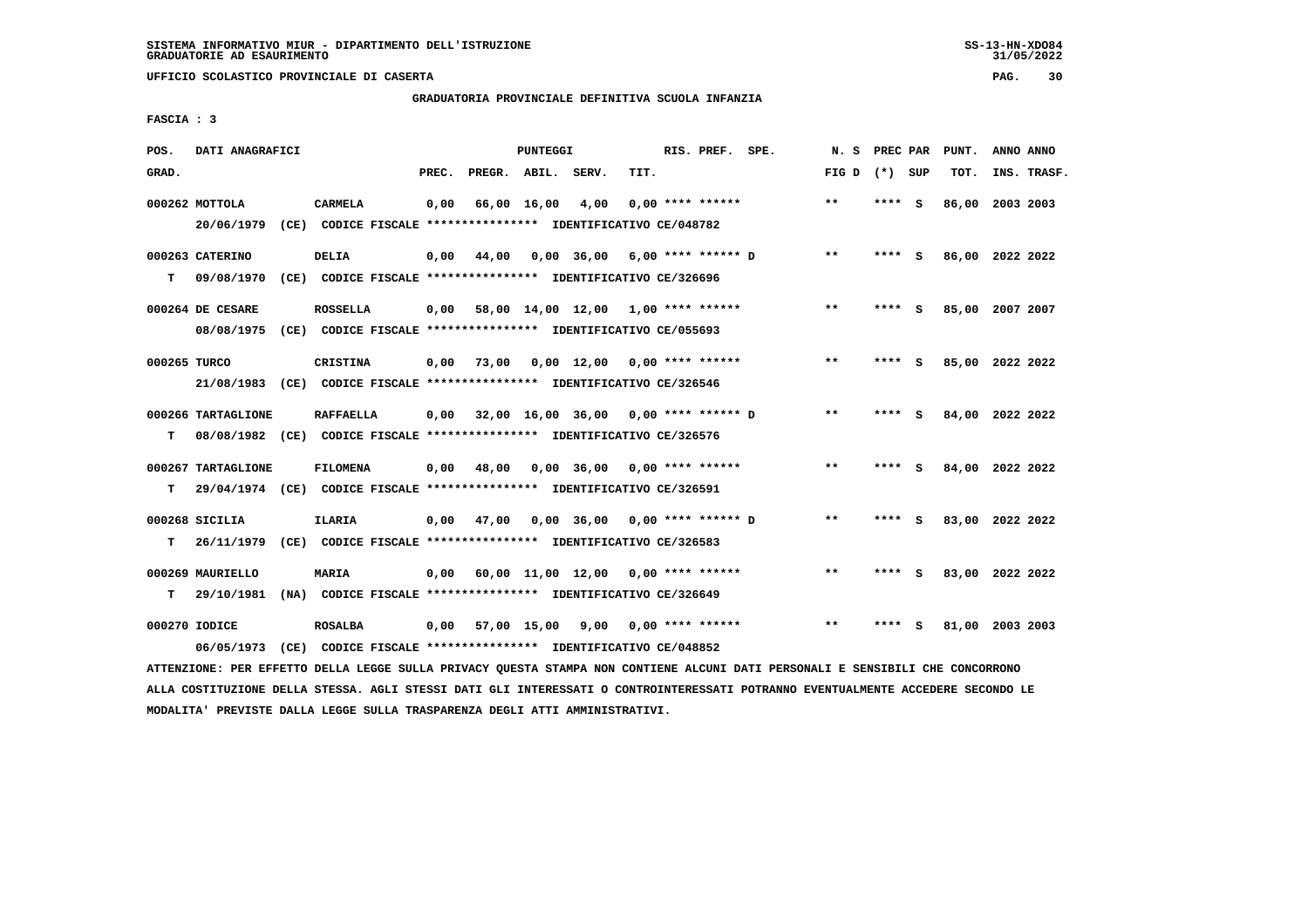# **GRADUATORIA PROVINCIALE DEFINITIVA SCUOLA INFANZIA**

 **FASCIA : 3**

| POS.         | DATI ANAGRAFICI    |                                                                                                                               |       |                    | PUNTEGGI    |                                             |                    | RIS. PREF. SPE. |                      | N. S PREC PAR   |        |   | PUNT.           | ANNO ANNO |             |
|--------------|--------------------|-------------------------------------------------------------------------------------------------------------------------------|-------|--------------------|-------------|---------------------------------------------|--------------------|-----------------|----------------------|-----------------|--------|---|-----------------|-----------|-------------|
| GRAD.        |                    |                                                                                                                               | PREC. | PREGR. ABIL. SERV. |             |                                             | TIT.               |                 |                      | FIG D $(*)$ SUP |        |   | TOT.            |           | INS. TRASF. |
|              | 000262 MOTTOLA     | <b>CARMELA</b>                                                                                                                | 0,00  |                    | 66,00 16,00 | 4,00                                        | $0.00$ **** ****** |                 |                      | $* *$           | **** S |   | 86,00 2003 2003 |           |             |
|              | 20/06/1979         | (CE) CODICE FISCALE **************** IDENTIFICATIVO CE/048782                                                                 |       |                    |             |                                             |                    |                 |                      |                 |        |   |                 |           |             |
|              | 000263 CATERINO    | <b>DELIA</b>                                                                                                                  | 0,00  | 44,00              |             | $0.00$ 36.00 6.00 **** ****** D             |                    |                 |                      | $***$           | **** S |   | 86,00 2022 2022 |           |             |
| T.           | 09/08/1970         | (CE) CODICE FISCALE **************** IDENTIFICATIVO CE/326696                                                                 |       |                    |             |                                             |                    |                 |                      |                 |        |   |                 |           |             |
|              | 000264 DE CESARE   | <b>ROSSELLA</b>                                                                                                               |       |                    |             | $0,00$ 58,00 14,00 12,00 1,00 **** ******   |                    |                 |                      | $* *$           | **** S |   | 85,00 2007 2007 |           |             |
|              |                    | 08/08/1975 (CE) CODICE FISCALE *************** IDENTIFICATIVO CE/055693                                                       |       |                    |             |                                             |                    |                 |                      |                 |        |   |                 |           |             |
| 000265 TURCO |                    | <b>CRISTINA</b>                                                                                                               |       |                    |             | 0,00 73,00 0,00 12,00                       | $0.00$ **** ****** |                 |                      | $***$           | **** S |   | 85,00 2022 2022 |           |             |
|              |                    | 21/08/1983 (CE) CODICE FISCALE *************** IDENTIFICATIVO CE/326546                                                       |       |                    |             |                                             |                    |                 |                      |                 |        |   |                 |           |             |
|              | 000266 TARTAGLIONE | <b>RAFFAELLA</b>                                                                                                              |       |                    |             | $0,00$ 32,00 16,00 36,00 0,00 **** ****** D |                    |                 |                      | $***$           | **** S |   | 84,00 2022 2022 |           |             |
| т            |                    | 08/08/1982 (CE) CODICE FISCALE *************** IDENTIFICATIVO CE/326576                                                       |       |                    |             |                                             |                    |                 |                      |                 |        |   |                 |           |             |
|              | 000267 TARTAGLIONE | <b>FILOMENA</b>                                                                                                               | 0,00  | 48,00              |             | $0.00$ 36.00 $0.00$ **** ******             |                    |                 |                      | $* *$           | **** S |   | 84,00 2022 2022 |           |             |
| т            |                    | 29/04/1974 (CE) CODICE FISCALE *************** IDENTIFICATIVO CE/326591                                                       |       |                    |             |                                             |                    |                 |                      |                 |        |   |                 |           |             |
|              | 000268 SICILIA     | <b>ILARIA</b>                                                                                                                 |       | $0,00$ 47,00       |             | 0,00 36,00                                  |                    |                 | $0.00$ **** ****** D | **              | **** S |   | 83,00 2022 2022 |           |             |
| T.           |                    | 26/11/1979 (CE) CODICE FISCALE *************** IDENTIFICATIVO CE/326583                                                       |       |                    |             |                                             |                    |                 |                      |                 |        |   |                 |           |             |
|              | 000269 MAURIELLO   | MARIA                                                                                                                         |       |                    |             | $0,00$ 60,00 11,00 12,00 0,00 **** ******   |                    |                 |                      | $* *$           | **** S |   | 83,00 2022 2022 |           |             |
| т            | 29/10/1981         | (NA) CODICE FISCALE *************** IDENTIFICATIVO CE/326649                                                                  |       |                    |             |                                             |                    |                 |                      |                 |        |   |                 |           |             |
|              | 000270 IODICE      | <b>ROSALBA</b>                                                                                                                |       |                    |             | 0,00 57,00 15,00 9,00                       | $0.00$ **** ****** |                 |                      | $* *$           | ****   | s | 81,00 2003 2003 |           |             |
|              | 06/05/1973         | (CE) CODICE FISCALE **************** IDENTIFICATIVO CE/048852                                                                 |       |                    |             |                                             |                    |                 |                      |                 |        |   |                 |           |             |
|              |                    | ATTENZIONE: PER EFFETTO DELLA LEGGE SULLA PRIVACY QUESTA STAMPA NON CONTIENE ALCUNI DATI PERSONALI E SENSIBILI CHE CONCORRONO |       |                    |             |                                             |                    |                 |                      |                 |        |   |                 |           |             |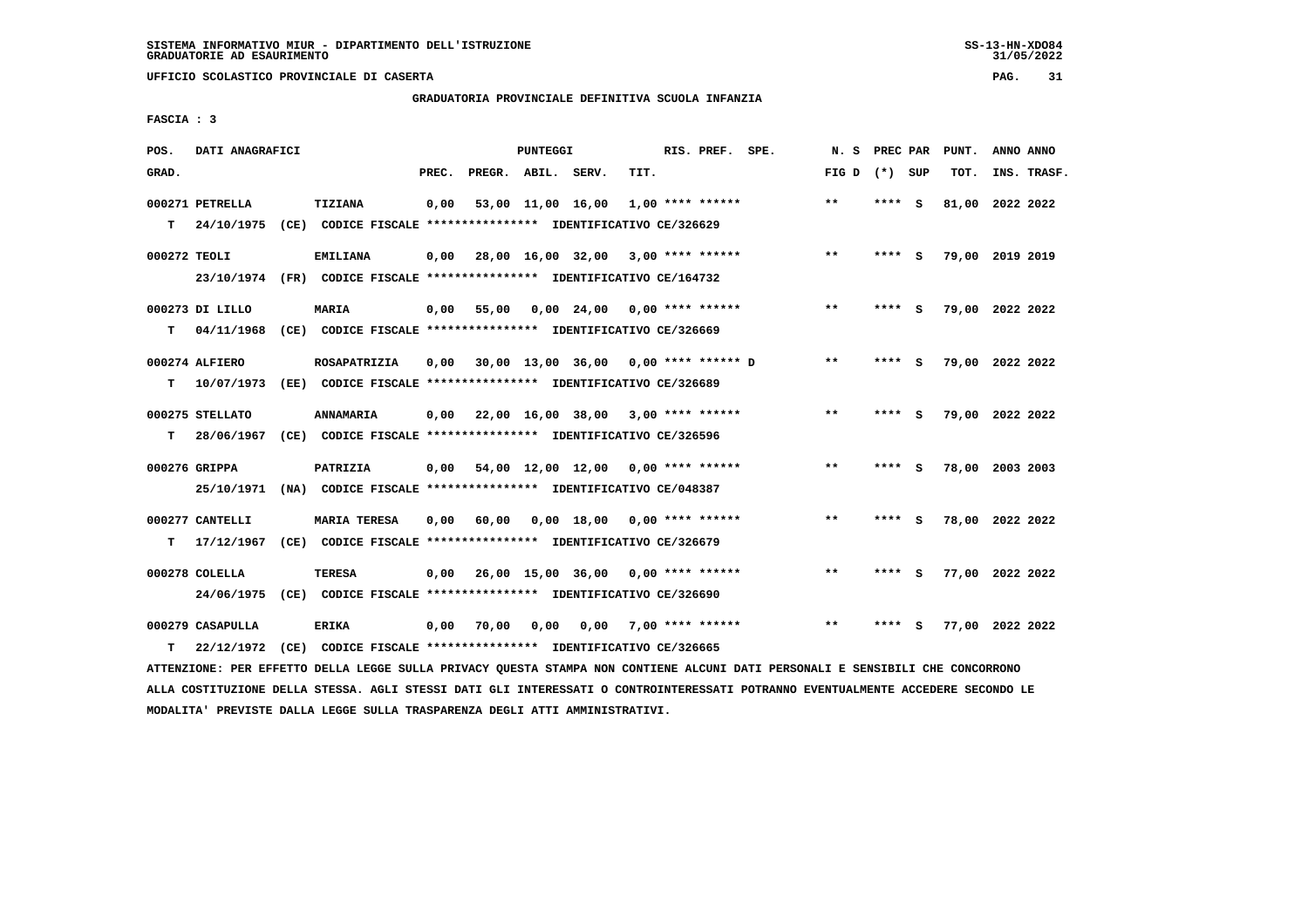# **GRADUATORIA PROVINCIALE DEFINITIVA SCUOLA INFANZIA**

 **FASCIA : 3**

| POS.         | DATI ANAGRAFICI  |                                                                         |       |                    | <b>PUNTEGGI</b> |                                           |      | RIS. PREF. SPE.         | N. S PREC PAR   |        |          | PUNT.           | ANNO ANNO |             |
|--------------|------------------|-------------------------------------------------------------------------|-------|--------------------|-----------------|-------------------------------------------|------|-------------------------|-----------------|--------|----------|-----------------|-----------|-------------|
| GRAD.        |                  |                                                                         | PREC. | PREGR. ABIL. SERV. |                 |                                           | TIT. |                         | FIG D $(*)$ SUP |        |          | TOT.            |           | INS. TRASF. |
|              | 000271 PETRELLA  | TIZIANA                                                                 | 0,00  |                    |                 | 53,00 11,00 16,00                         |      | $1,00$ **** ******      | $***$           | ****   | - S      | 81,00 2022 2022 |           |             |
| т            | 24/10/1975       | (CE) CODICE FISCALE **************** IDENTIFICATIVO CE/326629           |       |                    |                 |                                           |      |                         |                 |        |          |                 |           |             |
| 000272 TEOLI |                  | <b>EMILIANA</b>                                                         | 0,00  |                    |                 | 28,00 16,00 32,00 3,00 **** ******        |      |                         | $***$           | ****   | - S      | 79,00 2019 2019 |           |             |
|              |                  | 23/10/1974 (FR) CODICE FISCALE *************** IDENTIFICATIVO CE/164732 |       |                    |                 |                                           |      |                         |                 |        |          |                 |           |             |
|              | 000273 DI LILLO  | <b>MARIA</b>                                                            | 0,00  | 55,00              |                 | $0.00$ 24.00 0.00 **** ******             |      |                         | $***$           | ****   | - S      | 79,00 2022 2022 |           |             |
| т            |                  | 04/11/1968 (CE) CODICE FISCALE *************** IDENTIFICATIVO CE/326669 |       |                    |                 |                                           |      |                         |                 |        |          |                 |           |             |
|              | 000274 ALFIERO   | ROSAPATRIZIA                                                            | 0,00  |                    |                 | 30,00 13,00 36,00 0,00 **** ****** D      |      |                         | $\star\star$    | **** S |          | 79,00 2022 2022 |           |             |
| т            | 10/07/1973       | (EE) CODICE FISCALE **************** IDENTIFICATIVO CE/326689           |       |                    |                 |                                           |      |                         |                 |        |          |                 |           |             |
|              | 000275 STELLATO  | <b>ANNAMARIA</b>                                                        |       |                    |                 | $0,00$ 22,00 16,00 38,00 3,00 **** ****** |      |                         | $* *$           | ****   | <b>S</b> | 79,00 2022 2022 |           |             |
| т            | 28/06/1967       | (CE) CODICE FISCALE **************** IDENTIFICATIVO CE/326596           |       |                    |                 |                                           |      |                         |                 |        |          |                 |           |             |
|              | 000276 GRIPPA    | PATRIZIA                                                                | 0,00  |                    |                 | 54,00 12,00 12,00 0,00 **** ******        |      |                         | $* *$           | ****   | <b>S</b> | 78,00 2003 2003 |           |             |
|              |                  | 25/10/1971 (NA) CODICE FISCALE *************** IDENTIFICATIVO CE/048387 |       |                    |                 |                                           |      |                         |                 |        |          |                 |           |             |
|              | 000277 CANTELLI  | <b>MARIA TERESA</b>                                                     | 0,00  | 60,00              |                 | $0,00$ 18,00 0,00 **** ******             |      |                         | $***$           | ****   | - 5      | 78,00 2022 2022 |           |             |
| т            | 17/12/1967       | (CE) CODICE FISCALE **************** IDENTIFICATIVO CE/326679           |       |                    |                 |                                           |      |                         |                 |        |          |                 |           |             |
|              | 000278 COLELLA   | <b>TERESA</b>                                                           | 0.00  |                    |                 | 26,00 15,00 36,00 0,00 **** ******        |      |                         | $**$            | ****   | - S      | 77,00 2022 2022 |           |             |
|              | 24/06/1975       | (CE) CODICE FISCALE *************** IDENTIFICATIVO CE/326690            |       |                    |                 |                                           |      |                         |                 |        |          |                 |           |             |
|              | 000279 CASAPULLA | <b>ERIKA</b>                                                            | 0,00  | 70,00              | 0,00            |                                           |      | $0.00$ 7.00 **** ****** | $**$            |        | s        | 77,00 2022 2022 |           |             |
| т            | 22/12/1972       | (CE) CODICE FISCALE **************** IDENTIFICATIVO CE/326665           |       |                    |                 |                                           |      |                         |                 |        |          |                 |           |             |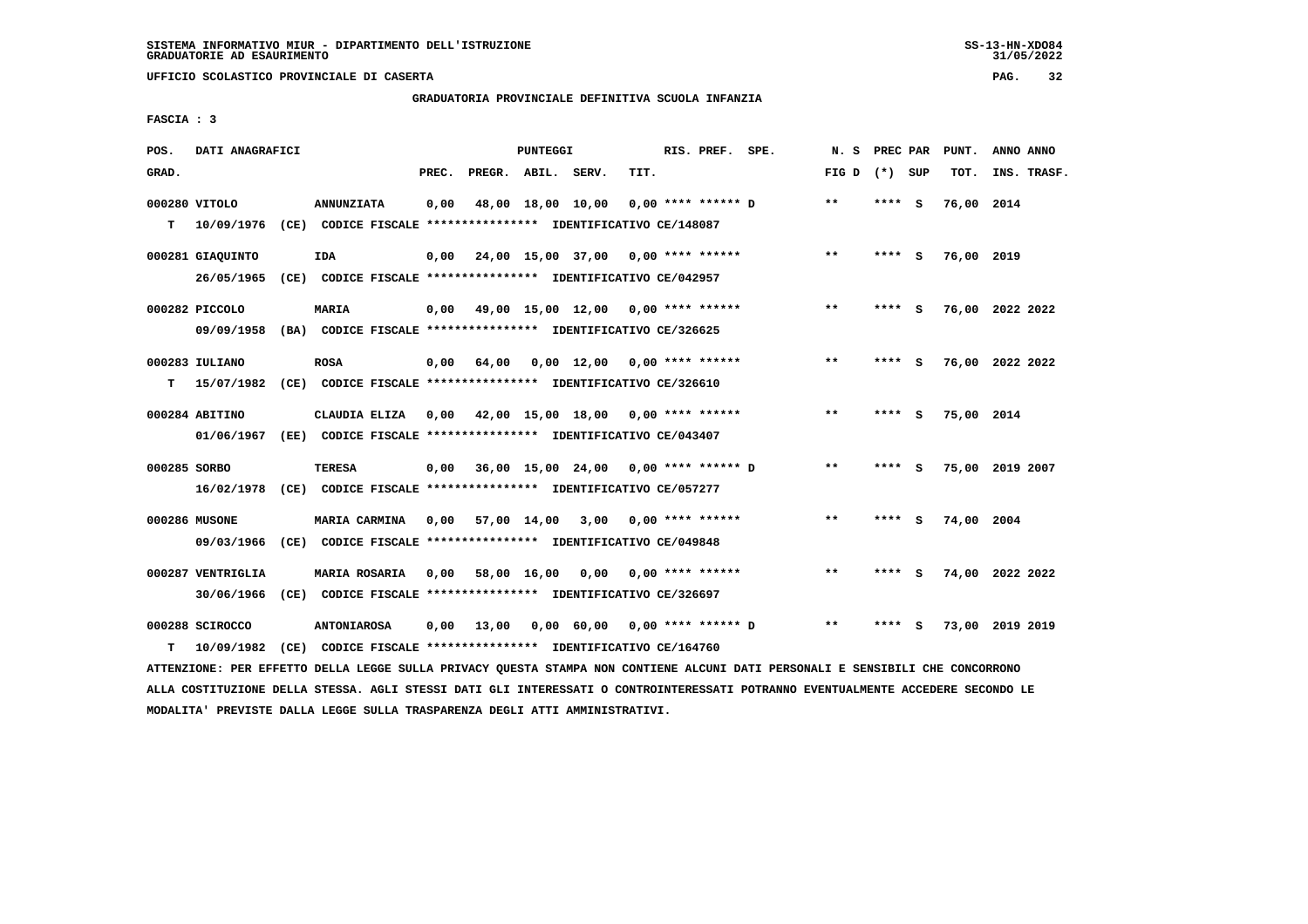**UFFICIO SCOLASTICO PROVINCIALE DI CASERTA PAG. 32**

# **GRADUATORIA PROVINCIALE DEFINITIVA SCUOLA INFANZIA**

 **FASCIA : 3**

| POS.         | DATI ANAGRAFICI   |                                                                                                                               |       |                    | PUNTEGGI |                                             |      | RIS. PREF. SPE. |                                        |                 |         | N. S PREC PAR PUNT. | ANNO ANNO       |
|--------------|-------------------|-------------------------------------------------------------------------------------------------------------------------------|-------|--------------------|----------|---------------------------------------------|------|-----------------|----------------------------------------|-----------------|---------|---------------------|-----------------|
| GRAD.        |                   |                                                                                                                               | PREC. | PREGR. ABIL. SERV. |          |                                             | TIT. |                 |                                        | FIG D $(*)$ SUP |         | TOT.                | INS. TRASF.     |
|              | 000280 VITOLO     | <b>ANNUNZIATA</b>                                                                                                             | 0,00  |                    |          | 48,00 18,00 10,00                           |      |                 | $0.00$ **** ****** D                   | $***$           | $***$ S | 76,00 2014          |                 |
|              | T 10/09/1976      | (CE) CODICE FISCALE **************** IDENTIFICATIVO CE/148087                                                                 |       |                    |          |                                             |      |                 |                                        |                 |         |                     |                 |
|              | 000281 GIAOUINTO  | <b>IDA</b>                                                                                                                    | 0.00  |                    |          | 24,00 15,00 37,00 0,00 **** ******          |      |                 |                                        | $**$            | **** S  | 76,00 2019          |                 |
|              |                   | 26/05/1965 (CE) CODICE FISCALE *************** IDENTIFICATIVO CE/042957                                                       |       |                    |          |                                             |      |                 |                                        |                 |         |                     |                 |
|              | 000282 PICCOLO    | MARIA                                                                                                                         | 0,00  |                    |          | 49,00 15,00 12,00 0,00 **** ******          |      |                 |                                        | $***$           | **** S  |                     | 76,00 2022 2022 |
|              | 09/09/1958        | (BA) CODICE FISCALE *************** IDENTIFICATIVO CE/326625                                                                  |       |                    |          |                                             |      |                 |                                        |                 |         |                     |                 |
|              | 000283 IULIANO    | <b>ROSA</b>                                                                                                                   | 0,00  |                    |          | 64,00  0,00  12,00  0,00  ****  ******      |      |                 |                                        | $* *$           | **** S  |                     | 76,00 2022 2022 |
|              |                   | T 15/07/1982 (CE) CODICE FISCALE **************** IDENTIFICATIVO CE/326610                                                    |       |                    |          |                                             |      |                 |                                        |                 |         |                     |                 |
|              | 000284 ABITINO    | CLAUDIA ELIZA 0,00 42,00 15,00 18,00 0,00 **** ******                                                                         |       |                    |          |                                             |      |                 |                                        | $* *$           | **** S  | 75,00 2014          |                 |
|              |                   | 01/06/1967 (EE) CODICE FISCALE *************** IDENTIFICATIVO CE/043407                                                       |       |                    |          |                                             |      |                 |                                        |                 |         |                     |                 |
| 000285 SORBO |                   | TERESA                                                                                                                        |       |                    |          | $0,00$ 36,00 15,00 24,00 0,00 **** ****** D |      |                 |                                        | $***$           | **** S  |                     | 75,00 2019 2007 |
|              |                   | 16/02/1978 (CE) CODICE FISCALE *************** IDENTIFICATIVO CE/057277                                                       |       |                    |          |                                             |      |                 |                                        |                 |         |                     |                 |
|              | 000286 MUSONE     | <b>MARIA CARMINA</b>                                                                                                          |       |                    |          | $0,00$ 57,00 14,00 3,00 0,00 **** ******    |      |                 |                                        | $***$           | **** S  | 74,00 2004          |                 |
|              |                   | 09/03/1966 (CE) CODICE FISCALE *************** IDENTIFICATIVO CE/049848                                                       |       |                    |          |                                             |      |                 |                                        |                 |         |                     |                 |
|              | 000287 VENTRIGLIA | MARIA ROSARIA 0,00 58,00 16,00 0,00 0,00 **** ******                                                                          |       |                    |          |                                             |      |                 |                                        | $***$           | **** S  |                     | 74,00 2022 2022 |
|              | 30/06/1966        | (CE) CODICE FISCALE *************** IDENTIFICATIVO CE/326697                                                                  |       |                    |          |                                             |      |                 |                                        |                 |         |                     |                 |
|              | 000288 SCIROCCO   | <b>ANTONIAROSA</b>                                                                                                            | 0,00  |                    |          |                                             |      |                 | 13,00 0,00 60,00 0,00 **** ****** D ** |                 | **** S  |                     | 73,00 2019 2019 |
| т            | 10/09/1982        | (CE) CODICE FISCALE **************** IDENTIFICATIVO CE/164760                                                                 |       |                    |          |                                             |      |                 |                                        |                 |         |                     |                 |
|              |                   | ATTENZIONE: PER EFFETTO DELLA LEGGE SULLA PRIVACY QUESTA STAMPA NON CONTIENE ALCUNI DATI PERSONALI E SENSIBILI CHE CONCORRONO |       |                    |          |                                             |      |                 |                                        |                 |         |                     |                 |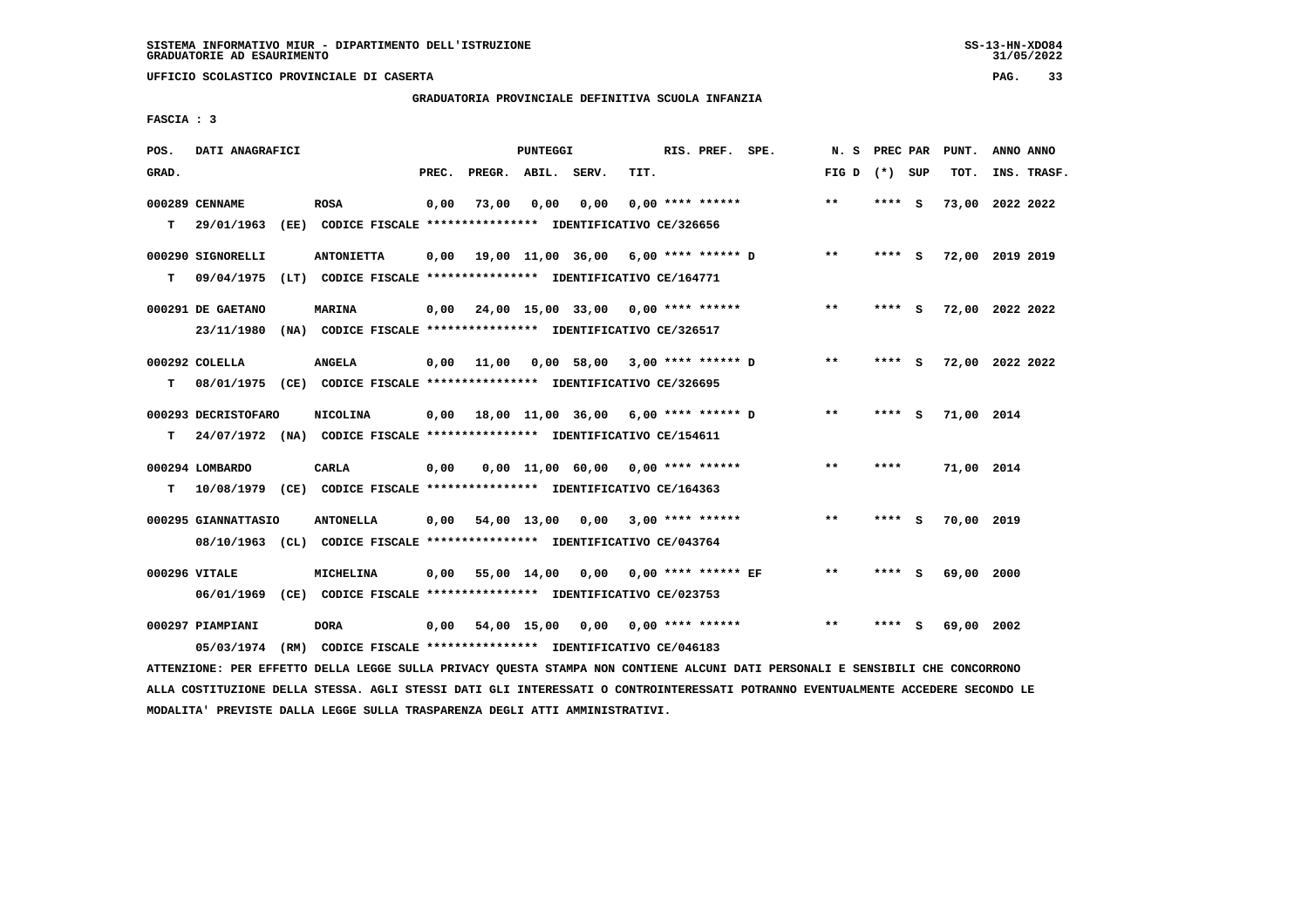#### **GRADUATORIA PROVINCIALE DEFINITIVA SCUOLA INFANZIA**

 **FASCIA : 3**

| POS.  | DATI ANAGRAFICI     |                                                                          |       |                    | PUNTEGGI         |                                            |      | RIS. PREF. SPE.     |                                             | N. S PREC PAR   |         |          | PUNT.           | ANNO ANNO   |  |
|-------|---------------------|--------------------------------------------------------------------------|-------|--------------------|------------------|--------------------------------------------|------|---------------------|---------------------------------------------|-----------------|---------|----------|-----------------|-------------|--|
| GRAD. |                     |                                                                          | PREC. | PREGR. ABIL. SERV. |                  |                                            | TIT. |                     |                                             | FIG D $(*)$ SUP |         |          | TOT.            | INS. TRASF. |  |
|       | 000289 CENNAME      | <b>ROSA</b>                                                              | 0,00  | 73,00              | 0.00             | 0,00                                       |      | $0.00$ **** ******  |                                             | $* *$           | $***$ S |          | 73,00 2022 2022 |             |  |
| т     |                     | 29/01/1963 (EE) CODICE FISCALE *************** IDENTIFICATIVO CE/326656  |       |                    |                  |                                            |      |                     |                                             |                 |         |          |                 |             |  |
|       | 000290 SIGNORELLI   | <b>ANTONIETTA</b>                                                        | 0.00  |                    |                  | 19,00 11,00 36,00 6,00 **** ****** D       |      |                     |                                             | $* *$           | $***$ S |          | 72,00 2019 2019 |             |  |
| т     |                     | 09/04/1975 (LT) CODICE FISCALE *************** IDENTIFICATIVO CE/164771  |       |                    |                  |                                            |      |                     |                                             |                 |         |          |                 |             |  |
|       | 000291 DE GAETANO   | <b>MARINA</b>                                                            |       |                    |                  | $0,00$ 24,00 15,00 33,00 0,00 **** ******  |      |                     |                                             | $***$           | **** S  |          | 72,00 2022 2022 |             |  |
|       |                     | 23/11/1980 (NA) CODICE FISCALE *************** IDENTIFICATIVO CE/326517  |       |                    |                  |                                            |      |                     |                                             |                 |         |          |                 |             |  |
|       | 000292 COLELLA      | <b>ANGELA</b>                                                            |       |                    |                  | $0,00$ 11,00 0,00 58,00 3,00 **** ****** D |      |                     |                                             | $* *$           | **** S  |          | 72,00 2022 2022 |             |  |
| т     |                     | 08/01/1975 (CE) CODICE FISCALE *************** IDENTIFICATIVO CE/326695  |       |                    |                  |                                            |      |                     |                                             |                 |         |          |                 |             |  |
|       | 000293 DECRISTOFARO | <b>NICOLINA</b>                                                          |       |                    |                  |                                            |      |                     | $0,00$ 18,00 11,00 36,00 6,00 **** ****** D | $* *$           | $***$ S |          | 71,00 2014      |             |  |
| т     |                     | 24/07/1972 (NA) CODICE FISCALE **************** IDENTIFICATIVO CE/154611 |       |                    |                  |                                            |      |                     |                                             |                 |         |          |                 |             |  |
|       | 000294 LOMBARDO     | <b>CARLA</b>                                                             | 0,00  |                    |                  | $0.00$ 11,00 60.00 0.00 **** ******        |      |                     |                                             | $***$           | ****    |          | 71,00 2014      |             |  |
| т     |                     | 10/08/1979 (CE) CODICE FISCALE **************** IDENTIFICATIVO CE/164363 |       |                    |                  |                                            |      |                     |                                             |                 |         |          |                 |             |  |
|       | 000295 GIANNATTASIO | <b>ANTONELLA</b>                                                         | 0,00  | 54,00 13,00        |                  | 0,00                                       |      | $3,00$ **** ******  |                                             | $* *$           | ****    | <b>S</b> | 70,00 2019      |             |  |
|       |                     | 08/10/1963 (CL) CODICE FISCALE *************** IDENTIFICATIVO CE/043764  |       |                    |                  |                                            |      |                     |                                             |                 |         |          |                 |             |  |
|       | 000296 VITALE       | MICHELINA                                                                | 0,00  | 55,00 14,00        |                  | 0,00                                       |      | 0,00 **** ****** EF |                                             | $* *$           | **** S  |          | 69,00 2000      |             |  |
|       |                     | 06/01/1969 (CE) CODICE FISCALE *************** IDENTIFICATIVO CE/023753  |       |                    |                  |                                            |      |                     |                                             |                 |         |          |                 |             |  |
|       | 000297 PIAMPIANI    | <b>DORA</b>                                                              | 0.00  |                    | 54,00 15,00 0,00 |                                            |      | $0.00$ **** ******  |                                             | $**$            | ****    | - S      | 69,00 2002      |             |  |
|       |                     | 05/03/1974 (RM) CODICE FISCALE *************** IDENTIFICATIVO CE/046183  |       |                    |                  |                                            |      |                     |                                             |                 |         |          |                 |             |  |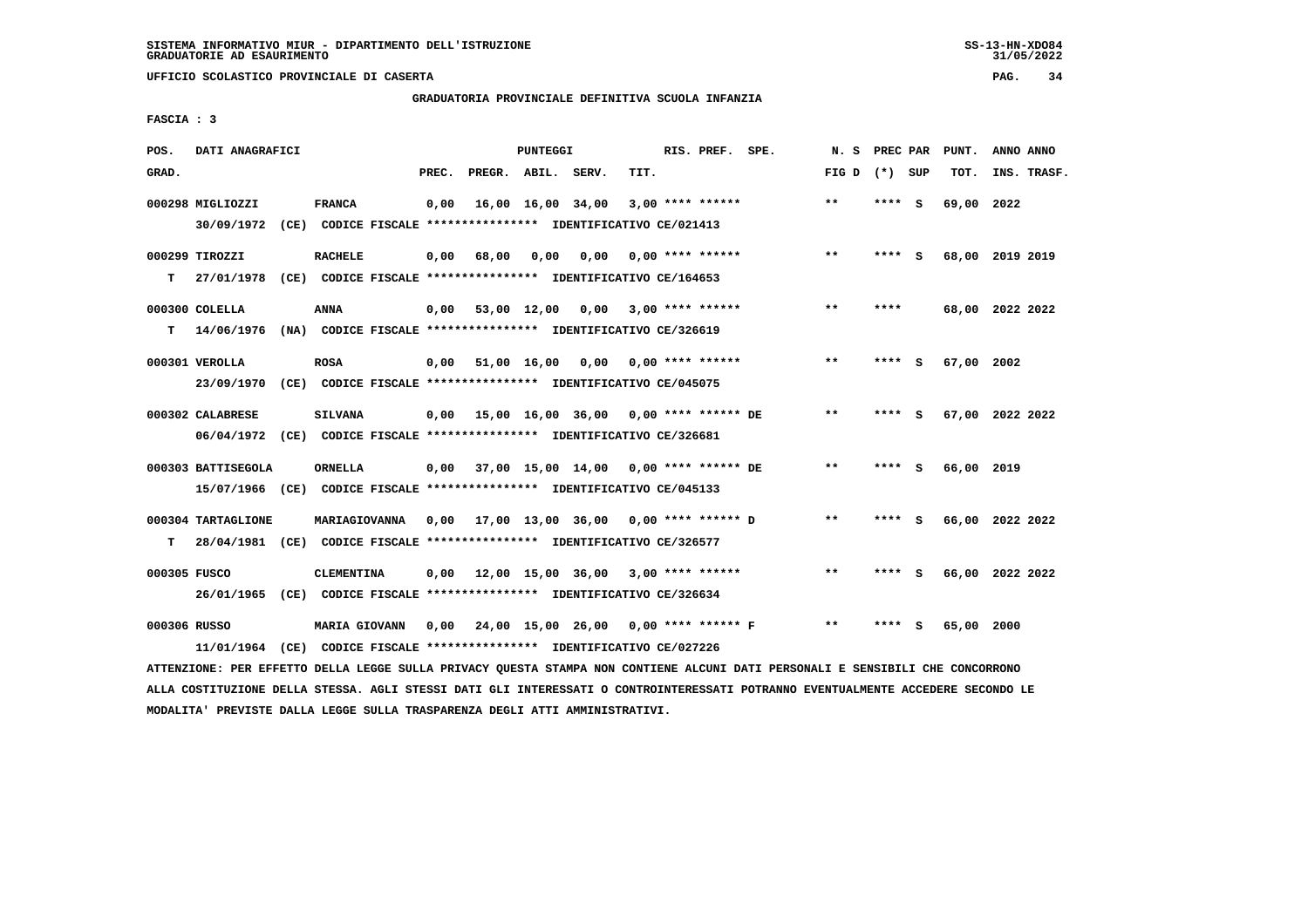**UFFICIO SCOLASTICO PROVINCIALE DI CASERTA PAG. 34**

# **GRADUATORIA PROVINCIALE DEFINITIVA SCUOLA INFANZIA**

 **FASCIA : 3**

| POS.         | DATI ANAGRAFICI                                                                                                               |                      |       |                    | PUNTEGGI |                                             |      | RIS. PREF. SPE.           |                                           |                 |        |     | N. S PREC PAR PUNT. | ANNO ANNO |             |
|--------------|-------------------------------------------------------------------------------------------------------------------------------|----------------------|-------|--------------------|----------|---------------------------------------------|------|---------------------------|-------------------------------------------|-----------------|--------|-----|---------------------|-----------|-------------|
| GRAD.        |                                                                                                                               |                      | PREC. |                    |          | PREGR. ABIL. SERV.                          | TIT. |                           |                                           | FIG D $(*)$ SUP |        |     | TOT.                |           | INS. TRASF. |
|              | 000298 MIGLIOZZI                                                                                                              | <b>FRANCA</b>        | 0,00  |                    |          | 16,00 16,00 34,00                           |      | $3,00$ **** ******        |                                           | $***$           | **** S |     | 69,00 2022          |           |             |
|              | 30/09/1972 (CE) CODICE FISCALE *************** IDENTIFICATIVO CE/021413                                                       |                      |       |                    |          |                                             |      |                           |                                           |                 |        |     |                     |           |             |
|              | 000299 TIROZZI                                                                                                                | <b>RACHELE</b>       |       | $0,00$ 68,00       | 0,00     |                                             |      | $0,00$ $0,00$ **** ****** |                                           | $* *$           | ****   | - S | 68,00 2019 2019     |           |             |
| т            | 27/01/1978 (CE) CODICE FISCALE *************** IDENTIFICATIVO CE/164653                                                       |                      |       |                    |          |                                             |      |                           |                                           |                 |        |     |                     |           |             |
|              | 000300 COLELLA                                                                                                                | ANNA                 |       | $0,00$ 53,00 12,00 |          | $0,00$ 3,00 **** ******                     |      |                           |                                           | $* *$           | ****   |     | 68,00 2022 2022     |           |             |
| T.           | 14/06/1976 (NA) CODICE FISCALE *************** IDENTIFICATIVO CE/326619                                                       |                      |       |                    |          |                                             |      |                           |                                           |                 |        |     |                     |           |             |
|              | 000301 VEROLLA                                                                                                                | <b>ROSA</b>          |       |                    |          | $0,00$ 51,00 16,00 0,00 0,00 **** ******    |      |                           |                                           | **              | **** S |     | 67,00 2002          |           |             |
|              | 23/09/1970 (CE) CODICE FISCALE *************** IDENTIFICATIVO CE/045075                                                       |                      |       |                    |          |                                             |      |                           |                                           |                 |        |     |                     |           |             |
|              | 000302 CALABRESE                                                                                                              | <b>SILVANA</b>       |       |                    |          |                                             |      |                           |                                           | $* *$           | **** S |     | 67,00 2022 2022     |           |             |
|              | 06/04/1972 (CE) CODICE FISCALE *************** IDENTIFICATIVO CE/326681                                                       |                      |       |                    |          |                                             |      |                           |                                           |                 |        |     |                     |           |             |
|              | 000303 BATTISEGOLA                                                                                                            | ORNELLA              |       |                    |          | 0,00 37,00 15,00 14,00 0,00 **** ****** DE  |      |                           |                                           | $***$           | **** S |     | 66,00 2019          |           |             |
|              | 15/07/1966 (CE) CODICE FISCALE *************** IDENTIFICATIVO CE/045133                                                       |                      |       |                    |          |                                             |      |                           |                                           |                 |        |     |                     |           |             |
|              | 000304 TARTAGLIONE                                                                                                            | MARIAGIOVANNA        |       |                    |          | $0,00$ 17,00 13,00 36,00 0,00 **** ****** D |      |                           |                                           | $***$           | **** S |     | 66,00 2022 2022     |           |             |
| т            | 28/04/1981 (CE) CODICE FISCALE **************** IDENTIFICATIVO CE/326577                                                      |                      |       |                    |          |                                             |      |                           |                                           |                 |        |     |                     |           |             |
| 000305 FUSCO |                                                                                                                               | <b>CLEMENTINA</b>    |       |                    |          | $0,00$ 12,00 15,00 36,00 3,00 **** ******   |      |                           |                                           | $***$           | **** S |     | 66,00 2022 2022     |           |             |
|              | 26/01/1965 (CE) CODICE FISCALE *************** IDENTIFICATIVO CE/326634                                                       |                      |       |                    |          |                                             |      |                           |                                           |                 |        |     |                     |           |             |
| 000306 RUSSO |                                                                                                                               | <b>MARIA GIOVANN</b> |       |                    |          |                                             |      |                           | 0,00 24,00 15,00 26,00 0,00 **** ****** F | $* *$           | **** S |     | 65,00 2000          |           |             |
|              | 11/01/1964 (CE) CODICE FISCALE *************** IDENTIFICATIVO CE/027226                                                       |                      |       |                    |          |                                             |      |                           |                                           |                 |        |     |                     |           |             |
|              | ATTENZIONE: PER EFFETTO DELLA LEGGE SULLA PRIVACY QUESTA STAMPA NON CONTIENE ALCUNI DATI PERSONALI E SENSIBILI CHE CONCORRONO |                      |       |                    |          |                                             |      |                           |                                           |                 |        |     |                     |           |             |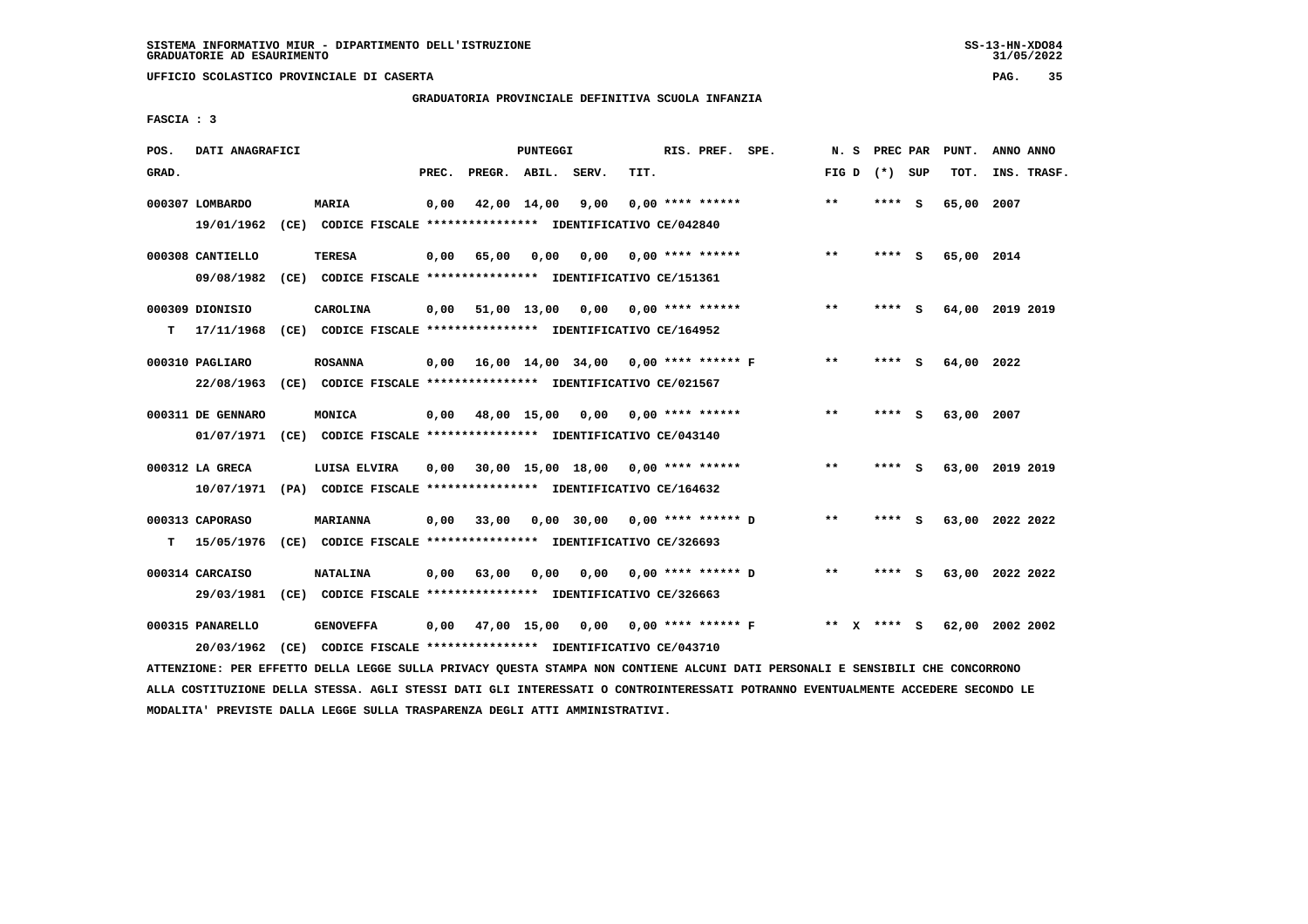**UFFICIO SCOLASTICO PROVINCIALE DI CASERTA PAG. 35**

# **GRADUATORIA PROVINCIALE DEFINITIVA SCUOLA INFANZIA**

 **FASCIA : 3**

| POS.  | DATI ANAGRAFICI   |                                                                                                                               |       |                       | PUNTEGGI    |      |      | RIS. PREF. SPE.                           |                                     |                 | N. S PREC PAR | PUNT.      | ANNO ANNO       |
|-------|-------------------|-------------------------------------------------------------------------------------------------------------------------------|-------|-----------------------|-------------|------|------|-------------------------------------------|-------------------------------------|-----------------|---------------|------------|-----------------|
| GRAD. |                   |                                                                                                                               | PREC. | PREGR. ABIL. SERV.    |             |      | TIT. |                                           |                                     | FIG D $(*)$ SUP |               | TOT.       | INS. TRASF.     |
|       | 000307 LOMBARDO   | MARIA                                                                                                                         | 0,00  |                       | 42,00 14,00 | 9,00 |      | $0,00$ **** ******                        |                                     | $***$           | **** S        | 65,00 2007 |                 |
|       | 19/01/1962        | (CE) CODICE FISCALE **************** IDENTIFICATIVO CE/042840                                                                 |       |                       |             |      |      |                                           |                                     |                 |               |            |                 |
|       | 000308 CANTIELLO  | <b>TERESA</b>                                                                                                                 | 0,00  | 65,00                 | 0,00        |      |      | $0,00$ $0,00$ **** ******                 |                                     | $**$            | **** S        | 65,00 2014 |                 |
|       | 09/08/1982        | (CE) CODICE FISCALE **************** IDENTIFICATIVO CE/151361                                                                 |       |                       |             |      |      |                                           |                                     |                 |               |            |                 |
|       | 000309 DIONISIO   | CAROLINA                                                                                                                      |       |                       |             |      |      | $0,00$ 51,00 13,00 0,00 0,00 **** ******  |                                     | $***$           | **** S        |            | 64,00 2019 2019 |
| т     | 17/11/1968        | (CE) CODICE FISCALE *************** IDENTIFICATIVO CE/164952                                                                  |       |                       |             |      |      |                                           |                                     |                 |               |            |                 |
|       | 000310 PAGLIARO   | <b>ROSANNA</b>                                                                                                                |       |                       |             |      |      | 0,00 16,00 14,00 34,00 0,00 **** ****** F |                                     | $* *$           | **** S        | 64,00 2022 |                 |
|       | 22/08/1963        | (CE) CODICE FISCALE **************** IDENTIFICATIVO CE/021567                                                                 |       |                       |             |      |      |                                           |                                     |                 |               |            |                 |
|       | 000311 DE GENNARO | MONICA                                                                                                                        |       |                       |             |      |      | $0,00$ 48,00 15,00 0,00 0,00 **** ******  |                                     | $***$           | **** S        | 63,00 2007 |                 |
|       |                   | 01/07/1971 (CE) CODICE FISCALE *************** IDENTIFICATIVO CE/043140                                                       |       |                       |             |      |      |                                           |                                     |                 |               |            |                 |
|       | 000312 LA GRECA   | LUISA ELVIRA                                                                                                                  | 0.00  |                       |             |      |      | 30,00 15,00 18,00 0,00 **** ******        |                                     | $* *$           | **** S        |            | 63,00 2019 2019 |
|       |                   | 10/07/1971 (PA) CODICE FISCALE *************** IDENTIFICATIVO CE/164632                                                       |       |                       |             |      |      |                                           |                                     |                 |               |            |                 |
|       | 000313 CAPORASO   | MARIANNA                                                                                                                      |       |                       |             |      |      | 0,00 33,00 0,00 30,00 0,00 **** ****** D  |                                     | $* *$           | **** S        |            | 63,00 2022 2022 |
| т     | 15/05/1976        | (CE) CODICE FISCALE **************** IDENTIFICATIVO CE/326693                                                                 |       |                       |             |      |      |                                           |                                     |                 |               |            |                 |
|       | 000314 CARCAISO   | <b>NATALINA</b>                                                                                                               |       | $0,00$ $63,00$ $0,00$ |             |      |      | $0,00$ $0,00$ **** ****** D               |                                     | $* *$           | **** S        |            | 63,00 2022 2022 |
|       |                   | 29/03/1981 (CE) CODICE FISCALE *************** IDENTIFICATIVO CE/326663                                                       |       |                       |             |      |      |                                           |                                     |                 |               |            |                 |
|       | 000315 PANARELLO  | <b>GENOVEFFA</b>                                                                                                              | 0,00  |                       |             |      |      |                                           | 47,00 15,00 0,00 0,00 **** ****** F | ** x **** S     |               |            | 62,00 2002 2002 |
|       | 20/03/1962        | (CE) CODICE FISCALE **************** IDENTIFICATIVO CE/043710                                                                 |       |                       |             |      |      |                                           |                                     |                 |               |            |                 |
|       |                   | ATTENZIONE: PER EFFETTO DELLA LEGGE SULLA PRIVACY QUESTA STAMPA NON CONTIENE ALCUNI DATI PERSONALI E SENSIBILI CHE CONCORRONO |       |                       |             |      |      |                                           |                                     |                 |               |            |                 |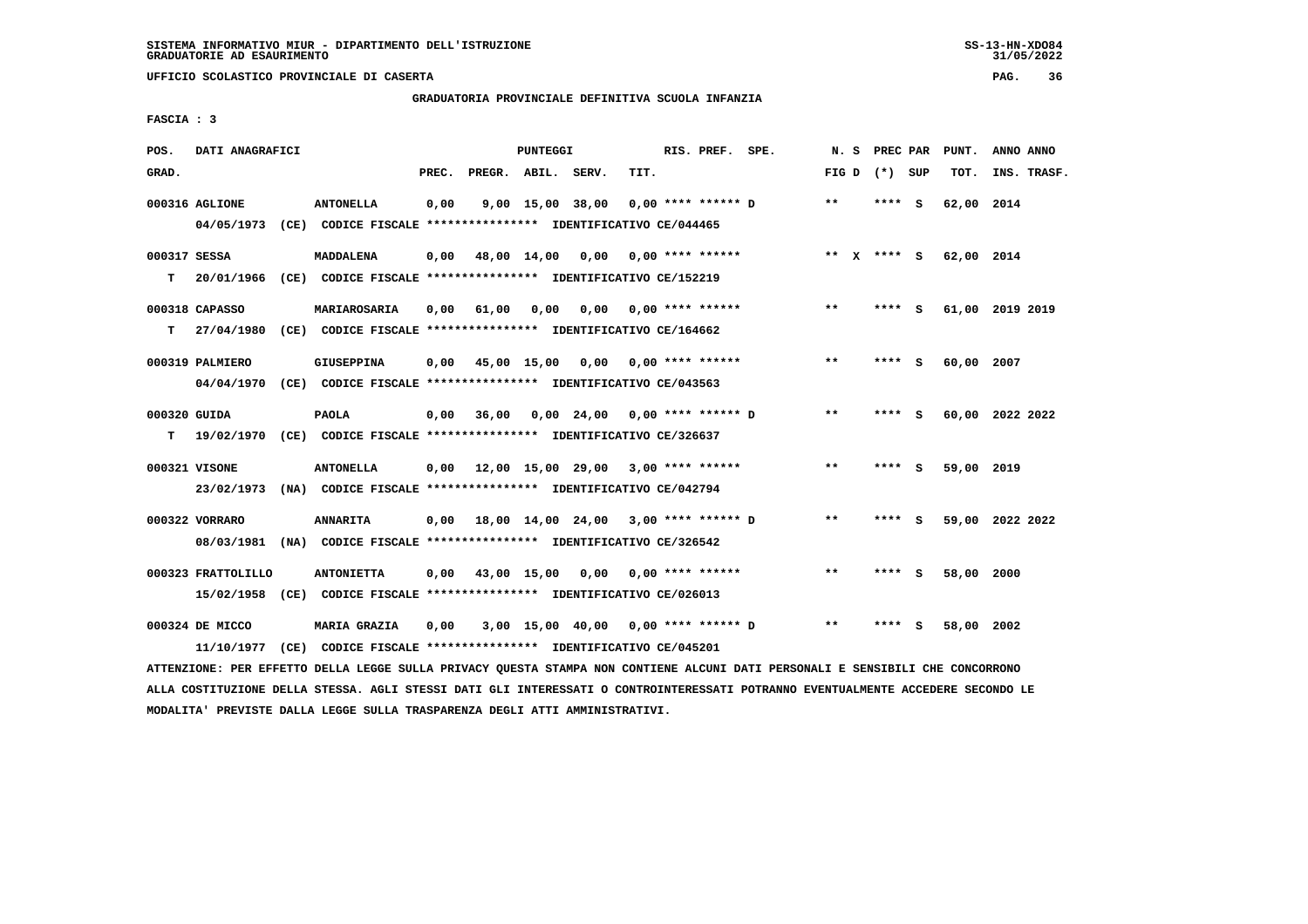**UFFICIO SCOLASTICO PROVINCIALE DI CASERTA PAG. 36**

# **GRADUATORIA PROVINCIALE DEFINITIVA SCUOLA INFANZIA**

 **FASCIA : 3**

| POS.         | DATI ANAGRAFICI    |                                                                         |       |                    | PUNTEGGI |                                      |      | RIS. PREF. SPE.           | N. S            | PREC PAR |     | PUNT.      | ANNO ANNO       |
|--------------|--------------------|-------------------------------------------------------------------------|-------|--------------------|----------|--------------------------------------|------|---------------------------|-----------------|----------|-----|------------|-----------------|
| GRAD.        |                    |                                                                         | PREC. | PREGR. ABIL. SERV. |          |                                      | TIT. |                           | FIG D $(*)$ SUP |          |     | TOT.       | INS. TRASF.     |
|              | 000316 AGLIONE     | <b>ANTONELLA</b>                                                        | 0,00  |                    |          | 9,00 15,00 38,00                     |      | $0.00$ **** ****** D      | **              | **** S   |     | 62,00 2014 |                 |
|              | 04/05/1973         | (CE) CODICE FISCALE **************** IDENTIFICATIVO CE/044465           |       |                    |          |                                      |      |                           |                 |          |     |            |                 |
| 000317 SESSA |                    | <b>MADDALENA</b>                                                        | 0,00  | 48,00 14,00 0,00   |          |                                      |      | 0,00 **** ******          | $***$ X         | **** $S$ |     | 62,00 2014 |                 |
| т            | 20/01/1966         | (CE) CODICE FISCALE **************** IDENTIFICATIVO CE/152219           |       |                    |          |                                      |      |                           |                 |          |     |            |                 |
|              | 000318 CAPASSO     | MARIAROSARIA                                                            | 0,00  | 61,00              | 0,00     |                                      |      | $0,00$ $0,00$ **** ****** | $***$           | **** S   |     |            | 61,00 2019 2019 |
| т            |                    | 27/04/1980 (CE) CODICE FISCALE *************** IDENTIFICATIVO CE/164662 |       |                    |          |                                      |      |                           |                 |          |     |            |                 |
|              | 000319 PALMIERO    | GIUSEPPINA                                                              | 0,00  |                    |          | 45,00 15,00 0,00 0,00 **** ******    |      |                           | $* *$           | ****     | - S | 60,00 2007 |                 |
|              |                    | 04/04/1970 (CE) CODICE FISCALE *************** IDENTIFICATIVO CE/043563 |       |                    |          |                                      |      |                           |                 |          |     |            |                 |
| 000320 GUIDA |                    | <b>PAOLA</b>                                                            | 0,00  | 36,00              |          | 0,00 24,00 0,00 **** ****** D        |      |                           | $* *$           | **** S   |     |            | 60,00 2022 2022 |
| т            |                    | 19/02/1970 (CE) CODICE FISCALE *************** IDENTIFICATIVO CE/326637 |       |                    |          |                                      |      |                           |                 |          |     |            |                 |
|              | 000321 VISONE      | <b>ANTONELLA</b>                                                        | 0,00  |                    |          | 12,00 15,00 29,00 3,00 **** ******   |      |                           | **              | **** S   |     | 59,00 2019 |                 |
|              |                    | 23/02/1973 (NA) CODICE FISCALE *************** IDENTIFICATIVO CE/042794 |       |                    |          |                                      |      |                           |                 |          |     |            |                 |
|              | 000322 VORRARO     | <b>ANNARITA</b>                                                         | 0,00  |                    |          | 18,00 14,00 24,00 3,00 **** ****** D |      |                           | $* *$           | **** S   |     |            | 59,00 2022 2022 |
|              |                    | 08/03/1981 (NA) CODICE FISCALE *************** IDENTIFICATIVO CE/326542 |       |                    |          |                                      |      |                           |                 |          |     |            |                 |
|              | 000323 FRATTOLILLO | <b>ANTONIETTA</b>                                                       | 0,00  |                    |          | 43,00 15,00 0,00 0,00 **** ******    |      |                           | **              | **** S   |     | 58,00 2000 |                 |
|              | 15/02/1958         | (CE) CODICE FISCALE *************** IDENTIFICATIVO CE/026013            |       |                    |          |                                      |      |                           |                 |          |     |            |                 |
|              | 000324 DE MICCO    | <b>MARIA GRAZIA</b>                                                     | 0,00  |                    |          | 3,00 15,00 40,00 0,00 **** ****** D  |      |                           | $* *$           | ****     | - 5 | 58,00 2002 |                 |
|              | 11/10/1977         | (CE) CODICE FISCALE **************** IDENTIFICATIVO CE/045201           |       |                    |          |                                      |      |                           |                 |          |     |            |                 |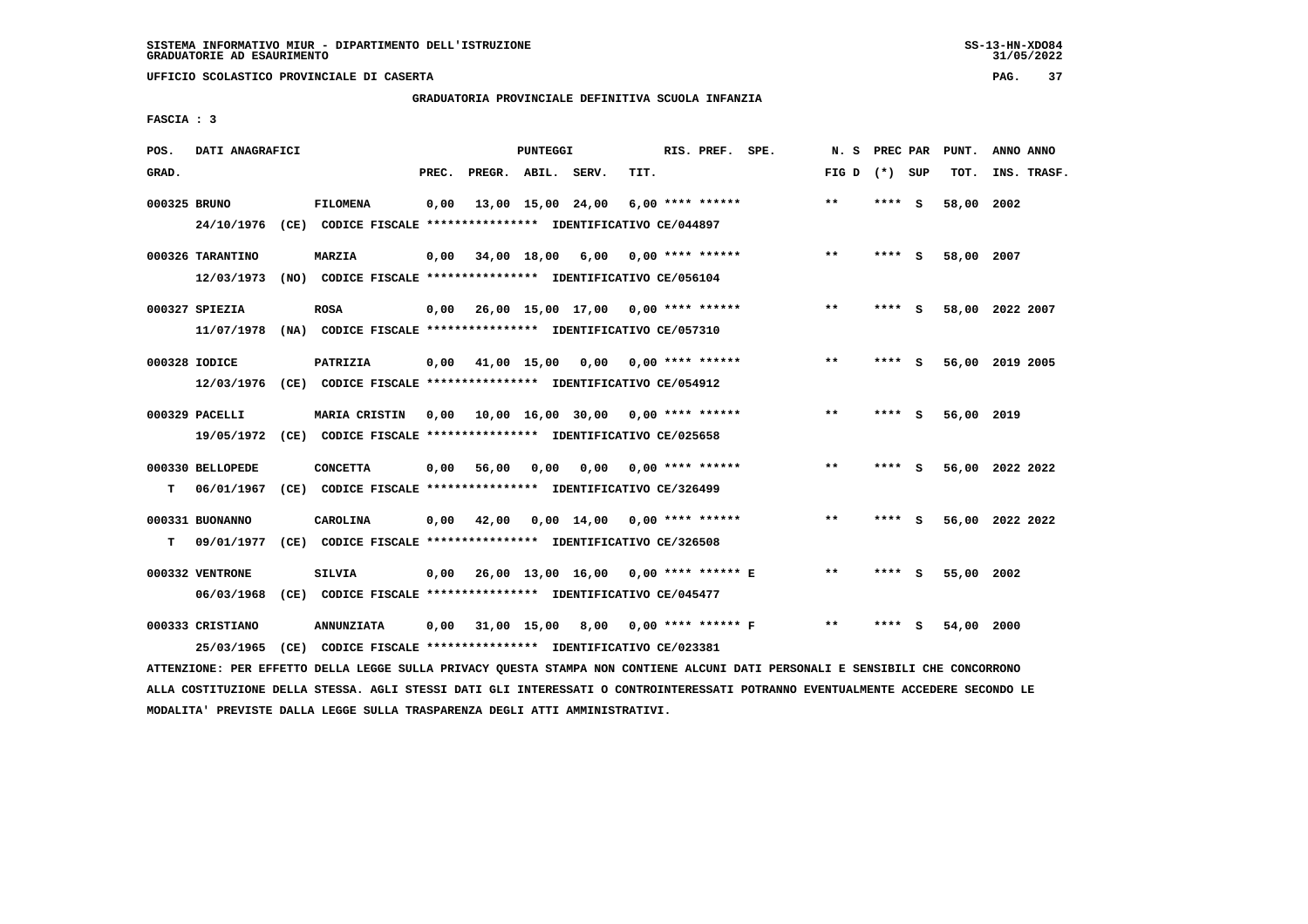**UFFICIO SCOLASTICO PROVINCIALE DI CASERTA PAG. 37**

# **GRADUATORIA PROVINCIALE DEFINITIVA SCUOLA INFANZIA**

 **FASCIA : 3**

| POS.         | DATI ANAGRAFICI                |                                                                                          |       |                                                  | PUNTEGGI          |                               |      | RIS. PREF. SPE.      | N. S         | PREC PAR |   | PUNT.      | ANNO ANNO       |
|--------------|--------------------------------|------------------------------------------------------------------------------------------|-------|--------------------------------------------------|-------------------|-------------------------------|------|----------------------|--------------|----------|---|------------|-----------------|
| GRAD.        |                                |                                                                                          | PREC. | PREGR. ABIL. SERV.                               |                   |                               | TIT. |                      | FIG D        | (*) SUP  |   | TOT.       | INS. TRASF.     |
| 000325 BRUNO | 24/10/1976                     | <b>FILOMENA</b><br>(CE) CODICE FISCALE **************** IDENTIFICATIVO CE/044897         | 0,00  |                                                  | 13,00 15,00 24,00 |                               |      | $6.00$ **** ******   | $***$        | **** S   |   | 58,00      | 2002            |
|              | 000326 TARANTINO<br>12/03/1973 | <b>MARZIA</b><br>(NO) CODICE FISCALE **************** IDENTIFICATIVO CE/056104           | 0,00  | 34,00 18,00 6,00 0,00 **** ******                |                   |                               |      |                      | $**$         | $***$ S  |   | 58,00 2007 |                 |
|              | 000327 SPIEZIA                 | <b>ROSA</b><br>11/07/1978 (NA) CODICE FISCALE **************** IDENTIFICATIVO CE/057310  |       | $0,00$ 26,00 15,00 17,00 0,00 **** ******        |                   |                               |      |                      | $***$        | **** S   |   |            | 58,00 2022 2007 |
|              | 000328 IODICE                  | PATRIZIA<br>12/03/1976 (CE) CODICE FISCALE *************** IDENTIFICATIVO CE/054912      | 0,00  | 41,00 15,00                                      |                   | 0,00                          |      | $0.00$ **** ******   | **           | **** S   |   |            | 56,00 2019 2005 |
|              | 000329 PACELLI                 | MARIA CRISTIN<br>19/05/1972 (CE) CODICE FISCALE *************** IDENTIFICATIVO CE/025658 |       | $0.00$ 10.00 16.00 30.00 0.00 **** ******        |                   |                               |      |                      | $* *$        | **** S   |   | 56,00 2019 |                 |
| т            | 000330 BELLOPEDE<br>06/01/1967 | <b>CONCETTA</b><br>(CE) CODICE FISCALE **************** IDENTIFICATIVO CE/326499         | 0,00  | 56,00                                            | 0,00              | 0,00                          |      | 0,00 **** ******     | $\star\star$ | **** S   |   |            | 56,00 2022 2022 |
| т            | 000331 BUONANNO<br>09/01/1977  | <b>CAROLINA</b><br>(CE) CODICE FISCALE **************** IDENTIFICATIVO CE/326508         | 0,00  | 42,00                                            |                   | $0,00$ 14,00 0,00 **** ****** |      |                      | $***$        | **** S   |   |            | 56,00 2022 2022 |
|              | 000332 VENTRONE<br>06/03/1968  | <b>SILVIA</b><br>(CE) CODICE FISCALE **************** IDENTIFICATIVO CE/045477           |       | 0,00  26,00  13,00  16,00  0,00  ****  ******  E |                   |                               |      |                      | $***$        | **** S   |   | 55,00 2002 |                 |
|              | 000333 CRISTIANO<br>25/03/1965 | <b>ANNUNZIATA</b><br>(CE) CODICE FISCALE **************** IDENTIFICATIVO CE/023381       | 0,00  |                                                  | 31,00 15,00       | 8,00                          |      | $0.00$ **** ****** F | $**$         | ****     | s | 54,00      | 2000            |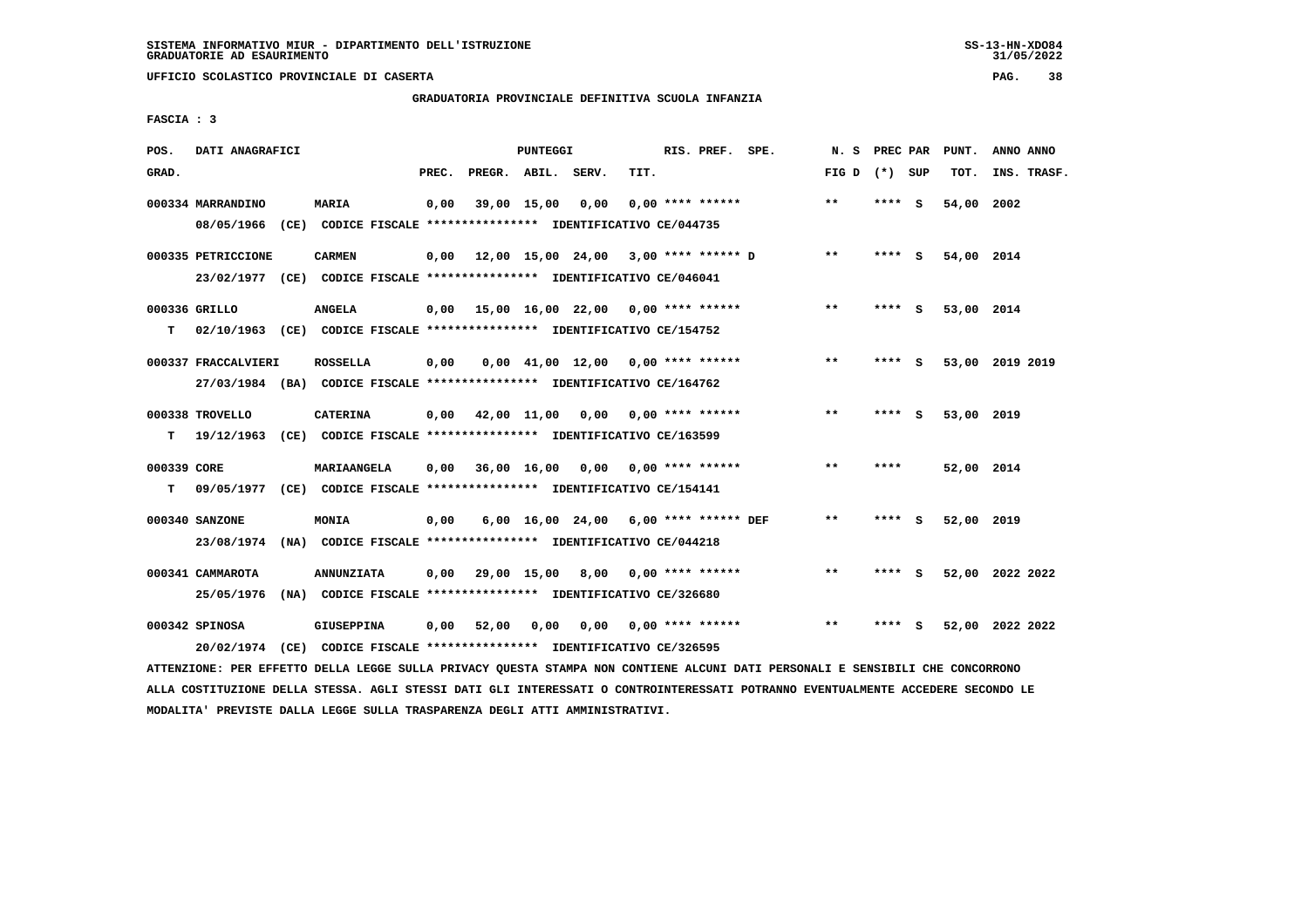**UFFICIO SCOLASTICO PROVINCIALE DI CASERTA PAG. 38**

# **GRADUATORIA PROVINCIALE DEFINITIVA SCUOLA INFANZIA**

 **FASCIA : 3**

| POS.        | DATI ANAGRAFICI     |                                                                                                                               |       |                    | PUNTEGGI |                                             |      | RIS. PREF. SPE.    | N. S PREC PAR   |         |     | PUNT.           | ANNO ANNO   |  |
|-------------|---------------------|-------------------------------------------------------------------------------------------------------------------------------|-------|--------------------|----------|---------------------------------------------|------|--------------------|-----------------|---------|-----|-----------------|-------------|--|
| GRAD.       |                     |                                                                                                                               | PREC. | PREGR. ABIL. SERV. |          |                                             | TIT. |                    | FIG D $(*)$ SUP |         |     | TOT.            | INS. TRASF. |  |
|             | 000334 MARRANDINO   | <b>MARIA</b>                                                                                                                  | 0,00  |                    |          | 39,00 15,00 0,00                            |      | $0.00$ **** ****** | $* *$           | **** S  |     | 54,00 2002      |             |  |
|             |                     | 08/05/1966 (CE) CODICE FISCALE *************** IDENTIFICATIVO CE/044735                                                       |       |                    |          |                                             |      |                    |                 |         |     |                 |             |  |
|             | 000335 PETRICCIONE  | <b>CARMEN</b>                                                                                                                 |       |                    |          | $0.00$ 12.00 15.00 24.00 3.00 **** ****** D |      |                    | $***$           | **** S  |     | 54,00 2014      |             |  |
|             |                     | 23/02/1977 (CE) CODICE FISCALE *************** IDENTIFICATIVO CE/046041                                                       |       |                    |          |                                             |      |                    |                 |         |     |                 |             |  |
|             | 000336 GRILLO       | <b>ANGELA</b>                                                                                                                 |       |                    |          | $0.00$ 15,00 16,00 22,00 0,00 **** ******   |      |                    | $***$           | **** S  |     | 53,00 2014      |             |  |
| T.          |                     | 02/10/1963 (CE) CODICE FISCALE **************** IDENTIFICATIVO CE/154752                                                      |       |                    |          |                                             |      |                    |                 |         |     |                 |             |  |
|             | 000337 FRACCALVIERI | <b>ROSSELLA</b>                                                                                                               | 0,00  |                    |          | $0,00$ 41,00 12,00 0,00 **** ******         |      |                    | $* *$           | **** S  |     | 53,00 2019 2019 |             |  |
|             |                     | 27/03/1984 (BA) CODICE FISCALE *************** IDENTIFICATIVO CE/164762                                                       |       |                    |          |                                             |      |                    |                 |         |     |                 |             |  |
|             | 000338 TROVELLO     | <b>CATERINA</b>                                                                                                               |       |                    |          | $0,00$ 42,00 11,00 0,00 0,00 **** ******    |      |                    | **              | **** S  |     | 53,00 2019      |             |  |
| T.          |                     | 19/12/1963 (CE) CODICE FISCALE **************** IDENTIFICATIVO CE/163599                                                      |       |                    |          |                                             |      |                    |                 |         |     |                 |             |  |
| 000339 CORE |                     | <b>MARIAANGELA</b>                                                                                                            |       |                    |          | $0,00$ 36,00 16,00 0,00 0,00 **** ******    |      |                    | $* *$           | ****    |     | 52,00 2014      |             |  |
| T.          |                     | 09/05/1977 (CE) CODICE FISCALE **************** IDENTIFICATIVO CE/154141                                                      |       |                    |          |                                             |      |                    |                 |         |     |                 |             |  |
|             | 000340 SANZONE      | <b>MONIA</b>                                                                                                                  | 0.00  |                    |          | 6,00 16,00 24,00 6,00 **** ****** DEF       |      |                    | $* *$           | $***$ S |     | 52,00 2019      |             |  |
|             |                     | 23/08/1974 (NA) CODICE FISCALE *************** IDENTIFICATIVO CE/044218                                                       |       |                    |          |                                             |      |                    |                 |         |     |                 |             |  |
|             | 000341 CAMMAROTA    | <b>ANNUNZIATA</b>                                                                                                             |       |                    |          | $0.00$ 29.00 15.00 8.00 0.00 **** ******    |      |                    | $* *$           | **** S  |     | 52,00 2022 2022 |             |  |
|             |                     | 25/05/1976 (NA) CODICE FISCALE *************** IDENTIFICATIVO CE/326680                                                       |       |                    |          |                                             |      |                    |                 |         |     |                 |             |  |
|             | 000342 SPINOSA      | GIUSEPPINA                                                                                                                    |       | $0,00$ 52,00       | 0,00     | 0,00                                        |      | $0,00$ **** ****** | $* *$           | ****    | - S | 52,00 2022 2022 |             |  |
|             |                     | 20/02/1974 (CE) CODICE FISCALE *************** IDENTIFICATIVO CE/326595                                                       |       |                    |          |                                             |      |                    |                 |         |     |                 |             |  |
|             |                     | ATTENZIONE: PER EFFETTO DELLA LEGGE SULLA PRIVACY QUESTA STAMPA NON CONTIENE ALCUNI DATI PERSONALI E SENSIBILI CHE CONCORRONO |       |                    |          |                                             |      |                    |                 |         |     |                 |             |  |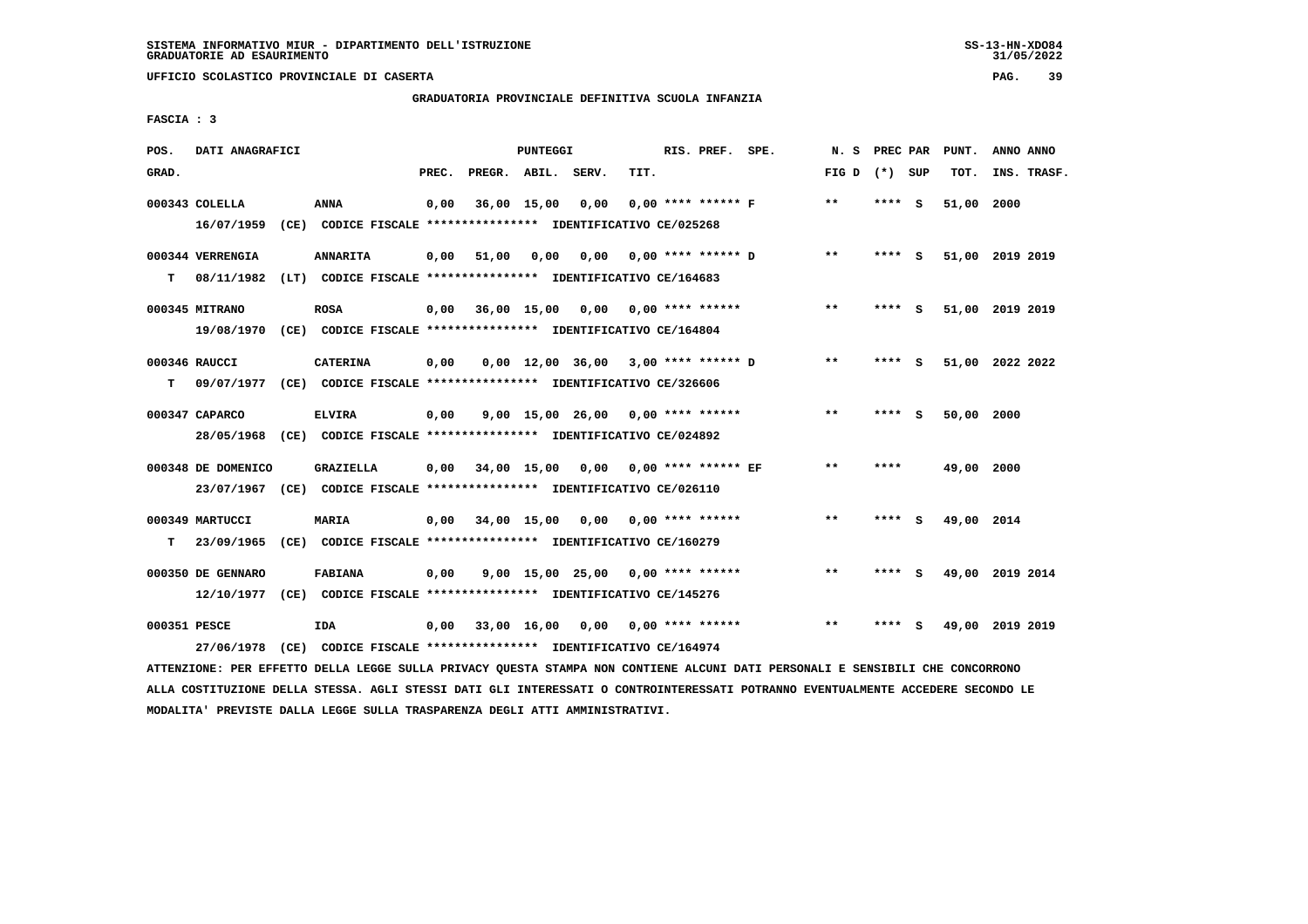# **GRADUATORIA PROVINCIALE DEFINITIVA SCUOLA INFANZIA**

 **FASCIA : 3**

| POS.         | DATI ANAGRAFICI                |                                                                                             |       |                    | PUNTEGGI    |                                       |      | RIS. PREF. SPE.      |                      | N. S            | PREC PAR |   | PUNT.      | ANNO ANNO       |
|--------------|--------------------------------|---------------------------------------------------------------------------------------------|-------|--------------------|-------------|---------------------------------------|------|----------------------|----------------------|-----------------|----------|---|------------|-----------------|
| GRAD.        |                                |                                                                                             | PREC. | PREGR. ABIL. SERV. |             |                                       | TIT. |                      |                      | FIG D $(*)$ SUP |          |   | TOT.       | INS. TRASF.     |
|              | 000343 COLELLA<br>16/07/1959   | ANNA<br>(CE) CODICE FISCALE **************** IDENTIFICATIVO CE/025268                       | 0,00  |                    | 36,00 15,00 | 0,00                                  |      | $0.00$ **** ****** F |                      | $* *$           | **** S   |   | 51,00      | 2000            |
| т            | 000344 VERRENGIA<br>08/11/1982 | <b>ANNARITA</b><br>(LT) CODICE FISCALE **************** IDENTIFICATIVO CE/164683            | 0,00  | 51,00              | 0,00        | 0,00                                  |      |                      | $0.00$ **** ****** D | $***$           | **** S   |   |            | 51,00 2019 2019 |
|              | 000345 MITRANO                 | <b>ROSA</b><br>19/08/1970 (CE) CODICE FISCALE *************** IDENTIFICATIVO CE/164804      | 0,00  |                    | 36,00 15,00 | 0,00                                  |      | $0.00$ **** ******   |                      | $* *$           | **** S   |   |            | 51,00 2019 2019 |
| т            | 000346 RAUCCI                  | <b>CATERINA</b><br>09/07/1977 (CE) CODICE FISCALE *************** IDENTIFICATIVO CE/326606  | 0,00  |                    |             | $0,00$ 12,00 36,00 3,00 **** ****** D |      |                      |                      | $* *$           | **** S   |   |            | 51,00 2022 2022 |
|              | 000347 CAPARCO                 | <b>ELVIRA</b><br>28/05/1968 (CE) CODICE FISCALE *************** IDENTIFICATIVO CE/024892    | 0,00  |                    |             | 9,00 15,00 26,00                      |      | $0.00$ **** ******   |                      | $***$           | **** S   |   | 50,00      | 2000            |
|              | 000348 DE DOMENICO             | <b>GRAZIELLA</b><br>23/07/1967 (CE) CODICE FISCALE *************** IDENTIFICATIVO CE/026110 | 0.00  |                    |             | 34,00 15,00 0,00 0,00 **** ****** EF  |      |                      |                      | $***$           | ****     |   | 49,00 2000 |                 |
| т            | 000349 MARTUCCI                | <b>MARIA</b><br>23/09/1965 (CE) CODICE FISCALE *************** IDENTIFICATIVO CE/160279     | 0,00  |                    | 34,00 15,00 | 0,00                                  |      | $0.00$ **** ******   |                      | $***$           | **** S   |   | 49,00 2014 |                 |
|              | 000350 DE GENNARO              | <b>FABIANA</b><br>12/10/1977 (CE) CODICE FISCALE *************** IDENTIFICATIVO CE/145276   | 0,00  |                    |             | 9,00 15,00 25,00 0,00 **** ******     |      |                      |                      | $***$           | **** S   |   |            | 49,00 2019 2014 |
| 000351 PESCE |                                | <b>IDA</b><br>27/06/1978 (CE) CODICE FISCALE *************** IDENTIFICATIVO CE/164974       | 0.00  |                    | 33,00 16,00 | 0.00                                  |      | $0.00$ **** ******   |                      | $* *$           | ****     | s |            | 49,00 2019 2019 |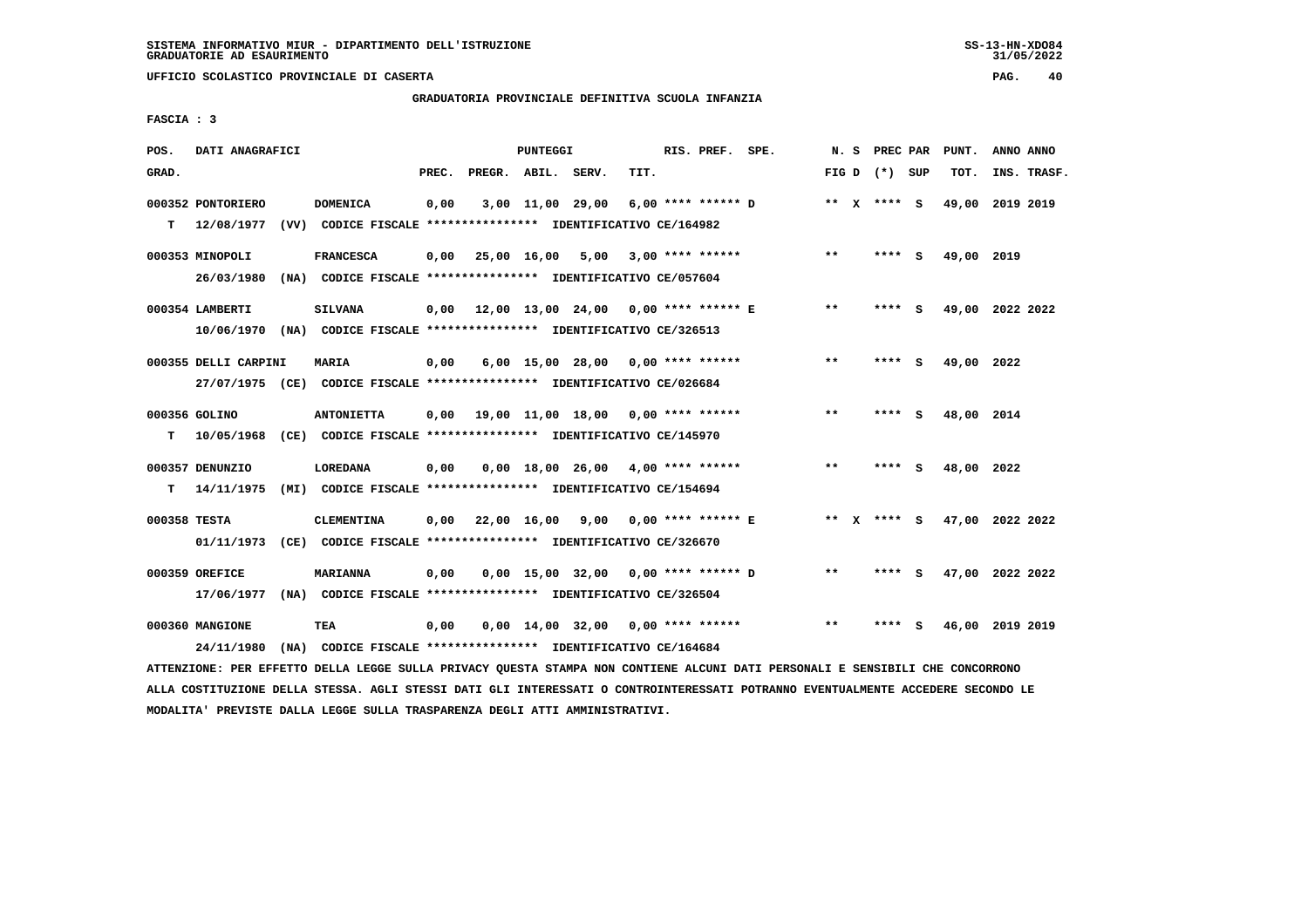#### **GRADUATORIA PROVINCIALE DEFINITIVA SCUOLA INFANZIA**

 **FASCIA : 3**

| POS.         | DATI ANAGRAFICI      |                                                                                                                               |       |                    | PUNTEGGI |                                           |      | RIS. PREF. SPE. |                                          |       |                 | N. S PREC PAR PUNT. | ANNO ANNO |             |
|--------------|----------------------|-------------------------------------------------------------------------------------------------------------------------------|-------|--------------------|----------|-------------------------------------------|------|-----------------|------------------------------------------|-------|-----------------|---------------------|-----------|-------------|
| GRAD.        |                      |                                                                                                                               | PREC. | PREGR. ABIL. SERV. |          |                                           | TIT. |                 |                                          |       | FIG D $(*)$ SUP | тот.                |           | INS. TRASF. |
|              | 000352 PONTORIERO    | <b>DOMENICA</b>                                                                                                               | 0,00  |                    |          |                                           |      |                 | 3,00 11,00 29,00 6,00 **** ****** D      |       | ** x **** S     | 49,00 2019 2019     |           |             |
|              |                      | T 12/08/1977 (VV) CODICE FISCALE *************** IDENTIFICATIVO CE/164982                                                     |       |                    |          |                                           |      |                 |                                          |       |                 |                     |           |             |
|              | 000353 MINOPOLI      | <b>FRANCESCA</b>                                                                                                              |       |                    |          | $0,00$ 25,00 16,00 5,00 3,00 **** ******  |      |                 |                                          | $***$ | **** S          | 49,00 2019          |           |             |
|              |                      | 26/03/1980 (NA) CODICE FISCALE *************** IDENTIFICATIVO CE/057604                                                       |       |                    |          |                                           |      |                 |                                          |       |                 |                     |           |             |
|              | 000354 LAMBERTI      | <b>SILVANA</b>                                                                                                                |       |                    |          | 0,00 12,00 13,00 24,00 0,00 **** ****** E |      |                 |                                          | $***$ | $***$ S         | 49,00 2022 2022     |           |             |
|              |                      | 10/06/1970 (NA) CODICE FISCALE *************** IDENTIFICATIVO CE/326513                                                       |       |                    |          |                                           |      |                 |                                          |       |                 |                     |           |             |
|              | 000355 DELLI CARPINI | <b>MARIA</b>                                                                                                                  | 0,00  |                    |          | $6,00$ 15,00 28,00 0,00 **** ******       |      |                 |                                          | **    | **** S          | 49,00 2022          |           |             |
|              |                      | 27/07/1975 (CE) CODICE FISCALE *************** IDENTIFICATIVO CE/026684                                                       |       |                    |          |                                           |      |                 |                                          |       |                 |                     |           |             |
|              | 000356 GOLINO        | <b>ANTONIETTA</b>                                                                                                             |       |                    |          | $0.00$ 19.00 11.00 18.00 0.00 **** ****** |      |                 |                                          | $* *$ | **** S          | 48,00 2014          |           |             |
|              |                      | T 10/05/1968 (CE) CODICE FISCALE **************** IDENTIFICATIVO CE/145970                                                    |       |                    |          |                                           |      |                 |                                          |       |                 |                     |           |             |
|              | 000357 DENUNZIO      | <b>LOREDANA</b>                                                                                                               | 0,00  |                    |          | $0,00$ 18,00 26,00 4,00 **** ******       |      |                 |                                          | **    | **** S          | 48,00 2022          |           |             |
| T.           |                      | 14/11/1975 (MI) CODICE FISCALE **************** IDENTIFICATIVO CE/154694                                                      |       |                    |          |                                           |      |                 |                                          |       |                 |                     |           |             |
| 000358 TESTA |                      | <b>CLEMENTINA</b>                                                                                                             |       |                    |          |                                           |      |                 | 0,00 22,00 16,00 9,00 0,00 **** ****** E |       | ** $X$ **** S   | 47,00 2022 2022     |           |             |
|              |                      | 01/11/1973 (CE) CODICE FISCALE *************** IDENTIFICATIVO CE/326670                                                       |       |                    |          |                                           |      |                 |                                          |       |                 |                     |           |             |
|              | 000359 OREFICE       | <b>MARIANNA</b>                                                                                                               | 0,00  |                    |          | 0,00 15,00 32,00 0,00 **** ****** D       |      |                 |                                          | $**$  | **** S          | 47,00 2022 2022     |           |             |
|              |                      | 17/06/1977 (NA) CODICE FISCALE *************** IDENTIFICATIVO CE/326504                                                       |       |                    |          |                                           |      |                 |                                          |       |                 |                     |           |             |
|              | 000360 MANGIONE      | TEA                                                                                                                           | 0,00  |                    |          | $0,00$ 14,00 32,00 0,00 **** ******       |      |                 |                                          | $***$ | **** S          | 46,00 2019 2019     |           |             |
|              | 24/11/1980           | (NA) CODICE FISCALE **************** IDENTIFICATIVO CE/164684                                                                 |       |                    |          |                                           |      |                 |                                          |       |                 |                     |           |             |
|              |                      | ATTENZIONE: PER EFFETTO DELLA LEGGE SULLA PRIVACY QUESTA STAMPA NON CONTIENE ALCUNI DATI PERSONALI E SENSIBILI CHE CONCORRONO |       |                    |          |                                           |      |                 |                                          |       |                 |                     |           |             |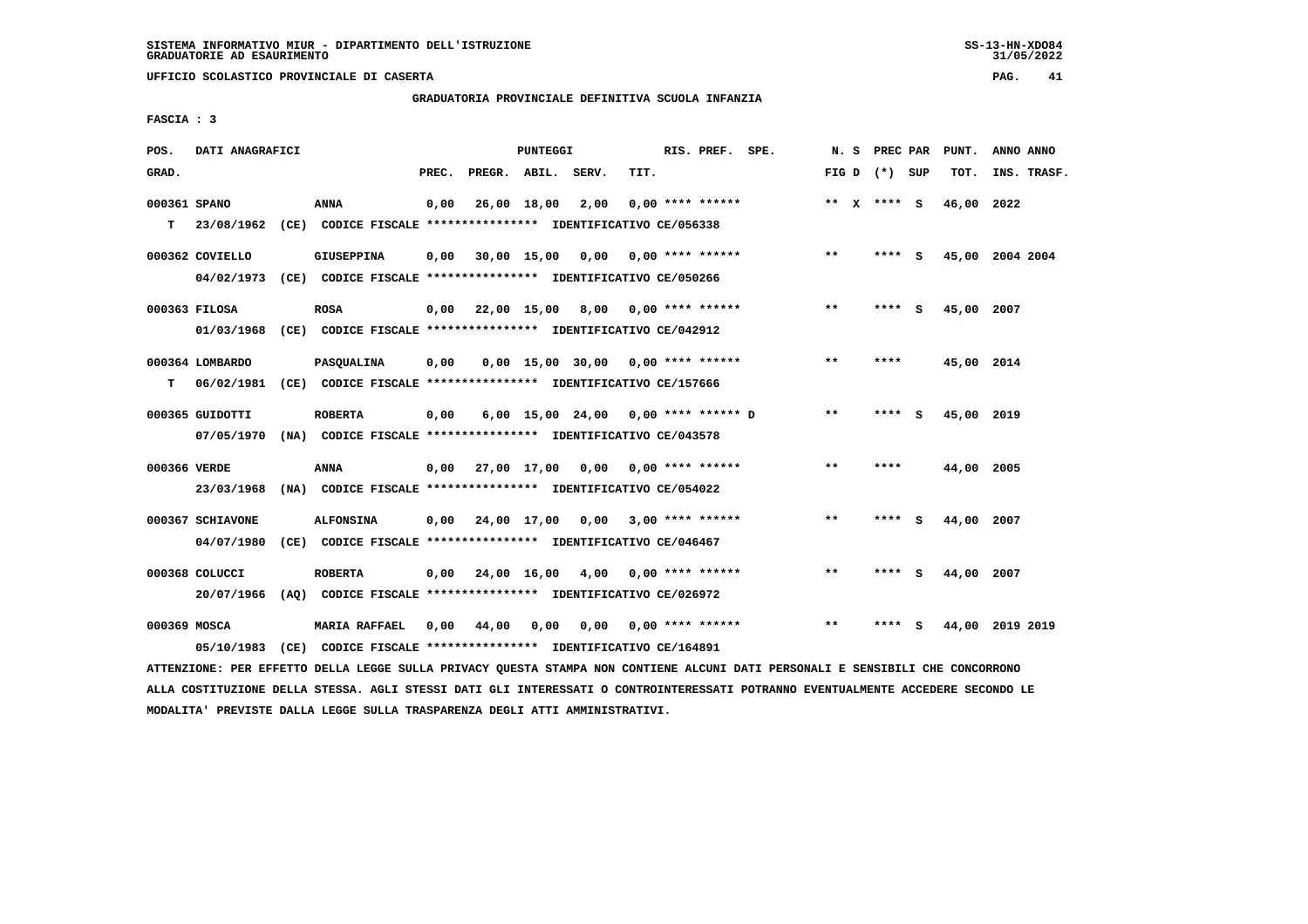**UFFICIO SCOLASTICO PROVINCIALE DI CASERTA PAG. 41**

# **GRADUATORIA PROVINCIALE DEFINITIVA SCUOLA INFANZIA**

 **FASCIA : 3**

| PREGR. ABIL. SERV.<br>TIT.<br>GRAD.<br>PREC.                                                |       | FIG D $(*)$ SUP | TOT.<br>INS. TRASF. |
|---------------------------------------------------------------------------------------------|-------|-----------------|---------------------|
|                                                                                             |       |                 |                     |
| 26,00 18,00<br>2,00<br>000361 SPANO<br>ANNA<br>0,00<br>$0.00$ **** ******                   |       | ** x **** S     | 46,00 2022          |
| 23/08/1962<br>(CE) CODICE FISCALE **************** IDENTIFICATIVO CE/056338<br>т            |       |                 |                     |
| 000362 COVIELLO<br><b>GIUSEPPINA</b><br>0,00<br>$30,00$ 15,00 0,00 0,00 **** ******         | $* *$ | $***$ S         | 45,00 2004 2004     |
| 04/02/1973<br>(CE) CODICE FISCALE **************** IDENTIFICATIVO CE/050266                 |       |                 |                     |
| 000363 FILOSA<br>22,00 15,00 8,00 0,00 **** ******<br><b>ROSA</b><br>0,00                   | $* *$ | ****<br>- S     | 45,00 2007          |
| (CE) CODICE FISCALE **************** IDENTIFICATIVO CE/042912<br>01/03/1968                 |       |                 |                     |
| 000364 LOMBARDO<br>PASQUALINA<br>0,00<br>$0.00$ 15,00 30,00 0,00 **** ******                | $* *$ | ****            | 45,00 2014          |
| т<br>06/02/1981<br>(CE) CODICE FISCALE **************** IDENTIFICATIVO CE/157666            |       |                 |                     |
| 000365 GUIDOTTI<br>0,00<br>6,00 15,00 24,00 0,00 **** ****** D<br><b>ROBERTA</b>            | $***$ | ****<br>- S     | 45,00 2019          |
| 07/05/1970<br>(NA) CODICE FISCALE **************** IDENTIFICATIVO CE/043578                 |       |                 |                     |
| 27,00 17,00 0,00 0,00 **** ******<br>000366 VERDE<br><b>ANNA</b><br>0,00                    | $* *$ | ****            | 44,00 2005          |
| 23/03/1968<br>(NA) CODICE FISCALE **************** IDENTIFICATIVO CE/054022                 |       |                 |                     |
|                                                                                             |       |                 |                     |
| 24,00 17,00<br>000367 SCHIAVONE<br><b>ALFONSINA</b><br>0.00<br>$0,00$ 3,00 **** ******      | $* *$ | **** S          | 44,00<br>2007       |
| 04/07/1980<br>(CE) CODICE FISCALE **************** IDENTIFICATIVO CE/046467                 |       |                 |                     |
| 000368 COLUCCI<br>24,00 16,00<br><b>ROBERTA</b><br>0,00<br>4,00 0,00 **** ******            | $* *$ | ****<br>- S     | 44,00<br>2007       |
| 20/07/1966<br>(AO) CODICE FISCALE **************** IDENTIFICATIVO CE/026972                 |       |                 |                     |
| 000369 MOSCA<br><b>MARIA RAFFAEL</b><br>0.00<br>44,00<br>0.00<br>0.00<br>$0.00$ **** ****** | $* *$ | ****<br>s       | 44,00<br>2019 2019  |
| 05/10/1983<br>(CE) CODICE FISCALE **************** IDENTIFICATIVO CE/164891                 |       |                 |                     |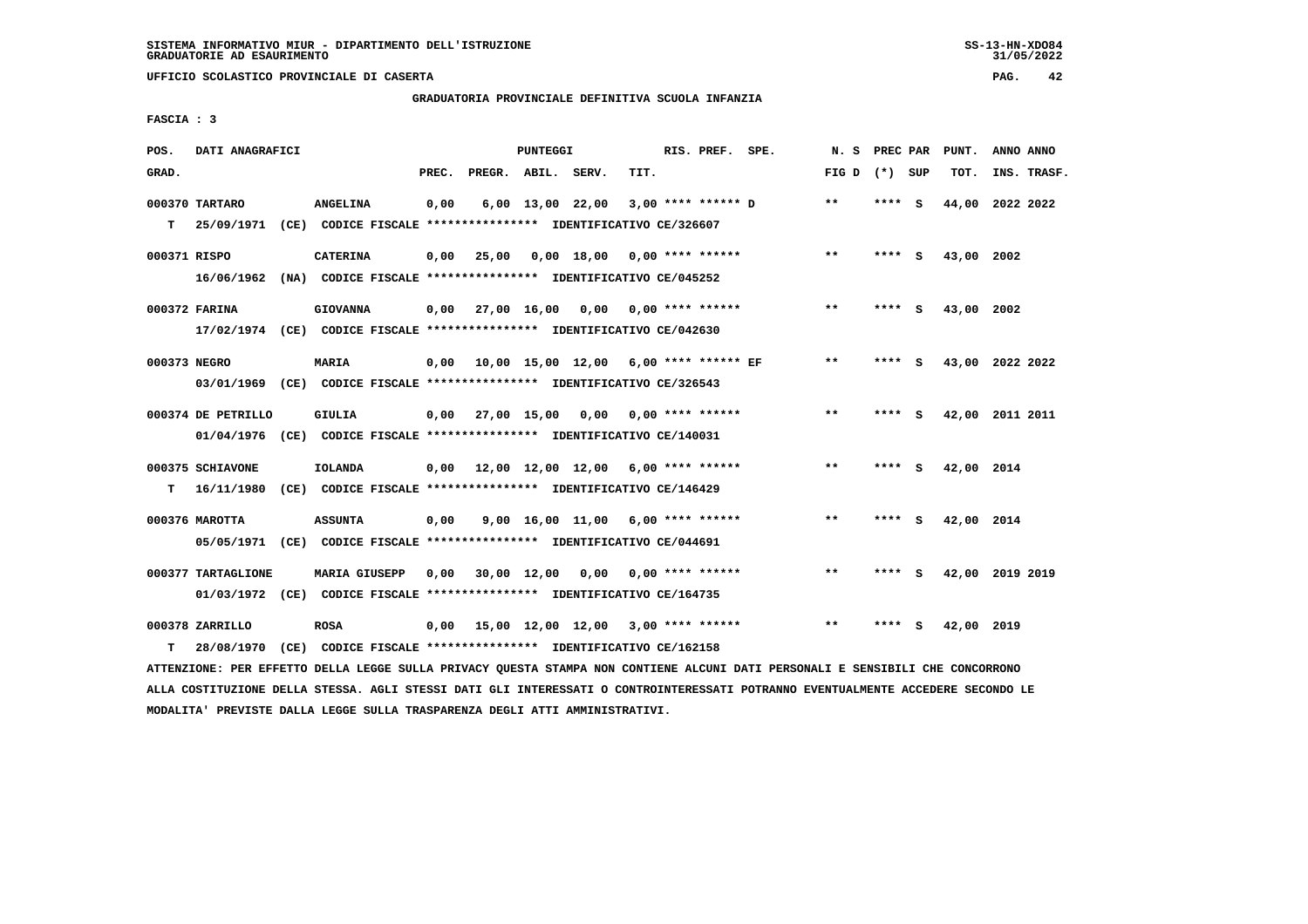# **GRADUATORIA PROVINCIALE DEFINITIVA SCUOLA INFANZIA**

 **FASCIA : 3**

| POS.         | DATI ANAGRAFICI    |                                                                                                                               |       |                    | PUNTEGGI |                                            |      | RIS. PREF. SPE. |                    | N. S            | PREC PAR | PUNT.           | ANNO ANNO |             |
|--------------|--------------------|-------------------------------------------------------------------------------------------------------------------------------|-------|--------------------|----------|--------------------------------------------|------|-----------------|--------------------|-----------------|----------|-----------------|-----------|-------------|
| GRAD.        |                    |                                                                                                                               | PREC. | PREGR. ABIL. SERV. |          |                                            | TIT. |                 |                    | FIG D $(*)$ SUP |          | TOT.            |           | INS. TRASF. |
|              | 000370 TARTARO     | <b>ANGELINA</b>                                                                                                               | 0,00  |                    |          | 6,00 13,00 22,00                           |      |                 | 3,00 **** ****** D | $**$            | **** S   | 44,00 2022 2022 |           |             |
| т            |                    | 25/09/1971 (CE) CODICE FISCALE **************** IDENTIFICATIVO CE/326607                                                      |       |                    |          |                                            |      |                 |                    |                 |          |                 |           |             |
| 000371 RISPO |                    | <b>CATERINA</b>                                                                                                               | 0,00  | 25,00              |          | $0,00$ 18,00 0,00 **** ******              |      |                 |                    | $***$           | **** S   | 43,00 2002      |           |             |
|              |                    | 16/06/1962 (NA) CODICE FISCALE *************** IDENTIFICATIVO CE/045252                                                       |       |                    |          |                                            |      |                 |                    |                 |          |                 |           |             |
|              |                    |                                                                                                                               |       |                    |          |                                            |      |                 |                    |                 |          |                 |           |             |
|              | 000372 FARINA      | <b>GIOVANNA</b>                                                                                                               | 0,00  |                    |          | 27,00 16,00 0,00 0,00 **** ******          |      |                 |                    | $* *$           | **** S   | 43,00 2002      |           |             |
|              |                    | 17/02/1974 (CE) CODICE FISCALE *************** IDENTIFICATIVO CE/042630                                                       |       |                    |          |                                            |      |                 |                    |                 |          |                 |           |             |
| 000373 NEGRO |                    | MARIA                                                                                                                         |       |                    |          | 0,00 10,00 15,00 12,00 6,00 **** ****** EF |      |                 |                    | $***$           | **** S   | 43,00 2022 2022 |           |             |
|              |                    | 03/01/1969 (CE) CODICE FISCALE *************** IDENTIFICATIVO CE/326543                                                       |       |                    |          |                                            |      |                 |                    |                 |          |                 |           |             |
|              |                    |                                                                                                                               |       |                    |          |                                            |      |                 |                    | $***$           |          |                 |           |             |
|              | 000374 DE PETRILLO | <b>GIULIA</b>                                                                                                                 |       |                    |          | $0,00$ 27,00 15,00 0,00 0,00 **** ******   |      |                 |                    |                 | **** S   | 42,00 2011 2011 |           |             |
|              |                    | 01/04/1976 (CE) CODICE FISCALE *************** IDENTIFICATIVO CE/140031                                                       |       |                    |          |                                            |      |                 |                    |                 |          |                 |           |             |
|              | 000375 SCHIAVONE   | <b>IOLANDA</b>                                                                                                                |       |                    |          | $0,00$ 12,00 12,00 12,00 6,00 **** ******  |      |                 |                    | **              | **** S   | 42,00 2014      |           |             |
| т            | 16/11/1980         | (CE) CODICE FISCALE *************** IDENTIFICATIVO CE/146429                                                                  |       |                    |          |                                            |      |                 |                    |                 |          |                 |           |             |
|              | 000376 MAROTTA     | <b>ASSUNTA</b>                                                                                                                | 0,00  |                    |          | $9,00$ 16,00 11,00 6,00 **** ******        |      |                 |                    | **              | **** S   | 42,00 2014      |           |             |
|              |                    | 05/05/1971 (CE) CODICE FISCALE *************** IDENTIFICATIVO CE/044691                                                       |       |                    |          |                                            |      |                 |                    |                 |          |                 |           |             |
|              |                    |                                                                                                                               |       |                    |          |                                            |      |                 |                    |                 |          |                 |           |             |
|              | 000377 TARTAGLIONE | <b>MARIA GIUSEPP</b>                                                                                                          | 0,00  |                    |          | 30,00 12,00 0,00 0,00 **** ******          |      |                 |                    | $* *$           | **** S   | 42,00 2019 2019 |           |             |
|              |                    | 01/03/1972 (CE) CODICE FISCALE *************** IDENTIFICATIVO CE/164735                                                       |       |                    |          |                                            |      |                 |                    |                 |          |                 |           |             |
|              | 000378 ZARRILLO    | <b>ROSA</b>                                                                                                                   | 0,00  |                    |          | 15,00 12,00 12,00 3,00 **** ******         |      |                 |                    | $* *$           | **** S   | 42,00 2019      |           |             |
| т            | 28/08/1970         | (CE) CODICE FISCALE **************** IDENTIFICATIVO CE/162158                                                                 |       |                    |          |                                            |      |                 |                    |                 |          |                 |           |             |
|              |                    | ATTENZIONE: PER EFFETTO DELLA LEGGE SULLA PRIVACY QUESTA STAMPA NON CONTIENE ALCUNI DATI PERSONALI E SENSIBILI CHE CONCORRONO |       |                    |          |                                            |      |                 |                    |                 |          |                 |           |             |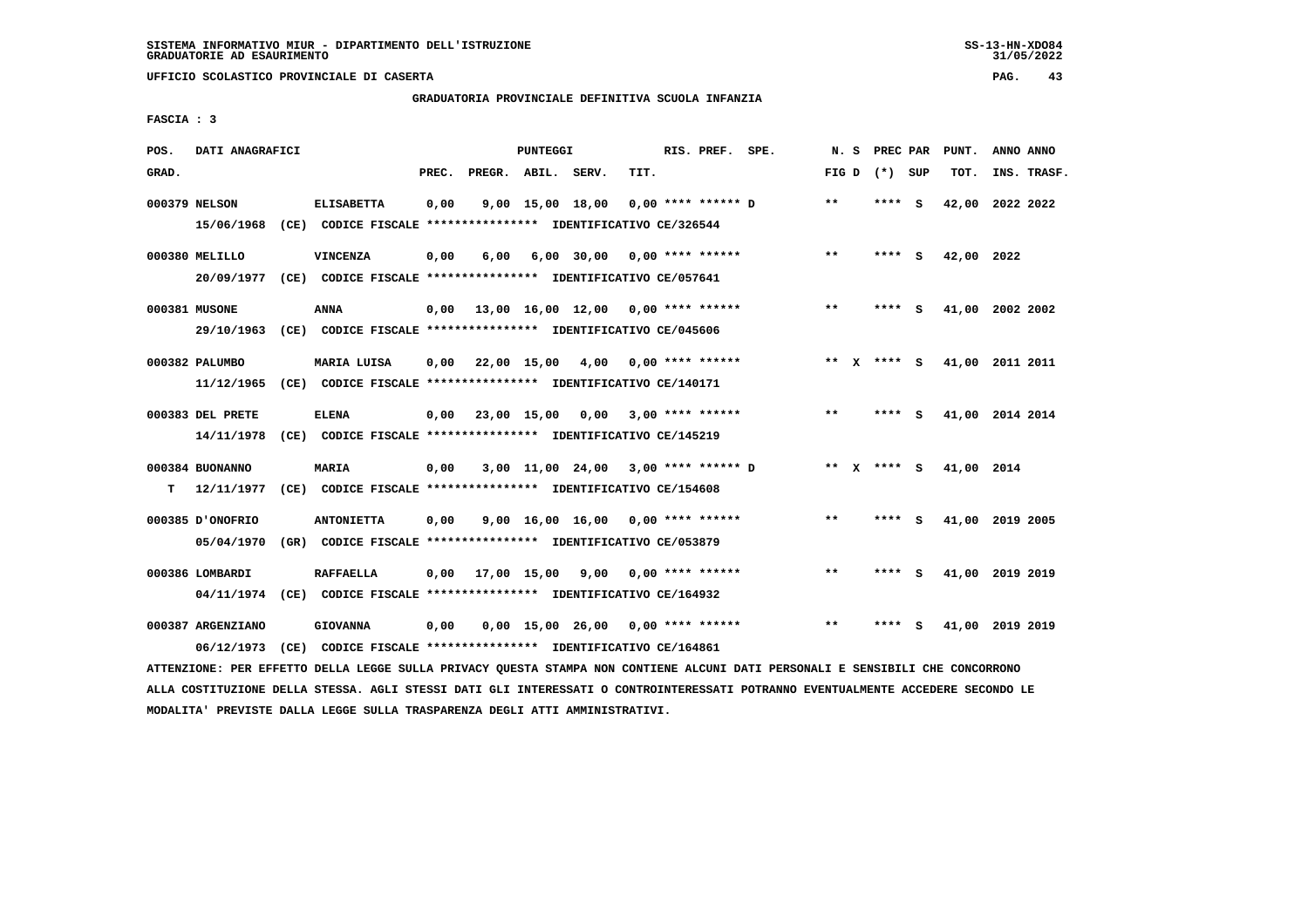# **GRADUATORIA PROVINCIALE DEFINITIVA SCUOLA INFANZIA**

 **FASCIA : 3**

| POS.  | DATI ANAGRAFICI   |                                                                                                                               |       |                    | PUNTEGGI |                                     |      | RIS. PREF. SPE.    |                                     |       | N. S PREC PAR   |     | PUNT.                       | ANNO ANNO |             |
|-------|-------------------|-------------------------------------------------------------------------------------------------------------------------------|-------|--------------------|----------|-------------------------------------|------|--------------------|-------------------------------------|-------|-----------------|-----|-----------------------------|-----------|-------------|
| GRAD. |                   |                                                                                                                               | PREC. | PREGR. ABIL. SERV. |          |                                     | TIT. |                    |                                     |       | FIG D $(*)$ SUP |     | TOT.                        |           | INS. TRASF. |
|       | 000379 NELSON     | <b>ELISABETTA</b>                                                                                                             | 0,00  |                    |          | 9,00 15,00 18,00                    |      | 0,00 **** ****** D |                                     | **    | ****            | - S | 42,00 2022 2022             |           |             |
|       | 15/06/1968        | (CE) CODICE FISCALE **************** IDENTIFICATIVO CE/326544                                                                 |       |                    |          |                                     |      |                    |                                     |       |                 |     |                             |           |             |
|       | 000380 MELILLO    | <b>VINCENZA</b>                                                                                                               | 0,00  | 6,00               |          | $6,00$ 30,00 0,00 **** ******       |      |                    |                                     | $***$ | **** S          |     | 42,00 2022                  |           |             |
|       |                   | 20/09/1977 (CE) CODICE FISCALE *************** IDENTIFICATIVO CE/057641                                                       |       |                    |          |                                     |      |                    |                                     |       |                 |     |                             |           |             |
|       | 000381 MUSONE     | ANNA                                                                                                                          | 0.00  |                    |          | 13,00 16,00 12,00 0,00 **** ******  |      |                    |                                     | $* *$ | **** S          |     | 41,00 2002 2002             |           |             |
|       |                   | 29/10/1963 (CE) CODICE FISCALE *************** IDENTIFICATIVO CE/045606                                                       |       |                    |          |                                     |      |                    |                                     |       |                 |     |                             |           |             |
|       | 000382 PALUMBO    | MARIA LUISA                                                                                                                   | 0,00  |                    |          | 22,00 15,00 4,00 0,00 **** ******   |      |                    |                                     |       |                 |     | ** X **** S 41,00 2011 2011 |           |             |
|       | 11/12/1965        | (CE) CODICE FISCALE **************** IDENTIFICATIVO CE/140171                                                                 |       |                    |          |                                     |      |                    |                                     |       |                 |     |                             |           |             |
|       | 000383 DEL PRETE  | <b>ELENA</b>                                                                                                                  | 0,00  |                    |          | $23,00$ 15,00 0,00 3,00 **** ****** |      |                    |                                     | $* *$ | **** S          |     | 41,00 2014 2014             |           |             |
|       | 14/11/1978        | (CE) CODICE FISCALE **************** IDENTIFICATIVO CE/145219                                                                 |       |                    |          |                                     |      |                    |                                     |       |                 |     |                             |           |             |
|       | 000384 BUONANNO   | MARIA                                                                                                                         | 0,00  |                    |          |                                     |      |                    | 3,00 11,00 24,00 3,00 **** ****** D |       | ** $X$ **** S   |     | 41,00 2014                  |           |             |
| т     | 12/11/1977        | (CE) CODICE FISCALE **************** IDENTIFICATIVO CE/154608                                                                 |       |                    |          |                                     |      |                    |                                     |       |                 |     |                             |           |             |
|       | 000385 D'ONOFRIO  | <b>ANTONIETTA</b>                                                                                                             | 0,00  |                    |          | $9,00$ 16,00 16,00 0,00 **** ****** |      |                    |                                     | $***$ | **** S          |     | 41,00 2019 2005             |           |             |
|       | 05/04/1970        | (GR) CODICE FISCALE **************** IDENTIFICATIVO CE/053879                                                                 |       |                    |          |                                     |      |                    |                                     |       |                 |     |                             |           |             |
|       | 000386 LOMBARDI   | <b>RAFFAELLA</b>                                                                                                              | 0,00  |                    |          | 17,00 15,00 9,00 0,00 **** ******   |      |                    |                                     | $* *$ | **** S          |     | 41,00 2019 2019             |           |             |
|       |                   | 04/11/1974 (CE) CODICE FISCALE *************** IDENTIFICATIVO CE/164932                                                       |       |                    |          |                                     |      |                    |                                     |       |                 |     |                             |           |             |
|       | 000387 ARGENZIANO | <b>GIOVANNA</b>                                                                                                               | 0,00  |                    |          | $0,00$ 15,00 26,00 0,00 **** ****** |      |                    |                                     | $***$ | ****            | - S | 41,00 2019 2019             |           |             |
|       | 06/12/1973        | (CE) CODICE FISCALE **************** IDENTIFICATIVO CE/164861                                                                 |       |                    |          |                                     |      |                    |                                     |       |                 |     |                             |           |             |
|       |                   | ATTENZIONE: PER EFFETTO DELLA LEGGE SULLA PRIVACY OUESTA STAMPA NON CONTIENE ALCUNI DATI PERSONALI E SENSIBILI CHE CONCORRONO |       |                    |          |                                     |      |                    |                                     |       |                 |     |                             |           |             |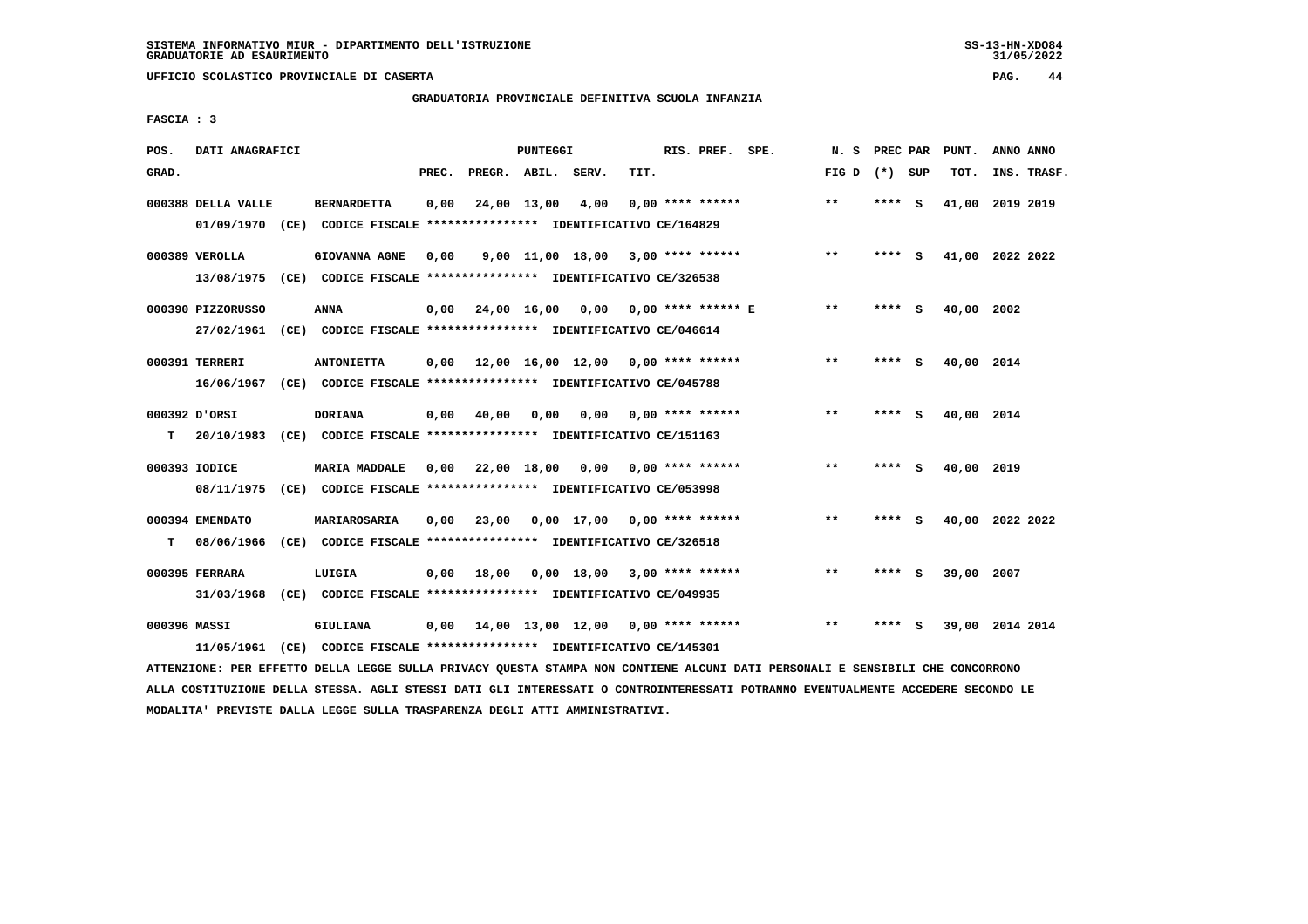# **GRADUATORIA PROVINCIALE DEFINITIVA SCUOLA INFANZIA**

 **FASCIA : 3**

| POS.         | DATI ANAGRAFICI    |                                                                          |       |                    | PUNTEGGI    |                                     |      | RIS. PREF. SPE.    | N. S            | PREC PAR |     | PUNT.      | ANNO ANNO       |  |
|--------------|--------------------|--------------------------------------------------------------------------|-------|--------------------|-------------|-------------------------------------|------|--------------------|-----------------|----------|-----|------------|-----------------|--|
| GRAD.        |                    |                                                                          | PREC. | PREGR. ABIL. SERV. |             |                                     | TIT. |                    | FIG D $(*)$ SUP |          |     | TOT.       | INS. TRASF.     |  |
|              | 000388 DELLA VALLE | <b>BERNARDETTA</b>                                                       | 0,00  |                    | 24,00 13,00 | 4,00                                |      | $0.00$ **** ****** | **              | **** S   |     |            | 41,00 2019 2019 |  |
|              |                    | 01/09/1970 (CE) CODICE FISCALE *************** IDENTIFICATIVO CE/164829  |       |                    |             |                                     |      |                    |                 |          |     |            |                 |  |
|              | 000389 VEROLLA     | <b>GIOVANNA AGNE</b>                                                     | 0,00  |                    |             | $9,00$ 11,00 18,00 3,00 **** ****** |      |                    | $***$           | **** S   |     |            | 41,00 2022 2022 |  |
|              |                    | 13/08/1975 (CE) CODICE FISCALE *************** IDENTIFICATIVO CE/326538  |       |                    |             |                                     |      |                    |                 |          |     |            |                 |  |
|              | 000390 PIZZORUSSO  | <b>ANNA</b>                                                              | 0,00  |                    |             | 24,00 16,00 0,00 0,00 **** ****** E |      |                    | $***$           | **** S   |     | 40,00      | 2002            |  |
|              |                    | 27/02/1961 (CE) CODICE FISCALE *************** IDENTIFICATIVO CE/046614  |       |                    |             |                                     |      |                    |                 |          |     |            |                 |  |
|              | 000391 TERRERI     | <b>ANTONIETTA</b>                                                        | 0,00  |                    |             | 12,00 16,00 12,00 0,00 **** ******  |      |                    | $***$           | **** S   |     | 40,00 2014 |                 |  |
|              |                    | 16/06/1967 (CE) CODICE FISCALE *************** IDENTIFICATIVO CE/045788  |       |                    |             |                                     |      |                    |                 |          |     |            |                 |  |
|              | 000392 D'ORSI      | <b>DORIANA</b>                                                           | 0,00  | 40,00              | 0,00        | 0,00                                |      | $0.00$ **** ****** | $\star\star$    | **** S   |     | 40,00 2014 |                 |  |
| т            |                    | 20/10/1983 (CE) CODICE FISCALE **************** IDENTIFICATIVO CE/151163 |       |                    |             |                                     |      |                    |                 |          |     |            |                 |  |
|              | 000393 IODICE      | <b>MARIA MADDALE</b>                                                     | 0,00  |                    |             | 22,00 18,00 0,00 0,00 **** ******   |      |                    | $***$           | **** S   |     | 40,00 2019 |                 |  |
|              |                    | 08/11/1975 (CE) CODICE FISCALE *************** IDENTIFICATIVO CE/053998  |       |                    |             |                                     |      |                    |                 |          |     |            |                 |  |
|              | 000394 EMENDATO    | MARIAROSARIA                                                             | 0.00  | 23,00              |             | $0.00$ 17.00 0.00 **** ******       |      |                    | $**$            | **** S   |     |            | 40,00 2022 2022 |  |
| т            | 08/06/1966         | (CE) CODICE FISCALE **************** IDENTIFICATIVO CE/326518            |       |                    |             |                                     |      |                    |                 |          |     |            |                 |  |
|              |                    |                                                                          |       |                    |             |                                     |      |                    |                 |          |     |            |                 |  |
|              | 000395 FERRARA     | LUIGIA                                                                   | 0,00  | 18,00              |             | $0.00$ 18.00 3.00 **** ******       |      |                    | **              |          | - 5 | 39,00 2007 |                 |  |
|              | 31/03/1968         |                                                                          |       |                    |             |                                     |      |                    |                 |          |     |            |                 |  |
| 000396 MASSI |                    | GIULIANA                                                                 | 0.00  |                    |             | 14,00 13,00 12,00                   |      | 0,00 **** ******   | $* *$           |          | s   |            | 39,00 2014 2014 |  |
|              |                    | 11/05/1961 (CE) CODICE FISCALE *************** IDENTIFICATIVO CE/145301  |       |                    |             |                                     |      |                    |                 |          |     |            |                 |  |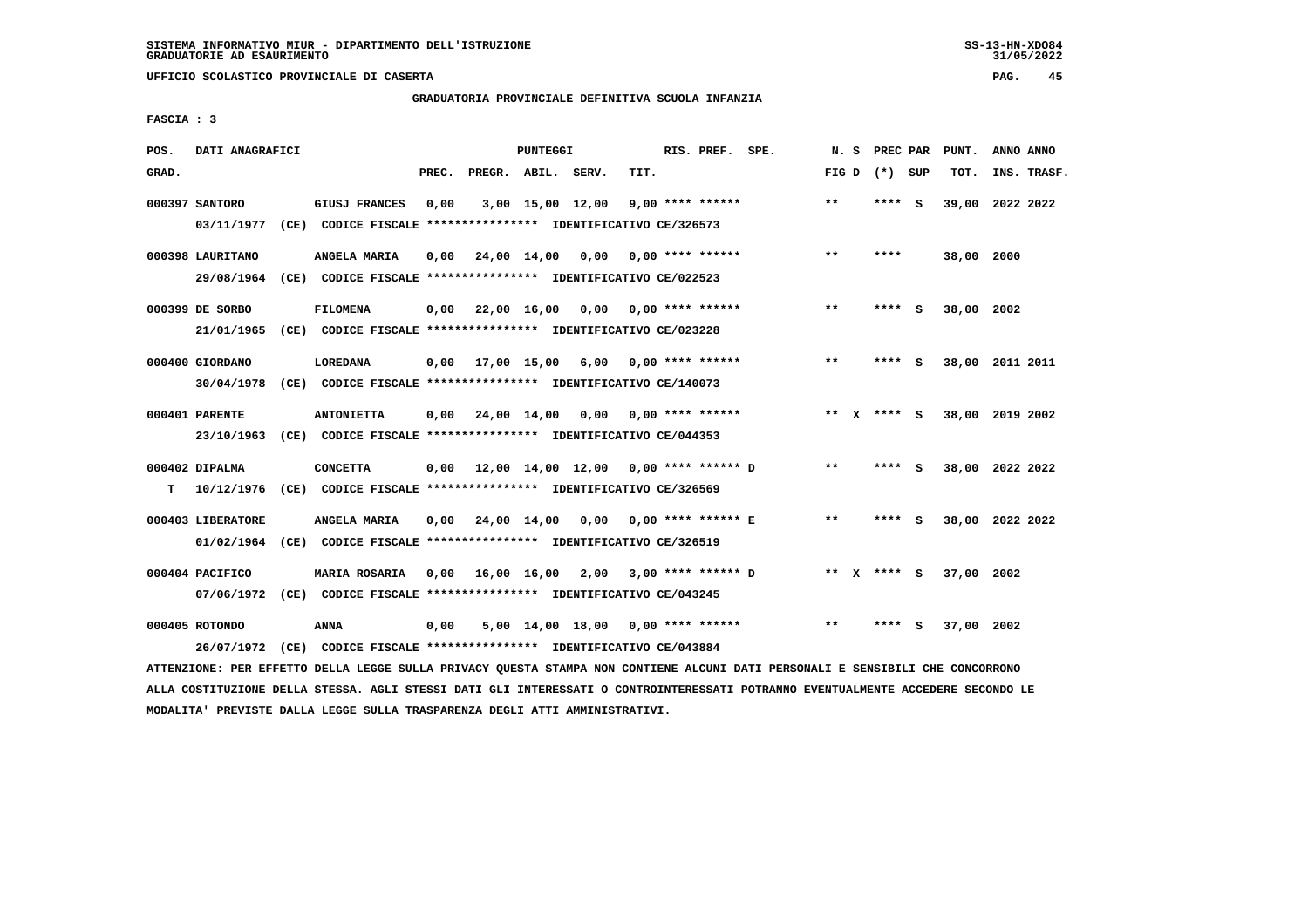**UFFICIO SCOLASTICO PROVINCIALE DI CASERTA PAG. 45**

#### **GRADUATORIA PROVINCIALE DEFINITIVA SCUOLA INFANZIA**

 **FASCIA : 3**

| POS.  | DATI ANAGRAFICI   |                                                               |       |                    | PUNTEGGI         |                                            |      | RIS. PREF. SPE.         |                         | N.S             | PREC PAR |     | PUNT.      | ANNO ANNO       |
|-------|-------------------|---------------------------------------------------------------|-------|--------------------|------------------|--------------------------------------------|------|-------------------------|-------------------------|-----------------|----------|-----|------------|-----------------|
| GRAD. |                   |                                                               | PREC. | PREGR. ABIL. SERV. |                  |                                            | TIT. |                         |                         | FIG D $(*)$ SUP |          |     | TOT.       | INS. TRASF.     |
|       | 000397 SANTORO    | GIUSJ FRANCES                                                 | 0,00  |                    | 3,00 15,00 12,00 |                                            |      | $9,00$ **** ******      |                         | $* *$           | **** S   |     |            | 39,00 2022 2022 |
|       | 03/11/1977        | (CE) CODICE FISCALE **************** IDENTIFICATIVO CE/326573 |       |                    |                  |                                            |      |                         |                         |                 |          |     |            |                 |
|       | 000398 LAURITANO  | ANGELA MARIA                                                  | 0.00  | 24,00 14,00 0,00   |                  |                                            |      | 0,00 **** ******        |                         | $* *$           | ****     |     | 38,00 2000 |                 |
|       | 29/08/1964        | (CE) CODICE FISCALE **************** IDENTIFICATIVO CE/022523 |       |                    |                  |                                            |      |                         |                         |                 |          |     |            |                 |
|       | 000399 DE SORBO   | <b>FILOMENA</b>                                               | 0,00  |                    |                  | 22,00 16,00 0,00 0,00 **** ******          |      |                         |                         | $* *$           | ****     | - S | 38,00 2002 |                 |
|       | 21/01/1965        | (CE) CODICE FISCALE **************** IDENTIFICATIVO CE/023228 |       |                    |                  |                                            |      |                         |                         |                 |          |     |            |                 |
|       | 000400 GIORDANO   | LOREDANA                                                      | 0,00  | 17,00 15,00        |                  |                                            |      | $6,00$ 0,00 **** ****** |                         | $***$           | ****     | - S |            | 38,00 2011 2011 |
|       | 30/04/1978        | (CE) CODICE FISCALE **************** IDENTIFICATIVO CE/140073 |       |                    |                  |                                            |      |                         |                         |                 |          |     |            |                 |
|       | 000401 PARENTE    | <b>ANTONIETTA</b>                                             | 0,00  |                    |                  | 24,00 14,00 0,00 0,00 **** ******          |      |                         |                         | ** X **** S     |          |     |            | 38,00 2019 2002 |
|       | 23/10/1963        | (CE) CODICE FISCALE **************** IDENTIFICATIVO CE/044353 |       |                    |                  |                                            |      |                         |                         |                 |          |     |            |                 |
|       | 000402 DIPALMA    | <b>CONCETTA</b>                                               | 0,00  |                    |                  | 12,00 14,00 12,00 0,00 **** ****** D       |      |                         |                         | $**$            | **** S   |     |            | 38,00 2022 2022 |
| т     | 10/12/1976        | (CE) CODICE FISCALE **************** IDENTIFICATIVO CE/326569 |       |                    |                  |                                            |      |                         |                         |                 |          |     |            |                 |
|       | 000403 LIBERATORE | ANGELA MARIA                                                  | 0,00  |                    | 24,00 14,00      |                                            |      |                         | 0,00 0,00 **** ****** E | $***$           | **** S   |     |            | 38,00 2022 2022 |
|       | 01/02/1964        | (CE) CODICE FISCALE **************** IDENTIFICATIVO CE/326519 |       |                    |                  |                                            |      |                         |                         |                 |          |     |            |                 |
|       | 000404 PACIFICO   | <b>MARIA ROSARIA</b>                                          |       |                    |                  | $0,00$ 16,00 16,00 2,00 3,00 **** ****** D |      |                         |                         | ** X **** S     |          |     | 37,00 2002 |                 |
|       | 07/06/1972        | (CE) CODICE FISCALE **************** IDENTIFICATIVO CE/043245 |       |                    |                  |                                            |      |                         |                         |                 |          |     |            |                 |
|       | 000405 ROTONDO    | ANNA                                                          | 0,00  |                    |                  | $5,00$ 14,00 18,00 0,00 **** ******        |      |                         |                         | $* *$           | ****     | - S | 37,00 2002 |                 |
|       | 26/07/1972        | (CE) CODICE FISCALE **************** IDENTIFICATIVO CE/043884 |       |                    |                  |                                            |      |                         |                         |                 |          |     |            |                 |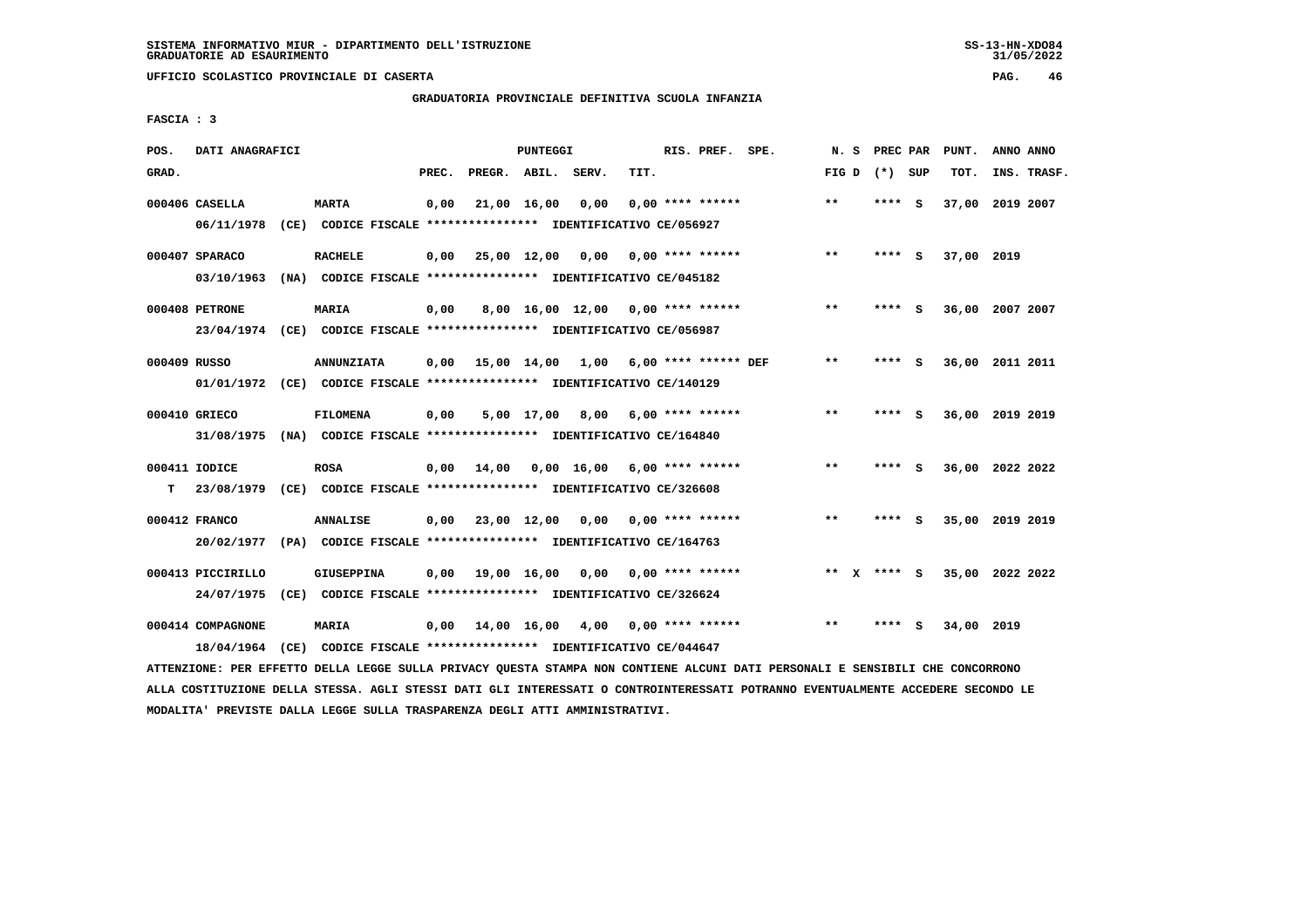**UFFICIO SCOLASTICO PROVINCIALE DI CASERTA PAG. 46**

# **GRADUATORIA PROVINCIALE DEFINITIVA SCUOLA INFANZIA**

 **FASCIA : 3**

| POS.         | DATI ANAGRAFICI              |                                                                                              |       |                    | PUNTEGGI    |                                     |      | RIS. PREF. SPE.      | N.S          | PREC PAR |     | PUNT.           | ANNO ANNO |             |
|--------------|------------------------------|----------------------------------------------------------------------------------------------|-------|--------------------|-------------|-------------------------------------|------|----------------------|--------------|----------|-----|-----------------|-----------|-------------|
| GRAD.        |                              |                                                                                              | PREC. | PREGR. ABIL. SERV. |             |                                     | TIT. |                      | FIG D        | (*) SUP  |     | TOT.            |           | INS. TRASF. |
|              | 000406 CASELLA<br>06/11/1978 | <b>MARTA</b><br>(CE) CODICE FISCALE **************** IDENTIFICATIVO CE/056927                | 0,00  |                    | 21,00 16,00 | 0,00                                |      | $0.00$ **** ******   | $**$         | **** S   |     | 37,00 2019 2007 |           |             |
|              | 000407 SPARACO<br>03/10/1963 | <b>RACHELE</b><br>(NA) CODICE FISCALE **************** IDENTIFICATIVO CE/045182              | 0,00  | 25,00 12,00 0,00   |             |                                     |      | 0,00 **** ******     | $***$        | **** S   |     | 37,00 2019      |           |             |
|              | 000408 PETRONE               | <b>MARIA</b><br>23/04/1974 (CE) CODICE FISCALE *************** IDENTIFICATIVO CE/056987      | 0,00  |                    |             | $8,00$ 16,00 12,00 0,00 **** ****** |      |                      | $* *$        | **** S   |     | 36,00           | 2007 2007 |             |
| 000409 RUSSO |                              | <b>ANNUNZIATA</b><br>01/01/1972 (CE) CODICE FISCALE *************** IDENTIFICATIVO CE/140129 | 0.00  | 15,00 14,00        |             | 1,00                                |      | 6,00 **** ****** DEF | $***$        | **** S   |     | 36,00 2011 2011 |           |             |
|              | 000410 GRIECO                | FILOMENA<br>31/08/1975 (NA) CODICE FISCALE *************** IDENTIFICATIVO CE/164840          | 0,00  |                    |             | 5,00 17,00 8,00                     |      | $6,00$ **** ******   | $\star\star$ | **** S   |     | 36,00 2019 2019 |           |             |
| т            | 000411 IODICE                | <b>ROSA</b><br>23/08/1979 (CE) CODICE FISCALE *************** IDENTIFICATIVO CE/326608       | 0,00  | 14,00              |             | $0.00$ 16.00 6.00 **** ******       |      |                      | $***$        | **** S   |     | 36,00 2022 2022 |           |             |
|              | 000412 FRANCO                | <b>ANNALISE</b><br>20/02/1977 (PA) CODICE FISCALE *************** IDENTIFICATIVO CE/164763   | 0,00  | 23,00 12,00        |             | $0,00$ $0,00$ **** ******           |      |                      | $***$        | **** S   |     | 35,00 2019 2019 |           |             |
|              | 000413 PICCIRILLO            | <b>GIUSEPPINA</b><br>24/07/1975 (CE) CODICE FISCALE *************** IDENTIFICATIVO CE/326624 | 0,00  |                    | 19,00 16,00 | 0,00                                |      | $0.00$ **** ******   | $***$<br>X   | **** S   |     | 35,00 2022 2022 |           |             |
|              | 000414 COMPAGNONE            | <b>MARIA</b><br>18/04/1964 (CE) CODICE FISCALE *************** IDENTIFICATIVO CE/044647      | 0,00  | 14,00 16,00        |             | 4,00                                |      | $0.00$ **** ******   | $* *$        | ****     | - 5 | 34,00 2019      |           |             |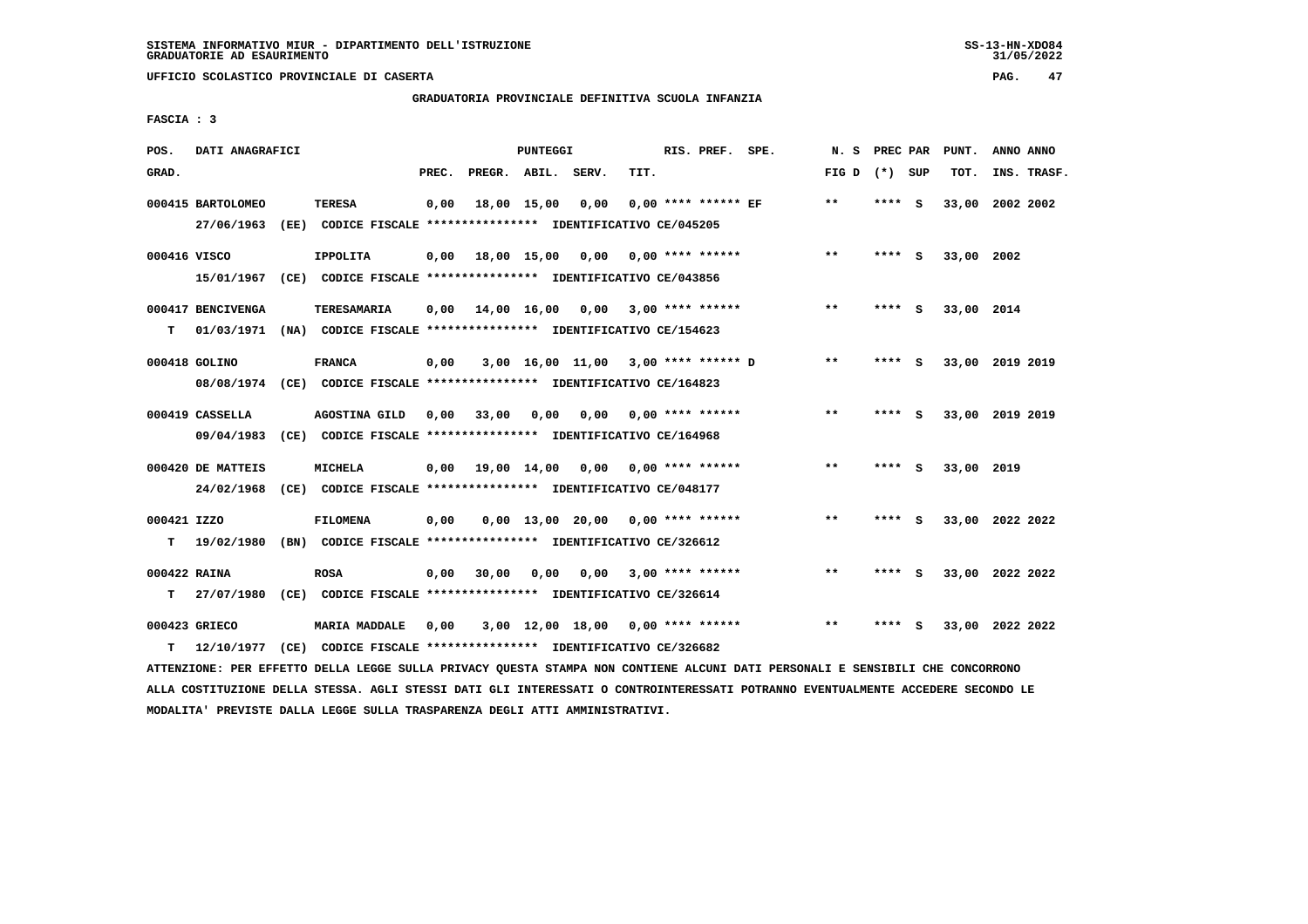# **GRADUATORIA PROVINCIALE DEFINITIVA SCUOLA INFANZIA**

 **FASCIA : 3**

| POS.         | DATI ANAGRAFICI   |                                                                                                                               |       |                    | PUNTEGGI |                                     |      | RIS. PREF. SPE.           | N. S PREC PAR   |         |     | PUNT.           | ANNO ANNO |             |
|--------------|-------------------|-------------------------------------------------------------------------------------------------------------------------------|-------|--------------------|----------|-------------------------------------|------|---------------------------|-----------------|---------|-----|-----------------|-----------|-------------|
| GRAD.        |                   |                                                                                                                               | PREC. | PREGR. ABIL. SERV. |          |                                     | TIT. |                           | FIG D $(*)$ SUP |         |     | TOT.            |           | INS. TRASF. |
|              | 000415 BARTOLOMEO | <b>TERESA</b>                                                                                                                 | 0,00  |                    |          | 18,00 15,00 0,00                    |      | $0,00$ **** ****** EF     | $* *$           | $***$ S |     | 33,00 2002 2002 |           |             |
|              | 27/06/1963        | (EE) CODICE FISCALE **************** IDENTIFICATIVO CE/045205                                                                 |       |                    |          |                                     |      |                           |                 |         |     |                 |           |             |
| 000416 VISCO |                   | <b>IPPOLITA</b>                                                                                                               | 0,00  |                    |          | 18,00 15,00 0,00 0,00 **** ******   |      |                           | $***$           | **** S  |     | 33,00 2002      |           |             |
|              |                   | 15/01/1967 (CE) CODICE FISCALE *************** IDENTIFICATIVO CE/043856                                                       |       |                    |          |                                     |      |                           |                 |         |     |                 |           |             |
|              | 000417 BENCIVENGA | TERESAMARIA                                                                                                                   | 0.00  |                    |          | 14,00 16,00 0,00 3,00 **** ******   |      |                           | $* *$           | **** S  |     | 33,00 2014      |           |             |
| т            |                   | 01/03/1971 (NA) CODICE FISCALE **************** IDENTIFICATIVO CE/154623                                                      |       |                    |          |                                     |      |                           |                 |         |     |                 |           |             |
|              | 000418 GOLINO     | <b>FRANCA</b>                                                                                                                 | 0,00  |                    |          | 3,00 16,00 11,00 3,00 **** ****** D |      |                           | $* *$           | **** S  |     | 33,00 2019 2019 |           |             |
|              |                   | 08/08/1974 (CE) CODICE FISCALE *************** IDENTIFICATIVO CE/164823                                                       |       |                    |          |                                     |      |                           |                 |         |     |                 |           |             |
|              | 000419 CASSELLA   | AGOSTINA GILD                                                                                                                 | 0,00  | 33,00              | 0,00     |                                     |      | $0,00$ $0,00$ **** ****** | $***$           | **** S  |     | 33,00 2019 2019 |           |             |
|              |                   | 09/04/1983 (CE) CODICE FISCALE *************** IDENTIFICATIVO CE/164968                                                       |       |                    |          |                                     |      |                           |                 |         |     |                 |           |             |
|              | 000420 DE MATTEIS | <b>MICHELA</b>                                                                                                                | 0,00  |                    |          | 19,00 14,00 0,00 0,00 **** ******   |      |                           | $* *$           | **** S  |     | 33,00 2019      |           |             |
|              | 24/02/1968        | (CE) CODICE FISCALE **************** IDENTIFICATIVO CE/048177                                                                 |       |                    |          |                                     |      |                           |                 |         |     |                 |           |             |
| 000421 IZZO  |                   | <b>FILOMENA</b>                                                                                                               | 0,00  |                    |          | $0.00$ 13.00 20.00 0.00 **** ****** |      |                           | **              | **** S  |     | 33,00 2022 2022 |           |             |
| т            |                   | 19/02/1980 (BN) CODICE FISCALE **************** IDENTIFICATIVO CE/326612                                                      |       |                    |          |                                     |      |                           |                 |         |     |                 |           |             |
| 000422 RAINA |                   | <b>ROSA</b>                                                                                                                   | 0,00  | 30,00              |          | $0,00$ $0,00$ $3,00$ **** ******    |      |                           | $***$           | **** S  |     | 33,00 2022 2022 |           |             |
| т            |                   | 27/07/1980 (CE) CODICE FISCALE **************** IDENTIFICATIVO CE/326614                                                      |       |                    |          |                                     |      |                           |                 |         |     |                 |           |             |
|              | 000423 GRIECO     | <b>MARIA MADDALE</b>                                                                                                          | 0,00  |                    |          | $3,00$ 12,00 18,00 0,00 **** ****** |      |                           | $* *$           | ****    | - S | 33,00 2022 2022 |           |             |
| т            | 12/10/1977        | (CE) CODICE FISCALE **************** IDENTIFICATIVO CE/326682                                                                 |       |                    |          |                                     |      |                           |                 |         |     |                 |           |             |
|              |                   | ATTENZIONE: PER EFFETTO DELLA LEGGE SULLA PRIVACY QUESTA STAMPA NON CONTIENE ALCUNI DATI PERSONALI E SENSIBILI CHE CONCORRONO |       |                    |          |                                     |      |                           |                 |         |     |                 |           |             |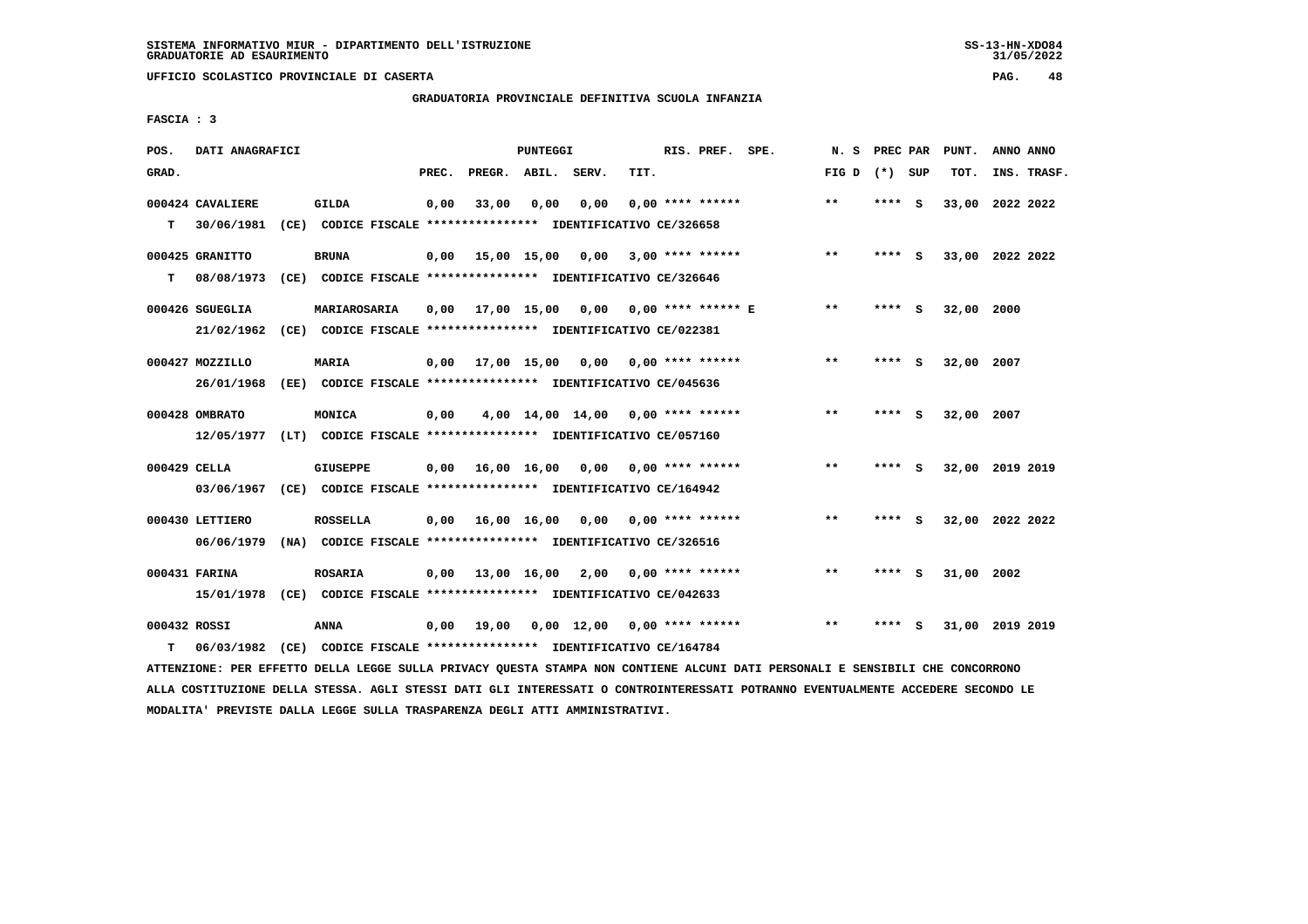**UFFICIO SCOLASTICO PROVINCIALE DI CASERTA PAG. 48**

# **GRADUATORIA PROVINCIALE DEFINITIVA SCUOLA INFANZIA**

 **FASCIA : 3**

| POS.         | DATI ANAGRAFICI  |                                                                                                                               |       |                    | PUNTEGGI |                                          |      | RIS. PREF. SPE.    |                                        | N. S PREC PAR   |         | PUNT.           | ANNO ANNO |             |
|--------------|------------------|-------------------------------------------------------------------------------------------------------------------------------|-------|--------------------|----------|------------------------------------------|------|--------------------|----------------------------------------|-----------------|---------|-----------------|-----------|-------------|
| GRAD.        |                  |                                                                                                                               | PREC. | PREGR. ABIL. SERV. |          |                                          | TIT. |                    |                                        | FIG D $(*)$ SUP |         | тот.            |           | INS. TRASF. |
|              | 000424 CAVALIERE | GILDA                                                                                                                         | 0,00  | 33,00              |          | $0,00$ $0,00$                            |      | $0.00$ **** ****** |                                        | $* *$           | **** S  | 33,00 2022 2022 |           |             |
|              | $T = 30/06/1981$ | (CE) CODICE FISCALE **************** IDENTIFICATIVO CE/326658                                                                 |       |                    |          |                                          |      |                    |                                        |                 |         |                 |           |             |
|              | 000425 GRANITTO  | <b>BRUNA</b>                                                                                                                  |       |                    |          | $0,00$ 15,00 15,00 0,00 3,00 **** ****** |      |                    |                                        | $* *$           | **** S  | 33,00 2022 2022 |           |             |
| т            | 08/08/1973       |                                                                                                                               |       |                    |          |                                          |      |                    |                                        |                 |         |                 |           |             |
|              | 000426 SGUEGLIA  | <b>MARIAROSARIA</b>                                                                                                           |       |                    |          | 0,00 17,00 15,00 0,00 0,00 **** ****** E |      |                    |                                        | $***$           | **** S  | 32,00 2000      |           |             |
|              | 21/02/1962       | (CE) CODICE FISCALE **************** IDENTIFICATIVO CE/022381                                                                 |       |                    |          |                                          |      |                    |                                        |                 |         |                 |           |             |
|              | 000427 MOZZILLO  | <b>MARIA</b>                                                                                                                  |       |                    |          | $0,00$ 17,00 15,00 0,00 0,00 **** ****** |      |                    |                                        | $* *$           | $***$ S | 32,00 2007      |           |             |
|              | 26/01/1968       | (EE) CODICE FISCALE **************** IDENTIFICATIVO CE/045636                                                                 |       |                    |          |                                          |      |                    |                                        |                 |         |                 |           |             |
|              | 000428 OMBRATO   | MONICA                                                                                                                        | 0,00  |                    |          | $4,00$ 14,00 14,00 0,00 **** ******      |      |                    |                                        | $* *$           | **** S  | 32,00 2007      |           |             |
|              |                  | 12/05/1977 (LT) CODICE FISCALE *************** IDENTIFICATIVO CE/057160                                                       |       |                    |          |                                          |      |                    |                                        |                 |         |                 |           |             |
| 000429 CELLA |                  | <b>GIUSEPPE</b>                                                                                                               | 0,00  |                    |          |                                          |      |                    |                                        | $* *$           | **** S  | 32,00 2019 2019 |           |             |
|              |                  | 03/06/1967 (CE) CODICE FISCALE *************** IDENTIFICATIVO CE/164942                                                       |       |                    |          |                                          |      |                    |                                        |                 |         |                 |           |             |
|              | 000430 LETTIERO  | <b>ROSSELLA</b>                                                                                                               |       |                    |          | $0,00$ 16,00 16,00 0,00 0,00 **** ****** |      |                    |                                        | $***$           | **** S  | 32,00 2022 2022 |           |             |
|              | 06/06/1979       | (NA) CODICE FISCALE **************** IDENTIFICATIVO CE/326516                                                                 |       |                    |          |                                          |      |                    |                                        |                 |         |                 |           |             |
|              | 000431 FARINA    | <b>ROSARIA</b>                                                                                                                |       |                    |          | $0,00$ 13,00 16,00 2,00 0,00 **** ****** |      |                    |                                        | $***$           | **** S  | 31,00 2002      |           |             |
|              |                  | 15/01/1978 (CE) CODICE FISCALE *************** IDENTIFICATIVO CE/042633                                                       |       |                    |          |                                          |      |                    |                                        |                 |         |                 |           |             |
| 000432 ROSSI |                  | ANNA                                                                                                                          | 0,00  |                    |          |                                          |      |                    | 19,00  0,00  12,00  0,00  ****  ****** | $* *$           | **** S  | 31,00 2019 2019 |           |             |
| т            | 06/03/1982       | (CE) CODICE FISCALE *************** IDENTIFICATIVO CE/164784                                                                  |       |                    |          |                                          |      |                    |                                        |                 |         |                 |           |             |
|              |                  | ATTENZIONE: PER EFFETTO DELLA LEGGE SULLA PRIVACY QUESTA STAMPA NON CONTIENE ALCUNI DATI PERSONALI E SENSIBILI CHE CONCORRONO |       |                    |          |                                          |      |                    |                                        |                 |         |                 |           |             |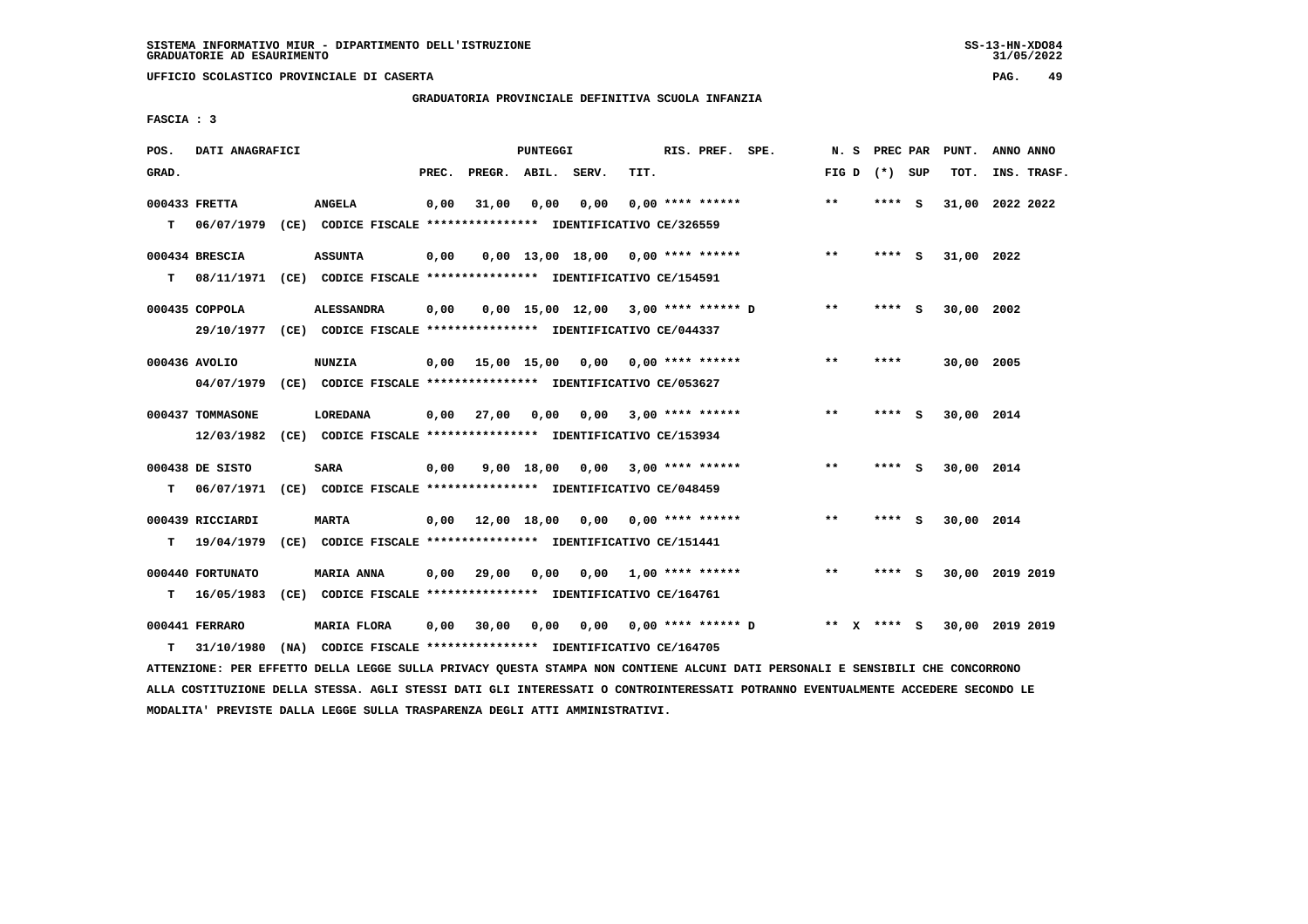**UFFICIO SCOLASTICO PROVINCIALE DI CASERTA PAG. 49**

#### **GRADUATORIA PROVINCIALE DEFINITIVA SCUOLA INFANZIA**

 **FASCIA : 3**

| POS.  | DATI ANAGRAFICI              |                                                                                     |       |                                          | PUNTEGGI |                                       |      | RIS. PREF. SPE.         |                    | N.S             | PREC PAR | PUNT.           | ANNO ANNO |             |
|-------|------------------------------|-------------------------------------------------------------------------------------|-------|------------------------------------------|----------|---------------------------------------|------|-------------------------|--------------------|-----------------|----------|-----------------|-----------|-------------|
| GRAD. |                              |                                                                                     | PREC. | PREGR. ABIL. SERV.                       |          |                                       | TIT. |                         |                    | FIG D $(*)$ SUP |          | TOT.            |           | INS. TRASF. |
|       | 000433 FRETTA                | <b>ANGELA</b>                                                                       | 0,00  | 31,00                                    | 0,00     | 0,00                                  |      | $0.00$ **** ******      |                    | **              | **** S   | 31,00 2022 2022 |           |             |
| т     |                              | 06/07/1979 (CE) CODICE FISCALE **************** IDENTIFICATIVO CE/326559            |       |                                          |          |                                       |      |                         |                    |                 |          |                 |           |             |
|       | 000434 BRESCIA               | <b>ASSUNTA</b>                                                                      | 0,00  |                                          |          | $0.00$ 13.00 18.00 0.00 **** ******   |      |                         |                    | $**$            | **** S   | 31,00 2022      |           |             |
| т     | 08/11/1971                   | (CE) CODICE FISCALE **************** IDENTIFICATIVO CE/154591                       |       |                                          |          |                                       |      |                         |                    |                 |          |                 |           |             |
|       | 000435 COPPOLA               | <b>ALESSANDRA</b>                                                                   | 0,00  |                                          |          | $0,00$ 15,00 12,00 3,00 **** ****** D |      |                         |                    | $***$           | **** S   | 30,00 2002      |           |             |
|       |                              | 29/10/1977 (CE) CODICE FISCALE *************** IDENTIFICATIVO CE/044337             |       |                                          |          |                                       |      |                         |                    |                 |          |                 |           |             |
|       | 000436 AVOLIO                | <b>NUNZIA</b>                                                                       | 0,00  | 15,00 15,00 0,00 0,00 **** ******        |          |                                       |      |                         |                    | $* *$           | ****     | 30,00 2005      |           |             |
|       | 04/07/1979                   | (CE) CODICE FISCALE **************** IDENTIFICATIVO CE/053627                       |       |                                          |          |                                       |      |                         |                    |                 |          |                 |           |             |
|       | 000437 TOMMASONE             | <b>LOREDANA</b>                                                                     | 0,00  | 27,00                                    | 0,00     | 0,00                                  |      | $3,00$ **** ******      |                    | **              | **** S   | 30,00 2014      |           |             |
|       | 12/03/1982                   | (CE) CODICE FISCALE **************** IDENTIFICATIVO CE/153934                       |       |                                          |          |                                       |      |                         |                    |                 |          |                 |           |             |
|       | 000438 DE SISTO              | <b>SARA</b>                                                                         | 0,00  |                                          |          | $9,00$ 18,00 0,00 3,00 **** ******    |      |                         |                    | $* *$           | **** S   | 30,00 2014      |           |             |
| т     | 06/07/1971                   | (CE) CODICE FISCALE **************** IDENTIFICATIVO CE/048459                       |       |                                          |          |                                       |      |                         |                    |                 |          |                 |           |             |
|       | 000439 RICCIARDI             | <b>MARTA</b>                                                                        |       | $0,00$ 12,00 18,00 0,00 0,00 **** ****** |          |                                       |      |                         |                    | $* *$           | **** S   | 30,00 2014      |           |             |
| т     | 19/04/1979                   | (CE) CODICE FISCALE **************** IDENTIFICATIVO CE/151441                       |       |                                          |          |                                       |      |                         |                    |                 |          |                 |           |             |
|       | 000440 FORTUNATO             | <b>MARIA ANNA</b>                                                                   | 0,00  | 29,00                                    | 0,00     |                                       |      | $0,00$ 1,00 **** ****** |                    | $***$           | **** S   | 30,00 2019 2019 |           |             |
| т     | 16/05/1983                   | (CE) CODICE FISCALE **************** IDENTIFICATIVO CE/164761                       |       |                                          |          |                                       |      |                         |                    |                 |          |                 |           |             |
| т     | 000441 FERRARO<br>31/10/1980 | <b>MARIA FLORA</b><br>(NA) CODICE FISCALE **************** IDENTIFICATIVO CE/164705 | 0,00  | 30,00                                    | 0,00     | 0,00                                  |      |                         | 0,00 **** ****** D | ** X **** S     |          | 30,00           | 2019 2019 |             |
|       |                              |                                                                                     |       |                                          |          |                                       |      |                         |                    |                 |          |                 |           |             |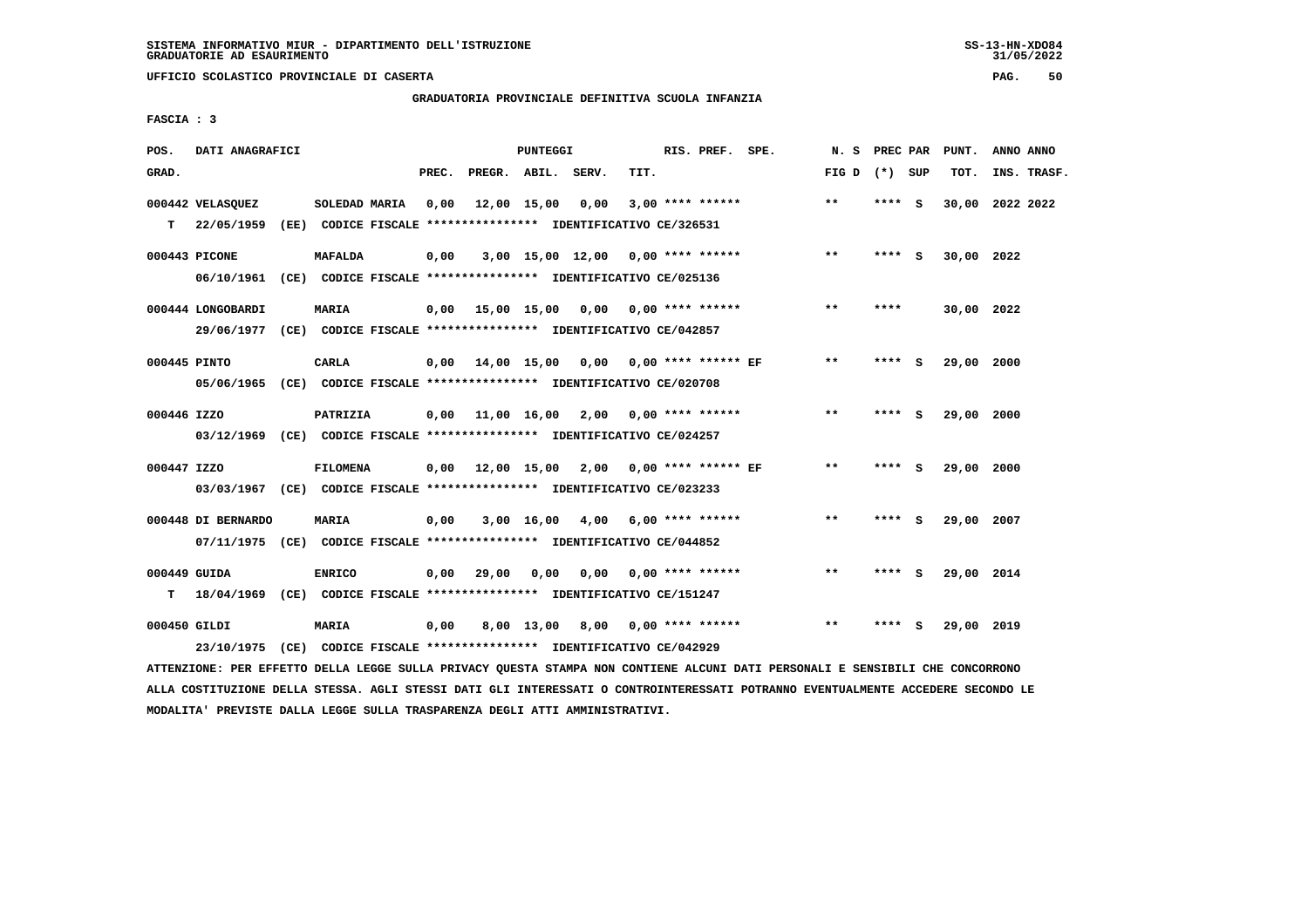# **GRADUATORIA PROVINCIALE DEFINITIVA SCUOLA INFANZIA**

 **FASCIA : 3**

| POS.         | DATI ANAGRAFICI                                                           |                                                               |       |                    | PUNTEGGI   |                                             |      | RIS. PREF. SPE.           | N.S             | PREC PAR |   | PUNT.           | ANNO ANNO |             |
|--------------|---------------------------------------------------------------------------|---------------------------------------------------------------|-------|--------------------|------------|---------------------------------------------|------|---------------------------|-----------------|----------|---|-----------------|-----------|-------------|
| GRAD.        |                                                                           |                                                               | PREC. | PREGR. ABIL. SERV. |            |                                             | TIT. |                           | FIG D $(*)$ SUP |          |   | TOT.            |           | INS. TRASF. |
|              | 000442 VELASOUEZ                                                          | SOLEDAD MARIA                                                 | 0,00  | 12,00 15,00        |            | 0.00                                        |      | $3,00$ **** ******        | $***$           | **** S   |   | 30,00 2022 2022 |           |             |
| т            | 22/05/1959                                                                | (EE) CODICE FISCALE **************** IDENTIFICATIVO CE/326531 |       |                    |            |                                             |      |                           |                 |          |   |                 |           |             |
|              | 000443 PICONE                                                             | <b>MAFALDA</b>                                                | 0,00  |                    |            | 3,00 15,00 12,00 0,00 **** ******           |      |                           | $* *$           | **** S   |   | 30,00 2022      |           |             |
|              | 06/10/1961 (CE) CODICE FISCALE *************** IDENTIFICATIVO CE/025136   |                                                               |       |                    |            |                                             |      |                           |                 |          |   |                 |           |             |
|              | 000444 LONGOBARDI                                                         | <b>MARIA</b>                                                  |       |                    |            | $0,00$ 15,00 15,00 0,00 0,00 **** ******    |      |                           | $***$           | ****     |   | 30,00 2022      |           |             |
|              | 29/06/1977 (CE) CODICE FISCALE *************** IDENTIFICATIVO CE/042857   |                                                               |       |                    |            |                                             |      |                           |                 |          |   |                 |           |             |
| 000445 PINTO |                                                                           | CARLA                                                         |       |                    |            | $0.00$ 14.00 15.00 0.00 0.00 **** ****** EF |      |                           | **              | ****     | ్ | 29,00 2000      |           |             |
|              | 05/06/1965 (CE) CODICE FISCALE *************** IDENTIFICATIVO CE/020708   |                                                               |       |                    |            |                                             |      |                           |                 |          |   |                 |           |             |
|              |                                                                           |                                                               |       |                    |            |                                             |      |                           |                 |          |   |                 |           |             |
| 000446 IZZO  |                                                                           | PATRIZIA                                                      |       |                    |            | $0.00$ 11.00 16.00 2.00 0.00 **** ******    |      |                           | **              | **** S   |   | 29,00 2000      |           |             |
|              | 03/12/1969 (CE) CODICE FISCALE *************** IDENTIFICATIVO CE/024257   |                                                               |       |                    |            |                                             |      |                           |                 |          |   |                 |           |             |
| 000447 IZZO  |                                                                           | <b>FILOMENA</b>                                               |       |                    |            | $0,00$ $12,00$ $15,00$ $2,00$               |      | $0.00$ **** ****** EF     | $***$           | **** $S$ |   | 29,00           | 2000      |             |
|              | 03/03/1967 (CE) CODICE FISCALE *************** IDENTIFICATIVO CE/023233   |                                                               |       |                    |            |                                             |      |                           |                 |          |   |                 |           |             |
|              | 000448 DI BERNARDO                                                        | MARIA                                                         | 0,00  |                    |            | 3,00 16,00 4,00                             |      | $6,00$ **** ******        | $**$            | **** S   |   | 29,00 2007      |           |             |
|              | 07/11/1975 (CE) CODICE FISCALE *************** IDENTIFICATIVO CE/044852   |                                                               |       |                    |            |                                             |      |                           |                 |          |   |                 |           |             |
|              |                                                                           |                                                               |       |                    |            |                                             |      |                           | $* *$           |          |   |                 |           |             |
| 000449 GUIDA |                                                                           | <b>ENRICO</b>                                                 | 0,00  | 29,00              | 0,00       |                                             |      | $0.00$ $0.00$ **** ****** |                 | **** S   |   | 29,00 2014      |           |             |
|              | T 18/04/1969 (CE) CODICE FISCALE *************** IDENTIFICATIVO CE/151247 |                                                               |       |                    |            |                                             |      |                           |                 |          |   |                 |           |             |
| 000450 GILDI |                                                                           | <b>MARIA</b>                                                  | 0,00  |                    | 8,00 13,00 | 8,00                                        |      | $0.00$ **** ******        | $* *$           |          |   | 29,00 2019      |           |             |
|              | 23/10/1975                                                                | (CE) CODICE FISCALE *************** IDENTIFICATIVO CE/042929  |       |                    |            |                                             |      |                           |                 |          |   |                 |           |             |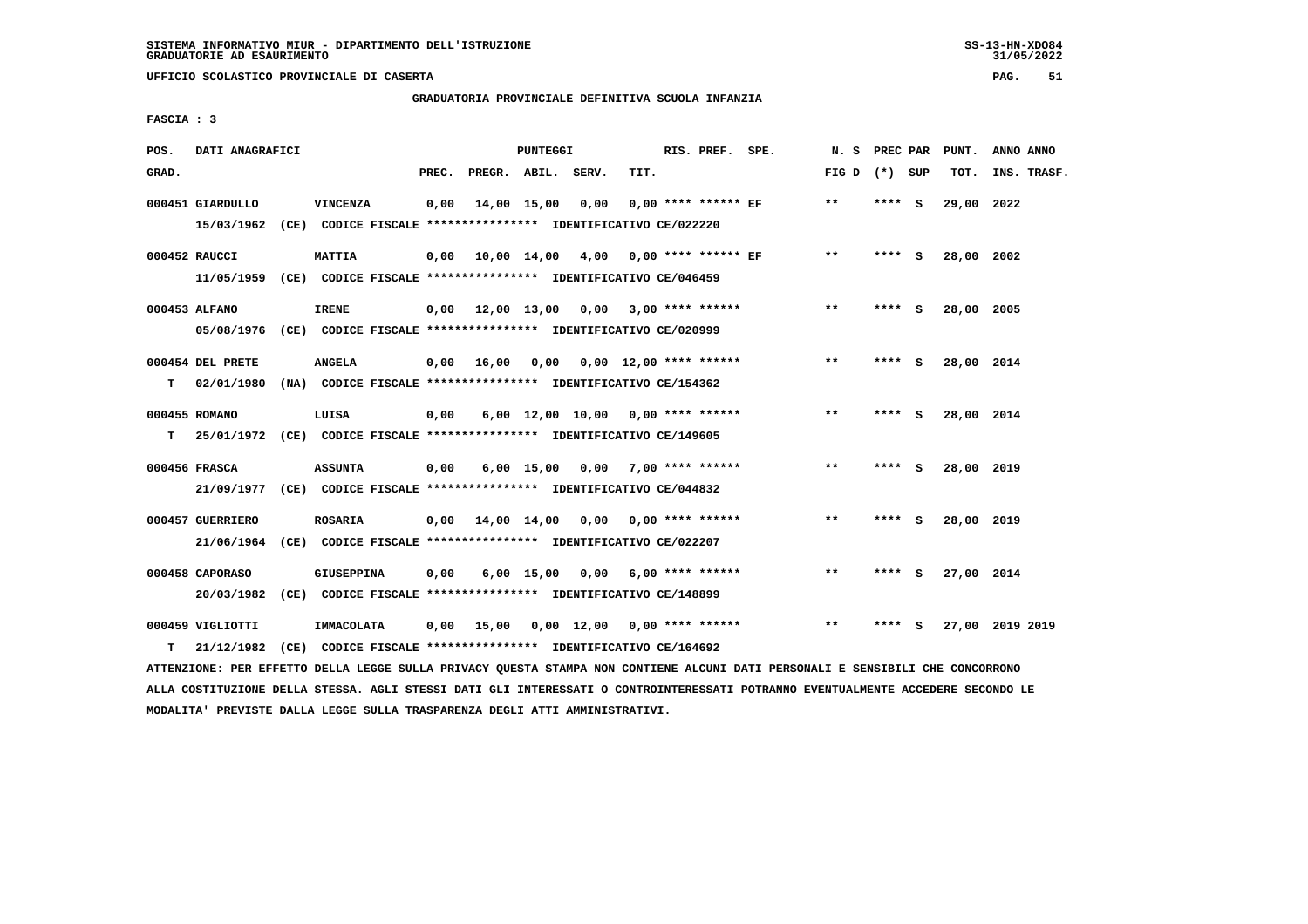**UFFICIO SCOLASTICO PROVINCIALE DI CASERTA PAG. 51**

# **GRADUATORIA PROVINCIALE DEFINITIVA SCUOLA INFANZIA**

 **FASCIA : 3**

| POS.  | DATI ANAGRAFICI                |                                                                                           |       |                                          | PUNTEGGI     |                                     |      | RIS. PREF. SPE.                        | N. S            | PREC PAR |   | PUNT.      | ANNO ANNO       |
|-------|--------------------------------|-------------------------------------------------------------------------------------------|-------|------------------------------------------|--------------|-------------------------------------|------|----------------------------------------|-----------------|----------|---|------------|-----------------|
| GRAD. |                                |                                                                                           | PREC. | PREGR. ABIL. SERV.                       |              |                                     | TIT. |                                        | FIG D $(*)$ SUP |          |   | TOT.       | INS. TRASF.     |
|       | 000451 GIARDULLO               | VINCENZA<br>15/03/1962 (CE) CODICE FISCALE *************** IDENTIFICATIVO CE/022220       | 0,00  |                                          | 14,00 15,00  | 0,00                                |      | $0.00$ **** ****** EF                  | **              | **** S   |   | 29,00      | 2022            |
|       | 000452 RAUCCI                  | MATTIA<br>11/05/1959 (CE) CODICE FISCALE *************** IDENTIFICATIVO CE/046459         | 0.00  | 10,00 14,00 4,00 0,00 **** ****** EF     |              |                                     |      |                                        | $***$           | **** S   |   | 28,00 2002 |                 |
|       | 000453 ALFANO                  | <b>IRENE</b><br>05/08/1976 (CE) CODICE FISCALE *************** IDENTIFICATIVO CE/020999   |       | $0,00$ 12,00 13,00 0,00 3,00 **** ****** |              |                                     |      |                                        | $***$           | **** S   |   | 28,00 2005 |                 |
| T.    | 000454 DEL PRETE               | <b>ANGELA</b><br>02/01/1980 (NA) CODICE FISCALE *************** IDENTIFICATIVO CE/154362  |       | 0.00 16.00                               | 0,00         |                                     |      | $0.00 \quad 12.00 \quad *** \quad ***$ | $**$            | **** S   |   | 28,00 2014 |                 |
| T.    | 000455 ROMANO                  | LUISA<br>25/01/1972 (CE) CODICE FISCALE **************** IDENTIFICATIVO CE/149605         | 0,00  |                                          |              | $6,00$ 12,00 10,00 0,00 **** ****** |      |                                        | $***$           | **** S   |   | 28,00 2014 |                 |
|       | 000456 FRASCA                  | <b>ASSUNTA</b><br>21/09/1977 (CE) CODICE FISCALE *************** IDENTIFICATIVO CE/044832 | 0,00  |                                          | $6,00$ 15,00 | 0,00 7,00 **** ******               |      |                                        | $***$           | **** S   |   | 28,00 2019 |                 |
|       | 000457 GUERRIERO<br>21/06/1964 | <b>ROSARIA</b><br>(CE) CODICE FISCALE **************** IDENTIFICATIVO CE/022207           |       | $0,00$ $14,00$ $14,00$                   |              |                                     |      | $0,00$ $0,00$ **** ******              | $* *$           | **** S   |   | 28,00 2019 |                 |
|       | 000458 CAPORASO<br>20/03/1982  | <b>GIUSEPPINA</b><br>(CE) CODICE FISCALE **************** IDENTIFICATIVO CE/148899        | 0.00  |                                          | $6,00$ 15,00 | 0.00                                |      | 6,00 **** ******                       | $***$           | **** S   |   | 27,00 2014 |                 |
| т     | 000459 VIGLIOTTI<br>21/12/1982 | <b>IMMACOLATA</b><br>(CE) CODICE FISCALE **************** IDENTIFICATIVO CE/164692        | 0.00  | 15,00                                    |              | 0,00 12,00                          |      | $0.00$ **** ******                     | $***$           | ****     | ్ |            | 27,00 2019 2019 |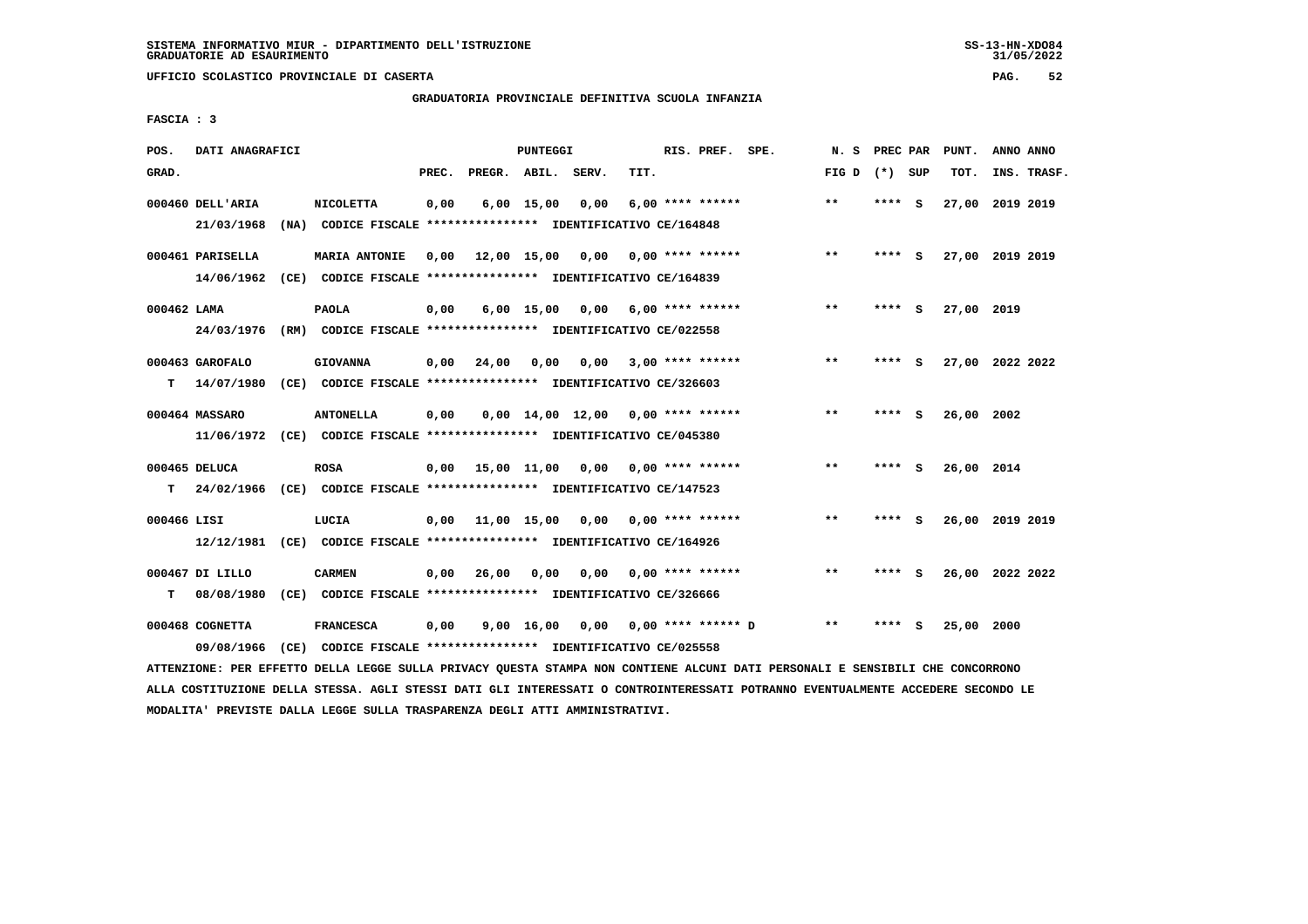**UFFICIO SCOLASTICO PROVINCIALE DI CASERTA PAG. 52**

# **GRADUATORIA PROVINCIALE DEFINITIVA SCUOLA INFANZIA**

 **FASCIA : 3**

| POS.        | DATI ANAGRAFICI  |                                                                         |       |                    | PUNTEGGI     |                                     |      | RIS. PREF. SPE.      | N.S             | PREC PAR |     | PUNT.      | ANNO ANNO       |  |
|-------------|------------------|-------------------------------------------------------------------------|-------|--------------------|--------------|-------------------------------------|------|----------------------|-----------------|----------|-----|------------|-----------------|--|
| GRAD.       |                  |                                                                         | PREC. | PREGR. ABIL. SERV. |              |                                     | TIT. |                      | FIG D $(*)$ SUP |          |     | тот.       | INS. TRASF.     |  |
|             | 000460 DELL'ARIA | <b>NICOLETTA</b>                                                        | 0,00  |                    | $6,00$ 15,00 | 0,00                                |      | $6.00$ **** ******   | $* *$           | ****     | - S |            | 27,00 2019 2019 |  |
|             | 21/03/1968       | (NA) CODICE FISCALE **************** IDENTIFICATIVO CE/164848           |       |                    |              |                                     |      |                      |                 |          |     |            |                 |  |
|             | 000461 PARISELLA | <b>MARIA ANTONIE</b>                                                    | 0,00  | 12,00 15,00        |              | 0,00                                |      | 0,00 **** ******     | $***$           | ****     | - S |            | 27,00 2019 2019 |  |
|             | 14/06/1962       | (CE) CODICE FISCALE **************** IDENTIFICATIVO CE/164839           |       |                    |              |                                     |      |                      |                 |          |     |            |                 |  |
| 000462 LAMA |                  | <b>PAOLA</b>                                                            | 0,00  |                    | $6,00$ 15,00 | 0,00                                |      | $6,00$ **** ******   | **              | ****     | - S | 27,00 2019 |                 |  |
|             | 24/03/1976       | (RM) CODICE FISCALE *************** IDENTIFICATIVO CE/022558            |       |                    |              |                                     |      |                      |                 |          |     |            |                 |  |
|             | 000463 GAROFALO  | <b>GIOVANNA</b>                                                         | 0,00  | 24,00              | 0,00         | 0.00                                |      | $3,00$ **** ******   | $***$           | **** S   |     |            | 27,00 2022 2022 |  |
| т           | 14/07/1980       | (CE) CODICE FISCALE **************** IDENTIFICATIVO CE/326603           |       |                    |              |                                     |      |                      |                 |          |     |            |                 |  |
|             | 000464 MASSARO   | <b>ANTONELLA</b>                                                        | 0,00  |                    |              | $0,00$ 14,00 12,00 0,00 **** ****** |      |                      | $\star\star$    | **** S   |     | 26,00 2002 |                 |  |
|             |                  | 11/06/1972 (CE) CODICE FISCALE *************** IDENTIFICATIVO CE/045380 |       |                    |              |                                     |      |                      |                 |          |     |            |                 |  |
|             | 000465 DELUCA    | <b>ROSA</b>                                                             | 0,00  |                    |              | 15,00 11,00 0,00 0,00 **** ******   |      |                      | **              | **** S   |     | 26,00 2014 |                 |  |
| T.          | 24/02/1966       | (CE) CODICE FISCALE *************** IDENTIFICATIVO CE/147523            |       |                    |              |                                     |      |                      |                 |          |     |            |                 |  |
| 000466 LISI |                  | LUCIA                                                                   | 0,00  |                    | 11,00 15,00  | 0,00                                |      | $0.00$ **** ******   | $***$           | ****     | - S |            | 26,00 2019 2019 |  |
|             | 12/12/1981       | (CE) CODICE FISCALE **************** IDENTIFICATIVO CE/164926           |       |                    |              |                                     |      |                      |                 |          |     |            |                 |  |
|             | 000467 DI LILLO  | <b>CARMEN</b>                                                           | 0,00  | 26,00              | 0,00         | 0,00                                |      | $0.00$ **** ******   | **              | **** S   |     |            | 26,00 2022 2022 |  |
| T.          | 08/08/1980       | (CE) CODICE FISCALE **************** IDENTIFICATIVO CE/326666           |       |                    |              |                                     |      |                      |                 |          |     |            |                 |  |
|             | 000468 COGNETTA  | <b>FRANCESCA</b>                                                        | 0,00  |                    | 9,00 16,00   | 0,00                                |      | $0.00$ **** ****** D | $* *$           | ****     | - S | 25,00 2000 |                 |  |
|             | 09/08/1966       | (CE) CODICE FISCALE **************** IDENTIFICATIVO CE/025558           |       |                    |              |                                     |      |                      |                 |          |     |            |                 |  |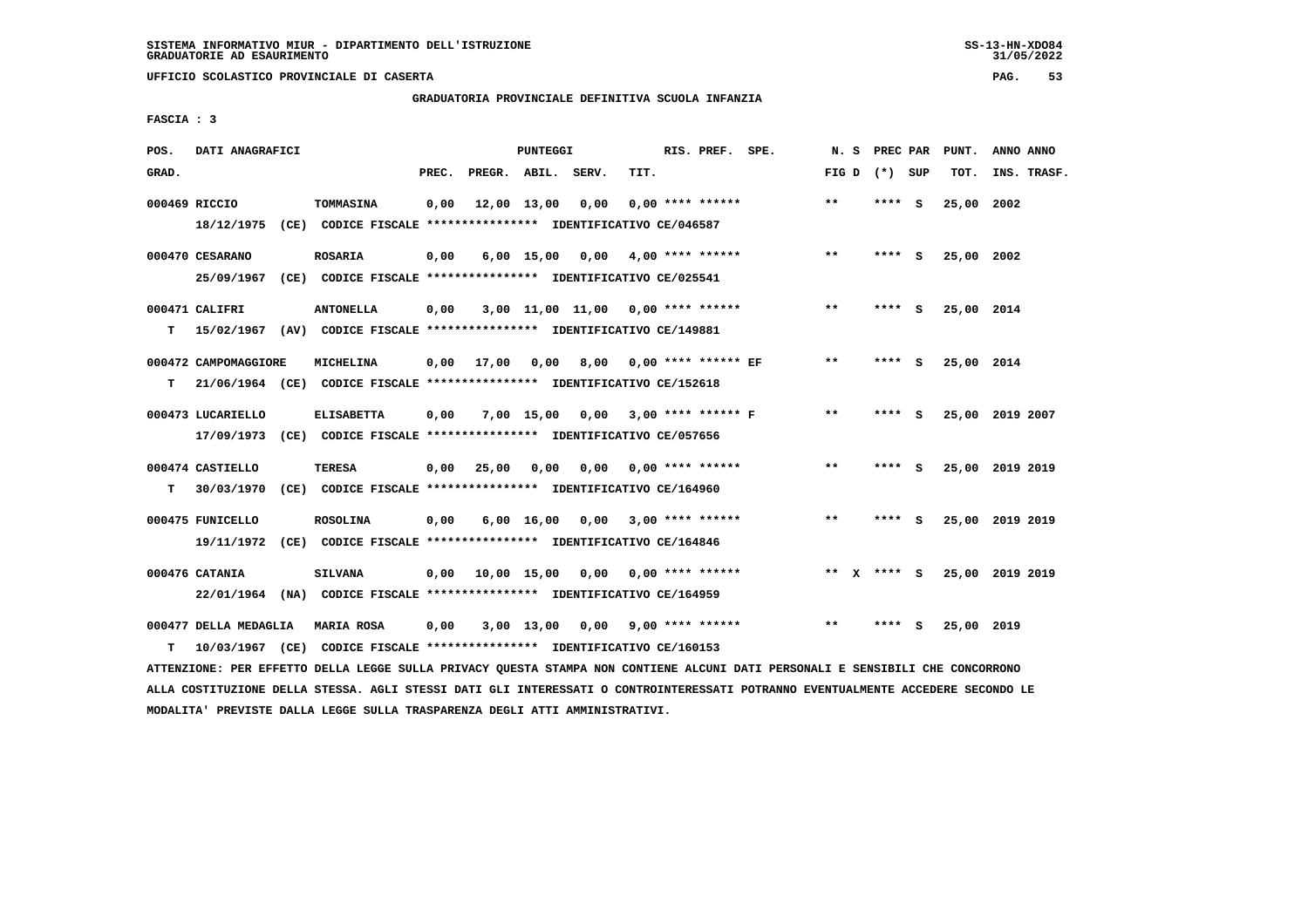**UFFICIO SCOLASTICO PROVINCIALE DI CASERTA PAG. 53**

# **GRADUATORIA PROVINCIALE DEFINITIVA SCUOLA INFANZIA**

 **FASCIA : 3**

| POS.  | DATI ANAGRAFICI       |                                                                          |       |              | <b>PUNTEGGI</b>    |                                     |      | RIS. PREF. SPE.           | N.S          |         | PREC PAR | PUNT.      | ANNO ANNO       |
|-------|-----------------------|--------------------------------------------------------------------------|-------|--------------|--------------------|-------------------------------------|------|---------------------------|--------------|---------|----------|------------|-----------------|
| GRAD. |                       |                                                                          | PREC. | PREGR. ABIL. |                    | SERV.                               | TIT. |                           | FIG D        | (*) SUP |          | TOT.       | INS. TRASF.     |
|       | 000469 RICCIO         | TOMMASINA                                                                | 0,00  |              | 12,00 13,00        | 0,00                                |      | $0.00$ **** ******        | $* *$        | ****    | - S      | 25,00      | 2002            |
|       | 18/12/1975            | (CE) CODICE FISCALE **************** IDENTIFICATIVO CE/046587            |       |              |                    |                                     |      |                           |              |         |          |            |                 |
|       | 000470 CESARANO       | <b>ROSARIA</b>                                                           | 0,00  |              | $6,00$ 15,00       | 0,00                                |      | $4,00$ **** ******        | $**$         | **** S  |          | 25,00 2002 |                 |
|       | 25/09/1967            | (CE) CODICE FISCALE **************** IDENTIFICATIVO CE/025541            |       |              |                    |                                     |      |                           |              |         |          |            |                 |
|       | 000471 CALIFRI        | <b>ANTONELLA</b>                                                         | 0,00  |              |                    | $3,00$ 11,00 11,00 0,00 **** ****** |      |                           | $***$        | **** S  |          | 25,00 2014 |                 |
| т     |                       | 15/02/1967 (AV) CODICE FISCALE **************** IDENTIFICATIVO CE/149881 |       |              |                    |                                     |      |                           |              |         |          |            |                 |
|       | 000472 CAMPOMAGGIORE  | <b>MICHELINA</b>                                                         | 0,00  | 17,00        | 0.00               | 8,00                                |      | $0.00$ **** ****** EF     | $***$        | ****    | - S      | 25,00 2014 |                 |
| т     |                       | 21/06/1964 (CE) CODICE FISCALE **************** IDENTIFICATIVO CE/152618 |       |              |                    |                                     |      |                           |              |         |          |            |                 |
|       | 000473 LUCARIELLO     | <b>ELISABETTA</b>                                                        | 0,00  |              | $7,00$ 15,00       | 0.00                                |      | 3,00 **** ****** F        | $**$         | ****    | - S      |            | 25,00 2019 2007 |
|       |                       | 17/09/1973 (CE) CODICE FISCALE *************** IDENTIFICATIVO CE/057656  |       |              |                    |                                     |      |                           |              |         |          |            |                 |
|       | 000474 CASTIELLO      | TERESA                                                                   | 0,00  | 25,00        | 0,00               |                                     |      | $0,00$ $0,00$ **** ****** | $***$        | **** S  |          |            | 25,00 2019 2019 |
| т     | 30/03/1970            | (CE) CODICE FISCALE **************** IDENTIFICATIVO CE/164960            |       |              |                    |                                     |      |                           |              |         |          |            |                 |
|       | 000475 FUNICELLO      | <b>ROSOLINA</b>                                                          | 0,00  |              | $6,00 \quad 16,00$ | 0.00                                |      | $3,00$ **** ******        | $\star\star$ | ****    | - 5      | 25,00      | 2019 2019       |
|       | 19/11/1972            | (CE) CODICE FISCALE **************** IDENTIFICATIVO CE/164846            |       |              |                    |                                     |      |                           |              |         |          |            |                 |
|       | 000476 CATANIA        | <b>SILVANA</b>                                                           | 0,00  |              |                    | 10,00 15,00 0,00                    |      | $0.00$ **** ******        | $***$ X      | **** S  |          |            | 25,00 2019 2019 |
|       | 22/01/1964            | (NA) CODICE FISCALE **************** IDENTIFICATIVO CE/164959            |       |              |                    |                                     |      |                           |              |         |          |            |                 |
|       | 000477 DELLA MEDAGLIA | <b>MARIA ROSA</b>                                                        | 0,00  |              | 3,00 13,00         | 0,00 9,00 **** ******               |      |                           | **           | ****    | - S      | 25,00 2019 |                 |
| т     |                       | 10/03/1967 (CE) CODICE FISCALE *************** IDENTIFICATIVO CE/160153  |       |              |                    |                                     |      |                           |              |         |          |            |                 |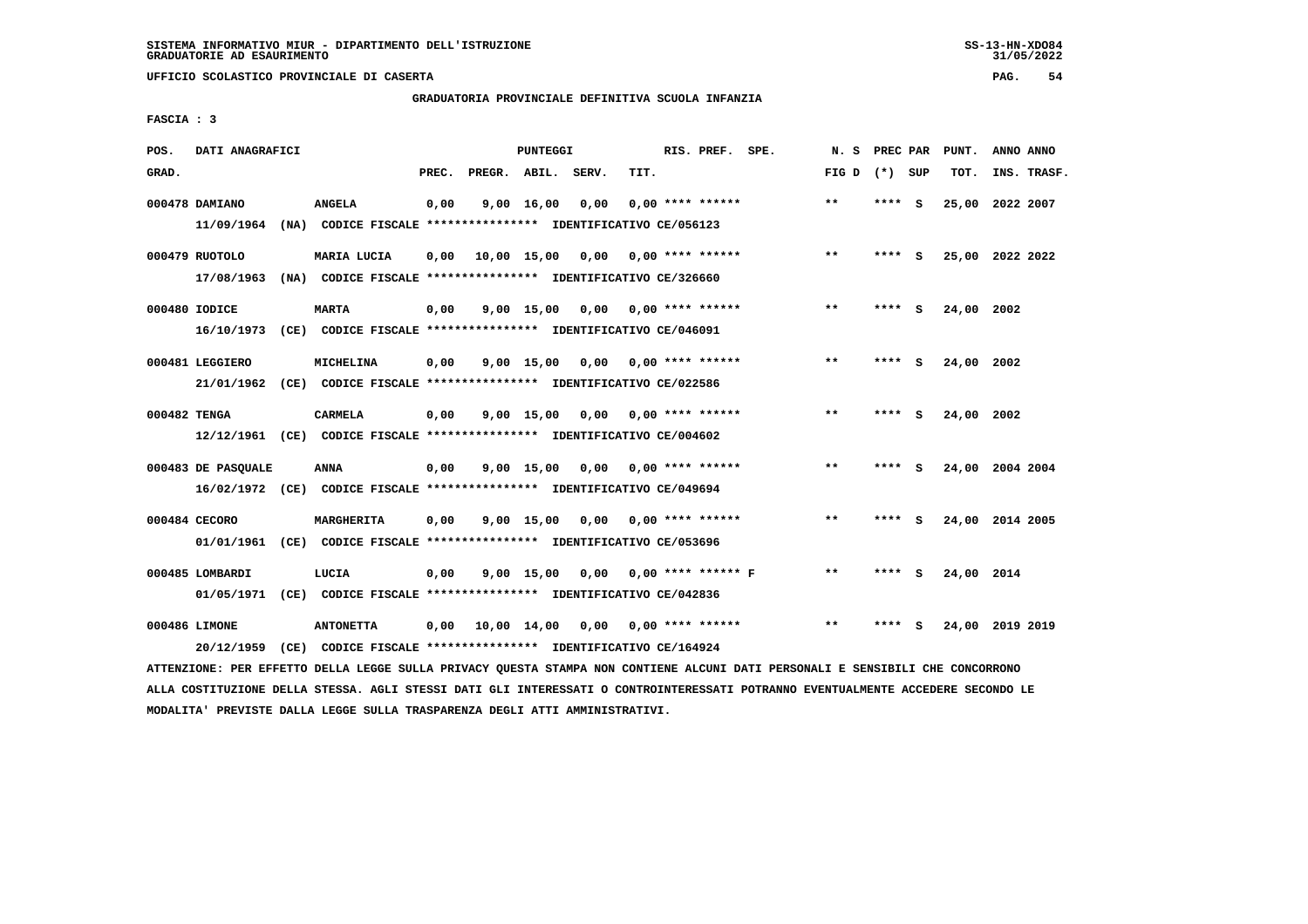**UFFICIO SCOLASTICO PROVINCIALE DI CASERTA PAG. 54**

## **GRADUATORIA PROVINCIALE DEFINITIVA SCUOLA INFANZIA**

 **FASCIA : 3**

| POS.         | DATI ANAGRAFICI    |                                                                                                                               |       |                    | PUNTEGGI |                                    |      | RIS. PREF. SPE.    | N.S             |         | PREC PAR PUNT.  | ANNO ANNO |             |
|--------------|--------------------|-------------------------------------------------------------------------------------------------------------------------------|-------|--------------------|----------|------------------------------------|------|--------------------|-----------------|---------|-----------------|-----------|-------------|
| GRAD.        |                    |                                                                                                                               | PREC. | PREGR. ABIL. SERV. |          |                                    | TIT. |                    | FIG D $(*)$ SUP |         | TOT.            |           | INS. TRASF. |
|              | 000478 DAMIANO     | <b>ANGELA</b>                                                                                                                 | 0,00  |                    |          | $9,00$ $16,00$ $0,00$              |      | $0.00$ **** ****** | $***$           | $***$ S | 25,00 2022 2007 |           |             |
|              | 11/09/1964         | (NA) CODICE FISCALE **************** IDENTIFICATIVO CE/056123                                                                 |       |                    |          |                                    |      |                    |                 |         |                 |           |             |
|              | 000479 RUOTOLO     | MARIA LUCIA                                                                                                                   | 0,00  |                    |          | 10,00 15,00 0,00 0,00 **** ******  |      |                    | $***$           | **** S  | 25,00 2022 2022 |           |             |
|              |                    | 17/08/1963 (NA) CODICE FISCALE **************** IDENTIFICATIVO CE/326660                                                      |       |                    |          |                                    |      |                    |                 |         |                 |           |             |
|              | 000480 IODICE      | <b>MARTA</b>                                                                                                                  | 0,00  |                    |          | 9,00 15,00 0,00 0,00 **** ******   |      |                    | $**$            | $***$ S | 24,00 2002      |           |             |
|              |                    | 16/10/1973 (CE) CODICE FISCALE *************** IDENTIFICATIVO CE/046091                                                       |       |                    |          |                                    |      |                    |                 |         |                 |           |             |
|              | 000481 LEGGIERO    | MICHELINA                                                                                                                     | 0,00  |                    |          | 9,00 15,00 0,00 0,00 **** ******   |      |                    | **              | **** S  | 24,00 2002      |           |             |
|              |                    | 21/01/1962 (CE) CODICE FISCALE *************** IDENTIFICATIVO CE/022586                                                       |       |                    |          |                                    |      |                    |                 |         |                 |           |             |
| 000482 TENGA |                    | <b>CARMELA</b>                                                                                                                | 0,00  |                    |          | $9.00$ 15.00 0.00 0.00 **** ****** |      |                    | $***$           | **** S  | 24,00 2002      |           |             |
|              |                    | 12/12/1961 (CE) CODICE FISCALE *************** IDENTIFICATIVO CE/004602                                                       |       |                    |          |                                    |      |                    |                 |         |                 |           |             |
|              | 000483 DE PASQUALE | ANNA                                                                                                                          | 0,00  |                    |          | 9,00 15,00 0,00 0,00 **** ******   |      |                    | $\star\star$    | **** S  | 24,00 2004 2004 |           |             |
|              |                    | 16/02/1972 (CE) CODICE FISCALE *************** IDENTIFICATIVO CE/049694                                                       |       |                    |          |                                    |      |                    |                 |         |                 |           |             |
|              | 000484 CECORO      | MARGHERITA                                                                                                                    | 0,00  |                    |          | $9,00$ 15,00 0,00 0,00 **** ****** |      |                    | $* *$           | **** S  | 24,00 2014 2005 |           |             |
|              | 01/01/1961         | (CE) CODICE FISCALE *************** IDENTIFICATIVO CE/053696                                                                  |       |                    |          |                                    |      |                    |                 |         |                 |           |             |
|              | 000485 LOMBARDI    | LUCIA                                                                                                                         | 0,00  |                    |          | 9,00 15,00 0,00 0,00 **** ****** F |      |                    | $* *$           | **** S  | 24,00 2014      |           |             |
|              |                    | 01/05/1971 (CE) CODICE FISCALE *************** IDENTIFICATIVO CE/042836                                                       |       |                    |          |                                    |      |                    |                 |         |                 |           |             |
|              | 000486 LIMONE      | <b>ANTONETTA</b>                                                                                                              | 0,00  |                    |          |                                    |      |                    | $* *$           | **** S  | 24,00 2019 2019 |           |             |
|              |                    | 20/12/1959 (CE) CODICE FISCALE *************** IDENTIFICATIVO CE/164924                                                       |       |                    |          |                                    |      |                    |                 |         |                 |           |             |
|              |                    | ATTENZIONE: PER EFFETTO DELLA LEGGE SULLA PRIVACY QUESTA STAMPA NON CONTIENE ALCUNI DATI PERSONALI E SENSIBILI CHE CONCORRONO |       |                    |          |                                    |      |                    |                 |         |                 |           |             |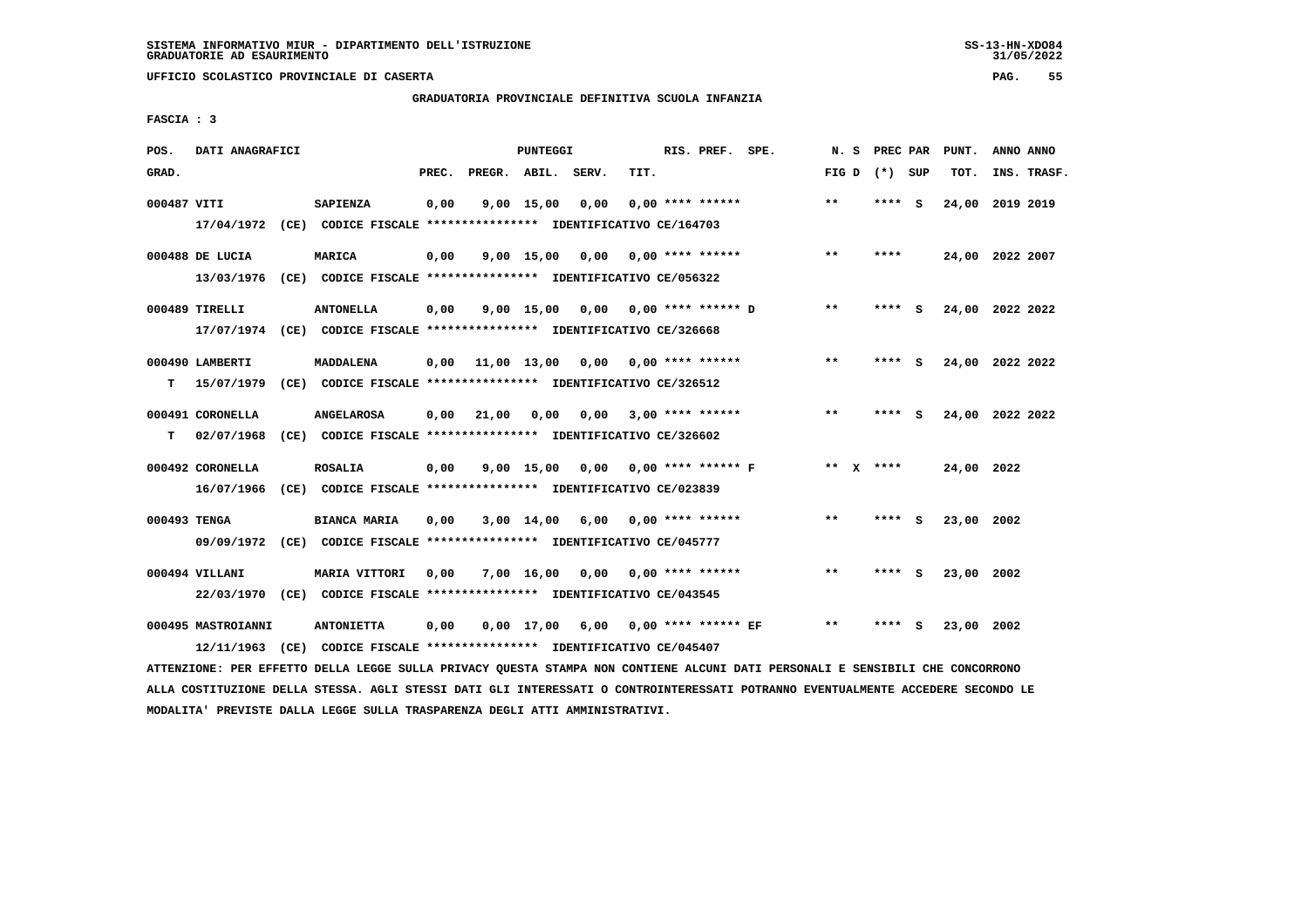# **GRADUATORIA PROVINCIALE DEFINITIVA SCUOLA INFANZIA**

 **FASCIA : 3**

| POS.         | DATI ANAGRAFICI                  |      |                                                                                             |       |              | <b>PUNTEGGI</b>    |       |      | RIS. PREF. SPE.             | N.S   | PREC PAR    |     | PUNT.           | ANNO ANNO |             |
|--------------|----------------------------------|------|---------------------------------------------------------------------------------------------|-------|--------------|--------------------|-------|------|-----------------------------|-------|-------------|-----|-----------------|-----------|-------------|
| GRAD.        |                                  |      |                                                                                             | PREC. | PREGR. ABIL. |                    | SERV. | TIT. |                             | FIG D | (*) SUP     |     | TOT.            |           | INS. TRASF. |
| 000487 VITI  |                                  |      | SAPIENZA<br>17/04/1972 (CE) CODICE FISCALE *************** IDENTIFICATIVO CE/164703         | 0,00  |              | $9,00$ 15,00       | 0,00  |      | $0.00$ **** ******          | $**$  | ****        | - S | 24,00           | 2019 2019 |             |
|              | 000488 DE LUCIA<br>13/03/1976    |      | <b>MARICA</b><br>(CE) CODICE FISCALE **************** IDENTIFICATIVO CE/056322              | 0,00  |              | $9,00$ 15,00       | 0,00  |      | $0.00$ **** ******          | $**$  | ****        |     | 24,00 2022 2007 |           |             |
|              | 000489 TIRELLI                   |      | <b>ANTONELLA</b><br>17/07/1974 (CE) CODICE FISCALE *************** IDENTIFICATIVO CE/326668 | 0,00  |              | $9,00$ 15,00       |       |      | $0,00$ $0,00$ **** ****** D | $**$  | **** S      |     | 24,00 2022 2022 |           |             |
| т            | 000490 LAMBERTI<br>15/07/1979    |      | <b>MADDALENA</b><br>(CE) CODICE FISCALE **************** IDENTIFICATIVO CE/326512           | 0,00  | 11,00 13,00  |                    | 0,00  |      | $0.00$ **** ******          | $* *$ | ****        | - S | 24,00 2022 2022 |           |             |
| т            | 000491 CORONELLA<br>02/07/1968   |      | <b>ANGELAROSA</b><br>(CE) CODICE FISCALE **************** IDENTIFICATIVO CE/326602          | 0,00  | 21,00        | 0,00               | 0.00  |      | $3.00*********$             | **    | ****        | s   | 24,00 2022 2022 |           |             |
|              | 000492 CORONELLA<br>16/07/1966   |      | <b>ROSALIA</b><br>(CE) CODICE FISCALE **************** IDENTIFICATIVO CE/023839             | 0,00  |              | $9,00$ 15,00       | 0.00  |      | $0.00$ **** ****** F        |       | ** $X$ **** |     | 24,00 2022      |           |             |
| 000493 TENGA | 09/09/1972                       |      | <b>BIANCA MARIA</b><br>(CE) CODICE FISCALE **************** IDENTIFICATIVO CE/045777        | 0,00  |              | 3,00 14,00         | 6,00  |      | $0.00$ **** ******          | $* *$ | ****        | - S | 23,00           | 2002      |             |
|              | 000494 VILLANI<br>22/03/1970     |      | <b>MARIA VITTORI</b><br>(CE) CODICE FISCALE **************** IDENTIFICATIVO CE/043545       | 0,00  |              | 7,00 16,00         | 0,00  |      | $0.00$ **** ******          | $**$  | ****        | - 5 | 23,00 2002      |           |             |
|              | 000495 MASTROIANNI<br>12/11/1963 | (CE) | <b>ANTONIETTA</b><br>CODICE FISCALE **************** IDENTIFICATIVO CE/045407               | 0,00  |              | $0,00 \quad 17,00$ |       |      | 6,00 0,00 **** ****** EF    | $* *$ | ****        | s   | 23,00 2002      |           |             |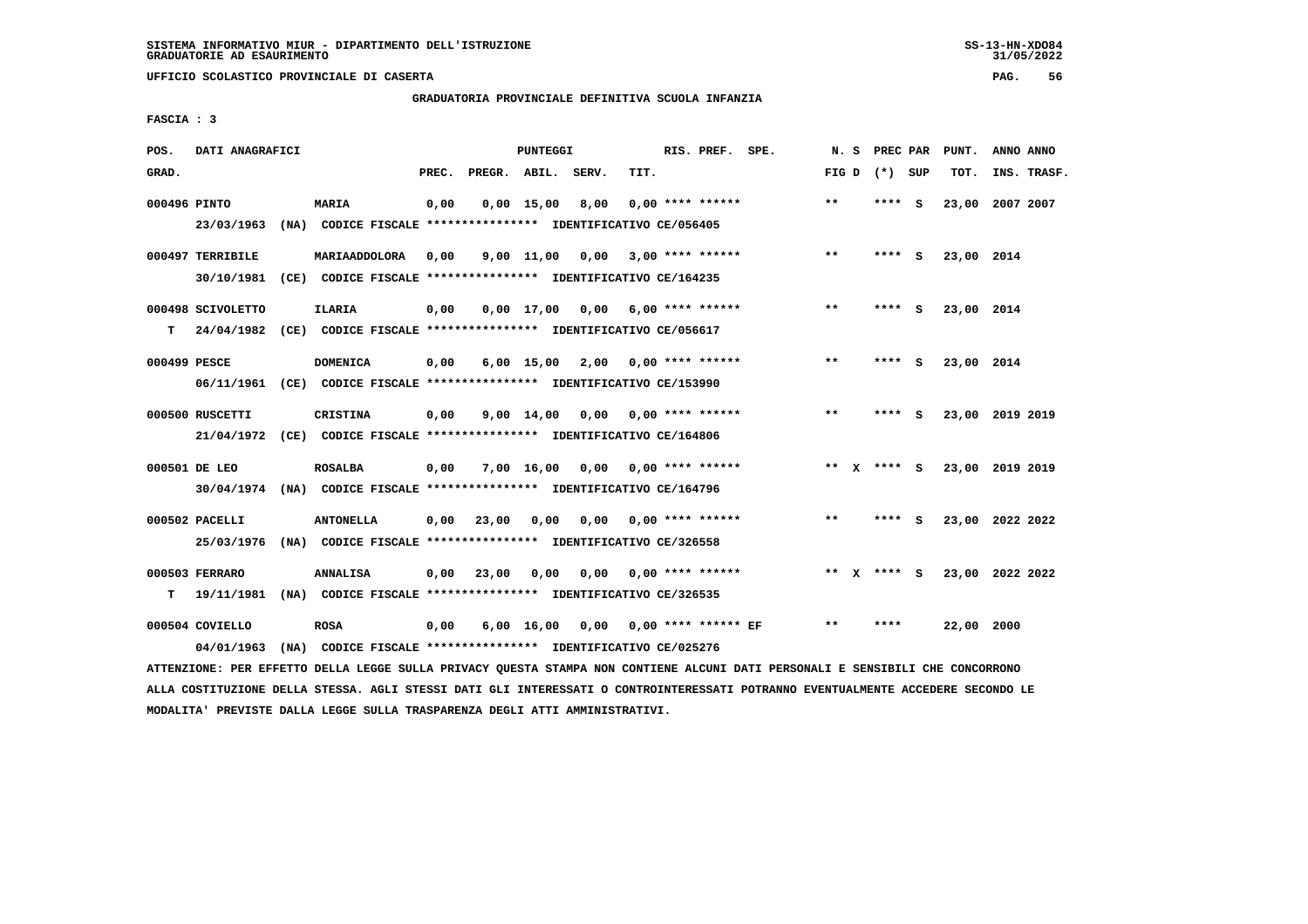**UFFICIO SCOLASTICO PROVINCIALE DI CASERTA PAG. 56**

# **GRADUATORIA PROVINCIALE DEFINITIVA SCUOLA INFANZIA**

 **FASCIA : 3**

| POS.         | DATI ANAGRAFICI   |                                                                                                                               |       |                    | PUNTEGGI     |                                        |      | RIS. PREF. SPE.           |                                     |       |                 | N. S PREC PAR PUNT. | ANNO ANNO |             |
|--------------|-------------------|-------------------------------------------------------------------------------------------------------------------------------|-------|--------------------|--------------|----------------------------------------|------|---------------------------|-------------------------------------|-------|-----------------|---------------------|-----------|-------------|
| GRAD.        |                   |                                                                                                                               | PREC. | PREGR. ABIL. SERV. |              |                                        | TIT. |                           |                                     |       | FIG D $(*)$ SUP | TOT.                |           | INS. TRASF. |
| 000496 PINTO |                   | <b>MARIA</b>                                                                                                                  | 0,00  |                    | $0,00$ 15,00 | 8,00                                   |      | $0,00$ **** ******        |                                     | $***$ | **** S          | 23,00 2007 2007     |           |             |
|              | 23/03/1963        | (NA) CODICE FISCALE **************** IDENTIFICATIVO CE/056405                                                                 |       |                    |              |                                        |      |                           |                                     |       |                 |                     |           |             |
|              | 000497 TERRIBILE  | MARIAADDOLORA                                                                                                                 | 0,00  |                    |              | $9,00$ 11,00 0,00 3,00 **** ******     |      |                           |                                     | $* *$ | **** S          | 23,00 2014          |           |             |
|              |                   | 30/10/1981 (CE) CODICE FISCALE *************** IDENTIFICATIVO CE/164235                                                       |       |                    |              |                                        |      |                           |                                     |       |                 |                     |           |             |
|              | 000498 SCIVOLETTO | ILARIA                                                                                                                        | 0,00  |                    |              | $0,00$ 17,00 0,00 6,00 **** ******     |      |                           |                                     | $* *$ | **** S          | 23,00 2014          |           |             |
| T.           |                   | 24/04/1982 (CE) CODICE FISCALE *************** IDENTIFICATIVO CE/056617                                                       |       |                    |              |                                        |      |                           |                                     |       |                 |                     |           |             |
| 000499 PESCE |                   | <b>DOMENICA</b>                                                                                                               | 0,00  |                    |              | $6,00$ 15,00 2,00 0,00 **** ******     |      |                           |                                     | $***$ | **** S          | 23,00 2014          |           |             |
|              |                   | 06/11/1961 (CE) CODICE FISCALE *************** IDENTIFICATIVO CE/153990                                                       |       |                    |              |                                        |      |                           |                                     |       |                 |                     |           |             |
|              | 000500 RUSCETTI   | <b>CRISTINA</b>                                                                                                               | 0,00  |                    |              | $9,00$ 14,00 0,00 0,00 **** ******     |      |                           |                                     | $***$ | **** S          | 23,00 2019 2019     |           |             |
|              |                   | 21/04/1972 (CE) CODICE FISCALE *************** IDENTIFICATIVO CE/164806                                                       |       |                    |              |                                        |      |                           |                                     |       |                 |                     |           |             |
|              | 000501 DE LEO     | <b>ROSALBA</b>                                                                                                                | 0,00  |                    | 7,00 16,00   |                                        |      | $0,00$ $0,00$ **** ****** |                                     |       | ** x **** s     | 23,00 2019 2019     |           |             |
|              |                   | 30/04/1974 (NA) CODICE FISCALE *************** IDENTIFICATIVO CE/164796                                                       |       |                    |              |                                        |      |                           |                                     |       |                 |                     |           |             |
|              | 000502 PACELLI    | <b>ANTONELLA</b>                                                                                                              | 0,00  | 23,00              | 0,00         | 0,00                                   |      | $0.00$ **** ******        |                                     | $* *$ | **** S          | 23,00 2022 2022     |           |             |
|              | 25/03/1976        | (NA) CODICE FISCALE *************** IDENTIFICATIVO CE/326558                                                                  |       |                    |              |                                        |      |                           |                                     |       |                 |                     |           |             |
|              | 000503 FERRARO    | <b>ANNALISA</b>                                                                                                               | 0,00  | 23,00              |              | $0,00$ $0,00$ $0,00$ $***$ **** ****** |      |                           |                                     |       | ** x **** S     | 23,00 2022 2022     |           |             |
| т            |                   | 19/11/1981 (NA) CODICE FISCALE *************** IDENTIFICATIVO CE/326535                                                       |       |                    |              |                                        |      |                           |                                     |       |                 |                     |           |             |
|              | 000504 COVIELLO   | <b>ROSA</b>                                                                                                                   | 0,00  |                    |              |                                        |      |                           | 6,00 16,00 0,00 0,00 **** ****** EF | $***$ | ****            | 22,00 2000          |           |             |
|              | 04/01/1963        | (NA) CODICE FISCALE **************** IDENTIFICATIVO CE/025276                                                                 |       |                    |              |                                        |      |                           |                                     |       |                 |                     |           |             |
|              |                   | ATTENZIONE: PER EFFETTO DELLA LEGGE SULLA PRIVACY QUESTA STAMPA NON CONTIENE ALCUNI DATI PERSONALI E SENSIBILI CHE CONCORRONO |       |                    |              |                                        |      |                           |                                     |       |                 |                     |           |             |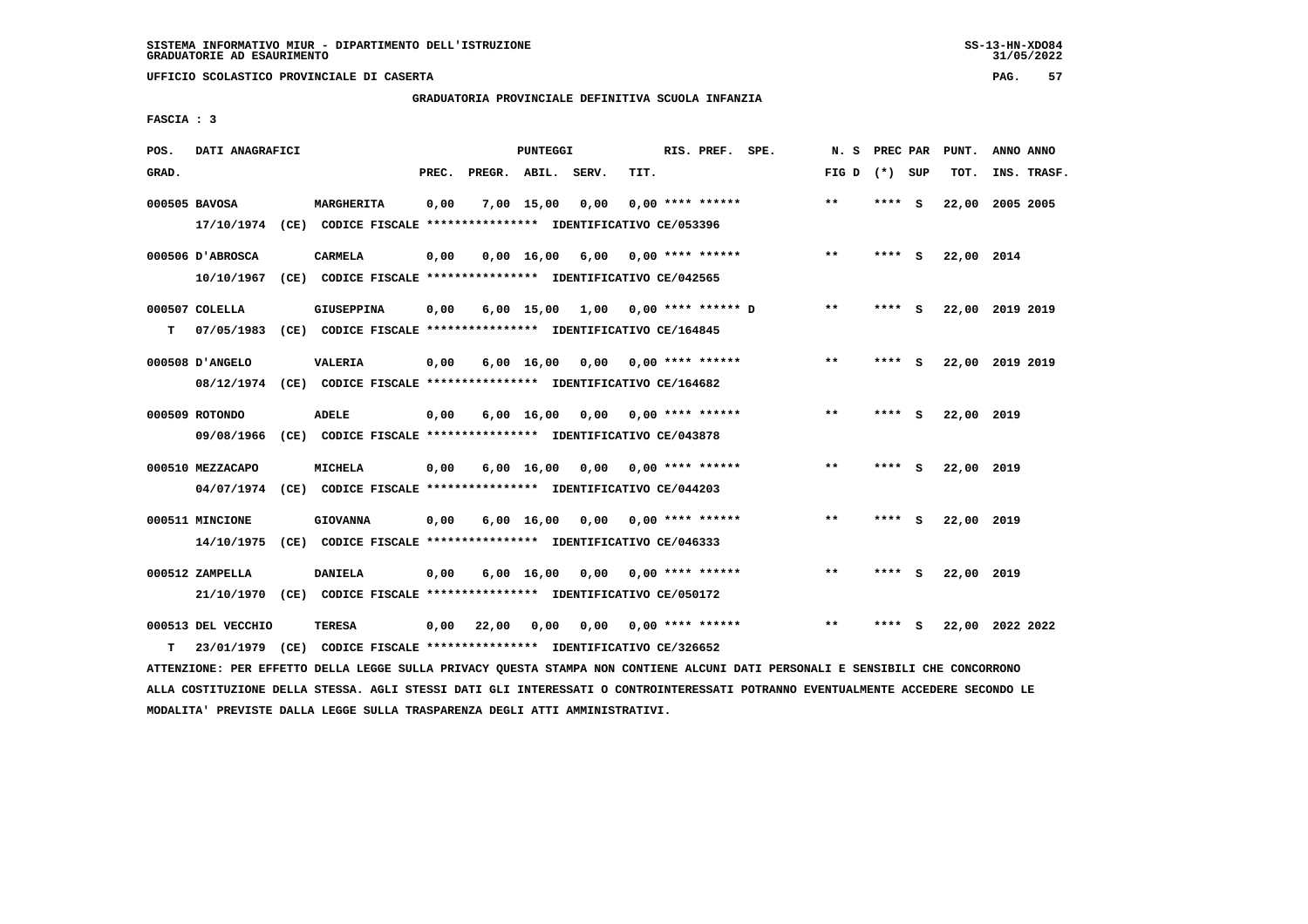# **GRADUATORIA PROVINCIALE DEFINITIVA SCUOLA INFANZIA**

 **FASCIA : 3**

| POS.  | DATI ANAGRAFICI                  |      |                                                                                           |       |                    | <b>PUNTEGGI</b>               |                                    |      | RIS. PREF. SPE.           | N.S   | PREC PAR |     | PUNT.      | ANNO ANNO       |
|-------|----------------------------------|------|-------------------------------------------------------------------------------------------|-------|--------------------|-------------------------------|------------------------------------|------|---------------------------|-------|----------|-----|------------|-----------------|
| GRAD. |                                  |      |                                                                                           | PREC. | PREGR. ABIL. SERV. |                               |                                    | TIT. |                           | FIG D | (*) SUP  |     | TOT.       | INS. TRASF.     |
|       | 000505 BAVOSA                    |      | MARGHERITA<br>17/10/1974 (CE) CODICE FISCALE *************** IDENTIFICATIVO CE/053396     | 0,00  |                    | 7,00 15,00                    | 0,00                               |      | $0.00$ **** ******        | $* *$ | ****     | - S | 22,00      | 2005 2005       |
|       | 000506 D'ABROSCA<br>10/10/1967   |      | <b>CARMELA</b><br>(CE) CODICE FISCALE **************** IDENTIFICATIVO CE/042565           | 0,00  |                    | $0,00 \quad 16,00 \quad 6,00$ |                                    |      | $0.00$ **** ******        | $* *$ | ****     | - S | 22,00 2014 |                 |
| т     | 000507 COLELLA<br>07/05/1983     |      | <b>GIUSEPPINA</b><br>(CE) CODICE FISCALE **************** IDENTIFICATIVO CE/164845        | 0,00  |                    |                               | 6,00 15,00 1,00 0,00 **** ****** D |      |                           | $**$  | **** S   |     |            | 22,00 2019 2019 |
|       | 000508 D'ANGELO                  |      | <b>VALERIA</b><br>08/12/1974 (CE) CODICE FISCALE *************** IDENTIFICATIVO CE/164682 | 0,00  |                    | $6,00 \quad 16,00$            |                                    |      | $0,00$ $0,00$ **** ****** | $* *$ | ****     | - S |            | 22,00 2019 2019 |
|       | 000509 ROTONDO<br>09/08/1966     |      | <b>ADELE</b><br>(CE) CODICE FISCALE **************** IDENTIFICATIVO CE/043878             | 0,00  |                    | $6,00 \quad 16,00$            |                                    |      | $0.00$ $0.00$ **** ****** | $**$  | ****     | s   | 22,00 2019 |                 |
|       | 000510 MEZZACAPO<br>04/07/1974   |      | MICHELA<br>(CE) CODICE FISCALE **************** IDENTIFICATIVO CE/044203                  | 0,00  |                    | $6,00 \quad 16,00$            |                                    |      | $0.00$ $0.00$ **** ****** | $***$ | ****     | - 5 | 22,00 2019 |                 |
|       | 000511 MINCIONE<br>14/10/1975    |      | <b>GIOVANNA</b><br>(CE) CODICE FISCALE **************** IDENTIFICATIVO CE/046333          | 0,00  |                    | 6,00 16,00                    | 0,00                               |      | $0.00$ **** ******        | $* *$ | ****     | - S | 22,00 2019 |                 |
|       | 000512 ZAMPELLA<br>21/10/1970    |      | <b>DANIELA</b><br>(CE) CODICE FISCALE **************** IDENTIFICATIVO CE/050172           | 0,00  |                    | 6,00 16,00                    | 0,00                               |      | $0.00$ **** ******        | $***$ | ****     | S.  | 22,00 2019 |                 |
| т     | 000513 DEL VECCHIO<br>23/01/1979 | (CE) | <b>TERESA</b><br>CODICE FISCALE **************** IDENTIFICATIVO CE/326652                 | 0,00  | 22,00              | 0,00                          | 0,00                               |      | 0,00 **** ******          | $* *$ | ****     | s   |            | 22,00 2022 2022 |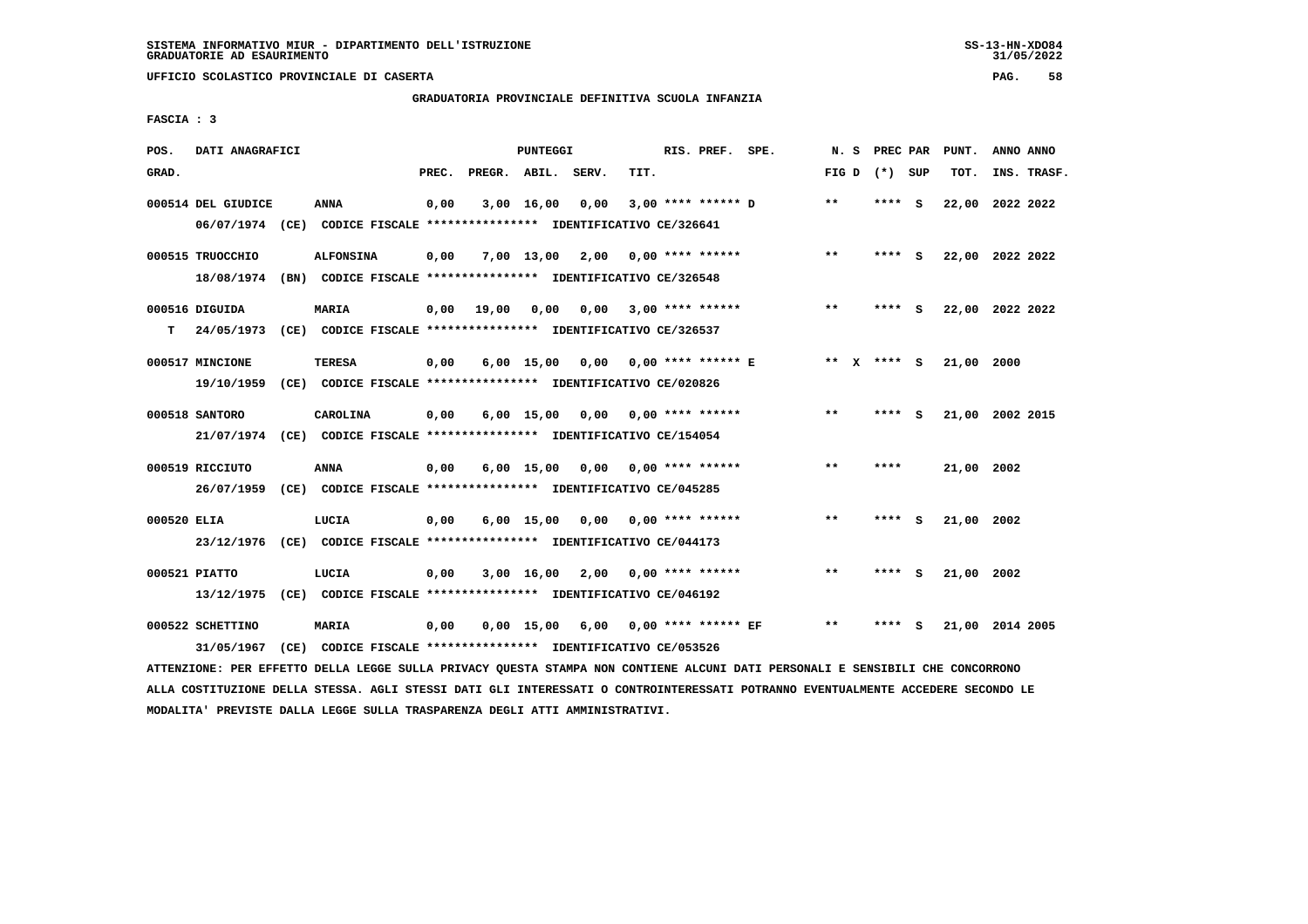# **GRADUATORIA PROVINCIALE DEFINITIVA SCUOLA INFANZIA**

 **FASCIA : 3**

| POS.        | DATI ANAGRAFICI    |                                                                                                                               |       |                       | PUNTEGGI |                                    |      | RIS. PREF. SPE.         |                                     |                 |        | N. S PREC PAR PUNT. | ANNO ANNO |             |
|-------------|--------------------|-------------------------------------------------------------------------------------------------------------------------------|-------|-----------------------|----------|------------------------------------|------|-------------------------|-------------------------------------|-----------------|--------|---------------------|-----------|-------------|
| GRAD.       |                    |                                                                                                                               | PREC. | PREGR. ABIL. SERV.    |          |                                    | TIT. |                         |                                     | FIG D $(*)$ SUP |        | тот.                |           | INS. TRASF. |
|             | 000514 DEL GIUDICE | ANNA                                                                                                                          | 0,00  |                       |          | 3,00 16,00 0,00                    |      |                         | $3,00$ **** ****** D                | $* *$           | **** S | 22,00 2022 2022     |           |             |
|             |                    | 06/07/1974 (CE) CODICE FISCALE *************** IDENTIFICATIVO CE/326641                                                       |       |                       |          |                                    |      |                         |                                     |                 |        |                     |           |             |
|             | 000515 TRUOCCHIO   | <b>ALFONSINA</b>                                                                                                              | 0,00  |                       |          | $7,00$ 13,00 2,00 0,00 **** ****** |      |                         |                                     | **              | **** S | 22,00 2022 2022     |           |             |
|             |                    | 18/08/1974 (BN) CODICE FISCALE *************** IDENTIFICATIVO CE/326548                                                       |       |                       |          |                                    |      |                         |                                     |                 |        |                     |           |             |
|             | 000516 DIGUIDA     | <b>MARIA</b>                                                                                                                  |       | $0,00$ $19,00$ $0,00$ |          |                                    |      | $0,00$ 3,00 **** ****** |                                     | $***$           | **** S | 22,00 2022 2022     |           |             |
| т           |                    | 24/05/1973 (CE) CODICE FISCALE *************** IDENTIFICATIVO CE/326537                                                       |       |                       |          |                                    |      |                         |                                     |                 |        |                     |           |             |
|             | 000517 MINCIONE    | TERESA                                                                                                                        | 0,00  |                       |          |                                    |      |                         | 6,00 15,00 0,00 0,00 **** ****** E  | ** x **** S     |        | 21,00 2000          |           |             |
|             | 19/10/1959         | (CE) CODICE FISCALE **************** IDENTIFICATIVO CE/020826                                                                 |       |                       |          |                                    |      |                         |                                     |                 |        |                     |           |             |
|             | 000518 SANTORO     | CAROLINA                                                                                                                      | 0,00  |                       |          | $6,00$ 15,00 0,00 0,00 **** ****** |      |                         |                                     | $***$           | **** S | 21,00 2002 2015     |           |             |
|             |                    | 21/07/1974 (CE) CODICE FISCALE *************** IDENTIFICATIVO CE/154054                                                       |       |                       |          |                                    |      |                         |                                     |                 |        |                     |           |             |
|             | 000519 RICCIUTO    | <b>ANNA</b>                                                                                                                   | 0,00  |                       |          | $6,00$ 15,00 0,00 0,00 **** ****** |      |                         |                                     | **              | ****   | 21,00 2002          |           |             |
|             |                    | 26/07/1959 (CE) CODICE FISCALE *************** IDENTIFICATIVO CE/045285                                                       |       |                       |          |                                    |      |                         |                                     |                 |        |                     |           |             |
| 000520 ELIA |                    | LUCIA                                                                                                                         | 0,00  |                       |          | 6,00 15,00 0,00                    |      | $0.00$ **** ******      |                                     | $***$           | **** S | 21,00 2002          |           |             |
|             |                    | 23/12/1976 (CE) CODICE FISCALE *************** IDENTIFICATIVO CE/044173                                                       |       |                       |          |                                    |      |                         |                                     |                 |        |                     |           |             |
|             | 000521 PIATTO      | LUCIA                                                                                                                         | 0,00  |                       |          | $3,00$ 16,00 2,00 0,00 **** ****** |      |                         |                                     | $***$           | **** S | 21,00 2002          |           |             |
|             |                    | 13/12/1975 (CE) CODICE FISCALE *************** IDENTIFICATIVO CE/046192                                                       |       |                       |          |                                    |      |                         |                                     |                 |        |                     |           |             |
|             | 000522 SCHETTINO   | <b>MARIA</b>                                                                                                                  | 0,00  |                       |          |                                    |      |                         | 0,00 15,00 6,00 0,00 **** ****** EF | $***$           | **** S | 21,00 2014 2005     |           |             |
|             | 31/05/1967         | (CE) CODICE FISCALE *************** IDENTIFICATIVO CE/053526                                                                  |       |                       |          |                                    |      |                         |                                     |                 |        |                     |           |             |
|             |                    | ATTENZIONE: PER EFFETTO DELLA LEGGE SULLA PRIVACY QUESTA STAMPA NON CONTIENE ALCUNI DATI PERSONALI E SENSIBILI CHE CONCORRONO |       |                       |          |                                    |      |                         |                                     |                 |        |                     |           |             |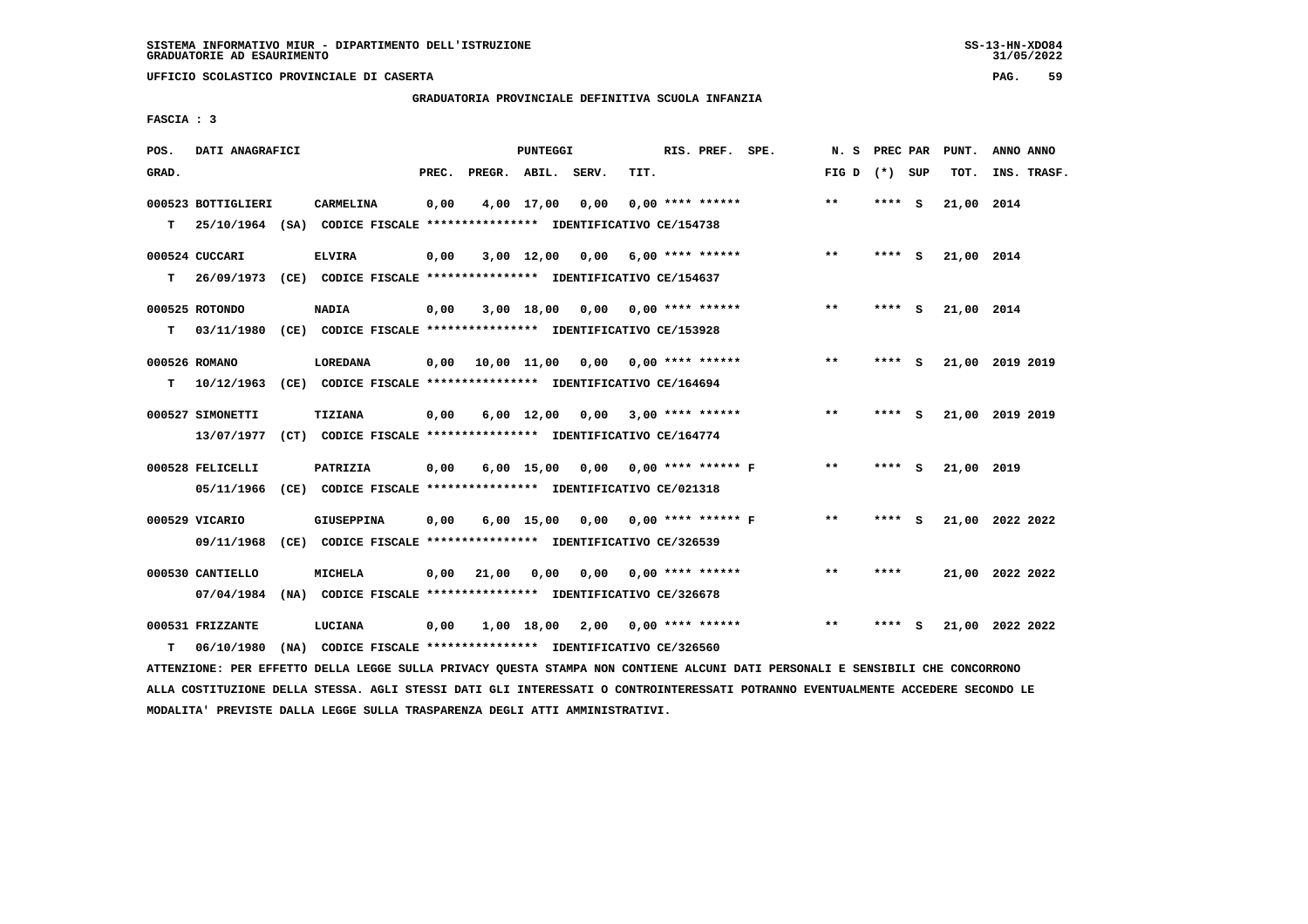**UFFICIO SCOLASTICO PROVINCIALE DI CASERTA PAG. 59**

# **GRADUATORIA PROVINCIALE DEFINITIVA SCUOLA INFANZIA**

 **FASCIA : 3**

| POS.  | DATI ANAGRAFICI    |                                                                                                                               |       |                    | PUNTEGGI   |                                        |      | RIS. PREF. SPE.    | N.S             |         |     | PREC PAR PUNT. | ANNO ANNO       |
|-------|--------------------|-------------------------------------------------------------------------------------------------------------------------------|-------|--------------------|------------|----------------------------------------|------|--------------------|-----------------|---------|-----|----------------|-----------------|
| GRAD. |                    |                                                                                                                               | PREC. | PREGR. ABIL. SERV. |            |                                        | TIT. |                    | FIG D $(*)$ SUP |         |     | TOT.           | INS. TRASF.     |
|       | 000523 BOTTIGLIERI | <b>CARMELINA</b>                                                                                                              | 0,00  |                    | 4,00 17,00 | 0,00                                   |      | $0.00$ **** ****** | $***$           | $***$ S |     | 21,00 2014     |                 |
| т     |                    | 25/10/1964 (SA) CODICE FISCALE *************** IDENTIFICATIVO CE/154738                                                       |       |                    |            |                                        |      |                    |                 |         |     |                |                 |
|       | 000524 CUCCARI     | <b>ELVIRA</b>                                                                                                                 | 0,00  |                    |            | $3,00$ 12,00 0,00 6,00 **** ******     |      |                    | $**$            | **** S  |     | 21,00 2014     |                 |
| т     |                    | 26/09/1973 (CE) CODICE FISCALE **************** IDENTIFICATIVO CE/154637                                                      |       |                    |            |                                        |      |                    |                 |         |     |                |                 |
|       | 000525 ROTONDO     | <b>NADIA</b>                                                                                                                  | 0,00  |                    |            | $3,00$ 18,00 0,00 0,00 **** ******     |      |                    | $***$           | **** S  |     | 21,00 2014     |                 |
| т     | 03/11/1980         | (CE) CODICE FISCALE *************** IDENTIFICATIVO CE/153928                                                                  |       |                    |            |                                        |      |                    |                 |         |     |                |                 |
|       | 000526 ROMANO      | <b>LOREDANA</b>                                                                                                               | 0,00  |                    |            | 10,00 11,00 0,00 0,00 **** ******      |      |                    | $**$            | $***$ S |     |                | 21,00 2019 2019 |
| т     | 10/12/1963         | (CE) CODICE FISCALE **************** IDENTIFICATIVO CE/164694                                                                 |       |                    |            |                                        |      |                    |                 |         |     |                |                 |
|       | 000527 SIMONETTI   | TIZIANA                                                                                                                       | 0,00  |                    |            | $6,00$ 12,00 0,00 3,00 **** ******     |      |                    | $***$           | **** S  |     |                | 21,00 2019 2019 |
|       | 13/07/1977         | (CT) CODICE FISCALE **************** IDENTIFICATIVO CE/164774                                                                 |       |                    |            |                                        |      |                    |                 |         |     |                |                 |
|       | 000528 FELICELLI   | PATRIZIA                                                                                                                      | 0,00  |                    |            | 6,00 15,00 0,00 0,00 **** ****** F     |      |                    | $***$           | **** S  |     | 21,00 2019     |                 |
|       | 05/11/1966         | (CE) CODICE FISCALE **************** IDENTIFICATIVO CE/021318                                                                 |       |                    |            |                                        |      |                    |                 |         |     |                |                 |
|       | 000529 VICARIO     | GIUSEPPINA                                                                                                                    | 0,00  |                    |            | 6,00 15,00 0,00 0,00 **** ****** F     |      |                    | $***$           | **** S  |     |                | 21,00 2022 2022 |
|       | 09/11/1968         | (CE) CODICE FISCALE **************** IDENTIFICATIVO CE/326539                                                                 |       |                    |            |                                        |      |                    |                 |         |     |                |                 |
|       | 000530 CANTIELLO   | <b>MICHELA</b>                                                                                                                |       | $0,00$ 21,00       |            | $0,00$ $0,00$ $0,00$ $***$ **** ****** |      |                    | $***$           | ****    |     |                | 21,00 2022 2022 |
|       | 07/04/1984         | (NA) CODICE FISCALE **************** IDENTIFICATIVO CE/326678                                                                 |       |                    |            |                                        |      |                    |                 |         |     |                |                 |
|       | 000531 FRIZZANTE   | <b>LUCIANA</b>                                                                                                                | 0,00  |                    |            | 1,00 18,00 2,00 0,00 **** ******       |      |                    | $**$            | ****    | - S |                | 21,00 2022 2022 |
| т     | 06/10/1980         | (NA) CODICE FISCALE **************** IDENTIFICATIVO CE/326560                                                                 |       |                    |            |                                        |      |                    |                 |         |     |                |                 |
|       |                    | ATTENZIONE: PER EFFETTO DELLA LEGGE SULLA PRIVACY QUESTA STAMPA NON CONTIENE ALCUNI DATI PERSONALI E SENSIBILI CHE CONCORRONO |       |                    |            |                                        |      |                    |                 |         |     |                |                 |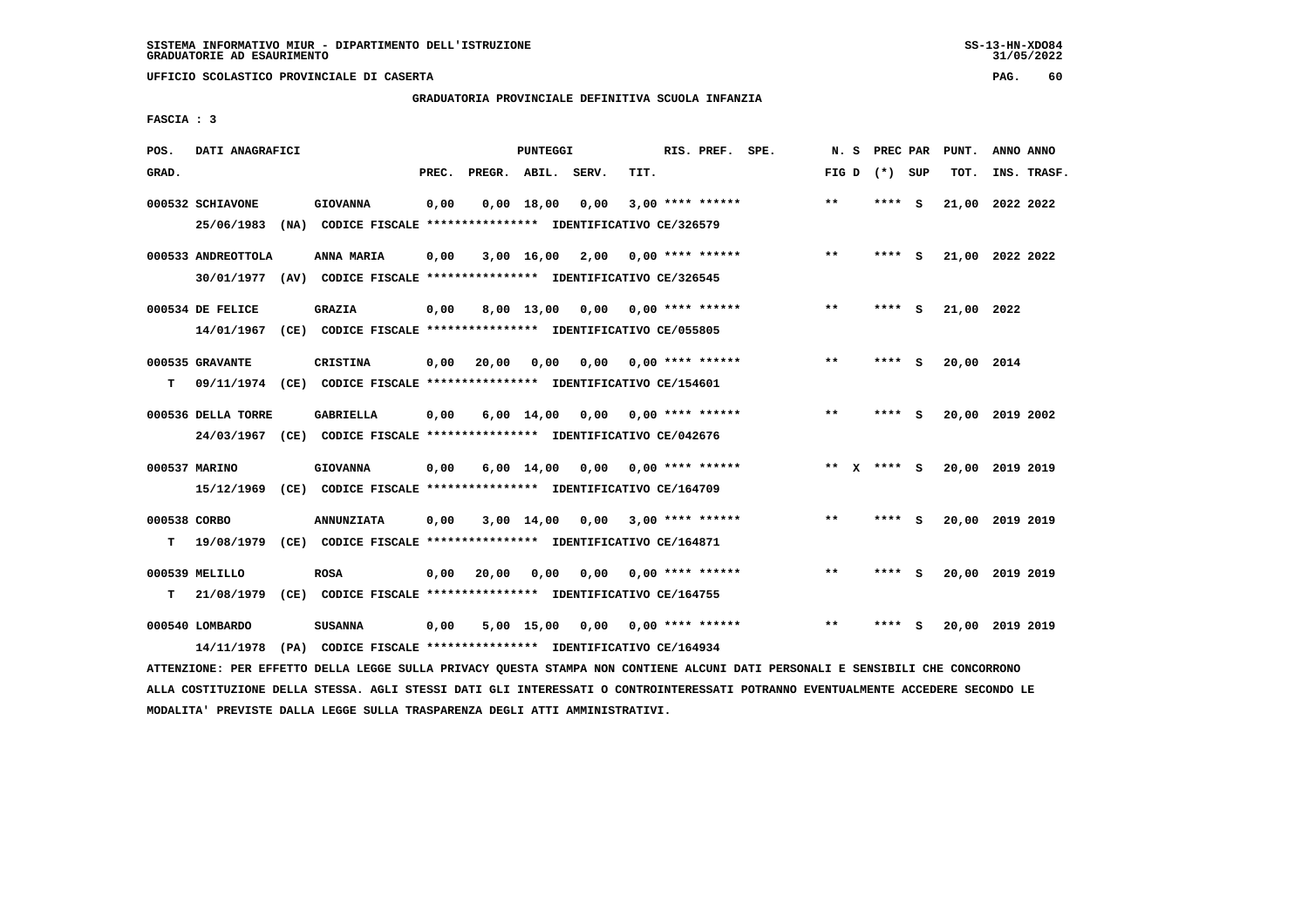**UFFICIO SCOLASTICO PROVINCIALE DI CASERTA PAG. 60**

# **GRADUATORIA PROVINCIALE DEFINITIVA SCUOLA INFANZIA**

 **FASCIA : 3**

| POS.         | DATI ANAGRAFICI    |      |                                                                         |       |                    | <b>PUNTEGGI</b>    |      |      | RIS. PREF. SPE.           | N.S   | PREC PAR    |     | PUNT.      | ANNO ANNO       |  |
|--------------|--------------------|------|-------------------------------------------------------------------------|-------|--------------------|--------------------|------|------|---------------------------|-------|-------------|-----|------------|-----------------|--|
| GRAD.        |                    |      |                                                                         | PREC. | PREGR. ABIL. SERV. |                    |      | TIT. |                           | FIG D | (*) SUP     |     | TOT.       | INS. TRASF.     |  |
|              | 000532 SCHIAVONE   |      | <b>GIOVANNA</b>                                                         | 0,00  |                    | $0,00$ 18,00       | 0,00 |      | $3,00$ **** ******        | $* *$ | ****        | - S | 21,00      | 2022 2022       |  |
|              | 25/06/1983         | (NA) | CODICE FISCALE **************** IDENTIFICATIVO CE/326579                |       |                    |                    |      |      |                           |       |             |     |            |                 |  |
|              | 000533 ANDREOTTOLA |      | ANNA MARIA                                                              | 0,00  |                    | 3,00 16,00         | 2,00 |      | $0.00$ **** ******        | $***$ | **** S      |     |            | 21,00 2022 2022 |  |
|              | 30/01/1977         |      | (AV) CODICE FISCALE **************** IDENTIFICATIVO CE/326545           |       |                    |                    |      |      |                           |       |             |     |            |                 |  |
|              | 000534 DE FELICE   |      | <b>GRAZIA</b>                                                           | 0,00  |                    | 8,00 13,00         |      |      | $0,00$ $0,00$ **** ****** | $* *$ | ****        | - S | 21,00 2022 |                 |  |
|              | 14/01/1967         |      | (CE) CODICE FISCALE **************** IDENTIFICATIVO CE/055805           |       |                    |                    |      |      |                           |       |             |     |            |                 |  |
|              | 000535 GRAVANTE    |      | CRISTINA                                                                | 0,00  | 20,00              | 0.00               | 0,00 |      | 0,00 **** ******          | $* *$ | ****        | - S | 20,00 2014 |                 |  |
| т            |                    |      | 09/11/1974 (CE) CODICE FISCALE *************** IDENTIFICATIVO CE/154601 |       |                    |                    |      |      |                           |       |             |     |            |                 |  |
|              | 000536 DELLA TORRE |      | <b>GABRIELLA</b>                                                        | 0,00  |                    | 6,00 14,00         | 0,00 |      | $0.00$ **** ******        | $* *$ | ****        | - S |            | 20,00 2019 2002 |  |
|              |                    |      | 24/03/1967 (CE) CODICE FISCALE *************** IDENTIFICATIVO CE/042676 |       |                    |                    |      |      |                           |       |             |     |            |                 |  |
|              | 000537 MARINO      |      | <b>GIOVANNA</b>                                                         | 0,00  |                    | $6,00 \quad 14,00$ | 0,00 |      | 0,00 **** ******          |       | ** x **** s |     |            | 20,00 2019 2019 |  |
|              | 15/12/1969         |      | (CE) CODICE FISCALE **************** IDENTIFICATIVO CE/164709           |       |                    |                    |      |      |                           |       |             |     |            |                 |  |
| 000538 CORBO |                    |      | <b>ANNUNZIATA</b>                                                       | 0,00  |                    | $3,00$ 14,00       | 0,00 |      | $3.00$ **** ******        | $* *$ | **** S      |     |            | 20,00 2019 2019 |  |
| т            | 19/08/1979         |      | (CE) CODICE FISCALE **************** IDENTIFICATIVO CE/164871           |       |                    |                    |      |      |                           |       |             |     |            |                 |  |
|              | 000539 MELILLO     |      | <b>ROSA</b>                                                             | 0,00  | 20,00              | 0,00               | 0,00 |      | $0.00$ **** ******        | $* *$ | ****        | - S | 20,00      | 2019 2019       |  |
| т            | 21/08/1979         |      | (CE) CODICE FISCALE **************** IDENTIFICATIVO CE/164755           |       |                    |                    |      |      |                           |       |             |     |            |                 |  |
|              | 000540 LOMBARDO    |      | <b>SUSANNA</b>                                                          | 0,00  |                    | 5,00 15,00         | 0.00 |      | $0.00$ **** ******        | $* *$ | ****        | s   | 20,00      | 2019 2019       |  |
|              | 14/11/1978         |      | (PA) CODICE FISCALE **************** IDENTIFICATIVO CE/164934           |       |                    |                    |      |      |                           |       |             |     |            |                 |  |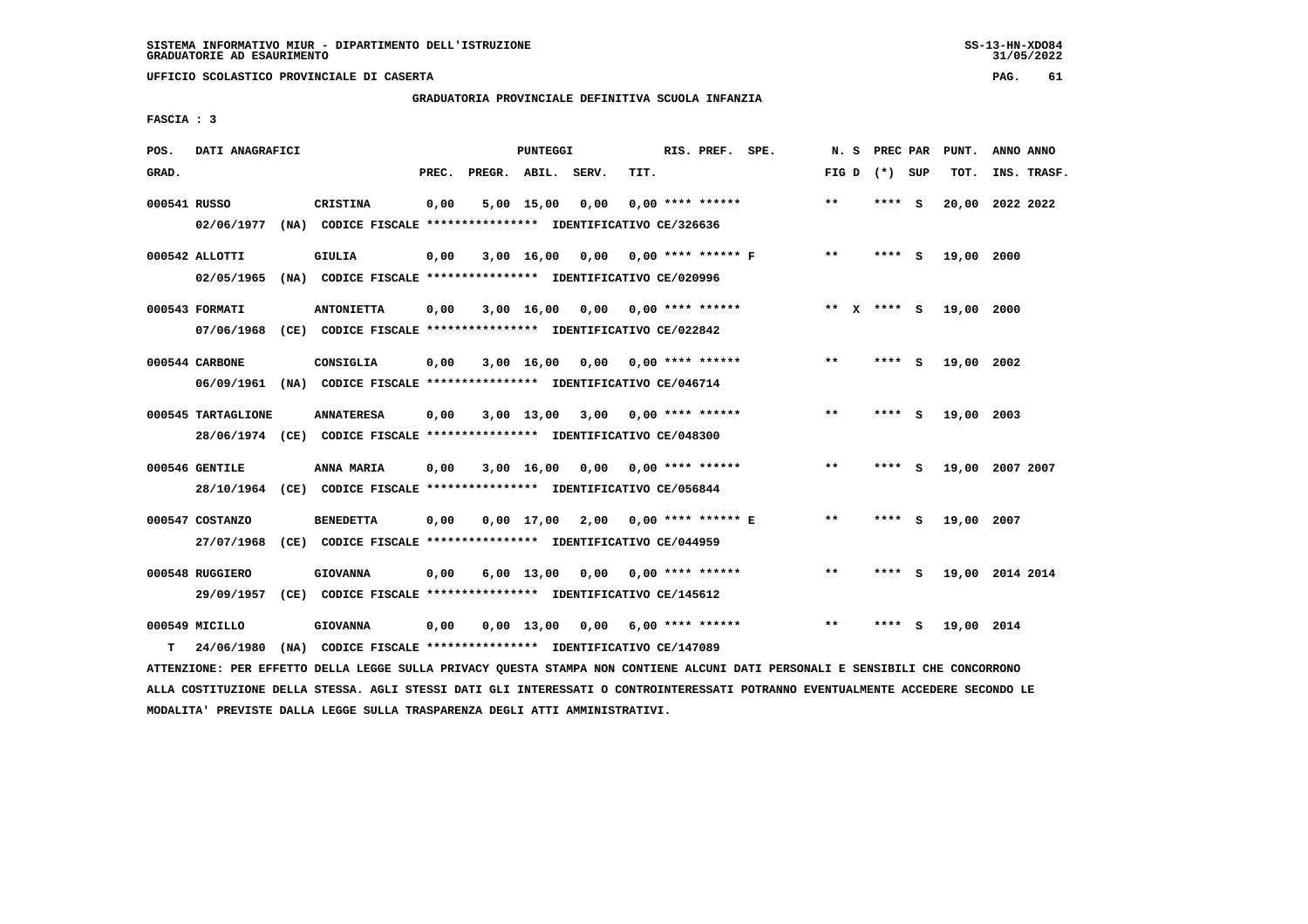# **GRADUATORIA PROVINCIALE DEFINITIVA SCUOLA INFANZIA**

 **FASCIA : 3**

| POS.         | DATI ANAGRAFICI    |                                                                                                                               |       |                    | PUNTEGGI |                                    |      | RIS. PREF. SPE.    |       | N. S PREC PAR   | PUNT.           | ANNO ANNO |             |
|--------------|--------------------|-------------------------------------------------------------------------------------------------------------------------------|-------|--------------------|----------|------------------------------------|------|--------------------|-------|-----------------|-----------------|-----------|-------------|
| GRAD.        |                    |                                                                                                                               | PREC. | PREGR. ABIL. SERV. |          |                                    | TIT. |                    |       | FIG D $(*)$ SUP | тот.            |           | INS. TRASF. |
| 000541 RUSSO |                    | CRISTINA                                                                                                                      | 0,00  |                    |          | 5,00 15,00 0,00                    |      | $0,00$ **** ****** | $* *$ | **** S          | 20,00 2022 2022 |           |             |
|              |                    | 02/06/1977 (NA) CODICE FISCALE *************** IDENTIFICATIVO CE/326636                                                       |       |                    |          |                                    |      |                    |       |                 |                 |           |             |
|              | 000542 ALLOTTI     | <b>GIULIA</b>                                                                                                                 | 0,00  |                    |          | 3,00 16,00 0,00 0,00 **** ****** F |      |                    | $***$ | **** S          | 19,00 2000      |           |             |
|              |                    | 02/05/1965 (NA) CODICE FISCALE *************** IDENTIFICATIVO CE/020996                                                       |       |                    |          |                                    |      |                    |       |                 |                 |           |             |
|              | 000543 FORMATI     | <b>ANTONIETTA</b>                                                                                                             | 0,00  |                    |          | $3,00$ 16,00 0,00 0,00 **** ****** |      |                    |       | ** x **** s     | 19,00 2000      |           |             |
|              | 07/06/1968         | (CE) CODICE FISCALE **************** IDENTIFICATIVO CE/022842                                                                 |       |                    |          |                                    |      |                    |       |                 |                 |           |             |
|              | 000544 CARBONE     | CONSIGLIA                                                                                                                     | 0,00  |                    |          | $3,00$ 16,00 0,00 0,00 **** ****** |      |                    | $***$ | $***$ S         | 19,00 2002      |           |             |
|              |                    | 06/09/1961 (NA) CODICE FISCALE *************** IDENTIFICATIVO CE/046714                                                       |       |                    |          |                                    |      |                    |       |                 |                 |           |             |
|              | 000545 TARTAGLIONE | <b>ANNATERESA</b>                                                                                                             | 0,00  |                    |          | $3,00$ 13,00 3,00 0,00 **** ****** |      |                    | $**$  | **** S          | 19,00 2003      |           |             |
|              |                    | 28/06/1974 (CE) CODICE FISCALE *************** IDENTIFICATIVO CE/048300                                                       |       |                    |          |                                    |      |                    |       |                 |                 |           |             |
|              | 000546 GENTILE     | ANNA MARIA                                                                                                                    | 0,00  |                    |          | 3,00 16,00 0,00 0,00 **** ******   |      |                    | $* *$ | **** S          | 19,00 2007 2007 |           |             |
|              |                    | 28/10/1964 (CE) CODICE FISCALE *************** IDENTIFICATIVO CE/056844                                                       |       |                    |          |                                    |      |                    |       |                 |                 |           |             |
|              | 000547 COSTANZO    | <b>BENEDETTA</b>                                                                                                              | 0,00  |                    |          | 0,00 17,00 2,00 0,00 **** ****** E |      |                    | $***$ | **** S          | 19,00 2007      |           |             |
|              | 27/07/1968         | (CE) CODICE FISCALE **************** IDENTIFICATIVO CE/044959                                                                 |       |                    |          |                                    |      |                    |       |                 |                 |           |             |
|              | 000548 RUGGIERO    | <b>GIOVANNA</b>                                                                                                               | 0,00  |                    |          | $6,00$ 13,00 0,00 0,00 **** ****** |      |                    | $***$ | **** S          | 19,00 2014 2014 |           |             |
|              | 29/09/1957         | (CE) CODICE FISCALE **************** IDENTIFICATIVO CE/145612                                                                 |       |                    |          |                                    |      |                    |       |                 |                 |           |             |
|              | 000549 MICILLO     | <b>GIOVANNA</b>                                                                                                               | 0,00  |                    |          | $0,00$ 13,00 0,00 6,00 **** ****** |      |                    | $***$ | **** S          | 19,00 2014      |           |             |
| т            | 24/06/1980         | (NA) CODICE FISCALE **************** IDENTIFICATIVO CE/147089                                                                 |       |                    |          |                                    |      |                    |       |                 |                 |           |             |
|              |                    | ATTENZIONE: PER EFFETTO DELLA LEGGE SULLA PRIVACY QUESTA STAMPA NON CONTIENE ALCUNI DATI PERSONALI E SENSIBILI CHE CONCORRONO |       |                    |          |                                    |      |                    |       |                 |                 |           |             |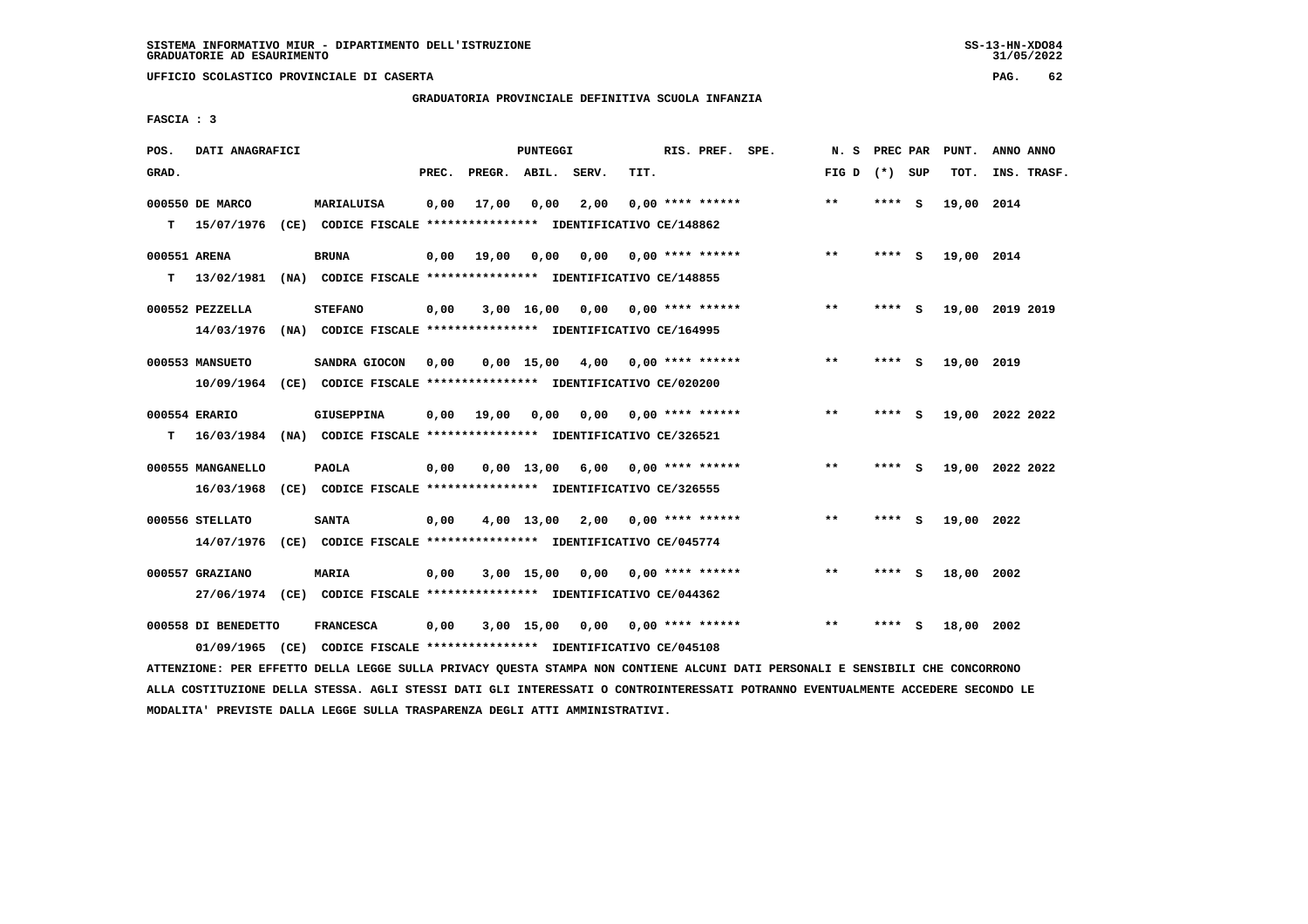**UFFICIO SCOLASTICO PROVINCIALE DI CASERTA PAG. 62**

#### **GRADUATORIA PROVINCIALE DEFINITIVA SCUOLA INFANZIA**

 **FASCIA : 3**

| POS.              | DATI ANAGRAFICI                   |      |                                                                                              |       |                    | PUNTEGGI        |                                    |      | RIS. PREF. SPE.           | N.S   | PREC PAR |     | PUNT.      | ANNO ANNO       |
|-------------------|-----------------------------------|------|----------------------------------------------------------------------------------------------|-------|--------------------|-----------------|------------------------------------|------|---------------------------|-------|----------|-----|------------|-----------------|
| GRAD.             |                                   |      |                                                                                              | PREC. | PREGR. ABIL. SERV. |                 |                                    | TIT. |                           | FIG D | (*) SUP  |     | TOT.       | INS. TRASF.     |
| т                 | 000550 DE MARCO<br>15/07/1976     |      | MARIALUISA<br>(CE) CODICE FISCALE **************** IDENTIFICATIVO CE/148862                  | 0,00  | 17,00              | 0,00            | 2,00                               |      | $0.00$ **** ******        | $***$ | **** S   |     | 19,00 2014 |                 |
| 000551 ARENA<br>т | 13/02/1981                        |      | <b>BRUNA</b><br>(NA) CODICE FISCALE **************** IDENTIFICATIVO CE/148855                | 0,00  | 19,00              | 0,00            | 0,00                               |      | $0.00$ **** ******        | $***$ | **** S   |     | 19,00 2014 |                 |
|                   | 000552 PEZZELLA<br>14/03/1976     |      | <b>STEFANO</b><br>(NA) CODICE FISCALE **************** IDENTIFICATIVO CE/164995              | 0,00  |                    | 3,00 16,00      | 0,00 0,00 **** ******              |      |                           | $***$ | **** S   |     |            | 19,00 2019 2019 |
|                   | 000553 MANSUETO<br>10/09/1964     |      | SANDRA GIOCON<br>(CE) CODICE FISCALE **************** IDENTIFICATIVO CE/020200               | 0,00  |                    | $0,00$ 15,00    | 4,00 0,00 **** ******              |      |                           | $***$ | ****     | - S | 19,00 2019 |                 |
| т                 | 000554 ERARIO                     |      | <b>GIUSEPPINA</b><br>16/03/1984 (NA) CODICE FISCALE *************** IDENTIFICATIVO CE/326521 | 0,00  | 19,00              | 0,00            |                                    |      | $0,00$ $0,00$ **** ****** | **    | **** S   |     |            | 19,00 2022 2022 |
|                   | 000555 MANGANELLO<br>16/03/1968   |      | <b>PAOLA</b><br>(CE) CODICE FISCALE **************** IDENTIFICATIVO CE/326555                | 0,00  |                    | $0.00$ 13,00    |                                    |      | $6,00$ 0,00 **** ******   | $* *$ | **** S   |     |            | 19,00 2022 2022 |
|                   | 000556 STELLATO<br>14/07/1976     |      | <b>SANTA</b><br>(CE) CODICE FISCALE **************** IDENTIFICATIVO CE/045774                | 0,00  |                    | 4,00 13,00 2,00 |                                    |      | $0.00$ **** ******        | **    | ****     | - S | 19,00 2022 |                 |
|                   | 000557 GRAZIANO                   |      | MARIA<br>27/06/1974 (CE) CODICE FISCALE *************** IDENTIFICATIVO CE/044362             | 0,00  |                    | 3,00 15,00 0,00 |                                    |      | $0.00$ **** ******        | $* *$ | **** S   |     | 18,00 2002 |                 |
|                   | 000558 DI BENEDETTO<br>01/09/1965 | (CE) | <b>FRANCESCA</b><br>CODICE FISCALE **************** IDENTIFICATIVO CE/045108                 | 0,00  |                    |                 | $3,00$ 15,00 0,00 0,00 **** ****** |      |                           | $***$ | ****     | - S | 18,00 2002 |                 |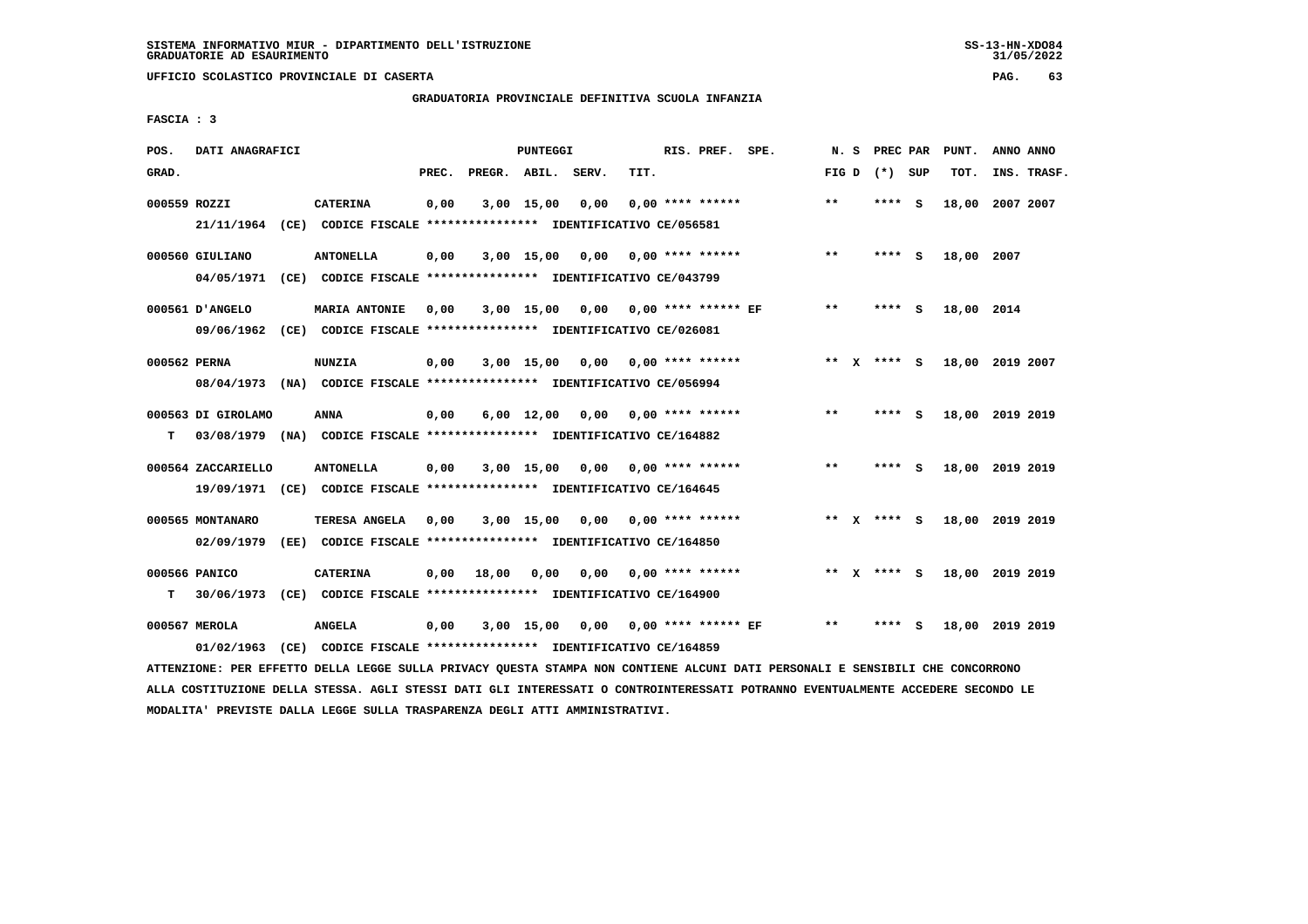# **GRADUATORIA PROVINCIALE DEFINITIVA SCUOLA INFANZIA**

 **FASCIA : 3**

| POS.         | DATI ANAGRAFICI    |                                                                                                                               |       |                    | PUNTEGGI     |                                        |      | RIS. PREF. SPE.           |       | N. S PREC PAR   | PUNT.                       | ANNO ANNO |             |
|--------------|--------------------|-------------------------------------------------------------------------------------------------------------------------------|-------|--------------------|--------------|----------------------------------------|------|---------------------------|-------|-----------------|-----------------------------|-----------|-------------|
| GRAD.        |                    |                                                                                                                               | PREC. | PREGR. ABIL. SERV. |              |                                        | TIT. |                           |       | FIG D $(*)$ SUP | TOT.                        |           | INS. TRASF. |
| 000559 ROZZI |                    | <b>CATERINA</b>                                                                                                               | 0,00  |                    |              | 3,00 15,00 0,00                        |      | $0,00$ **** ******        | **    | $***$ S         | 18,00 2007 2007             |           |             |
|              | 21/11/1964         | (CE) CODICE FISCALE **************** IDENTIFICATIVO CE/056581                                                                 |       |                    |              |                                        |      |                           |       |                 |                             |           |             |
|              | 000560 GIULIANO    | <b>ANTONELLA</b>                                                                                                              | 0,00  |                    |              | $3,00$ 15,00 0,00 0,00 **** ******     |      |                           | $***$ | **** S          | 18,00 2007                  |           |             |
|              | 04/05/1971         | (CE) CODICE FISCALE *************** IDENTIFICATIVO CE/043799                                                                  |       |                    |              |                                        |      |                           |       |                 |                             |           |             |
|              | 000561 D'ANGELO    | <b>MARIA ANTONIE</b>                                                                                                          | 0.00  |                    | $3,00$ 15,00 |                                        |      |                           | $***$ | $***$ S         | 18,00 2014                  |           |             |
|              | 09/06/1962         | (CE) CODICE FISCALE **************** IDENTIFICATIVO CE/026081                                                                 |       |                    |              |                                        |      |                           |       |                 |                             |           |             |
| 000562 PERNA |                    | <b>NUNZIA</b>                                                                                                                 | 0,00  |                    |              | $3,00$ 15,00 0,00 0,00 **** ******     |      |                           |       | ** $X$ **** S   | 18,00 2019 2007             |           |             |
|              |                    | 08/04/1973 (NA) CODICE FISCALE *************** IDENTIFICATIVO CE/056994                                                       |       |                    |              |                                        |      |                           |       |                 |                             |           |             |
|              | 000563 DI GIROLAMO | <b>ANNA</b>                                                                                                                   | 0,00  |                    |              | $6,00$ 12,00 0,00 0,00 **** ******     |      |                           | $***$ | **** S          | 18,00 2019 2019             |           |             |
| т            |                    | 03/08/1979 (NA) CODICE FISCALE **************** IDENTIFICATIVO CE/164882                                                      |       |                    |              |                                        |      |                           |       |                 |                             |           |             |
|              | 000564 ZACCARIELLO | <b>ANTONELLA</b>                                                                                                              | 0,00  |                    | 3,00 15,00   |                                        |      | $0,00$ $0,00$ **** ****** | $***$ | **** S          | 18,00 2019 2019             |           |             |
|              |                    | 19/09/1971 (CE) CODICE FISCALE *************** IDENTIFICATIVO CE/164645                                                       |       |                    |              |                                        |      |                           |       |                 |                             |           |             |
|              | 000565 MONTANARO   | TERESA ANGELA                                                                                                                 | 0,00  |                    |              | $3,00$ 15,00 0,00 0,00 **** ******     |      |                           |       | ** x **** S     | 18,00 2019 2019             |           |             |
|              | 02/09/1979         | (EE) CODICE FISCALE **************** IDENTIFICATIVO CE/164850                                                                 |       |                    |              |                                        |      |                           |       |                 |                             |           |             |
|              | 000566 PANICO      | <b>CATERINA</b>                                                                                                               | 0,00  | 18,00              |              | $0,00$ $0,00$ $0,00$ $***$ **** ****** |      |                           |       |                 | ** X **** S 18,00 2019 2019 |           |             |
| т            | 30/06/1973         | (CE) CODICE FISCALE *************** IDENTIFICATIVO CE/164900                                                                  |       |                    |              |                                        |      |                           |       |                 |                             |           |             |
|              | 000567 MEROLA      | <b>ANGELA</b>                                                                                                                 | 0,00  |                    |              | 3,00 15,00 0,00 0,00 **** ****** EF    |      |                           | $***$ | **** S          | 18,00 2019 2019             |           |             |
|              | 01/02/1963         | (CE) CODICE FISCALE **************** IDENTIFICATIVO CE/164859                                                                 |       |                    |              |                                        |      |                           |       |                 |                             |           |             |
|              |                    | ATTENZIONE: PER EFFETTO DELLA LEGGE SULLA PRIVACY QUESTA STAMPA NON CONTIENE ALCUNI DATI PERSONALI E SENSIBILI CHE CONCORRONO |       |                    |              |                                        |      |                           |       |                 |                             |           |             |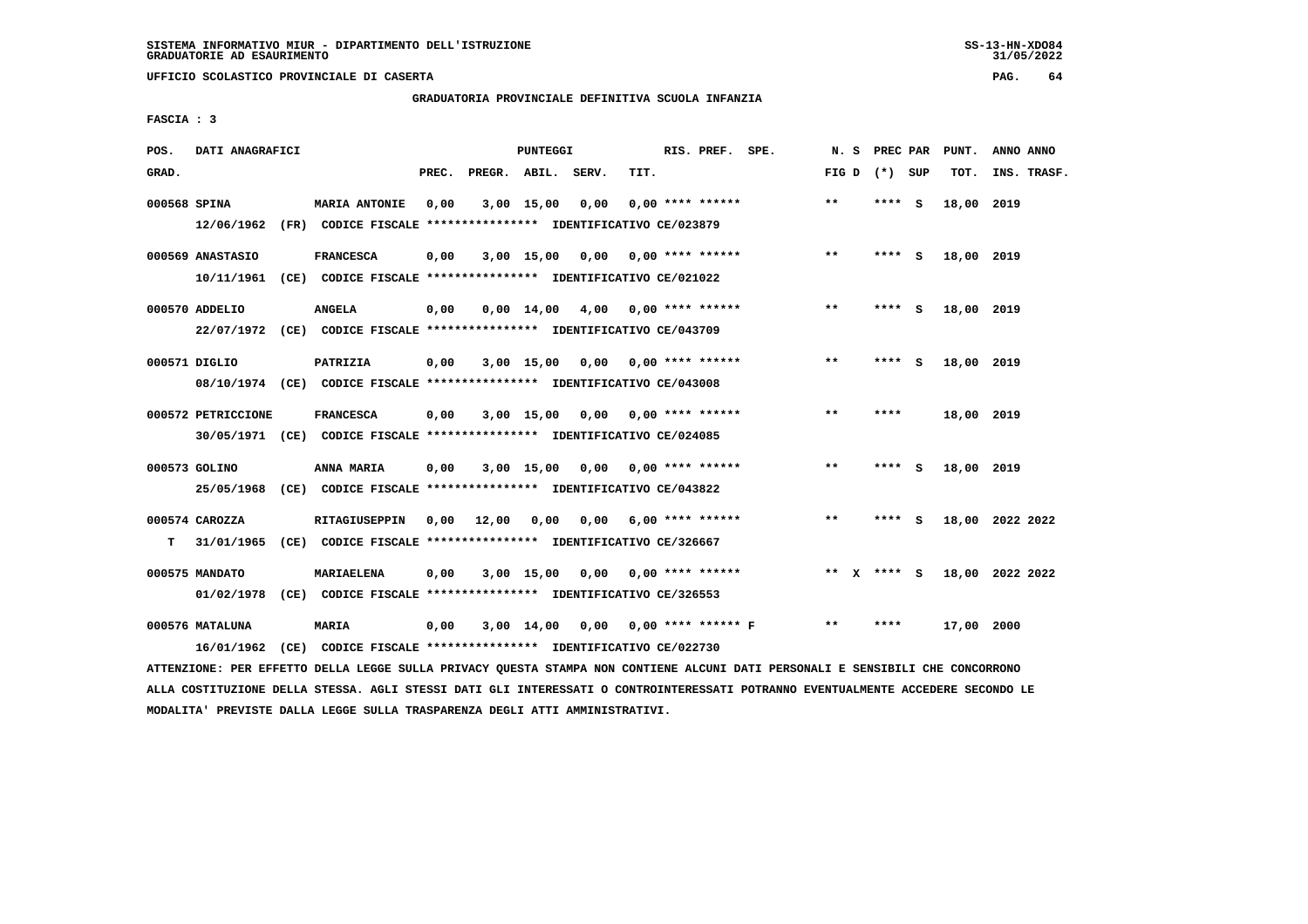**UFFICIO SCOLASTICO PROVINCIALE DI CASERTA PAG. 64**

# **GRADUATORIA PROVINCIALE DEFINITIVA SCUOLA INFANZIA**

 **FASCIA : 3**

| POS.         | DATI ANAGRAFICI    |                                                                         |       |                    | <b>PUNTEGGI</b> |                                    |      | RIS. PREF. SPE.           | N.S                   | PREC PAR |          | PUNT.      | ANNO ANNO       |
|--------------|--------------------|-------------------------------------------------------------------------|-------|--------------------|-----------------|------------------------------------|------|---------------------------|-----------------------|----------|----------|------------|-----------------|
| GRAD.        |                    |                                                                         | PREC. | PREGR. ABIL. SERV. |                 |                                    | TIT. |                           | FIG D                 | (*) SUP  |          | TOT.       | INS. TRASF.     |
| 000568 SPINA |                    | <b>MARIA ANTONIE</b>                                                    | 0,00  |                    | 3,00 15,00      | 0,00                               |      | $0.00$ **** ******        | **                    | ****     | <b>S</b> | 18,00      | 2019            |
|              | 12/06/1962         | (FR) CODICE FISCALE **************** IDENTIFICATIVO CE/023879           |       |                    |                 |                                    |      |                           |                       |          |          |            |                 |
|              | 000569 ANASTASIO   | <b>FRANCESCA</b>                                                        | 0,00  |                    | 3,00 15,00 0,00 |                                    |      | $0.00$ **** ******        | $* *$                 | **** S   |          | 18,00 2019 |                 |
|              | 10/11/1961         | (CE) CODICE FISCALE **************** IDENTIFICATIVO CE/021022           |       |                    |                 |                                    |      |                           |                       |          |          |            |                 |
|              | 000570 ADDELIO     | <b>ANGELA</b>                                                           | 0,00  |                    |                 | $0,00$ 14,00 4,00 0,00 **** ****** |      |                           | $**$                  | **** S   |          | 18,00 2019 |                 |
|              |                    | 22/07/1972 (CE) CODICE FISCALE *************** IDENTIFICATIVO CE/043709 |       |                    |                 |                                    |      |                           |                       |          |          |            |                 |
|              | 000571 DIGLIO      | PATRIZIA                                                                | 0,00  |                    | $3,00$ 15,00    |                                    |      | $0.00$ $0.00$ **** ****** | $* *$                 | ****     | - S      | 18,00 2019 |                 |
|              |                    | 08/10/1974 (CE) CODICE FISCALE *************** IDENTIFICATIVO CE/043008 |       |                    |                 |                                    |      |                           |                       |          |          |            |                 |
|              | 000572 PETRICCIONE | <b>FRANCESCA</b>                                                        | 0,00  |                    | 3,00 15,00      |                                    |      | $0.00$ $0.00$ **** ****** | $* *$                 | ****     |          | 18,00 2019 |                 |
|              |                    | 30/05/1971 (CE) CODICE FISCALE *************** IDENTIFICATIVO CE/024085 |       |                    |                 |                                    |      |                           |                       |          |          |            |                 |
|              | 000573 GOLINO      | ANNA MARIA                                                              | 0.00  |                    | $3,00$ 15,00    |                                    |      | $0.00$ $0.00$ **** ****** | $***$                 | ****     | - 5      | 18,00 2019 |                 |
|              | 25/05/1968         | (CE) CODICE FISCALE **************** IDENTIFICATIVO CE/043822           |       |                    |                 |                                    |      |                           |                       |          |          |            |                 |
|              |                    |                                                                         |       |                    |                 |                                    |      |                           |                       |          |          |            |                 |
|              | 000574 CAROZZA     | <b>RITAGIUSEPPIN</b>                                                    | 0,00  | 12,00              | 0,00            | 0,00                               |      | $6.00$ **** ******        | $* *$                 | ****     | - S      |            | 18,00 2022 2022 |
| T.           | 31/01/1965         | (CE) CODICE FISCALE **************** IDENTIFICATIVO CE/326667           |       |                    |                 |                                    |      |                           |                       |          |          |            |                 |
|              | 000575 MANDATO     | <b>MARIAELENA</b>                                                       | 0,00  |                    | 3,00 15,00      | 0,00                               |      | 0,00 **** ******          | $* *$<br>$\mathbf{x}$ | **** S   |          |            | 18,00 2022 2022 |
|              | 01/02/1978         | (CE) CODICE FISCALE **************** IDENTIFICATIVO CE/326553           |       |                    |                 |                                    |      |                           |                       |          |          |            |                 |
|              | 000576 MATALUNA    | <b>MARIA</b>                                                            | 0,00  |                    | 3,00 14,00      |                                    |      | $0,00$ 0,00 **** ****** F | $* *$                 | ****     |          | 17,00 2000 |                 |
|              | 16/01/1962         | (CE) CODICE FISCALE **************** IDENTIFICATIVO CE/022730           |       |                    |                 |                                    |      |                           |                       |          |          |            |                 |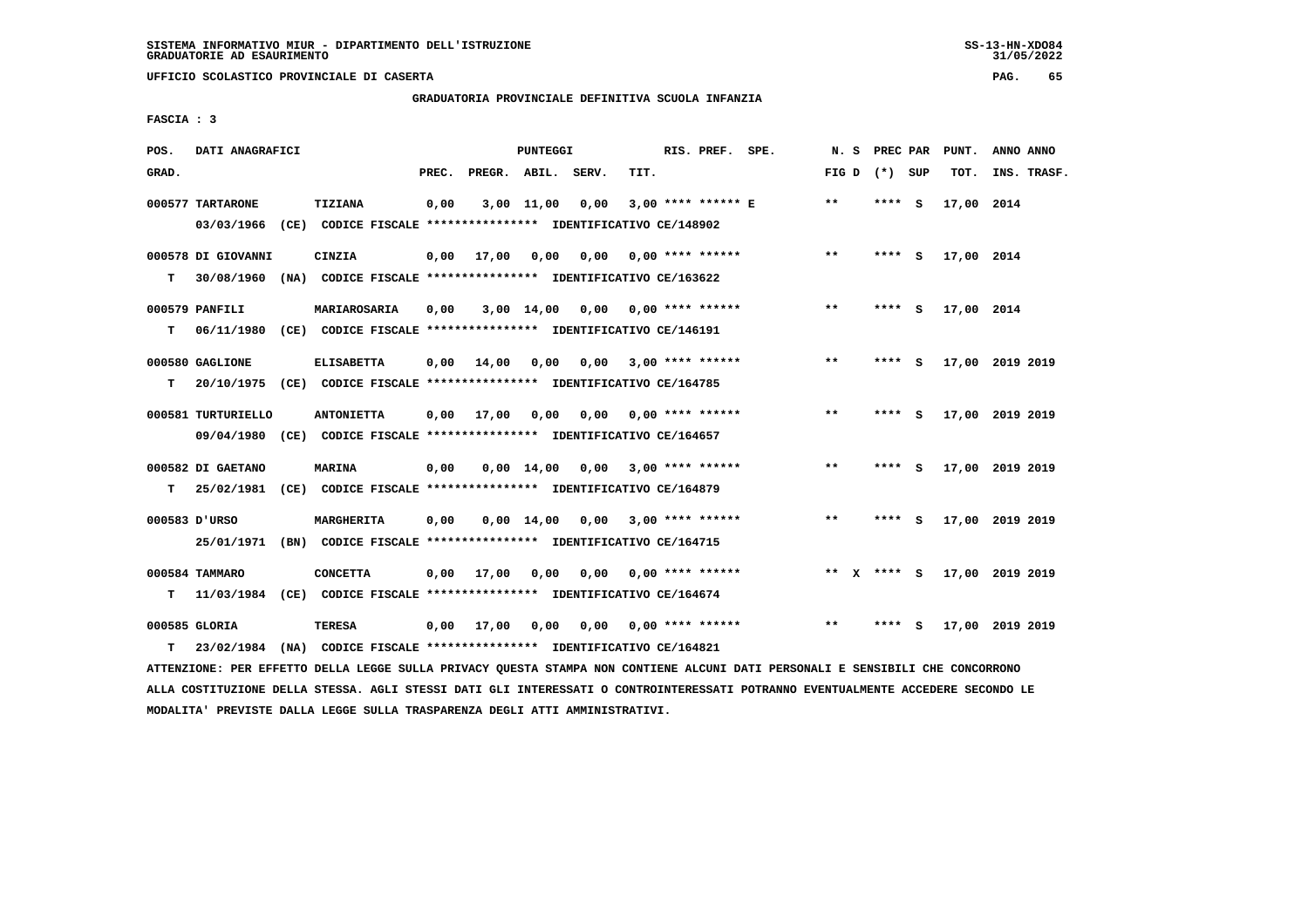**UFFICIO SCOLASTICO PROVINCIALE DI CASERTA PAG. 65**

# **GRADUATORIA PROVINCIALE DEFINITIVA SCUOLA INFANZIA**

 **FASCIA : 3**

| POS.  | DATI ANAGRAFICI    |                                                                                                                               |       |                       | PUNTEGGI           |                 |                           | RIS. PREF. SPE.    |              | N. S PREC PAR   |     | PUNT.      | ANNO ANNO       |  |
|-------|--------------------|-------------------------------------------------------------------------------------------------------------------------------|-------|-----------------------|--------------------|-----------------|---------------------------|--------------------|--------------|-----------------|-----|------------|-----------------|--|
| GRAD. |                    |                                                                                                                               | PREC. | PREGR. ABIL. SERV.    |                    |                 | TIT.                      |                    |              | FIG D $(*)$ SUP |     | TOT.       | INS. TRASF.     |  |
|       | 000577 TARTARONE   | TIZIANA                                                                                                                       | 0,00  |                       | $3,00$ 11,00       | 0,00            |                           | 3,00 **** ****** E | $* *$        | ****            | - S | 17,00 2014 |                 |  |
|       | 03/03/1966         | (CE) CODICE FISCALE **************** IDENTIFICATIVO CE/148902                                                                 |       |                       |                    |                 |                           |                    |              |                 |     |            |                 |  |
|       | 000578 DI GIOVANNI | CINZIA                                                                                                                        | 0,00  | 17,00                 | 0,00               | 0,00            |                           | $0.00$ **** ****** | $* *$        | **** S          |     | 17,00 2014 |                 |  |
| т     | 30/08/1960         | (NA) CODICE FISCALE **************** IDENTIFICATIVO CE/163622                                                                 |       |                       |                    |                 |                           |                    |              |                 |     |            |                 |  |
|       | 000579 PANFILI     | MARIAROSARIA                                                                                                                  | 0,00  |                       | $3,00$ 14,00       |                 | $0,00$ $0,00$ **** ****** |                    | $***$        | **** S          |     | 17,00 2014 |                 |  |
| T.    |                    | 06/11/1980 (CE) CODICE FISCALE *************** IDENTIFICATIVO CE/146191                                                       |       |                       |                    |                 |                           |                    |              |                 |     |            |                 |  |
|       | 000580 GAGLIONE    | <b>ELISABETTA</b>                                                                                                             | 0,00  | 14,00                 | 0,00               | 0,00            |                           | $3,00$ **** ****** | $\star\star$ | **** S          |     |            | 17,00 2019 2019 |  |
| т     |                    | 20/10/1975 (CE) CODICE FISCALE *************** IDENTIFICATIVO CE/164785                                                       |       |                       |                    |                 |                           |                    |              |                 |     |            |                 |  |
|       | 000581 TURTURIELLO | <b>ANTONIETTA</b>                                                                                                             | 0,00  | 17,00                 | 0,00               |                 | $0,00$ $0,00$ **** ****** |                    | $* *$        | **** S          |     |            | 17,00 2019 2019 |  |
|       |                    | 09/04/1980 (CE) CODICE FISCALE *************** IDENTIFICATIVO CE/164657                                                       |       |                       |                    |                 |                           |                    |              |                 |     |            |                 |  |
|       | 000582 DI GAETANO  | MARINA                                                                                                                        | 0,00  |                       | $0.00 \quad 14.00$ |                 | $0,00$ 3,00 **** ******   |                    | $* *$        | **** S          |     |            | 17,00 2019 2019 |  |
| т     |                    | 25/02/1981 (CE) CODICE FISCALE *************** IDENTIFICATIVO CE/164879                                                       |       |                       |                    |                 |                           |                    |              |                 |     |            |                 |  |
|       | 000583 D'URSO      | <b>MARGHERITA</b>                                                                                                             | 0,00  |                       |                    | 0,00 14,00 0,00 |                           | $3,00$ **** ****** | **           | **** S          |     |            | 17,00 2019 2019 |  |
|       |                    | 25/01/1971 (BN) CODICE FISCALE *************** IDENTIFICATIVO CE/164715                                                       |       |                       |                    |                 |                           |                    |              |                 |     |            |                 |  |
|       | 000584 TAMMARO     | <b>CONCETTA</b>                                                                                                               |       | $0,00$ $17,00$ $0,00$ |                    |                 | $0.00$ $0.00$ **** ****** |                    |              | ** x **** S     |     |            | 17,00 2019 2019 |  |
| т     |                    | 11/03/1984 (CE) CODICE FISCALE **************** IDENTIFICATIVO CE/164674                                                      |       |                       |                    |                 |                           |                    |              |                 |     |            |                 |  |
|       | 000585 GLORIA      | TERESA                                                                                                                        | 0,00  | 17,00                 | 0,00               | 0.00            |                           | $0.00$ **** ****** | $* *$        | **** S          |     |            | 17,00 2019 2019 |  |
| т     | 23/02/1984         | (NA) CODICE FISCALE **************** IDENTIFICATIVO CE/164821                                                                 |       |                       |                    |                 |                           |                    |              |                 |     |            |                 |  |
|       |                    | ATTENZIONE: PER EFFETTO DELLA LEGGE SULLA PRIVACY QUESTA STAMPA NON CONTIENE ALCUNI DATI PERSONALI E SENSIBILI CHE CONCORRONO |       |                       |                    |                 |                           |                    |              |                 |     |            |                 |  |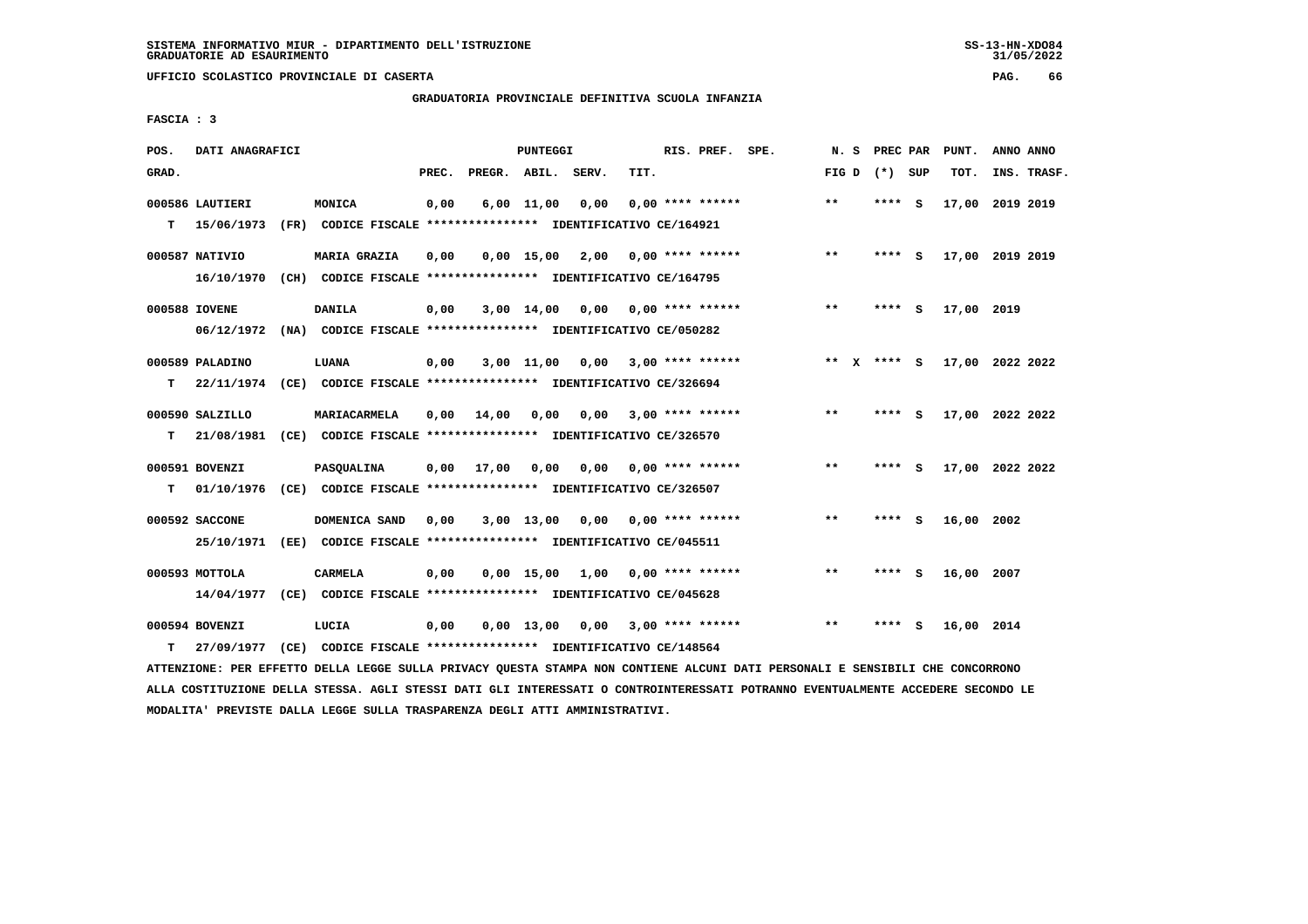**UFFICIO SCOLASTICO PROVINCIALE DI CASERTA PAG. 66**

# **GRADUATORIA PROVINCIALE DEFINITIVA SCUOLA INFANZIA**

 **FASCIA : 3**

| POS.  | DATI ANAGRAFICI |      |                                                                         |       |                    | <b>PUNTEGGI</b>   |      |      | RIS. PREF. SPE.    | N.S                   |      | PREC PAR | PUNT.           | ANNO ANNO |             |
|-------|-----------------|------|-------------------------------------------------------------------------|-------|--------------------|-------------------|------|------|--------------------|-----------------------|------|----------|-----------------|-----------|-------------|
| GRAD. |                 |      |                                                                         | PREC. | PREGR. ABIL. SERV. |                   |      | TIT. |                    | FIG D                 |      | (*) SUP  | TOT.            |           | INS. TRASF. |
|       | 000586 LAUTIERI |      | MONICA                                                                  | 0,00  |                    | $6,00$ 11,00      | 0,00 |      | $0.00$ **** ****** | $* *$                 | **** | - S      | 17,00           | 2019 2019 |             |
| T.    | 15/06/1973      |      | (FR) CODICE FISCALE **************** IDENTIFICATIVO CE/164921           |       |                    |                   |      |      |                    |                       |      |          |                 |           |             |
|       | 000587 NATIVIO  |      | <b>MARIA GRAZIA</b>                                                     | 0,00  |                    | $0,00$ 15,00 2,00 |      |      | 0,00 **** ******   | $***$                 | **** | -S       | 17,00 2019 2019 |           |             |
|       | 16/10/1970      |      | (CH) CODICE FISCALE **************** IDENTIFICATIVO CE/164795           |       |                    |                   |      |      |                    |                       |      |          |                 |           |             |
|       | 000588 IOVENE   |      | <b>DANILA</b>                                                           | 0,00  |                    | $3,00$ 14,00      | 0,00 |      | 0,00 **** ******   | $* *$                 | **** | - S      | 17,00 2019      |           |             |
|       | 06/12/1972      |      | (NA) CODICE FISCALE **************** IDENTIFICATIVO CE/050282           |       |                    |                   |      |      |                    |                       |      |          |                 |           |             |
|       | 000589 PALADINO |      | LUANA                                                                   | 0,00  |                    | $3,00$ $11,00$    | 0.00 |      | $3,00$ **** ****** | $* *$<br>$\mathbf{x}$ |      | **** S   | 17,00 2022 2022 |           |             |
| т     |                 |      | 22/11/1974 (CE) CODICE FISCALE *************** IDENTIFICATIVO CE/326694 |       |                    |                   |      |      |                    |                       |      |          |                 |           |             |
|       |                 |      |                                                                         |       |                    |                   |      |      |                    |                       |      |          |                 |           |             |
|       | 000590 SALZILLO |      | MARIACARMELA                                                            | 0.00  | 14,00              | 0,00              | 0,00 |      | 3,00 **** ******   | **                    | **** | - 5      | 17,00 2022 2022 |           |             |
| т     | 21/08/1981      |      | (CE) CODICE FISCALE **************** IDENTIFICATIVO CE/326570           |       |                    |                   |      |      |                    |                       |      |          |                 |           |             |
|       | 000591 BOVENZI  |      | PASQUALINA                                                              | 0,00  | 17,00              | 0.00              | 0,00 |      | 0,00 **** ******   | $***$                 | **** | - S      | 17,00 2022 2022 |           |             |
| т     | 01/10/1976      |      | (CE) CODICE FISCALE **************** IDENTIFICATIVO CE/326507           |       |                    |                   |      |      |                    |                       |      |          |                 |           |             |
|       | 000592 SACCONE  |      | DOMENICA SAND                                                           | 0,00  |                    | 3,00 13,00        | 0,00 |      | $0.00$ **** ****** | $\star\star$          | **** | - S      | 16,00 2002      |           |             |
|       | 25/10/1971      | (EE) | CODICE FISCALE **************** IDENTIFICATIVO CE/045511                |       |                    |                   |      |      |                    |                       |      |          |                 |           |             |
|       |                 |      |                                                                         |       |                    |                   |      |      |                    |                       |      |          |                 |           |             |
|       | 000593 MOTTOLA  |      | <b>CARMELA</b>                                                          | 0,00  |                    | $0,00$ 15,00 1,00 |      |      | $0.00$ **** ****** | $* *$                 |      | $***$ S  | 16,00 2007      |           |             |
|       | 14/04/1977      |      | (CE) CODICE FISCALE **************** IDENTIFICATIVO CE/045628           |       |                    |                   |      |      |                    |                       |      |          |                 |           |             |
|       | 000594 BOVENZI  |      | LUCIA                                                                   | 0,00  |                    | $0,00$ 13,00      | 0,00 |      | 3,00 **** ******   | $* *$                 | **** | - S      | 16,00 2014      |           |             |
| т     | 27/09/1977      |      | (CE) CODICE FISCALE **************** IDENTIFICATIVO CE/148564           |       |                    |                   |      |      |                    |                       |      |          |                 |           |             |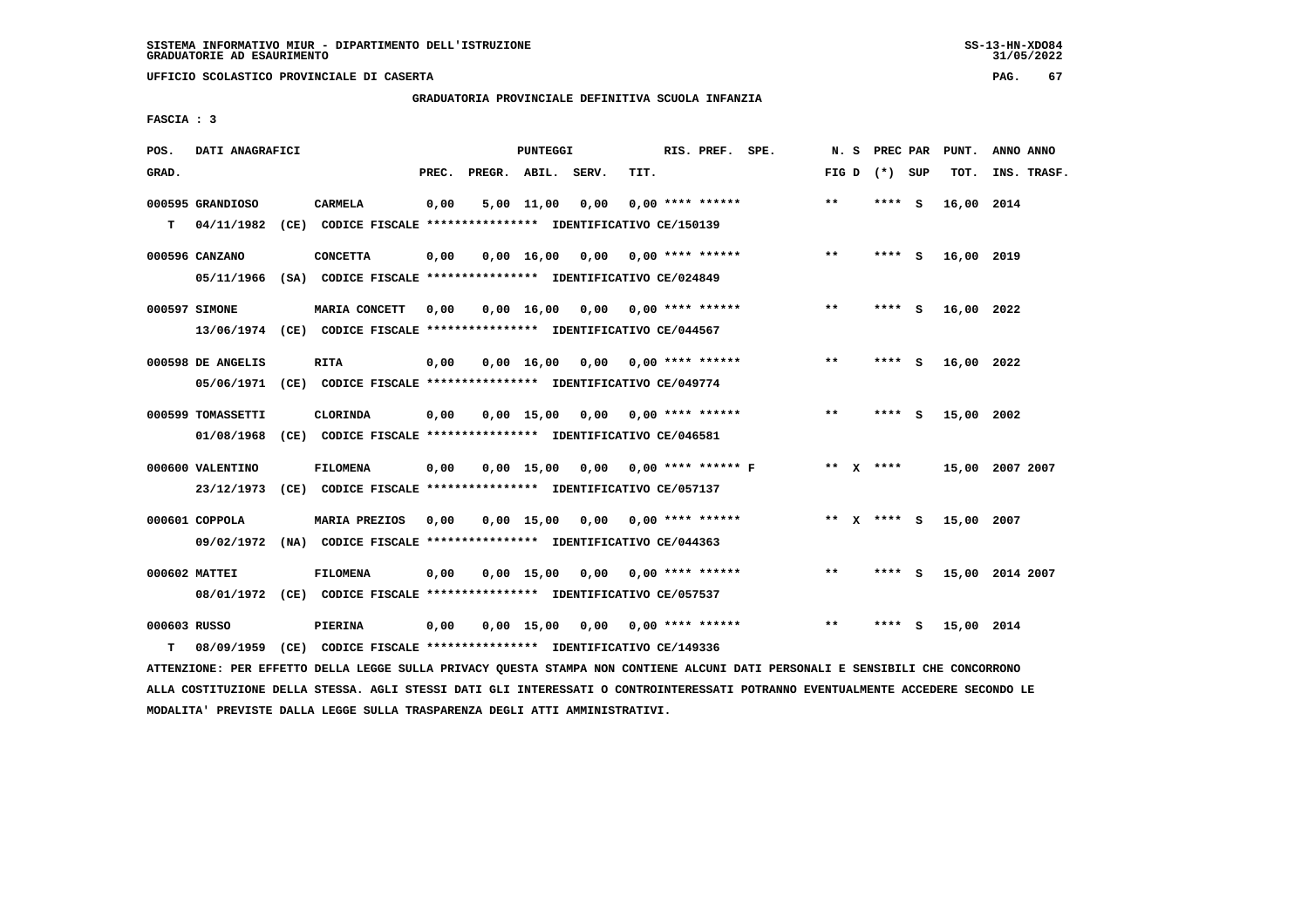**UFFICIO SCOLASTICO PROVINCIALE DI CASERTA PAG. 67**

# **GRADUATORIA PROVINCIALE DEFINITIVA SCUOLA INFANZIA**

 **FASCIA : 3**

| POS.         | DATI ANAGRAFICI   |                                                                                                                               |       |                    | PUNTEGGI |                                    |      | RIS. PREF. SPE.    |                                    |       |                 | N. S PREC PAR PUNT. | ANNO ANNO       |
|--------------|-------------------|-------------------------------------------------------------------------------------------------------------------------------|-------|--------------------|----------|------------------------------------|------|--------------------|------------------------------------|-------|-----------------|---------------------|-----------------|
| GRAD.        |                   |                                                                                                                               | PREC. | PREGR. ABIL. SERV. |          |                                    | TIT. |                    |                                    |       | FIG D $(*)$ SUP | TOT.                | INS. TRASF.     |
|              | 000595 GRANDIOSO  | CARMELA                                                                                                                       | 0,00  |                    |          | $5,00$ 11,00 0,00                  |      | $0,00$ **** ****** |                                    | $***$ | **** S          | 16,00 2014          |                 |
| т            | 04/11/1982        | (CE) CODICE FISCALE **************** IDENTIFICATIVO CE/150139                                                                 |       |                    |          |                                    |      |                    |                                    |       |                 |                     |                 |
|              | 000596 CANZANO    | <b>CONCETTA</b>                                                                                                               | 0,00  |                    |          | $0,00$ 16,00 0,00 0,00 **** ****** |      |                    |                                    | $* *$ | $***$ S         | 16,00 2019          |                 |
|              |                   | 05/11/1966 (SA) CODICE FISCALE *************** IDENTIFICATIVO CE/024849                                                       |       |                    |          |                                    |      |                    |                                    |       |                 |                     |                 |
|              | 000597 SIMONE     | MARIA CONCETT                                                                                                                 | 0,00  |                    |          | $0,00$ 16,00 0,00 0,00 **** ****** |      |                    |                                    | $***$ | **** S          | 16,00 2022          |                 |
|              |                   | 13/06/1974 (CE) CODICE FISCALE *************** IDENTIFICATIVO CE/044567                                                       |       |                    |          |                                    |      |                    |                                    |       |                 |                     |                 |
|              | 000598 DE ANGELIS | <b>RITA</b>                                                                                                                   | 0,00  |                    |          | $0,00$ 16,00 0,00 0,00 **** ****** |      |                    |                                    | $* *$ | **** S          | 16,00 2022          |                 |
|              |                   | 05/06/1971 (CE) CODICE FISCALE *************** IDENTIFICATIVO CE/049774                                                       |       |                    |          |                                    |      |                    |                                    |       |                 |                     |                 |
|              | 000599 TOMASSETTI | CLORINDA                                                                                                                      | 0,00  |                    |          | $0,00$ 15,00 0,00 0,00 **** ****** |      |                    |                                    | $***$ | **** S          | 15,00 2002          |                 |
|              |                   | 01/08/1968 (CE) CODICE FISCALE *************** IDENTIFICATIVO CE/046581                                                       |       |                    |          |                                    |      |                    |                                    |       |                 |                     |                 |
|              | 000600 VALENTINO  | <b>FILOMENA</b>                                                                                                               | 0,00  |                    |          |                                    |      |                    | 0,00 15,00 0,00 0,00 **** ****** F |       | ** x ****       |                     | 15,00 2007 2007 |
|              | 23/12/1973        | (CE) CODICE FISCALE **************** IDENTIFICATIVO CE/057137                                                                 |       |                    |          |                                    |      |                    |                                    |       |                 |                     |                 |
|              | 000601 COPPOLA    | <b>MARIA PREZIOS</b>                                                                                                          | 0,00  |                    |          | $0,00$ 15,00 0,00 0,00 **** ****** |      |                    |                                    |       | ** x **** S     | 15,00 2007          |                 |
|              |                   | 09/02/1972 (NA) CODICE FISCALE *************** IDENTIFICATIVO CE/044363                                                       |       |                    |          |                                    |      |                    |                                    |       |                 |                     |                 |
|              | 000602 MATTEI     | <b>FILOMENA</b>                                                                                                               | 0,00  |                    |          | $0,00$ 15,00 0,00 0,00 **** ****** |      |                    |                                    | $* *$ | **** S          |                     | 15,00 2014 2007 |
|              |                   | 08/01/1972 (CE) CODICE FISCALE *************** IDENTIFICATIVO CE/057537                                                       |       |                    |          |                                    |      |                    |                                    |       |                 |                     |                 |
| 000603 RUSSO |                   | PIERINA                                                                                                                       | 0,00  |                    |          | $0,00$ 15,00 0,00 0,00 **** ****** |      |                    |                                    | $* *$ | **** S          | 15,00 2014          |                 |
| т            | 08/09/1959        | (CE) CODICE FISCALE **************** IDENTIFICATIVO CE/149336                                                                 |       |                    |          |                                    |      |                    |                                    |       |                 |                     |                 |
|              |                   | ATTENZIONE: PER EFFETTO DELLA LEGGE SULLA PRIVACY QUESTA STAMPA NON CONTIENE ALCUNI DATI PERSONALI E SENSIBILI CHE CONCORRONO |       |                    |          |                                    |      |                    |                                    |       |                 |                     |                 |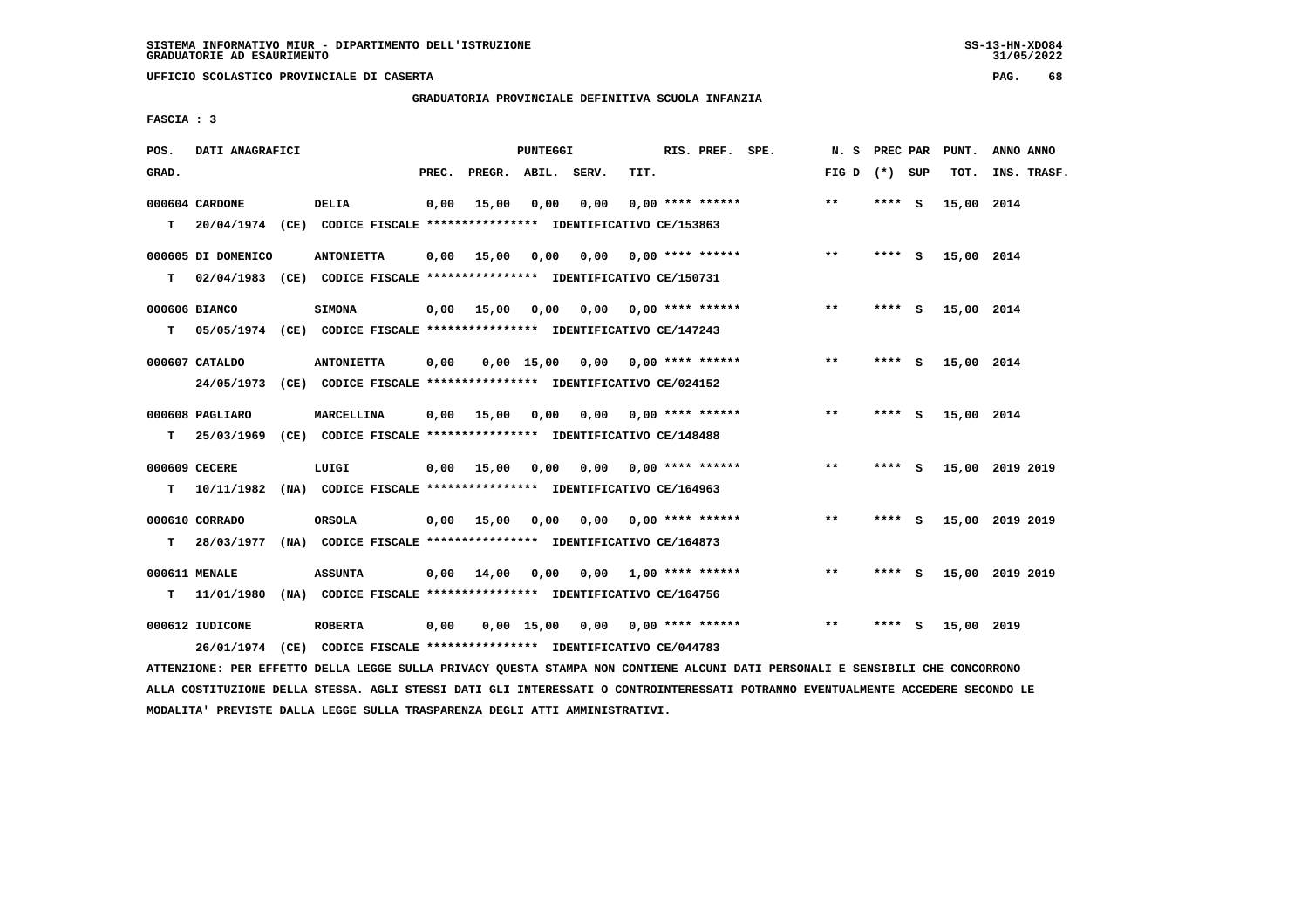**UFFICIO SCOLASTICO PROVINCIALE DI CASERTA PAG. 68**

 **GRADUATORIA PROVINCIALE DEFINITIVA SCUOLA INFANZIA**

 **FASCIA : 3**

| POS.  | DATI ANAGRAFICI               |                                                                                                                                                            |       |                    | PUNTEGGI     |      |      | RIS. PREF. SPE.           | N. S PREC PAR   |        |     | PUNT.      | ANNO ANNO       |
|-------|-------------------------------|------------------------------------------------------------------------------------------------------------------------------------------------------------|-------|--------------------|--------------|------|------|---------------------------|-----------------|--------|-----|------------|-----------------|
| GRAD. |                               |                                                                                                                                                            | PREC. | PREGR. ABIL. SERV. |              |      | TIT. |                           | FIG D $(*)$ SUP |        |     | TOT.       | INS. TRASF.     |
| T.    | 000604 CARDONE                | <b>DELIA</b><br>20/04/1974 (CE) CODICE FISCALE **************** IDENTIFICATIVO CE/153863                                                                   | 0,00  | 15,00              | 0,00         | 0,00 |      | $0.00$ **** ******        | $**$            | **** S |     | 15,00 2014 |                 |
| т     | 000605 DI DOMENICO            | <b>ANTONIETTA</b><br>02/04/1983 (CE) CODICE FISCALE *************** IDENTIFICATIVO CE/150731                                                               | 0,00  | 15,00              | 0,00         | 0,00 |      | 0,00 **** ******          | $***$           | **** S |     | 15,00 2014 |                 |
| т     | 000606 BIANCO                 | <b>SIMONA</b><br>05/05/1974 (CE) CODICE FISCALE *************** IDENTIFICATIVO CE/147243                                                                   | 0,00  | 15,00              | 0,00         |      |      | $0,00$ $0,00$ **** ****** | $* *$           | **** S |     | 15,00 2014 |                 |
|       | 000607 CATALDO<br>24/05/1973  | <b>ANTONIETTA</b><br>(CE) CODICE FISCALE **************** IDENTIFICATIVO CE/024152                                                                         | 0,00  |                    | $0.00$ 15.00 |      |      | $0,00$ $0,00$ **** ****** | **              | **** S |     | 15,00 2014 |                 |
| т     | 000608 PAGLIARO<br>25/03/1969 | <b>MARCELLINA</b><br>(CE) CODICE FISCALE **************** IDENTIFICATIVO CE/148488                                                                         | 0,00  | 15,00              | 0.00         |      |      | $0.00$ $0.00$ **** ****** | $**$            | ****   | - S | 15,00 2014 |                 |
|       | 000609 CECERE                 | LUIGI                                                                                                                                                      | 0,00  | 15,00              | 0,00         |      |      | $0,00$ $0,00$ **** ****** | $**$            | **** S |     |            | 15,00 2019 2019 |
| т     | 10/11/1982<br>000610 CORRADO  | (NA) CODICE FISCALE **************** IDENTIFICATIVO CE/164963<br><b>ORSOLA</b>                                                                             | 0,00  | 15,00              | 0,00         |      |      | $0,00$ $0,00$ **** ****** | $* *$           | **** S |     |            | 15,00 2019 2019 |
| т     | 000611 MENALE                 | 28/03/1977 (NA) CODICE FISCALE *************** IDENTIFICATIVO CE/164873<br><b>ASSUNTA</b>                                                                  | 0,00  | 14,00              | 0,00         |      |      | $0.00$ 1.00 **** ******   | **              | **** S |     |            | 15,00 2019 2019 |
| т     | 11/01/1980<br>000612 IUDICONE | (NA) CODICE FISCALE **************** IDENTIFICATIVO CE/164756<br><b>ROBERTA</b><br>26/01/1974 (CE) CODICE FISCALE *************** IDENTIFICATIVO CE/044783 | 0,00  |                    | 0.00 15.00   |      |      | 0,00 0,00 **** ******     | **              | **** S |     | 15,00 2019 |                 |
|       |                               |                                                                                                                                                            |       |                    |              |      |      |                           |                 |        |     |            |                 |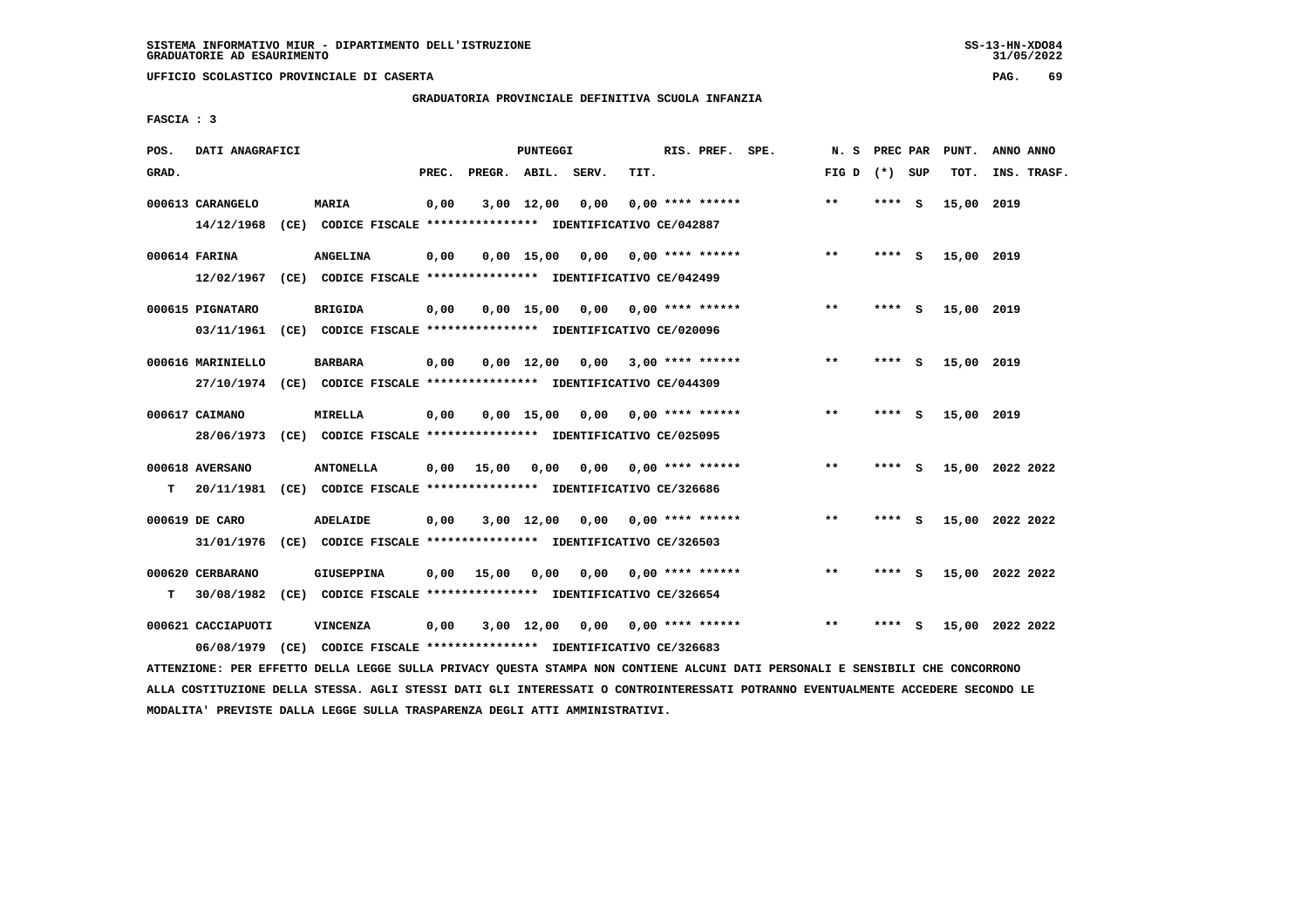**UFFICIO SCOLASTICO PROVINCIALE DI CASERTA PAG. 69**

# **GRADUATORIA PROVINCIALE DEFINITIVA SCUOLA INFANZIA**

 **FASCIA : 3**

| POS.  | DATI ANAGRAFICI                |                                                                         |       |                    | PUNTEGGI           |      |      | RIS. PREF. SPE.         | N.S   | PREC PAR |          | PUNT.      | ANNO ANNO       |
|-------|--------------------------------|-------------------------------------------------------------------------|-------|--------------------|--------------------|------|------|-------------------------|-------|----------|----------|------------|-----------------|
| GRAD. |                                |                                                                         | PREC. | PREGR. ABIL. SERV. |                    |      | TIT. |                         | FIG D | (*) SUP  |          | TOT.       | INS. TRASF.     |
|       | 000613 CARANGELO<br>14/12/1968 | MARIA<br>(CE) CODICE FISCALE **************** IDENTIFICATIVO CE/042887  | 0,00  |                    | 3,00 12,00         | 0,00 |      | $0.00$ **** ******      | $* *$ | **** S   |          | 15,00      | 2019            |
|       |                                |                                                                         |       |                    |                    |      |      |                         |       |          |          |            |                 |
|       | 000614 FARINA                  | <b>ANGELINA</b>                                                         | 0,00  |                    | $0,00 \quad 15,00$ | 0,00 |      | $0.00$ **** ******      | $**$  | **** S   |          | 15,00 2019 |                 |
|       | 12/02/1967                     | (CE) CODICE FISCALE **************** IDENTIFICATIVO CE/042499           |       |                    |                    |      |      |                         |       |          |          |            |                 |
|       | 000615 PIGNATARO               | <b>BRIGIDA</b>                                                          | 0,00  |                    | $0,00$ 15,00       |      |      | $0,00$ 0,00 **** ****** | **    | ****     | - S      | 15,00 2019 |                 |
|       | 03/11/1961                     | (CE) CODICE FISCALE **************** IDENTIFICATIVO CE/020096           |       |                    |                    |      |      |                         |       |          |          |            |                 |
|       | 000616 MARINIELLO              | <b>BARBARA</b>                                                          | 0,00  |                    | $0,00 \quad 12,00$ | 0,00 |      | $3,00$ **** ******      | $* *$ | **** S   |          | 15,00 2019 |                 |
|       |                                | 27/10/1974 (CE) CODICE FISCALE *************** IDENTIFICATIVO CE/044309 |       |                    |                    |      |      |                         |       |          |          |            |                 |
|       | 000617 CAIMANO                 | <b>MIRELLA</b>                                                          | 0,00  |                    | $0.00$ 15.00       | 0,00 |      | $0.00$ **** ******      | $* *$ | ****     | <b>S</b> | 15,00 2019 |                 |
|       | 28/06/1973                     | (CE) CODICE FISCALE **************** IDENTIFICATIVO CE/025095           |       |                    |                    |      |      |                         |       |          |          |            |                 |
|       |                                |                                                                         |       |                    |                    |      |      |                         |       |          |          |            |                 |
|       | 000618 AVERSANO                | <b>ANTONELLA</b>                                                        | 0,00  | 15,00              | 0,00               | 0.00 |      | $0.00$ **** ******      | $* *$ | **** S   |          |            | 15,00 2022 2022 |
| т     | 20/11/1981                     | (CE) CODICE FISCALE **************** IDENTIFICATIVO CE/326686           |       |                    |                    |      |      |                         |       |          |          |            |                 |
|       | 000619 DE CARO                 | <b>ADELAIDE</b>                                                         | 0,00  |                    | $3,00$ 12,00       | 0,00 |      | 0,00 **** ******        | **    | **** S   |          |            | 15,00 2022 2022 |
|       | 31/01/1976                     | (CE) CODICE FISCALE **************** IDENTIFICATIVO CE/326503           |       |                    |                    |      |      |                         |       |          |          |            |                 |
|       | 000620 CERBARANO               | <b>GIUSEPPINA</b>                                                       | 0.00  | 15,00              | 0,00               | 0,00 |      | $0.00$ **** ******      | **    | ****     | - S      |            | 15,00 2022 2022 |
| т     | 30/08/1982                     | (CE) CODICE FISCALE **************** IDENTIFICATIVO CE/326654           |       |                    |                    |      |      |                         |       |          |          |            |                 |
|       | 000621 CACCIAPUOTI             | VINCENZA                                                                | 0,00  |                    | $3,00$ 12,00       | 0.00 |      | $0.00$ **** ******      | $* *$ | ****     | s        | 15,00      | 2022 2022       |
|       |                                | 06/08/1979 (CE) CODICE FISCALE *************** IDENTIFICATIVO CE/326683 |       |                    |                    |      |      |                         |       |          |          |            |                 |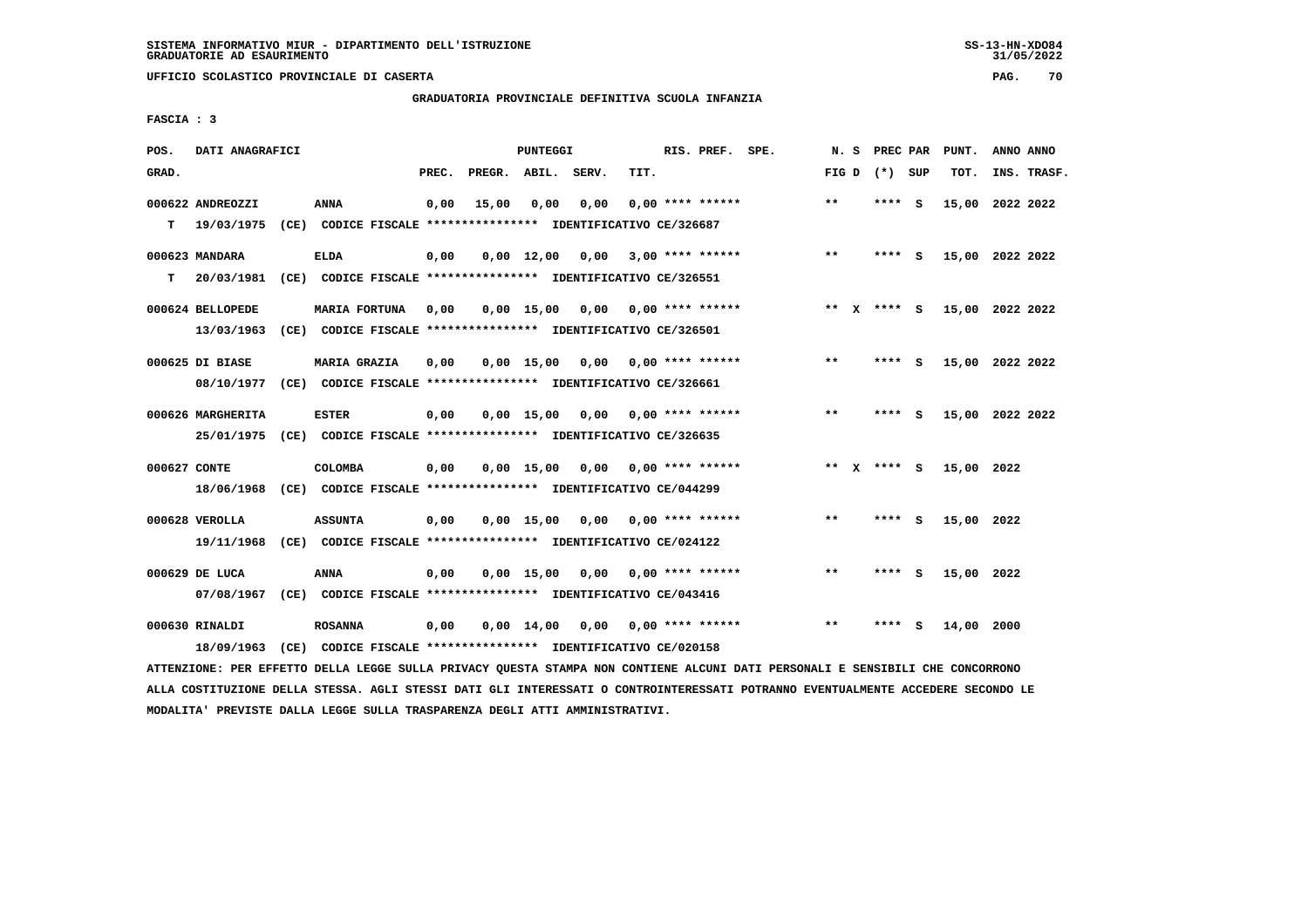**UFFICIO SCOLASTICO PROVINCIALE DI CASERTA PAG. 70**

## **GRADUATORIA PROVINCIALE DEFINITIVA SCUOLA INFANZIA**

 **FASCIA : 3**

| POS.         | DATI ANAGRAFICI                 |      |                                                                                       |       |                    | PUNTEGGI           |      |      | RIS. PREF. SPE.           | N.S   | PREC PAR    |          | PUNT.      | ANNO ANNO       |  |
|--------------|---------------------------------|------|---------------------------------------------------------------------------------------|-------|--------------------|--------------------|------|------|---------------------------|-------|-------------|----------|------------|-----------------|--|
| GRAD.        |                                 |      |                                                                                       | PREC. | PREGR. ABIL. SERV. |                    |      | TIT. |                           | FIG D | (*) SUP     |          | TOT.       | INS. TRASF.     |  |
| т            | 000622 ANDREOZZI<br>19/03/1975  |      | <b>ANNA</b><br>(CE) CODICE FISCALE **************** IDENTIFICATIVO CE/326687          | 0,00  | 15,00              | 0,00               | 0,00 |      | $0.00$ **** ******        | $* *$ | ****        | - S      |            | 15,00 2022 2022 |  |
| т            | 000623 MANDARA<br>20/03/1981    |      | <b>ELDA</b><br>(CE) CODICE FISCALE **************** IDENTIFICATIVO CE/326551          | 0,00  |                    | $0,00 \quad 12,00$ | 0,00 |      | $3,00$ **** ******        | $***$ | $***$ S     |          |            | 15,00 2022 2022 |  |
|              | 000624 BELLOPEDE<br>13/03/1963  |      | <b>MARIA FORTUNA</b><br>(CE) CODICE FISCALE **************** IDENTIFICATIVO CE/326501 | 0,00  |                    | $0,00$ 15,00       | 0,00 |      | 0,00 **** ******          |       | ** x **** S |          |            | 15,00 2022 2022 |  |
|              | 000625 DI BIASE<br>08/10/1977   |      | MARIA GRAZIA<br>(CE) CODICE FISCALE **************** IDENTIFICATIVO CE/326661         | 0,00  |                    | $0,00$ 15,00       | 0,00 |      | 0,00 **** ******          | $***$ | ****        | - S      |            | 15,00 2022 2022 |  |
|              | 000626 MARGHERITA<br>25/01/1975 |      | <b>ESTER</b><br>(CE) CODICE FISCALE **************** IDENTIFICATIVO CE/326635         | 0,00  |                    | 0.00 15.00         |      |      | $0.00$ $0.00$ **** ****** | $* *$ | ****        | - S      |            | 15,00 2022 2022 |  |
| 000627 CONTE | 18/06/1968                      |      | <b>COLOMBA</b><br>(CE) CODICE FISCALE **************** IDENTIFICATIVO CE/044299       | 0,00  |                    | $0.00$ 15.00       |      |      | $0.00$ $0.00$ **** ****** |       | ** x **** s |          | 15,00 2022 |                 |  |
|              | 000628 VEROLLA<br>19/11/1968    |      | <b>ASSUNTA</b><br>(CE) CODICE FISCALE **************** IDENTIFICATIVO CE/024122       | 0,00  |                    | $0.00$ 15.00       | 0,00 |      | 0,00 **** ******          | $* *$ | ****        | <b>S</b> | 15,00 2022 |                 |  |
|              | 000629 DE LUCA<br>07/08/1967    |      | <b>ANNA</b><br>(CE) CODICE FISCALE **************** IDENTIFICATIVO CE/043416          | 0,00  |                    | $0.00$ 15.00       | 0,00 |      | $0.00$ **** ******        | $* *$ | ****        | - S      | 15,00 2022 |                 |  |
|              | 000630 RINALDI<br>18/09/1963    | (CE) | <b>ROSANNA</b><br>CODICE FISCALE **************** IDENTIFICATIVO CE/020158            | 0,00  |                    | $0,00 \quad 14,00$ | 0,00 |      | 0,00 **** ******          | $* *$ | ****        | s        | 14,00      | 2000            |  |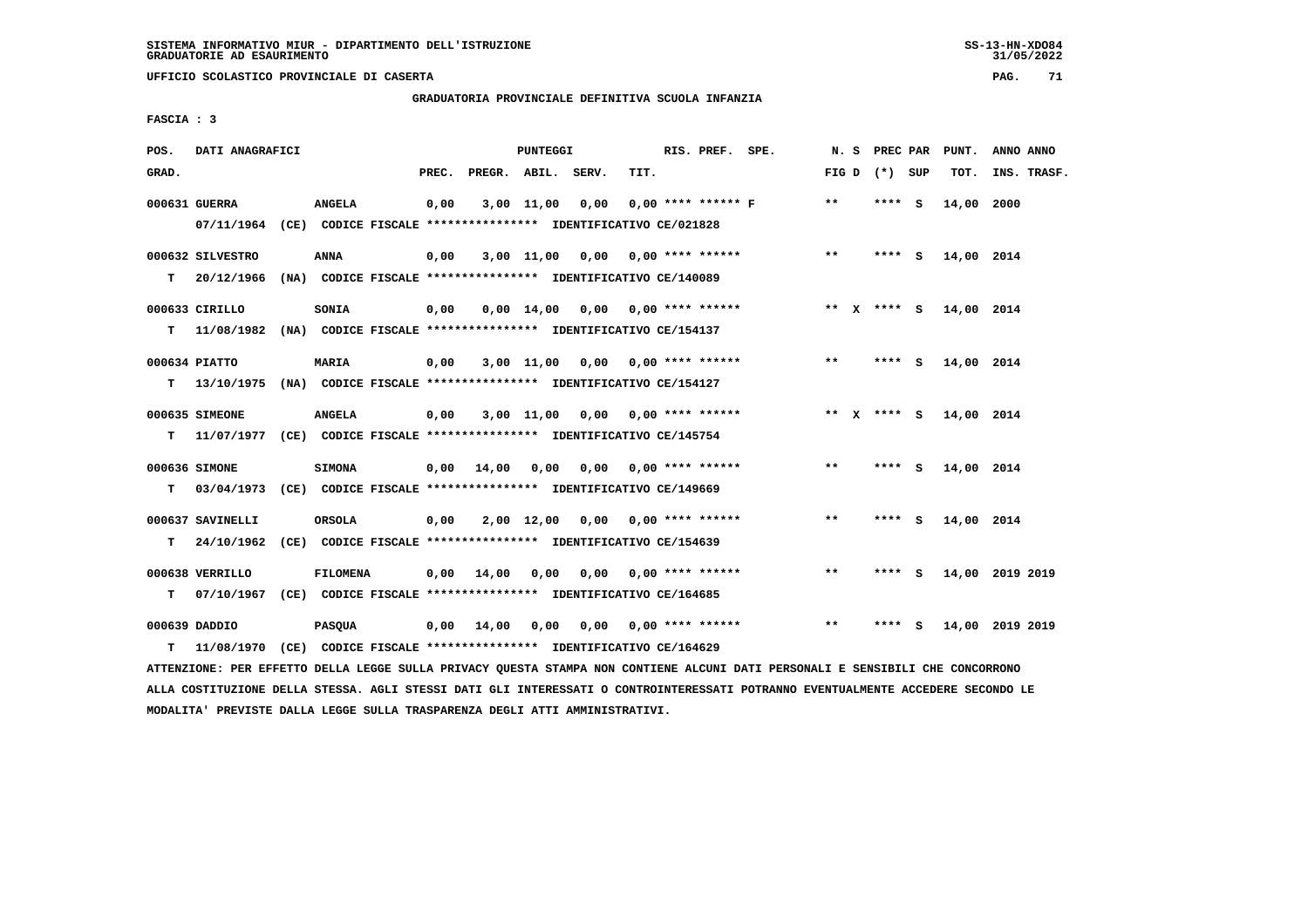# **GRADUATORIA PROVINCIALE DEFINITIVA SCUOLA INFANZIA**

 **FASCIA : 3**

| POS.  | DATI ANAGRAFICI                                                                                                               |                 |       |                 | PUNTEGGI |                                                                    |      | RIS. PREF. SPE. |                           |       |                 | N. S PREC PAR PUNT. | ANNO ANNO       |
|-------|-------------------------------------------------------------------------------------------------------------------------------|-----------------|-------|-----------------|----------|--------------------------------------------------------------------|------|-----------------|---------------------------|-------|-----------------|---------------------|-----------------|
| GRAD. |                                                                                                                               |                 | PREC. |                 |          | PREGR. ABIL. SERV.                                                 | TIT. |                 |                           |       | FIG D $(*)$ SUP | тот.                | INS. TRASF.     |
|       | 000631 GUERRA                                                                                                                 | <b>ANGELA</b>   | 0,00  |                 |          | 3,00 11,00 0,00                                                    |      |                 | $0.00$ **** ****** F      | $* *$ | $***5$          | 14,00 2000          |                 |
|       | 07/11/1964 (CE) CODICE FISCALE *************** IDENTIFICATIVO CE/021828                                                       |                 |       |                 |          |                                                                    |      |                 |                           |       |                 |                     |                 |
|       | 000632 SILVESTRO                                                                                                              | ANNA            | 0,00  |                 |          | $3,00$ 11,00 0,00 0,00 **** ******                                 |      |                 |                           | $***$ | **** S          | 14,00 2014          |                 |
|       | T 20/12/1966 (NA) CODICE FISCALE *************** IDENTIFICATIVO CE/140089                                                     |                 |       |                 |          |                                                                    |      |                 |                           |       |                 |                     |                 |
|       | 000633 CIRILLO                                                                                                                | <b>SONIA</b>    | 0,00  |                 |          | $0.00 \quad 14.00 \quad 0.00 \quad 0.00 \quad *** \quad *** \quad$ |      |                 |                           |       | ** X **** S     | 14,00 2014          |                 |
|       | T 11/08/1982 (NA) CODICE FISCALE *************** IDENTIFICATIVO CE/154137                                                     |                 |       |                 |          |                                                                    |      |                 |                           |       |                 |                     |                 |
|       | 000634 PIATTO                                                                                                                 | <b>MARIA</b>    | 0,00  |                 |          | $3,00$ 11,00 0,00 0,00 **** ******                                 |      |                 |                           | $***$ | $***$ S         | 14,00 2014          |                 |
|       | T 13/10/1975 (NA) CODICE FISCALE **************** IDENTIFICATIVO CE/154127                                                    |                 |       |                 |          |                                                                    |      |                 |                           |       |                 |                     |                 |
|       | 000635 SIMEONE                                                                                                                | <b>ANGELA</b>   | 0,00  |                 |          | $3,00$ 11,00 0,00 0,00 **** ******                                 |      |                 |                           |       | ** X **** S     | 14,00 2014          |                 |
|       | T 11/07/1977 (CE) CODICE FISCALE *************** IDENTIFICATIVO CE/145754                                                     |                 |       |                 |          |                                                                    |      |                 |                           |       |                 |                     |                 |
|       | 000636 SIMONE                                                                                                                 | <b>SIMONA</b>   |       | 0,00 14,00 0,00 |          | $0,00$ $0,00$ **** ******                                          |      |                 |                           | $***$ | **** S          | 14,00 2014          |                 |
| T.    | 03/04/1973 (CE) CODICE FISCALE **************** IDENTIFICATIVO CE/149669                                                      |                 |       |                 |          |                                                                    |      |                 |                           |       |                 |                     |                 |
|       | 000637 SAVINELLI                                                                                                              | ORSOLA          | 0,00  |                 |          | $2,00$ 12,00 0,00 0,00 **** ******                                 |      |                 |                           | $***$ | **** $S$        | 14,00 2014          |                 |
| T.    | 24/10/1962 (CE) CODICE FISCALE *************** IDENTIFICATIVO CE/154639                                                       |                 |       |                 |          |                                                                    |      |                 |                           |       |                 |                     |                 |
|       | 000638 VERRILLO                                                                                                               | <b>FILOMENA</b> |       |                 |          | $0,00$ 14,00 0,00 0,00 0,00 **** ******                            |      |                 |                           | $***$ | **** S          |                     | 14,00 2019 2019 |
| т     | 07/10/1967 (CE) CODICE FISCALE *************** IDENTIFICATIVO CE/164685                                                       |                 |       |                 |          |                                                                    |      |                 |                           |       |                 |                     |                 |
|       | 000639 DADDIO                                                                                                                 | <b>PASQUA</b>   |       | 0,00 14,00 0,00 |          |                                                                    |      |                 | $0.00$ $0.00$ **** ****** | $**$  | **** S          |                     | 14,00 2019 2019 |
| T.    | 11/08/1970 (CE) CODICE FISCALE *************** IDENTIFICATIVO CE/164629                                                       |                 |       |                 |          |                                                                    |      |                 |                           |       |                 |                     |                 |
|       | ATTENZIONE: PER EFFETTO DELLA LEGGE SULLA PRIVACY QUESTA STAMPA NON CONTIENE ALCUNI DATI PERSONALI E SENSIBILI CHE CONCORRONO |                 |       |                 |          |                                                                    |      |                 |                           |       |                 |                     |                 |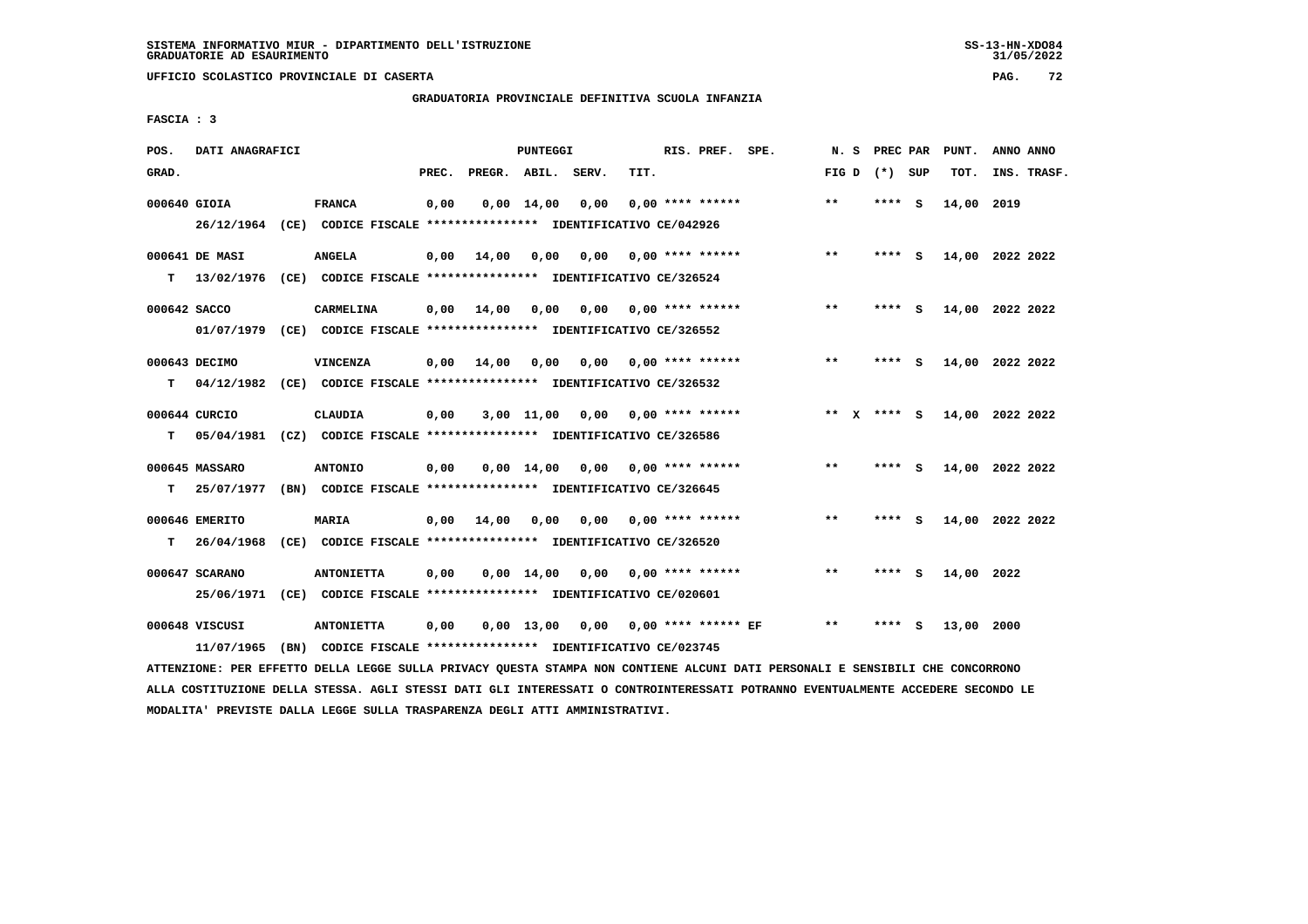**UFFICIO SCOLASTICO PROVINCIALE DI CASERTA PAG. 72**

# **GRADUATORIA PROVINCIALE DEFINITIVA SCUOLA INFANZIA**

 **FASCIA : 3**

| POS.         | DATI ANAGRAFICI              |                                                                                    |       |                    | <b>PUNTEGGI</b>    |      |      | RIS. PREF. SPE.       | N.S             | PREC PAR |     | PUNT.      | ANNO ANNO       |
|--------------|------------------------------|------------------------------------------------------------------------------------|-------|--------------------|--------------------|------|------|-----------------------|-----------------|----------|-----|------------|-----------------|
| GRAD.        |                              |                                                                                    | PREC. | PREGR. ABIL. SERV. |                    |      | TIT. |                       | FIG D $(*)$ SUP |          |     | TOT.       | INS. TRASF.     |
| 000640 GIOIA |                              | <b>FRANCA</b>                                                                      | 0,00  |                    | $0,00 \quad 14,00$ | 0.00 |      | $0.00$ **** ******    | $* *$           | ****     | - S | 14,00 2019 |                 |
|              | 26/12/1964                   | (CE) CODICE FISCALE **************** IDENTIFICATIVO CE/042926                      |       |                    |                    |      |      |                       |                 |          |     |            |                 |
|              | 000641 DE MASI               | <b>ANGELA</b>                                                                      | 0,00  | 14,00              | 0,00               | 0,00 |      | 0,00 **** ******      | $***$           | **** S   |     |            | 14,00 2022 2022 |
| т            | 13/02/1976                   | (CE) CODICE FISCALE **************** IDENTIFICATIVO CE/326524                      |       |                    |                    |      |      |                       |                 |          |     |            |                 |
| 000642 SACCO |                              | CARMELINA                                                                          | 0.00  | 14,00              | 0.00               | 0,00 |      | 0,00 **** ******      | **              | **** S   |     |            | 14,00 2022 2022 |
|              | 01/07/1979                   | (CE) CODICE FISCALE **************** IDENTIFICATIVO CE/326552                      |       |                    |                    |      |      |                       |                 |          |     |            |                 |
|              | 000643 DECIMO                | VINCENZA                                                                           | 0,00  | 14,00              | 0,00               | 0,00 |      | 0,00 **** ******      | **              | **** S   |     |            | 14,00 2022 2022 |
| т            | 04/12/1982                   | (CE) CODICE FISCALE *************** IDENTIFICATIVO CE/326532                       |       |                    |                    |      |      |                       |                 |          |     |            |                 |
|              | 000644 CURCIO                | <b>CLAUDIA</b>                                                                     | 0,00  |                    | 3,00 11,00         | 0,00 |      | $0.00$ **** ******    | ** $X$ **** S   |          |     | 14,00      | 2022 2022       |
| т            | 05/04/1981                   | (CZ) CODICE FISCALE **************** IDENTIFICATIVO CE/326586                      |       |                    |                    |      |      |                       |                 |          |     |            |                 |
|              | 000645 MASSARO               | <b>ANTONIO</b>                                                                     | 0,00  |                    | $0,00 \quad 14,00$ | 0,00 |      | 0,00 **** ******      | $**$            | **** S   |     |            | 14,00 2022 2022 |
| т            | 25/07/1977                   | (BN) CODICE FISCALE **************** IDENTIFICATIVO CE/326645                      |       |                    |                    |      |      |                       |                 |          |     |            |                 |
|              | 000646 EMERITO               | <b>MARIA</b>                                                                       | 0,00  | 14,00              | 0,00               | 0.00 |      | $0.00$ **** ******    | $* *$           | **** S   |     |            | 14,00 2022 2022 |
| т            | 26/04/1968                   | (CE) CODICE FISCALE **************** IDENTIFICATIVO CE/326520                      |       |                    |                    |      |      |                       |                 |          |     |            |                 |
|              | 000647 SCARANO               | <b>ANTONIETTA</b>                                                                  | 0,00  |                    | $0.00 \quad 14.00$ | 0,00 |      | $0.00$ **** ******    | $* *$           | ****     | - 5 | 14,00 2022 |                 |
|              | 25/06/1971                   | (CE) CODICE FISCALE **************** IDENTIFICATIVO CE/020601                      |       |                    |                    |      |      |                       |                 |          |     |            |                 |
|              | 000648 VISCUSI<br>11/07/1965 | <b>ANTONIETTA</b><br>(BN) CODICE FISCALE **************** IDENTIFICATIVO CE/023745 | 0,00  |                    | $0.00$ 13.00       | 0,00 |      | $0.00$ **** ****** EF | $***$           | ****     | s   | 13,00      | 2000            |
|              |                              |                                                                                    |       |                    |                    |      |      |                       |                 |          |     |            |                 |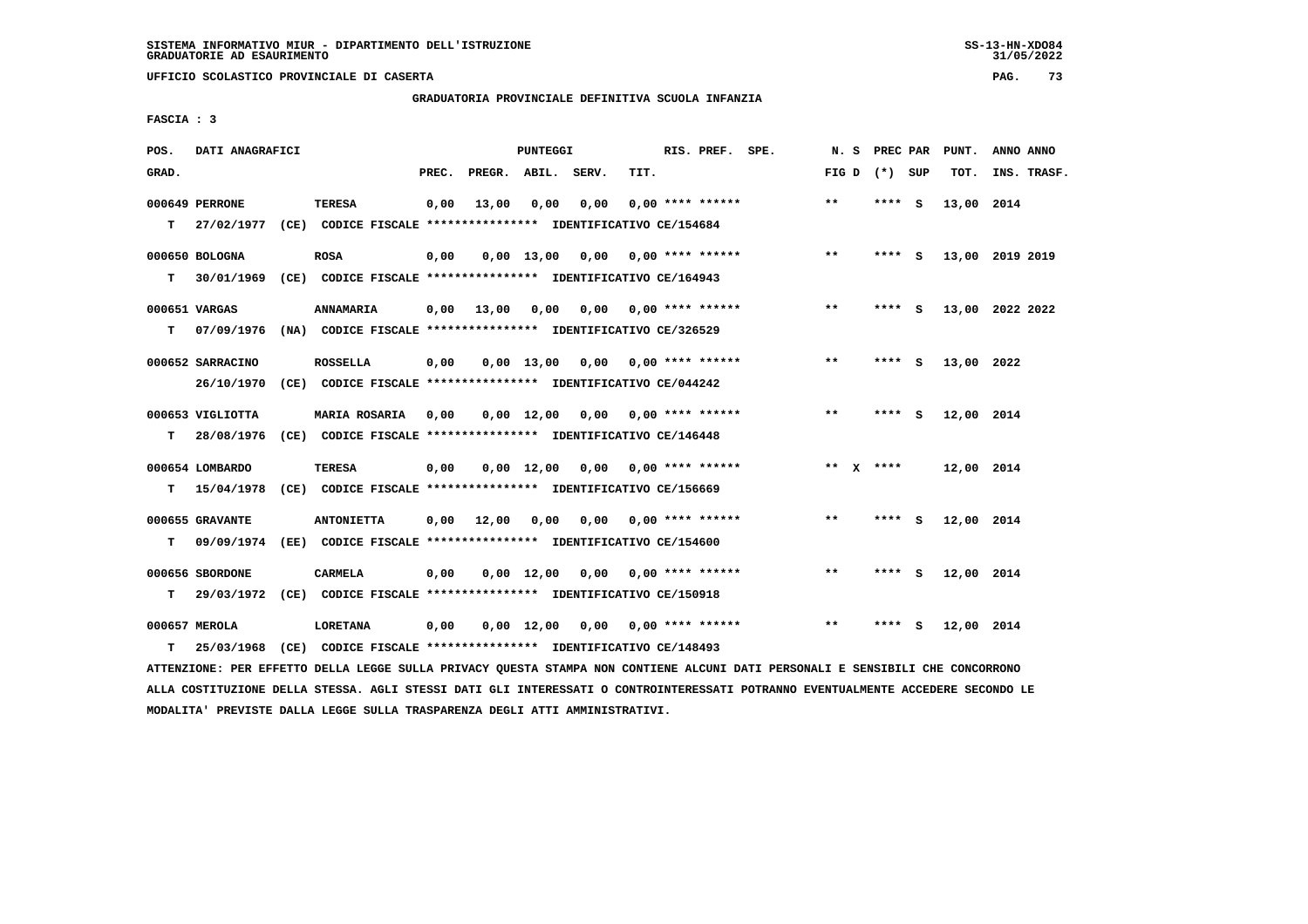$31/05/2022$ 

 **UFFICIO SCOLASTICO PROVINCIALE DI CASERTA PAG. 73**

 **GRADUATORIA PROVINCIALE DEFINITIVA SCUOLA INFANZIA**

 **FASCIA : 3**

| POS.  | DATI ANAGRAFICI  |                                                                          |       |              | PUNTEGGI           |                                    |      | RIS. PREF. SPE.           | N.S   | PREC PAR        |     | PUNT.      | ANNO ANNO       |
|-------|------------------|--------------------------------------------------------------------------|-------|--------------|--------------------|------------------------------------|------|---------------------------|-------|-----------------|-----|------------|-----------------|
| GRAD. |                  |                                                                          | PREC. | PREGR. ABIL. |                    | SERV.                              | TIT. |                           |       | FIG D $(*)$ SUP |     | TOT.       | INS. TRASF.     |
|       | 000649 PERRONE   | <b>TERESA</b>                                                            | 0,00  | 13,00        | 0,00               | 0,00                               |      | $0.00$ **** ******        | $**$  | **** S          |     | 13,00 2014 |                 |
|       | T 27/02/1977     | (CE) CODICE FISCALE **************** IDENTIFICATIVO CE/154684            |       |              |                    |                                    |      |                           |       |                 |     |            |                 |
|       | 000650 BOLOGNA   | <b>ROSA</b>                                                              | 0,00  |              |                    | $0.00 \quad 13.00 \quad 0.00$      |      | 0,00 **** ******          | $***$ | **** S          |     |            | 13,00 2019 2019 |
| т     | 30/01/1969       | (CE) CODICE FISCALE **************** IDENTIFICATIVO CE/164943            |       |              |                    |                                    |      |                           |       |                 |     |            |                 |
|       | 000651 VARGAS    | ANNAMARIA                                                                | 0,00  | 13,00        | 0,00               |                                    |      | $0,00$ $0,00$ **** ****** | $***$ | **** S          |     |            | 13,00 2022 2022 |
| т     | 07/09/1976       | (NA) CODICE FISCALE **************** IDENTIFICATIVO CE/326529            |       |              |                    |                                    |      |                           |       |                 |     |            |                 |
|       | 000652 SARRACINO | <b>ROSSELLA</b>                                                          | 0.00  |              | $0.00$ 13.00       |                                    |      | $0,00$ $0,00$ **** ****** | $**$  | **** S          |     | 13,00 2022 |                 |
|       | 26/10/1970       | (CE) CODICE FISCALE **************** IDENTIFICATIVO CE/044242            |       |              |                    |                                    |      |                           |       |                 |     |            |                 |
|       | 000653 VIGLIOTTA | <b>MARIA ROSARIA</b>                                                     | 0.00  |              | $0.00 \quad 12.00$ |                                    |      | $0.00$ $0.00$ **** ****** | $**$  | ****            | - S | 12,00 2014 |                 |
| т     | 28/08/1976       | (CE) CODICE FISCALE **************** IDENTIFICATIVO CE/146448            |       |              |                    |                                    |      |                           |       |                 |     |            |                 |
|       | 000654 LOMBARDO  | TERESA                                                                   | 0,00  |              |                    | $0,00$ 12,00 0,00 0,00 **** ****** |      |                           |       | ** $X$ ****     |     | 12,00 2014 |                 |
| т     | 15/04/1978       | (CE) CODICE FISCALE **************** IDENTIFICATIVO CE/156669            |       |              |                    |                                    |      |                           |       |                 |     |            |                 |
|       | 000655 GRAVANTE  | <b>ANTONIETTA</b>                                                        | 0,00  | 12,00        | 0,00               | 0,00                               |      | 0,00 **** ******          | $***$ | **** S          |     | 12,00 2014 |                 |
| т     |                  | 09/09/1974 (EE) CODICE FISCALE *************** IDENTIFICATIVO CE/154600  |       |              |                    |                                    |      |                           |       |                 |     |            |                 |
|       | 000656 SBORDONE  | <b>CARMELA</b>                                                           | 0,00  |              | $0,00 \quad 12,00$ | 0,00                               |      | $0.00$ **** ******        | $* *$ | **** S          |     | 12,00 2014 |                 |
| т     |                  | 29/03/1972 (CE) CODICE FISCALE **************** IDENTIFICATIVO CE/150918 |       |              |                    |                                    |      |                           |       |                 |     |            |                 |
|       | 000657 MEROLA    | <b>LORETANA</b>                                                          | 0,00  |              | $0,00 \quad 12,00$ |                                    |      | $0,00$ $0,00$ **** ****** | **    | **** S          |     | 12,00 2014 |                 |
| т     | 25/03/1968       | (CE) CODICE FISCALE **************** IDENTIFICATIVO CE/148493            |       |              |                    |                                    |      |                           |       |                 |     |            |                 |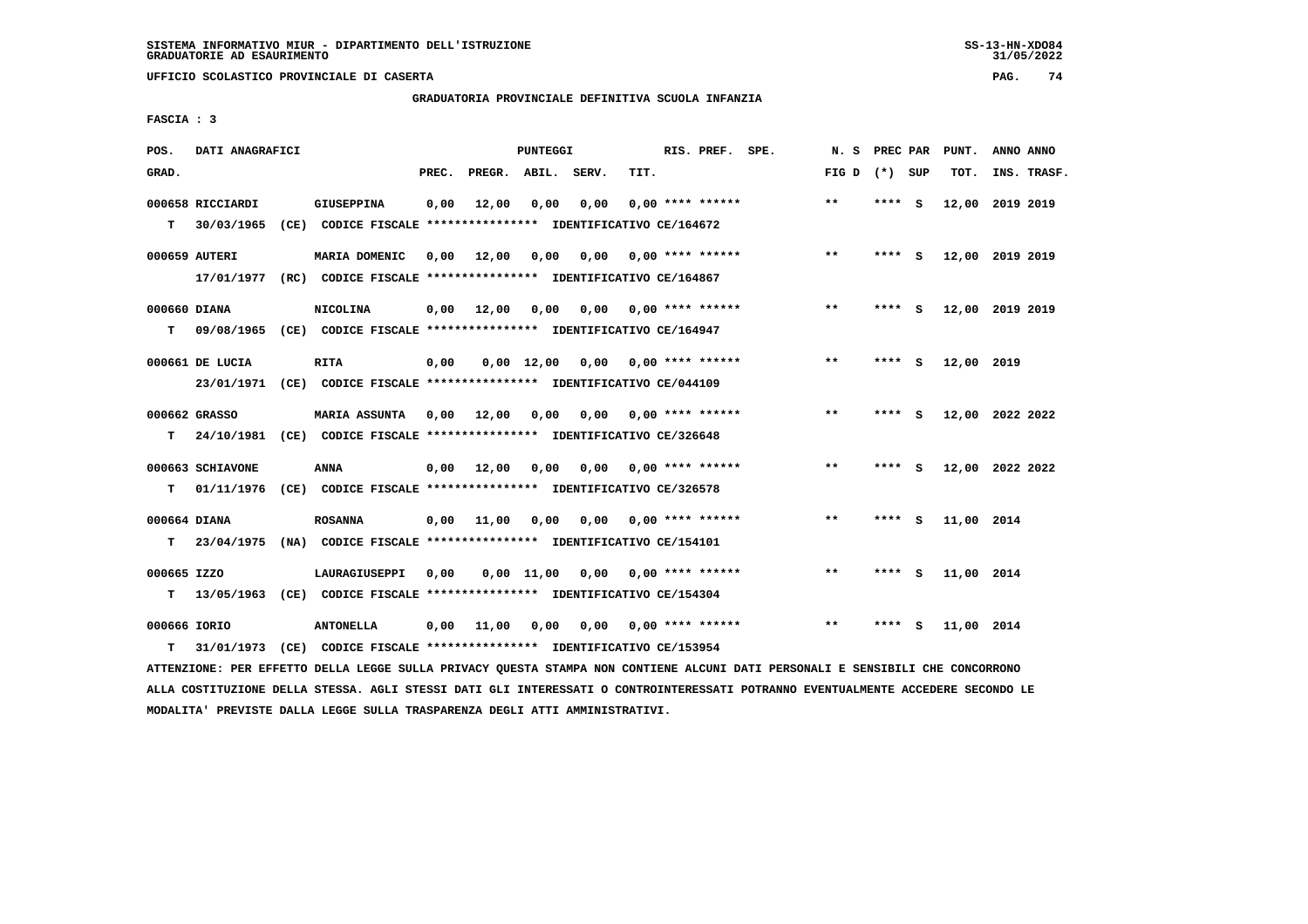**UFFICIO SCOLASTICO PROVINCIALE DI CASERTA PAG. 74**

## **GRADUATORIA PROVINCIALE DEFINITIVA SCUOLA INFANZIA**

 **FASCIA : 3**

| POS.         | DATI ANAGRAFICI                |                                                                            |       |                    | PUNTEGGI |                                    |      | RIS. PREF. SPE.           |                            |                 |         |     | N. S PREC PAR PUNT. | ANNO ANNO       |
|--------------|--------------------------------|----------------------------------------------------------------------------|-------|--------------------|----------|------------------------------------|------|---------------------------|----------------------------|-----------------|---------|-----|---------------------|-----------------|
| GRAD.        |                                |                                                                            | PREC. | PREGR. ABIL. SERV. |          |                                    | TIT. |                           |                            | FIG D $(*)$ SUP |         |     | TOT.                | INS. TRASF.     |
|              | 000658 RICCIARDI               | <b>GIUSEPPINA</b>                                                          | 0,00  | 12,00              | 0,00     | 0,00                               |      | $0.00$ **** ******        |                            | $***$           | **** S  |     |                     | 12,00 2019 2019 |
| T.           | 30/03/1965                     | (CE) CODICE FISCALE **************** IDENTIFICATIVO CE/164672              |       |                    |          |                                    |      |                           |                            |                 |         |     |                     |                 |
|              | 000659 AUTERI                  | MARIA DOMENIC                                                              | 0,00  | 12,00              |          |                                    |      |                           | 0,00 0,00 0,00 **** ****** | $***$           | $***$ S |     |                     | 12,00 2019 2019 |
|              |                                | 17/01/1977 (RC) CODICE FISCALE *************** IDENTIFICATIVO CE/164867    |       |                    |          |                                    |      |                           |                            |                 |         |     |                     |                 |
| 000660 DIANA |                                | <b>NICOLINA</b>                                                            | 0,00  | 12,00              | 0,00     |                                    |      | $0.00$ $0.00$ **** ****** |                            | $***$           | $***$ S |     |                     | 12,00 2019 2019 |
| т            |                                | 09/08/1965 (CE) CODICE FISCALE *************** IDENTIFICATIVO CE/164947    |       |                    |          |                                    |      |                           |                            |                 |         |     |                     |                 |
|              | 000661 DE LUCIA                | <b>RITA</b>                                                                | 0,00  |                    |          | $0,00$ 12,00 0,00 0,00 **** ****** |      |                           |                            | $***$           | ****    | - 5 | 12,00 2019          |                 |
|              |                                | 23/01/1971 (CE) CODICE FISCALE *************** IDENTIFICATIVO CE/044109    |       |                    |          |                                    |      |                           |                            |                 |         |     |                     |                 |
|              | 000662 GRASSO                  | <b>MARIA ASSUNTA 0,00 12,00</b>                                            |       |                    | 0,00     |                                    |      | $0.00$ $0.00$ **** ****** |                            | $***$           | **** S  |     |                     | 12,00 2022 2022 |
| T.           |                                | 24/10/1981 (CE) CODICE FISCALE *************** IDENTIFICATIVO CE/326648    |       |                    |          |                                    |      |                           |                            |                 |         |     |                     |                 |
|              |                                |                                                                            |       | 0.00 12.00         | 0.00     | 0.00                               |      |                           | $0.00$ **** ******         | $***$           | **** S  |     |                     | 12,00 2022 2022 |
| т            | 000663 SCHIAVONE<br>01/11/1976 | ANNA<br>(CE) CODICE FISCALE **************** IDENTIFICATIVO CE/326578      |       |                    |          |                                    |      |                           |                            |                 |         |     |                     |                 |
|              |                                |                                                                            |       |                    |          |                                    |      |                           |                            |                 |         |     |                     |                 |
| 000664 DIANA |                                | <b>ROSANNA</b>                                                             |       | $0,00$ 11,00       | 0,00     | $0,00$ $0,00$ **** ******          |      |                           |                            | $***$           | $***$ S |     | 11,00 2014          |                 |
|              |                                | T 23/04/1975 (NA) CODICE FISCALE **************** IDENTIFICATIVO CE/154101 |       |                    |          |                                    |      |                           |                            |                 |         |     |                     |                 |
| 000665 IZZO  |                                | LAURAGIUSEPPI                                                              | 0,00  |                    |          | $0,00$ 11,00 0,00 0,00 **** ****** |      |                           |                            | $**$            | **** S  |     | 11,00 2014          |                 |
|              |                                | T 13/05/1963 (CE) CODICE FISCALE *************** IDENTIFICATIVO CE/154304  |       |                    |          |                                    |      |                           |                            |                 |         |     |                     |                 |
| 000666 IORIO |                                | <b>ANTONELLA</b>                                                           | 0,00  | 11,00              | 0,00     | 0,00 0,00 **** ******              |      |                           |                            | $* *$           | ****    | - 5 | 11,00 2014          |                 |
| т            |                                | 31/01/1973 (CE) CODICE FISCALE *************** IDENTIFICATIVO CE/153954    |       |                    |          |                                    |      |                           |                            |                 |         |     |                     |                 |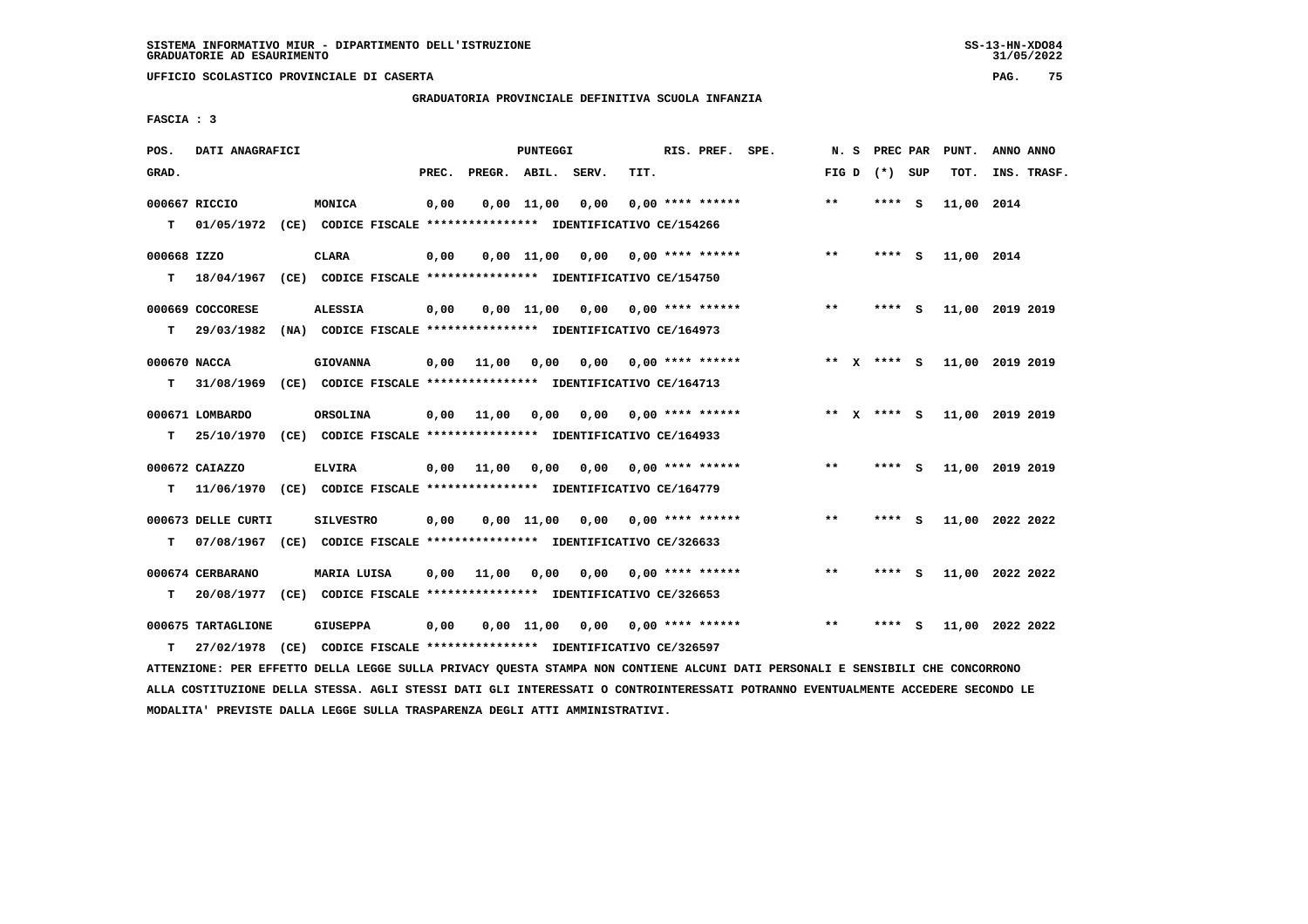$31/05/2022$ 

 **UFFICIO SCOLASTICO PROVINCIALE DI CASERTA PAG. 75**

 **GRADUATORIA PROVINCIALE DEFINITIVA SCUOLA INFANZIA**

 **FASCIA : 3**

| POS.         | DATI ANAGRAFICI    |                                                                         |       |              | PUNTEGGI           |       |      | RIS. PREF. SPE.           | N.S             | PREC PAR |     | PUNT.      | ANNO ANNO       |
|--------------|--------------------|-------------------------------------------------------------------------|-------|--------------|--------------------|-------|------|---------------------------|-----------------|----------|-----|------------|-----------------|
| GRAD.        |                    |                                                                         | PREC. | PREGR. ABIL. |                    | SERV. | TIT. |                           | FIG D $(*)$ SUP |          |     | TOT.       | INS. TRASF.     |
|              | 000667 RICCIO      | MONICA                                                                  | 0,00  |              | $0,00$ 11,00       | 0,00  |      | $0.00$ **** ******        | $**$            | **** S   |     | 11,00 2014 |                 |
| T.           | 01/05/1972         | (CE) CODICE FISCALE **************** IDENTIFICATIVO CE/154266           |       |              |                    |       |      |                           |                 |          |     |            |                 |
| 000668 IZZO  |                    | <b>CLARA</b>                                                            | 0,00  |              | 0.00 11.00         | 0,00  |      | $0.00$ **** ******        | $***$           | **** S   |     | 11,00 2014 |                 |
| т            | 18/04/1967         | (CE) CODICE FISCALE **************** IDENTIFICATIVO CE/154750           |       |              |                    |       |      |                           |                 |          |     |            |                 |
|              | 000669 COCCORESE   | <b>ALESSIA</b>                                                          | 0,00  |              | $0,00$ 11,00       |       |      | $0,00$ $0,00$ **** ****** | $* *$           | **** S   |     |            | 11,00 2019 2019 |
| т            | 29/03/1982         | (NA) CODICE FISCALE **************** IDENTIFICATIVO CE/164973           |       |              |                    |       |      |                           |                 |          |     |            |                 |
| 000670 NACCA |                    | <b>GIOVANNA</b>                                                         | 0,00  | 11,00        | 0.00               | 0.00  |      | $0.00$ **** ******        | ** x **** S     |          |     |            | 11,00 2019 2019 |
| т            | 31/08/1969         | (CE) CODICE FISCALE **************** IDENTIFICATIVO CE/164713           |       |              |                    |       |      |                           |                 |          |     |            |                 |
|              | 000671 LOMBARDO    | ORSOLINA                                                                | 0,00  | 11,00        | 0,00               | 0,00  |      | 0,00 **** ******          | ** X **** S     |          |     |            | 11,00 2019 2019 |
| т            | 25/10/1970         | (CE) CODICE FISCALE **************** IDENTIFICATIVO CE/164933           |       |              |                    |       |      |                           |                 |          |     |            |                 |
|              | 000672 CAIAZZO     | <b>ELVIRA</b>                                                           | 0,00  | 11,00        | 0,00               | 0,00  |      | $0.00$ **** ******        | $**$            | ****     | - S |            | 11,00 2019 2019 |
| т            |                    | 11/06/1970 (CE) CODICE FISCALE *************** IDENTIFICATIVO CE/164779 |       |              |                    |       |      |                           |                 |          |     |            |                 |
|              | 000673 DELLE CURTI | <b>SILVESTRO</b>                                                        | 0,00  |              | $0,00$ 11,00       |       |      | $0,00$ $0,00$ **** ****** | $***$           | **** S   |     |            | 11,00 2022 2022 |
| т            |                    | 07/08/1967 (CE) CODICE FISCALE *************** IDENTIFICATIVO CE/326633 |       |              |                    |       |      |                           |                 |          |     |            |                 |
|              | 000674 CERBARANO   | MARIA LUISA                                                             | 0,00  | 11,00        | 0,00               | 0,00  |      | $0.00$ **** ******        | **              | **** S   |     |            | 11,00 2022 2022 |
| т            |                    | 20/08/1977 (CE) CODICE FISCALE *************** IDENTIFICATIVO CE/326653 |       |              |                    |       |      |                           |                 |          |     |            |                 |
|              | 000675 TARTAGLIONE | <b>GIUSEPPA</b>                                                         | 0,00  |              | $0,00 \quad 11,00$ | 0,00  |      | $0.00$ **** ******        | **              | **** S   |     |            | 11,00 2022 2022 |
| т            | 27/02/1978         | (CE) CODICE FISCALE **************** IDENTIFICATIVO CE/326597           |       |              |                    |       |      |                           |                 |          |     |            |                 |
|              |                    |                                                                         |       |              |                    |       |      |                           |                 |          |     |            |                 |